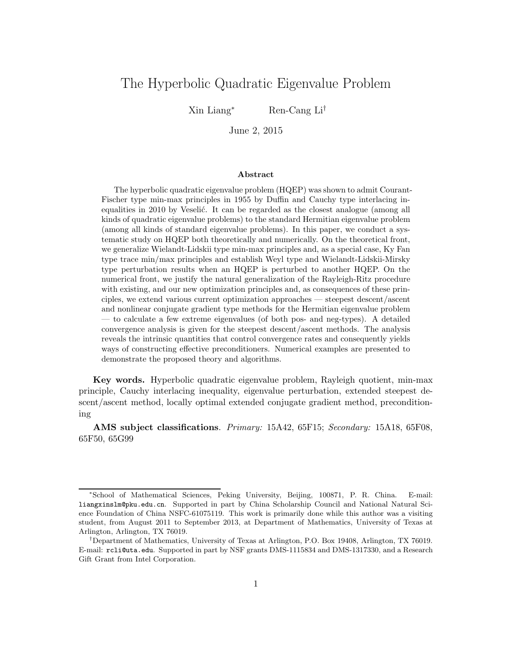# The Hyperbolic Quadratic Eigenvalue Problem

Xin Liang<sup>∗</sup> Ren-Cang Li†

June 2, 2015

#### Abstract

The hyperbolic quadratic eigenvalue problem (HQEP) was shown to admit Courant-Fischer type min-max principles in 1955 by Duffin and Cauchy type interlacing inequalities in 2010 by Veselić. It can be regarded as the closest analogue (among all kinds of quadratic eigenvalue problems) to the standard Hermitian eigenvalue problem (among all kinds of standard eigenvalue problems). In this paper, we conduct a systematic study on HQEP both theoretically and numerically. On the theoretical front, we generalize Wielandt-Lidskii type min-max principles and, as a special case, Ky Fan type trace min/max principles and establish Weyl type and Wielandt-Lidskii-Mirsky type perturbation results when an HQEP is perturbed to another HQEP. On the numerical front, we justify the natural generalization of the Rayleigh-Ritz procedure with existing, and our new optimization principles and, as consequences of these principles, we extend various current optimization approaches — steepest descent/ascent and nonlinear conjugate gradient type methods for the Hermitian eigenvalue problem — to calculate a few extreme eigenvalues (of both pos- and neg-types). A detailed convergence analysis is given for the steepest descent/ascent methods. The analysis reveals the intrinsic quantities that control convergence rates and consequently yields ways of constructing effective preconditioners. Numerical examples are presented to demonstrate the proposed theory and algorithms.

Key words. Hyperbolic quadratic eigenvalue problem, Rayleigh quotient, min-max principle, Cauchy interlacing inequality, eigenvalue perturbation, extended steepest descent/ascent method, locally optimal extended conjugate gradient method, preconditioning

AMS subject classifications. Primary: 15A42, 65F15; Secondary: 15A18, 65F08, 65F50, 65G99

<sup>∗</sup>School of Mathematical Sciences, Peking University, Beijing, 100871, P. R. China. E-mail: liangxinslm@pku.edu.cn. Supported in part by China Scholarship Council and National Natural Science Foundation of China NSFC-61075119. This work is primarily done while this author was a visiting student, from August 2011 to September 2013, at Department of Mathematics, University of Texas at Arlington, Arlington, TX 76019.

<sup>†</sup>Department of Mathematics, University of Texas at Arlington, P.O. Box 19408, Arlington, TX 76019. E-mail: rcli@uta.edu. Supported in part by NSF grants DMS-1115834 and DMS-1317330, and a Research Gift Grant from Intel Corporation.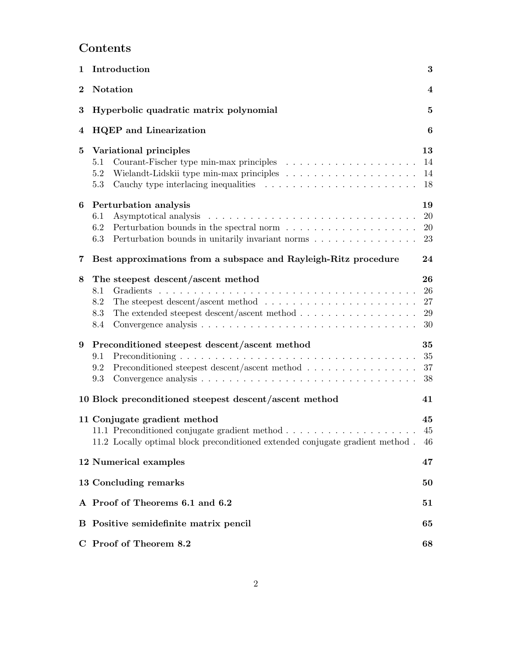# Contents

| 1        | Introduction<br>$\bf{3}$                                                                                                                                                                                                                                 |                             |  |  |  |  |
|----------|----------------------------------------------------------------------------------------------------------------------------------------------------------------------------------------------------------------------------------------------------------|-----------------------------|--|--|--|--|
| $\bf{2}$ | <b>Notation</b><br>$\overline{\mathbf{4}}$                                                                                                                                                                                                               |                             |  |  |  |  |
| $\bf{3}$ | Hyperbolic quadratic matrix polynomial<br>5                                                                                                                                                                                                              |                             |  |  |  |  |
| 4        | <b>HQEP</b> and Linearization<br>$\boldsymbol{6}$                                                                                                                                                                                                        |                             |  |  |  |  |
| 5        | Variational principles<br>5.1<br>Wielandt-Lidskii type min-max principles $\ldots \ldots \ldots \ldots \ldots \ldots$<br>5.2<br>5.3                                                                                                                      | 13<br>14<br>14<br>18        |  |  |  |  |
| 6        | Perturbation analysis<br>6.1<br>6.2<br>Perturbation bounds in unitarily invariant norms<br>6.3                                                                                                                                                           | 19<br>20<br><b>20</b><br>23 |  |  |  |  |
| 7        | Best approximations from a subspace and Rayleigh-Ritz procedure<br>24                                                                                                                                                                                    |                             |  |  |  |  |
| 8        | The steepest descent/ascent method<br>Gradients<br>8.1<br>The steepest descent/ascent method $\dots \dots \dots \dots \dots \dots \dots \dots$<br>8.2<br>The extended steepest descent/ascent method $\dots \dots \dots \dots \dots \dots$<br>8.3<br>8.4 | 26<br>26<br>27<br>29<br>30  |  |  |  |  |
| 9        | Preconditioned steepest descent/ascent method<br>9.1<br>Preconditioned steepest descent/ascent method<br>9.2<br>9.3                                                                                                                                      | 35<br>35<br>37<br>38        |  |  |  |  |
|          | 10 Block preconditioned steepest descent/ascent method<br>41                                                                                                                                                                                             |                             |  |  |  |  |
|          | 11 Conjugate gradient method<br>11.2 Locally optimal block preconditioned extended conjugate gradient method.                                                                                                                                            | 45<br>45<br>46              |  |  |  |  |
|          | 12 Numerical examples                                                                                                                                                                                                                                    | 47                          |  |  |  |  |
|          | 13 Concluding remarks                                                                                                                                                                                                                                    | 50                          |  |  |  |  |
|          | A Proof of Theorems 6.1 and 6.2<br>51                                                                                                                                                                                                                    |                             |  |  |  |  |
|          | B Positive semidefinite matrix pencil                                                                                                                                                                                                                    | 65                          |  |  |  |  |
|          | C Proof of Theorem 8.2                                                                                                                                                                                                                                   | 68                          |  |  |  |  |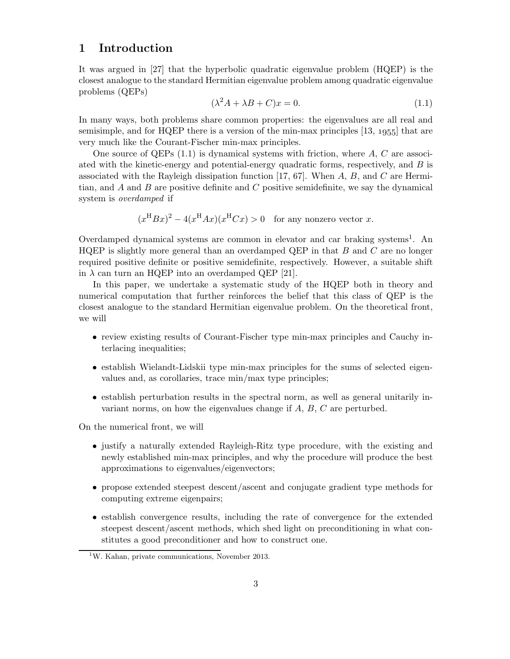# 1 Introduction

It was argued in [27] that the hyperbolic quadratic eigenvalue problem (HQEP) is the closest analogue to the standard Hermitian eigenvalue problem among quadratic eigenvalue problems (QEPs)

$$
(\lambda^2 A + \lambda B + C)x = 0.
$$
\n(1.1)

In many ways, both problems share common properties: the eigenvalues are all real and semisimple, and for HQEP there is a version of the min-max principles  $[13, 1955]$  that are very much like the Courant-Fischer min-max principles.

One source of QEPs  $(1.1)$  is dynamical systems with friction, where A, C are associated with the kinetic-energy and potential-energy quadratic forms, respectively, and  $B$  is associated with the Rayleigh dissipation function [17, 67]. When  $A, B$ , and  $C$  are Hermitian, and  $A$  and  $B$  are positive definite and  $C$  positive semidefinite, we say the dynamical system is overdamped if

 $(x^{\text{H}}Bx)^2 - 4(x^{\text{H}}Ax)(x^{\text{H}}Cx) > 0$  for any nonzero vector x.

Overdamped dynamical systems are common in elevator and car braking systems<sup>1</sup>. An HQEP is slightly more general than an overdamped QEP in that  $B$  and  $C$  are no longer required positive definite or positive semidefinite, respectively. However, a suitable shift in  $\lambda$  can turn an HQEP into an overdamped QEP [21].

In this paper, we undertake a systematic study of the HQEP both in theory and numerical computation that further reinforces the belief that this class of QEP is the closest analogue to the standard Hermitian eigenvalue problem. On the theoretical front, we will

- review existing results of Courant-Fischer type min-max principles and Cauchy interlacing inequalities;
- establish Wielandt-Lidskii type min-max principles for the sums of selected eigenvalues and, as corollaries, trace min/max type principles;
- establish perturbation results in the spectral norm, as well as general unitarily invariant norms, on how the eigenvalues change if  $A, B, C$  are perturbed.

On the numerical front, we will

- justify a naturally extended Rayleigh-Ritz type procedure, with the existing and newly established min-max principles, and why the procedure will produce the best approximations to eigenvalues/eigenvectors;
- propose extended steepest descent/ascent and conjugate gradient type methods for computing extreme eigenpairs;
- establish convergence results, including the rate of convergence for the extended steepest descent/ascent methods, which shed light on preconditioning in what constitutes a good preconditioner and how to construct one.

 $1$ W. Kahan, private communications, November 2013.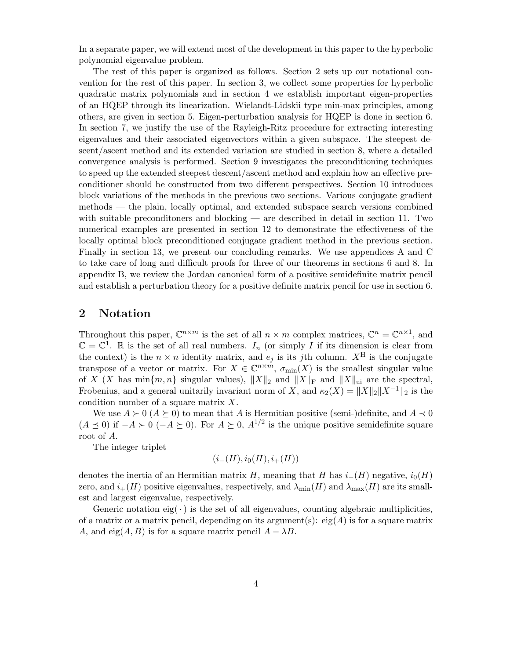In a separate paper, we will extend most of the development in this paper to the hyperbolic polynomial eigenvalue problem.

The rest of this paper is organized as follows. Section 2 sets up our notational convention for the rest of this paper. In section 3, we collect some properties for hyperbolic quadratic matrix polynomials and in section 4 we establish important eigen-properties of an HQEP through its linearization. Wielandt-Lidskii type min-max principles, among others, are given in section 5. Eigen-perturbation analysis for HQEP is done in section 6. In section 7, we justify the use of the Rayleigh-Ritz procedure for extracting interesting eigenvalues and their associated eigenvectors within a given subspace. The steepest descent/ascent method and its extended variation are studied in section 8, where a detailed convergence analysis is performed. Section 9 investigates the preconditioning techniques to speed up the extended steepest descent/ascent method and explain how an effective preconditioner should be constructed from two different perspectives. Section 10 introduces block variations of the methods in the previous two sections. Various conjugate gradient methods — the plain, locally optimal, and extended subspace search versions combined with suitable preconditioners and blocking — are described in detail in section 11. Two numerical examples are presented in section 12 to demonstrate the effectiveness of the locally optimal block preconditioned conjugate gradient method in the previous section. Finally in section 13, we present our concluding remarks. We use appendices A and C to take care of long and difficult proofs for three of our theorems in sections 6 and 8. In appendix B, we review the Jordan canonical form of a positive semidefinite matrix pencil and establish a perturbation theory for a positive definite matrix pencil for use in section 6.

## 2 Notation

Throughout this paper,  $\mathbb{C}^{n \times m}$  is the set of all  $n \times m$  complex matrices,  $\mathbb{C}^n = \mathbb{C}^{n \times 1}$ , and  $\mathbb{C} = \mathbb{C}^1$ . Re is the set of all real numbers.  $I_n$  (or simply I if its dimension is clear from the context) is the  $n \times n$  identity matrix, and  $e_i$  is its jth column.  $X^H$  is the conjugate transpose of a vector or matrix. For  $X \in \mathbb{C}^{n \times m}$ ,  $\sigma_{\min}(X)$  is the smallest singular value of X (X has  $\min\{m, n\}$  singular values),  $||X||_2$  and  $||X||_F$  and  $||X||_{\text{ui}}$  are the spectral, Frobenius, and a general unitarily invariant norm of X, and  $\kappa_2(X) = ||X||_2||X^{-1}||_2$  is the condition number of a square matrix X.

We use  $A \succ 0$  ( $A \succeq 0$ ) to mean that A is Hermitian positive (semi-)definite, and  $A \prec 0$  $(A \preceq 0)$  if  $-A \succ 0$   $(-A \succeq 0)$ . For  $A \succeq 0$ ,  $A^{1/2}$  is the unique positive semidefinite square root of A.

The integer triplet

$$
(i_{-}(H), i_{0}(H), i_{+}(H))
$$

denotes the inertia of an Hermitian matrix H, meaning that H has  $i_-(H)$  negative,  $i_0(H)$ zero, and  $i_{+}(H)$  positive eigenvalues, respectively, and  $\lambda_{\min}(H)$  and  $\lambda_{\max}(H)$  are its smallest and largest eigenvalue, respectively.

Generic notation eig( $\cdot$ ) is the set of all eigenvalues, counting algebraic multiplicities, of a matrix or a matrix pencil, depending on its argument(s):  $eig(A)$  is for a square matrix A, and eig $(A, B)$  is for a square matrix pencil  $A - \lambda B$ .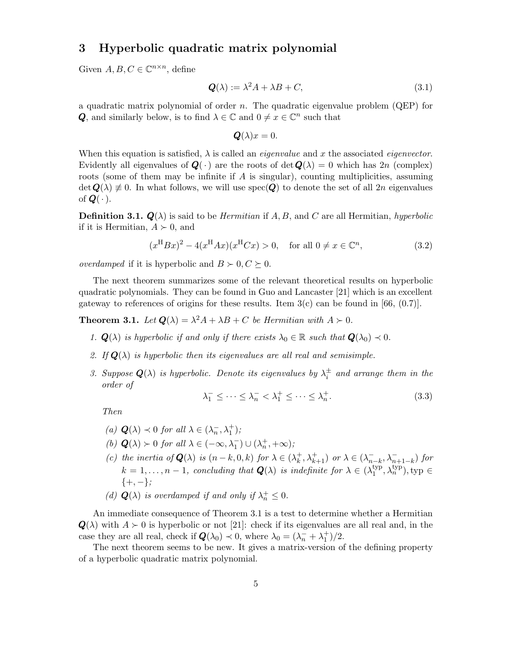# 3 Hyperbolic quadratic matrix polynomial

Given  $A, B, C \in \mathbb{C}^{n \times n}$ , define

$$
\mathbf{Q}(\lambda) := \lambda^2 A + \lambda B + C,\tag{3.1}
$$

a quadratic matrix polynomial of order  $n$ . The quadratic eigenvalue problem (QEP) for **Q**, and similarly below, is to find  $\lambda \in \mathbb{C}$  and  $0 \neq x \in \mathbb{C}^n$  such that

$$
\mathbf{Q}(\lambda)x=0.
$$

When this equation is satisfied,  $\lambda$  is called an *eigenvalue* and x the associated *eigenvector*. Evidently all eigenvalues of  $Q(\cdot)$  are the roots of det  $Q(\lambda) = 0$  which has 2n (complex) roots (some of them may be infinite if  $A$  is singular), counting multiplicities, assuming  $\det Q(\lambda) \neq 0$ . In what follows, we will use  $spec(Q)$  to denote the set of all  $2n$  eigenvalues of  $\mathbf{Q}(\cdot)$ .

**Definition 3.1.**  $Q(\lambda)$  is said to be *Hermitian* if A, B, and C are all Hermitian, hyperbolic if it is Hermitian,  $A \succ 0$ , and

$$
(x^{H}Bx)^{2} - 4(x^{H}Ax)(x^{H}Cx) > 0, \quad \text{for all } 0 \neq x \in \mathbb{C}^{n}, \tag{3.2}
$$

*overdamped* if it is hyperbolic and  $B \succ 0, C \succeq 0$ .

The next theorem summarizes some of the relevant theoretical results on hyperbolic quadratic polynomials. They can be found in Guo and Lancaster [21] which is an excellent gateway to references of origins for these results. Item  $3(c)$  can be found in [66, (0.7)].

**Theorem 3.1.** Let  $\mathbf{Q}(\lambda) = \lambda^2 A + \lambda B + C$  be Hermitian with  $A \succ 0$ .

- 1.  $\mathbf{Q}(\lambda)$  is hyperbolic if and only if there exists  $\lambda_0 \in \mathbb{R}$  such that  $\mathbf{Q}(\lambda_0) \prec 0$ .
- 2. If  $Q(\lambda)$  is hyperbolic then its eigenvalues are all real and semisimple.
- 3. Suppose  $Q(\lambda)$  is hyperbolic. Denote its eigenvalues by  $\lambda_i^{\pm}$  and arrange them in the order of

$$
\lambda_1^- \le \dots \le \lambda_n^- < \lambda_1^+ \le \dots \le \lambda_n^+.\tag{3.3}
$$

Then

- (a)  $\mathbf{Q}(\lambda) \prec 0$  for all  $\lambda \in (\lambda_n^-, \lambda_1^+)$ ;
- (b)  $\mathbf{Q}(\lambda) \succ 0$  for all  $\lambda \in (-\infty, \lambda_1^-) \cup (\lambda_n^+, +\infty)$ ;
- (c) the inertia of  $\mathbf{Q}(\lambda)$  is  $(n-k,0,k)$  for  $\lambda \in (\lambda_k^+$  $\lambda_k^+, \lambda_{k+1}^+$ ) or  $\lambda \in (\lambda_n^-)$  $\sum_{n-k}^{\infty}$ ,  $\lambda_{n+1-k}^{-}$ ) for  $k = 1, \ldots, n - 1$ , concluding that  $Q(\lambda)$  is indefinite for  $\lambda \in (\lambda_1^{\text{typ}})$  $_1^{\rm typ},\lambda_n^{\rm typ}$ ), typ  $\in$  $\{+, -\}$ :
- (d)  $\mathbf{Q}(\lambda)$  is overdamped if and only if  $\lambda_n^+ \leq 0$ .

An immediate consequence of Theorem 3.1 is a test to determine whether a Hermitian  $Q(\lambda)$  with  $A \succ 0$  is hyperbolic or not [21]: check if its eigenvalues are all real and, in the case they are all real, check if  $Q(\lambda_0) \prec 0$ , where  $\lambda_0 = (\lambda_n^- + \lambda_1^+)/2$ .

The next theorem seems to be new. It gives a matrix-version of the defining property of a hyperbolic quadratic matrix polynomial.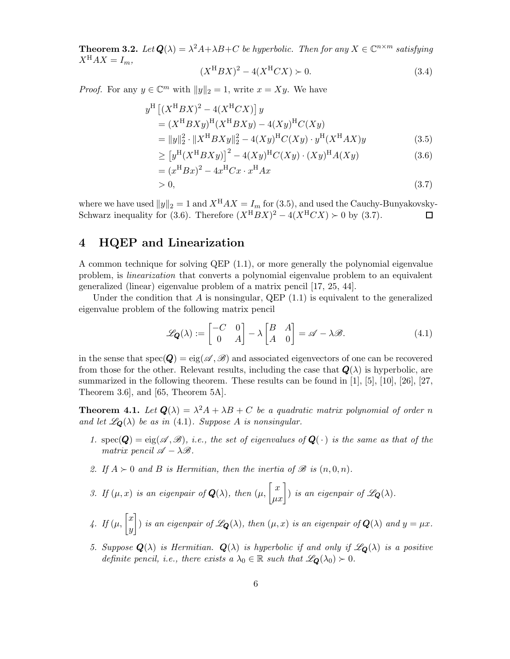**Theorem 3.2.** Let  $Q(\lambda) = \lambda^2 A + \lambda B + C$  be hyperbolic. Then for any  $X \in \mathbb{C}^{n \times m}$  satisfying  $X^{\mathrm{H}}AX = I_m$ ,

$$
(X^{H}BX)^{2} - 4(X^{H}CX) \succ 0.
$$
 (3.4)

*Proof.* For any  $y \in \mathbb{C}^m$  with  $||y||_2 = 1$ , write  $x = Xy$ . We have

$$
y^{\mathrm{H}} [(X^{\mathrm{H}} BX)^{2} - 4(X^{\mathrm{H}}CX)] y
$$
  
=  $(X^{\mathrm{H}}BXy)^{\mathrm{H}} (X^{\mathrm{H}}BXy) - 4(Xy)^{\mathrm{H}}C(Xy)$   
=  $||y||_{2}^{2} \cdot ||X^{\mathrm{H}}BXy||_{2}^{2} - 4(Xy)^{\mathrm{H}}C(Xy) \cdot y^{\mathrm{H}} (X^{\mathrm{H}}AX)y$   
 $\ge [y^{\mathrm{H}} (X^{\mathrm{H}}BXy)]^{2} - 4(Xy)^{\mathrm{H}}C(Xy) \cdot (Xy)^{\mathrm{H}}A(Xy)$  (3.6)

$$
= (xHBx)2 - 4xHCx \cdot xHAx
$$
  
> 0, (3.7)

where we have used  $||y||_2 = 1$  and  $X^{\text{H}}AX = I_m$  for (3.5), and used the Cauchy-Bunyakovsky-Schwarz inequality for (3.6). Therefore  $(X^{H}BX)^{2} - 4(X^{H}CX) \succ 0$  by (3.7).

### 4 HQEP and Linearization

A common technique for solving QEP (1.1), or more generally the polynomial eigenvalue problem, is linearization that converts a polynomial eigenvalue problem to an equivalent generalized (linear) eigenvalue problem of a matrix pencil [17, 25, 44].

Under the condition that A is nonsingular, QEP  $(1.1)$  is equivalent to the generalized eigenvalue problem of the following matrix pencil

$$
\mathcal{L}_{\mathbf{Q}}(\lambda) := \begin{bmatrix} -C & 0 \\ 0 & A \end{bmatrix} - \lambda \begin{bmatrix} B & A \\ A & 0 \end{bmatrix} = \mathscr{A} - \lambda \mathscr{B}.
$$
 (4.1)

in the sense that  $spec(Q) = eig(\mathscr{A}, \mathscr{B})$  and associated eigenvectors of one can be recovered from those for the other. Relevant results, including the case that  $Q(\lambda)$  is hyperbolic, are summarized in the following theorem. These results can be found in [1], [5], [10], [26], [27, Theorem 3.6], and [65, Theorem 5A].

**Theorem 4.1.** Let  $Q(\lambda) = \lambda^2 A + \lambda B + C$  be a quadratic matrix polynomial of order n and let  $\mathscr{L}_{\mathbf{Q}}(\lambda)$  be as in (4.1). Suppose A is nonsingular.

- 1. spec( $Q$ ) = eig( $\mathscr{A}, \mathscr{B}$ ), i.e., the set of eigenvalues of  $Q(\cdot)$  is the same as that of the matrix pencil  $\mathscr{A} - \lambda \mathscr{B}$ .
- 2. If  $A \succ 0$  and B is Hermitian, then the inertia of  $\mathscr{B}$  is  $(n,0,n)$ .
- 3. If  $(\mu, x)$  is an eigenpair of  $\mathbf{Q}(\lambda)$ , then  $(\mu, \begin{bmatrix} x \\ \mu x \end{bmatrix})$  is an eigenpair of  $\mathscr{L}_{\mathbf{Q}}(\lambda)$ .
- 4. If  $(\mu, \begin{bmatrix} x \\ y \end{bmatrix})$  $\hat{y}$ ) is an eigenpair of  $\mathscr{L}_{\mathbf{Q}}(\lambda)$ , then  $(\mu, x)$  is an eigenpair of  $\mathbf{Q}(\lambda)$  and  $y = \mu x$ .
- 5. Suppose  $Q(\lambda)$  is Hermitian.  $Q(\lambda)$  is hyperbolic if and only if  $\mathscr{L}_{Q}(\lambda)$  is a positive definite pencil, i.e., there exists a  $\lambda_0 \in \mathbb{R}$  such that  $\mathscr{L}_{\mathbf{Q}}(\lambda_0) \succ 0$ .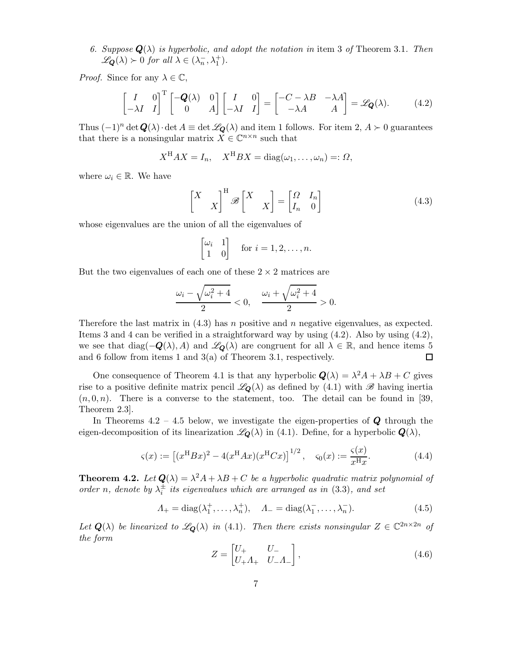6. Suppose  $\mathbf{Q}(\lambda)$  is hyperbolic, and adopt the notation in item 3 of Theorem 3.1. Then  $\mathscr{L}_{\mathbf{Q}}(\lambda) \succ 0$  for all  $\lambda \in (\lambda_n^-,\lambda_1^+)$ .

*Proof.* Since for any  $\lambda \in \mathbb{C}$ ,

$$
\begin{bmatrix} I & 0 \ -\lambda I & I \end{bmatrix}^{\mathrm{T}} \begin{bmatrix} -Q(\lambda) & 0 \ 0 & A \end{bmatrix} \begin{bmatrix} I & 0 \ -\lambda I & I \end{bmatrix} = \begin{bmatrix} -C - \lambda B & -\lambda A \ -\lambda A & A \end{bmatrix} = \mathscr{L}_{\mathbf{Q}}(\lambda). \tag{4.2}
$$

Thus  $(-1)^n \det \mathbf{Q}(\lambda) \cdot \det A \equiv \det \mathcal{L}_{\mathbf{Q}}(\lambda)$  and item 1 follows. For item 2,  $A \succ 0$  guarantees that there is a nonsingular matrix  $X \in \mathbb{C}^{n \times n}$  such that

$$
X^{\mathrm{H}}AX = I_n, \quad X^{\mathrm{H}}BX = \mathrm{diag}(\omega_1, \dots, \omega_n) =: \Omega,
$$

where  $\omega_i \in \mathbb{R}$ . We have

$$
\begin{bmatrix} X & \\ & X \end{bmatrix}^{\mathrm{H}} \mathscr{B} \begin{bmatrix} X & \\ & X \end{bmatrix} = \begin{bmatrix} \Omega & I_n \\ I_n & 0 \end{bmatrix}
$$
 (4.3)

whose eigenvalues are the union of all the eigenvalues of

$$
\begin{bmatrix} \omega_i & 1 \\ 1 & 0 \end{bmatrix}
$$
 for  $i = 1, 2, ..., n$ .

But the two eigenvalues of each one of these  $2 \times 2$  matrices are

$$
\frac{\omega_i - \sqrt{\omega_i^2 + 4}}{2} < 0, \quad \frac{\omega_i + \sqrt{\omega_i^2 + 4}}{2} > 0.
$$

Therefore the last matrix in  $(4.3)$  has n positive and n negative eigenvalues, as expected. Items 3 and 4 can be verified in a straightforward way by using  $(4.2)$ . Also by using  $(4.2)$ , we see that diag( $-Q(\lambda)$ , A) and  $\mathscr{L}_{\mathbf{Q}}(\lambda)$  are congruent for all  $\lambda \in \mathbb{R}$ , and hence items 5 and 6 follow from items 1 and 3(a) of Theorem 3.1, respectively. and 6 follow from items 1 and 3(a) of Theorem 3.1, respectively.

One consequence of Theorem 4.1 is that any hyperbolic  $\mathbf{Q}(\lambda) = \lambda^2 A + \lambda B + C$  gives rise to a positive definite matrix pencil  $\mathscr{L}_{\mathbf{Q}}(\lambda)$  as defined by (4.1) with  $\mathscr{B}$  having inertia  $(n, 0, n)$ . There is a converse to the statement, too. The detail can be found in [39, Theorem 2.3].

In Theorems  $4.2 - 4.5$  below, we investigate the eigen-properties of  $\boldsymbol{Q}$  through the eigen-decomposition of its linearization  $\mathscr{L}_{\mathbf{Q}}(\lambda)$  in (4.1). Define, for a hyperbolic  $\mathbf{Q}(\lambda)$ ,

$$
\varsigma(x) := \left[ (x^{\mathrm{H}} B x)^2 - 4(x^{\mathrm{H}} A x)(x^{\mathrm{H}} C x) \right]^{1/2}, \quad \varsigma_0(x) := \frac{\varsigma(x)}{x^{\mathrm{H}} x}.
$$
 (4.4)

**Theorem 4.2.** Let  $Q(\lambda) = \lambda^2 A + \lambda B + C$  be a hyperbolic quadratic matrix polynomial of order n, denote by  $\lambda_i^{\pm}$  its eigenvalues which are arranged as in (3.3), and set

$$
\Lambda_+ = \text{diag}(\lambda_1^+, \dots, \lambda_n^+), \quad \Lambda_- = \text{diag}(\lambda_1^-, \dots, \lambda_n^-). \tag{4.5}
$$

Let  $Q(\lambda)$  be linearized to  $\mathscr{L}_Q(\lambda)$  in (4.1). Then there exists nonsingular  $Z \in \mathbb{C}^{2n \times 2n}$  of the form

$$
Z = \begin{bmatrix} U_+ & U_- \\ U_+ \Lambda_+ & U_- \Lambda_- \end{bmatrix},\tag{4.6}
$$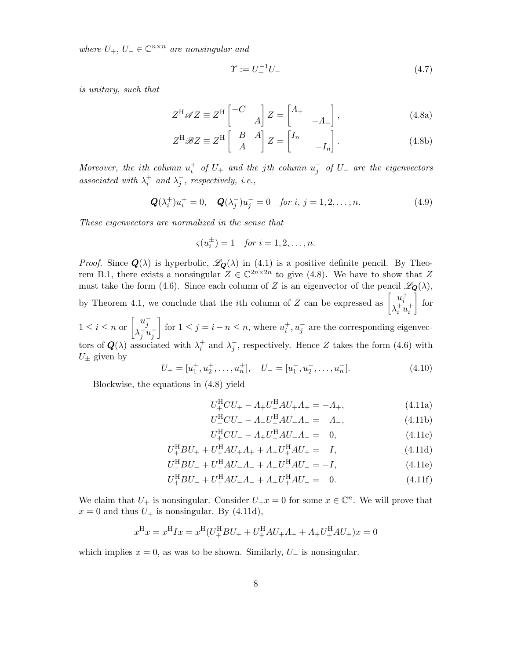where  $U_+$ ,  $U_- \in \mathbb{C}^{n \times n}$  are nonsingular and

$$
\Upsilon := U_{+}^{-1}U_{-}
$$
\n(4.7)

is unitary, such that

$$
Z^{\mathrm{H}} \mathscr{A} Z \equiv Z^{\mathrm{H}} \begin{bmatrix} -C & \\ & A \end{bmatrix} Z = \begin{bmatrix} A_{+} & \\ & -A_{-} \end{bmatrix}, \tag{4.8a}
$$

$$
Z^{\mathrm{H}}\mathscr{B}Z \equiv Z^{\mathrm{H}} \left[ \begin{array}{cc} B & A \\ A & \end{array} \right] Z = \left[ \begin{array}{cc} I_n & & \\ & -I_n \end{array} \right].\tag{4.8b}
$$

Moreover, the ith column  $u_i^+$  of  $U_+$  and the jth column  $u_j^-$  of  $U_-$  are the eigenvectors associated with  $\lambda_i^+$  and  $\lambda_j^-$ , respectively, i.e.,

$$
\mathbf{Q}(\lambda_i^+)u_i^+ = 0, \quad \mathbf{Q}(\lambda_j^-)u_j^- = 0 \quad \text{for } i, j = 1, 2, \dots, n. \tag{4.9}
$$

These eigenvectors are normalized in the sense that

$$
\varsigma(u_i^{\pm}) = 1 \quad \text{for } i = 1, 2, \dots, n.
$$

*Proof.* Since  $Q(\lambda)$  is hyperbolic,  $\mathscr{L}_Q(\lambda)$  in (4.1) is a positive definite pencil. By Theorem B.1, there exists a nonsingular  $Z \in \mathbb{C}^{2n \times 2n}$  to give (4.8). We have to show that Z must take the form (4.6). Since each column of Z is an eigenvector of the pencil  $\mathscr{L}_{\mathbf{Q}}(\lambda)$ , by Theorem 4.1, we conclude that the *i*<sup>th</sup> column of Z can be expressed as  $\begin{bmatrix} u_i^+ \\ v_i^+ \end{bmatrix}$  $\lambda_i^+ u_i^+$ Ť for  $1 \leq i \leq n$  or  $\begin{bmatrix} u_j^- \\ \lambda^- u_j \end{bmatrix}$  $\lambda_j^- u_j^-$ 1 for  $1 \leq j = i - n \leq n$ , where  $u_i^+, u_j^-$  are the corresponding eigenvec-

tors of  $Q(\lambda)$  associated with  $\lambda_i^+$  and  $\lambda_j^-$ , respectively. Hence Z takes the form (4.6) with  $U_{\pm}$  given by

$$
U_{+} = [u_1^{+}, u_2^{+}, \dots, u_n^{+}], \quad U_{-} = [u_1^{-}, u_2^{-}, \dots, u_n^{-}]. \tag{4.10}
$$

Blockwise, the equations in (4.8) yield

$$
U_{+}^{\rm H}CU_{+} - \Lambda_{+}U_{+}^{\rm H}AU_{+}\Lambda_{+} = -\Lambda_{+},\tag{4.11a}
$$

$$
U_{-}^{\text{H}}CU_{-} - \Lambda_{-}U_{-}^{\text{H}}AU_{-}\Lambda_{-} = \Lambda_{-}, \qquad (4.11b)
$$

$$
U_{+}^{\rm H}CU_{-} - \Lambda_{+}U_{+}^{\rm H}AU_{-}\Lambda_{-} = 0, \qquad (4.11c)
$$

$$
U_{+}^{H}BU_{+} + U_{+}^{H}AU_{+}A_{+} + A_{+}U_{+}^{H}AU_{+} = I,
$$
\n(4.11d)

$$
U_{-}^{\rm H}BU_{-} + U_{-}^{\rm H}AU_{-}\Lambda_{-} + \Lambda_{-}U_{-}^{\rm H}AU_{-} = -I, \tag{4.11e}
$$

$$
U_{+}^{\rm H}BU_{-} + U_{+}^{\rm H}AU_{-}A_{-} + A_{+}U_{+}^{\rm H}AU_{-} = 0.
$$
 (4.11f)

We claim that  $U_+$  is nonsingular. Consider  $U_+x=0$  for some  $x \in \mathbb{C}^n$ . We will prove that  $x = 0$  and thus  $U_+$  is nonsingular. By (4.11d),

$$
x^{\rm H}x = x^{\rm H} I x = x^{\rm H} (U^{\rm H}_+ B U_+ + U^{\rm H}_+ A U_+ A_+ + A_+ U^{\rm H}_+ A U_+) x = 0
$$

which implies  $x = 0$ , as was to be shown. Similarly,  $U_-\$  is nonsingular.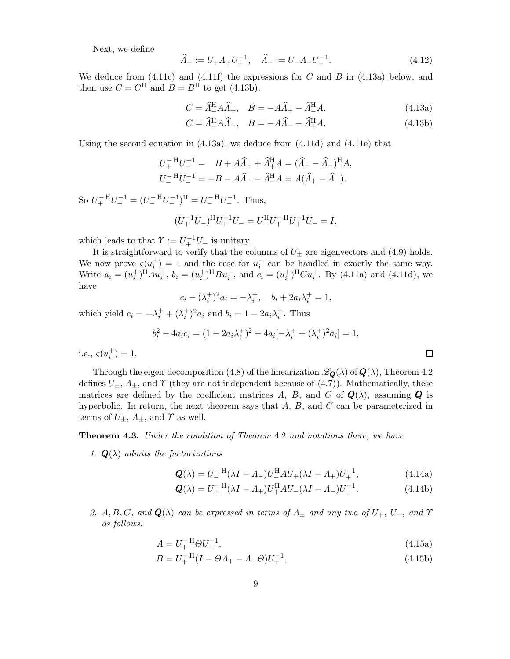Next, we define

$$
\widehat{\Lambda}_+ := U_+ \Lambda_+ U_+^{-1}, \quad \widehat{\Lambda}_- := U_- \Lambda_- U_-^{-1}.
$$
\n(4.12)

We deduce from  $(4.11c)$  and  $(4.11f)$  the expressions for C and B in  $(4.13a)$  below, and then use  $C = C^{\text{H}}$  and  $B = B^{\text{H}}$  to get (4.13b).

$$
C = \widehat{A}^{\mathrm{H}}_{-} A \widehat{A}_{+}, \quad B = -A \widehat{A}_{+} - \widehat{A}^{\mathrm{H}}_{-} A, \tag{4.13a}
$$

$$
C = \widehat{A}^{\mathrm{H}}_{+} A \widehat{A}_{-}, \quad B = -A \widehat{A}_{-} - \widehat{A}^{\mathrm{H}}_{+} A. \tag{4.13b}
$$

Using the second equation in (4.13a), we deduce from (4.11d) and (4.11e) that

$$
U_{+}^{-H}U_{+}^{-1} = B + A\widehat{A}_{+} + \widehat{A}_{+}^{H}A = (\widehat{A}_{+} - \widehat{A}_{-})^{H}A,
$$
  

$$
U_{-}^{-H}U_{-}^{-1} = -B - A\widehat{A}_{-} - \widehat{A}_{-}^{H}A = A(\widehat{A}_{+} - \widehat{A}_{-}).
$$

So  $U_+^{-H}U_+^{-1} = (U_-^{-H}U_-^{-1})^H = U_-^{-H}U_-^{-1}$ . Thus,

$$
(U_{+}^{-1}U_{-})^{\mathrm{H}}U_{+}^{-1}U_{-} = U_{-}^{\mathrm{H}}U_{+}^{-\mathrm{H}}U_{+}^{-1}U_{-} = I,
$$

which leads to that  $\Upsilon := U_+^{-1}U_-$  is unitary.

It is straightforward to verify that the columns of  $U_{\pm}$  are eigenvectors and (4.9) holds. We now prove  $\varsigma(u_i^+) = 1$  and the case for  $u_i^-$  can be handled in exactly the same way. Write  $a_i = (u_i^+)^{H} A u_i^+, b_i = (u_i^+)^{H} B u_i^+,$  and  $c_i = (u_i^+)^{H} C u_i^+$ . By (4.11a) and (4.11d), we have

$$
c_i - (\lambda_i^+)^2 a_i = -\lambda_i^+, \quad b_i + 2a_i \lambda_i^+ = 1,
$$

which yield  $c_i = -\lambda_i^+ + (\lambda_i^+)^2 a_i$  and  $b_i = 1 - 2a_i \lambda_i^+$ . Thus

$$
b_i^2 - 4a_i c_i = (1 - 2a_i \lambda_i^+)^2 - 4a_i [-\lambda_i^+ + (\lambda_i^+)^2 a_i] = 1,
$$

i.e.,  $\varsigma(u_i^+) = 1$ .

Through the eigen-decomposition (4.8) of the linearization  $\mathscr{L}_{\mathbf{Q}}(\lambda)$  of  $\mathbf{Q}(\lambda)$ , Theorem 4.2 defines  $U_{\pm}$ ,  $\Lambda_{\pm}$ , and  $\Upsilon$  (they are not independent because of (4.7)). Mathematically, these matrices are defined by the coefficient matrices A, B, and C of  $Q(\lambda)$ , assuming Q is hyperbolic. In return, the next theorem says that  $A, B$ , and  $C$  can be parameterized in terms of  $U_{\pm}$ ,  $\Lambda_{\pm}$ , and  $\Upsilon$  as well.

#### Theorem 4.3. Under the condition of Theorem 4.2 and notations there, we have

1.  $\mathbf{Q}(\lambda)$  admits the factorizations

$$
\mathbf{Q}(\lambda) = U_{-}^{-H} (\lambda I - \Lambda_{-}) U_{-}^{H} A U_{+} (\lambda I - \Lambda_{+}) U_{+}^{-1}, \tag{4.14a}
$$

$$
\mathbf{Q}(\lambda) = U_{+}^{-H}(\lambda I - A_{+})U_{+}^{H}AU_{-}(\lambda I - A_{-})U_{-}^{-1}.
$$
 (4.14b)

2.  $A, B, C, and Q(\lambda)$  can be expressed in terms of  $\Lambda_{\pm}$  and any two of  $U_{+}, U_{-}$ , and  $\Upsilon$ as follows:

$$
A = U_{+}^{-H} \Theta U_{+}^{-1}, \tag{4.15a}
$$

$$
B = U_{+}^{-H} (I - \Theta A_{+} - A_{+} \Theta) U_{+}^{-1}, \tag{4.15b}
$$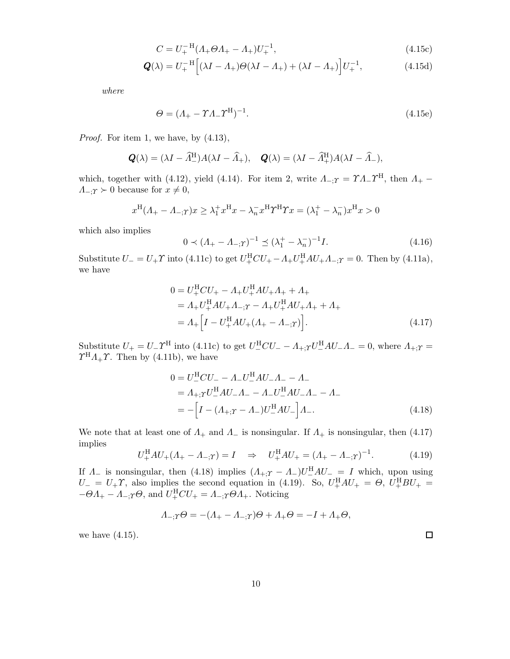$$
C = U_{+}^{-H} (A_{+} \Theta A_{+} - A_{+}) U_{+}^{-1}, \qquad (4.15c)
$$

$$
\mathbf{Q}(\lambda) = U_{+}^{-H} \Big[ (\lambda I - \Lambda_{+}) \Theta(\lambda I - \Lambda_{+}) + (\lambda I - \Lambda_{+}) \Big] U_{+}^{-1}, \tag{4.15d}
$$

where

$$
\Theta = (\Lambda_+ - \Upsilon \Lambda_- \Upsilon^{\mathrm{H}})^{-1}.
$$
\n(4.15e)

Proof. For item 1, we have, by  $(4.13)$ ,

$$
\mathbf{Q}(\lambda) = (\lambda I - \widehat{\Lambda}_{-}^{\mathrm{H}})A(\lambda I - \widehat{\Lambda}_{+}), \quad \mathbf{Q}(\lambda) = (\lambda I - \widehat{\Lambda}_{+}^{\mathrm{H}})A(\lambda I - \widehat{\Lambda}_{-}),
$$

which, together with (4.12), yield (4.14). For item 2, write  $\Lambda_{-;T} = \Upsilon \Lambda_{-} \Upsilon^{\rm H}$ , then  $\Lambda_{+}$  - $\Lambda_{\text{--}}$ ;  $\gamma \succ 0$  because for  $x \neq 0$ ,

$$
x^{\mathrm{H}}(\Lambda_{+}-\Lambda_{-;T})x\geq \lambda_{1}^{+}x^{\mathrm{H}}x-\lambda_{n}^{-}x^{\mathrm{H}}T^{\mathrm{H}}\Upsilon x=(\lambda_{1}^{+}-\lambda_{n}^{-})x^{\mathrm{H}}x>0
$$

which also implies

$$
0 \prec (A_{+} - A_{-;T})^{-1} \preceq (\lambda_1^+ - \lambda_n^-)^{-1} I. \tag{4.16}
$$

Substitute  $U = U_+ \Upsilon$  into (4.11c) to get  $U_+^{\text{H}}CU_+ - A_+U_+^{\text{H}}AU_+A_{-;T} = 0$ . Then by (4.11a), we have

$$
0 = U_{+}^{H}CU_{+} - A_{+}U_{+}^{H}AU_{+}A_{+} + A_{+}
$$
  
=  $A_{+}U_{+}^{H}AU_{+}A_{-;T} - A_{+}U_{+}^{H}AU_{+}A_{+} + A_{+}$   
=  $A_{+}[I - U_{+}^{H}AU_{+}(A_{+} - A_{-;T})].$  (4.17)

Substitute  $U_+ = U_- \Upsilon^{\rm H}$  into (4.11c) to get  $U_-^{\rm H}CU_- - A_{+;T}U_-^{\rm H}AU_- \Lambda_- = 0$ , where  $A_{+;T} =$  $\Upsilon^{\text{H}} \Lambda_+ \Upsilon$ . Then by (4.11b), we have

$$
0 = U_{-}^{H}CU_{-} - \Lambda_{-}U_{-}^{H}AU_{-}\Lambda_{-} - \Lambda_{-} = \Lambda_{+;T}U_{-}^{H}AU_{-}\Lambda_{-} - \Lambda_{-}U_{-}^{H}AU_{-}\Lambda_{-} - \Lambda_{-} = -\left[I - (\Lambda_{+;T} - \Lambda_{-})U_{-}^{H}AU_{-}\right]\Lambda_{-}.
$$
(4.18)

We note that at least one of  $\Lambda_+$  and  $\Lambda_-$  is nonsingular. If  $\Lambda_+$  is nonsingular, then (4.17) implies

$$
U_{+}^{\text{H}}AU_{+}(A_{+}-A_{-;T})=I \quad \Rightarrow \quad U_{+}^{\text{H}}AU_{+}=(A_{+}-A_{-;T})^{-1}.
$$
 (4.19)

If  $\Lambda_-$  is nonsingular, then (4.18) implies  $(A_{+;T}-A_{-})U_{-}^{\text{H}}AU_{-}=I$  which, upon using  $U = U_+ \Upsilon$ , also implies the second equation in (4.19). So,  $U_+^{\rm H} A U_+ = \Theta$ ,  $U_+^{\rm H} B U_+ =$  $-\Theta A_+ - A_{-;T} \Theta$ , and  $U^{\rm H}_{+}CU_+ = A_{-;T} \Theta A_+$ . Noticing

$$
\Lambda_{-;\Upsilon}\Theta = -(\Lambda_{+} - \Lambda_{-;\Upsilon})\Theta + \Lambda_{+}\Theta = -I + \Lambda_{+}\Theta,
$$

we have (4.15).

 $\Box$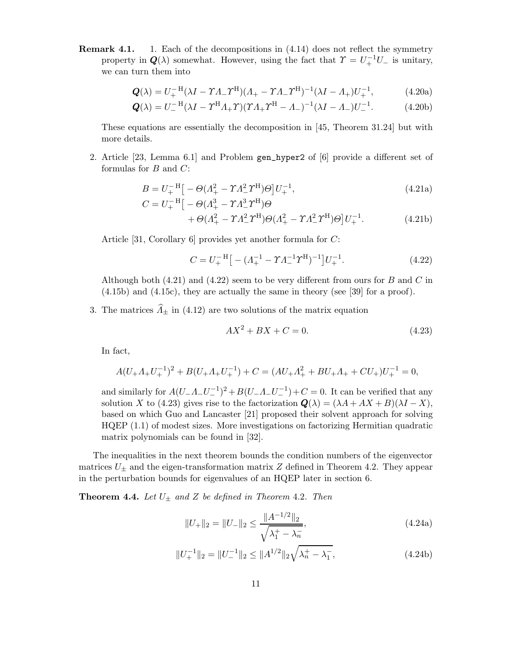Remark 4.1. 1. Each of the decompositions in (4.14) does not reflect the symmetry property in  $Q(\lambda)$  somewhat. However, using the fact that  $\Upsilon = U_+^{-1}U_-$  is unitary, we can turn them into

$$
\mathbf{Q}(\lambda) = U_{+}^{-H} (\lambda I - \Upsilon A_{-} \Upsilon^{H}) (A_{+} - \Upsilon A_{-} \Upsilon^{H})^{-1} (\lambda I - A_{+}) U_{+}^{-1}, \tag{4.20a}
$$

$$
\mathbf{Q}(\lambda) = U_-^{-H} (\lambda I - \Upsilon^H \Lambda_+ \Upsilon) (\Upsilon \Lambda_+ \Upsilon^H - \Lambda_-)^{-1} (\lambda I - \Lambda_-) U_-^{-1}.
$$
 (4.20b)

These equations are essentially the decomposition in [45, Theorem 31.24] but with more details.

2. Article [23, Lemma 6.1] and Problem gen\_hyper2 of [6] provide a different set of formulas for  $B$  and  $C$ :

$$
B = U_{+}^{-H} \left[ -\Theta (A_{+}^{2} - \Upsilon A_{-}^{2} \Upsilon^{H}) \Theta \right] U_{+}^{-1},
$$
  
\n
$$
C = U_{+}^{-H} \left[ -\Theta (A_{+}^{3} - \Upsilon A_{-}^{3} \Upsilon^{H}) \Theta \right]
$$
\n(4.21a)

+ 
$$
\theta (A_+^2 - \gamma A_-^2 \gamma^H) \Theta (A_+^2 - \gamma A_-^2 \gamma^H) \Theta ] U_+^{-1}.
$$
 (4.21b)

Article [31, Corollary 6] provides yet another formula for C:

$$
C = U_{+}^{-H} \left[ -\left(A_{+}^{-1} - \gamma A_{-}^{-1} \gamma^{H}\right)^{-1} \right] U_{+}^{-1}.
$$
\n(4.22)

Although both  $(4.21)$  and  $(4.22)$  seem to be very different from ours for B and C in (4.15b) and (4.15c), they are actually the same in theory (see [39] for a proof).

3. The matrices  $\widehat{\Lambda}_{\pm}$  in (4.12) are two solutions of the matrix equation

$$
AX^2 + BX + C = 0.\t(4.23)
$$

In fact,

$$
A(U_{+}A_{+}U_{+}^{-1})^{2} + B(U_{+}A_{+}U_{+}^{-1}) + C = (AU_{+}A_{+}^{2} + BU_{+}A_{+} + CU_{+})U_{+}^{-1} = 0,
$$

and similarly for  $A(U_{-}A_{-}U_{-}^{-1})^2 + B(U_{-}A_{-}U_{-}^{-1}) + C = 0$ . It can be verified that any solution X to (4.23) gives rise to the factorization  $\mathbf{Q}(\lambda) = (\lambda A + AX + B)(\lambda I - X)$ , based on which Guo and Lancaster [21] proposed their solvent approach for solving HQEP (1.1) of modest sizes. More investigations on factorizing Hermitian quadratic matrix polynomials can be found in [32].

The inequalities in the next theorem bounds the condition numbers of the eigenvector matrices  $U_{\pm}$  and the eigen-transformation matrix Z defined in Theorem 4.2. They appear in the perturbation bounds for eigenvalues of an HQEP later in section 6.

**Theorem 4.4.** Let  $U_{\pm}$  and Z be defined in Theorem 4.2. Then

$$
||U_{+}||_2 = ||U_{-}||_2 \le \frac{||A^{-1/2}||_2}{\sqrt{\lambda_1^+ - \lambda_n^-}},
$$
\n(4.24a)

$$
||U_{+}^{-1}||_{2} = ||U_{-}^{-1}||_{2} \le ||A^{1/2}||_{2}\sqrt{\lambda_{n}^{+} - \lambda_{1}^{-}},
$$
\n(4.24b)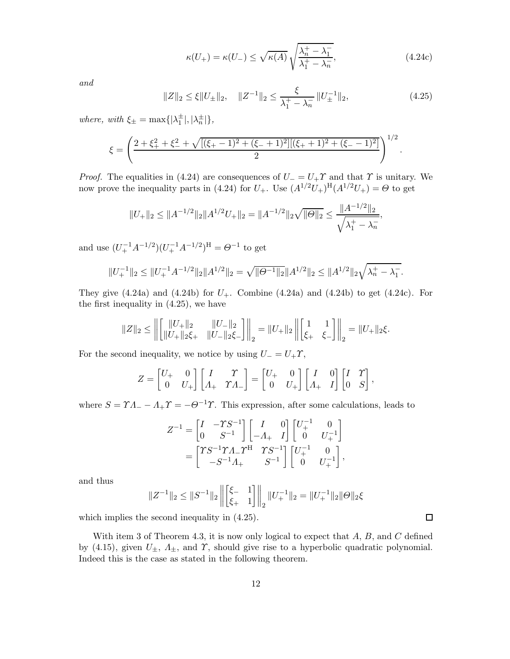$$
\kappa(U_{+}) = \kappa(U_{-}) \le \sqrt{\kappa(A)} \sqrt{\frac{\lambda_n^{+} - \lambda_1^{-}}{\lambda_1^{+} - \lambda_n^{-}}},
$$
\n(4.24c)

and

$$
||Z||_2 \le \xi ||U_{\pm}||_2, \quad ||Z^{-1}||_2 \le \frac{\xi}{\lambda_1^+ - \lambda_n^-} ||U_{\pm}^{-1}||_2,\tag{4.25}
$$

where, with  $\xi_{\pm} = \max\{|\lambda_1^{\pm}|, |\lambda_n^{\pm}|\},\$ 

$$
\xi = \left(\frac{2+\xi_+^2+\xi_-^2+\sqrt{[(\xi_+-1)^2+(\xi_-+1)^2][( \xi_++1)^2+(\xi_--1)^2]}}{2}\right)^{1/2}.
$$

*Proof.* The equalities in (4.24) are consequences of  $U = U_+ \Upsilon$  and that  $\Upsilon$  is unitary. We now prove the inequality parts in (4.24) for  $U_+$ . Use  $(A^{1/2}U_+)^H(A^{1/2}U_+) = \Theta$  to get

$$
||U_{+}||_2 \le ||A^{-1/2}||_2||A^{1/2}U_{+}||_2 = ||A^{-1/2}||_2\sqrt{||\Theta||_2} \le \frac{||A^{-1/2}||_2}{\sqrt{\lambda_1^+ - \lambda_n^-}},
$$

and use  $(U_+^{-1}A^{-1/2})(U_+^{-1}A^{-1/2})^{\text{H}} = \Theta^{-1}$  to get

$$
||U_+^{-1}||_2 \le ||U_+^{-1}A^{-1/2}||_2||A^{1/2}||_2 = \sqrt{||\Theta^{-1}||_2}||A^{1/2}||_2 \le ||A^{1/2}||_2\sqrt{\lambda_n^+ - \lambda_1^-}.
$$

They give  $(4.24a)$  and  $(4.24b)$  for  $U_{+}$ . Combine  $(4.24a)$  and  $(4.24b)$  to get  $(4.24c)$ . For the first inequality in (4.25), we have

$$
||Z||_2 \le \left\| \begin{bmatrix} ||U_+||_2 & ||U_-||_2 \\ ||U_+||_2\xi_+ & ||U_-||_2\xi_- \end{bmatrix} \right\|_2 = ||U_+||_2 \left\| \begin{bmatrix} 1 & 1 \\ \xi_+ & \xi_- \end{bmatrix} \right\|_2 = ||U_+||_2\xi.
$$

For the second inequality, we notice by using  $U = U_+ \Upsilon$ ,

$$
Z = \begin{bmatrix} U_+ & 0 \\ 0 & U_+ \end{bmatrix} \begin{bmatrix} I & \Upsilon \\ \Lambda_+ & \Upsilon \Lambda_- \end{bmatrix} = \begin{bmatrix} U_+ & 0 \\ 0 & U_+ \end{bmatrix} \begin{bmatrix} I & 0 \\ \Lambda_+ & I \end{bmatrix} \begin{bmatrix} I & \Upsilon \\ 0 & S \end{bmatrix},
$$

where  $S = \gamma A - A_+ \gamma = -\Theta^{-1} \gamma$ . This expression, after some calculations, leads to

$$
Z^{-1} = \begin{bmatrix} I & -TS^{-1} \\ 0 & S^{-1} \end{bmatrix} \begin{bmatrix} I & 0 \\ -A_+ & I \end{bmatrix} \begin{bmatrix} U_+^{-1} & 0 \\ 0 & U_+^{-1} \end{bmatrix}
$$
  
= 
$$
\begin{bmatrix} TS^{-1}\Upsilon A_-\Upsilon^{\mathrm{H}} & TS^{-1} \\ -S^{-1}A_+ & S^{-1} \end{bmatrix} \begin{bmatrix} U_+^{-1} & 0 \\ 0 & U_+^{-1} \end{bmatrix},
$$

and thus

$$
||Z^{-1}||_2 \leq ||S^{-1}||_2 \left\| \begin{bmatrix} \xi_{-} & 1 \\ \xi_{+} & 1 \end{bmatrix} \right\|_2 ||U_+^{-1}||_2 = ||U_+^{-1}||_2 ||\Theta||_2 \xi
$$

which implies the second inequality in (4.25).

With item 3 of Theorem 4.3, it is now only logical to expect that  $A, B$ , and  $C$  defined by (4.15), given  $U_{\pm}$ ,  $\Lambda_{\pm}$ , and  $\Upsilon$ , should give rise to a hyperbolic quadratic polynomial. Indeed this is the case as stated in the following theorem.

 $\Box$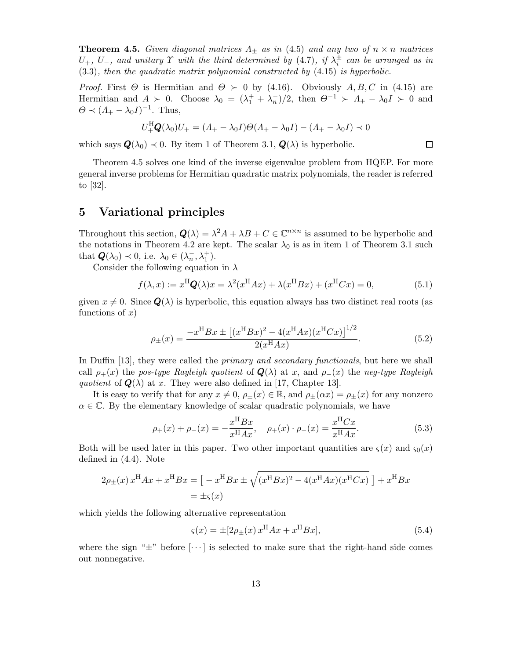**Theorem 4.5.** Given diagonal matrices  $\Lambda_{\pm}$  as in (4.5) and any two of  $n \times n$  matrices  $U_+$ ,  $U_-$ , and unitary  $\Upsilon$  with the third determined by (4.7), if  $\lambda_i^{\pm}$  can be arranged as in (3.3), then the quadratic matrix polynomial constructed by (4.15) is hyperbolic.

*Proof.* First  $\Theta$  is Hermitian and  $\Theta \succ 0$  by (4.16). Obviously  $A, B, C$  in (4.15) are Hermitian and  $A \succ 0$ . Choose  $\lambda_0 = (\lambda_1^+ + \lambda_n^-)/2$ , then  $\Theta^{-1} \succ A_+ - \lambda_0 I \succ 0$  and  $\Theta \prec (\Lambda_+ - \lambda_0 I)^{-1}$ . Thus,

$$
U_{+}^{\rm H} \mathbf{Q}(\lambda_0) U_{+} = (A_{+} - \lambda_0 I) \Theta (A_{+} - \lambda_0 I) - (A_{+} - \lambda_0 I) \prec 0
$$

which says  $\mathbf{Q}(\lambda_0) \prec 0$ . By item 1 of Theorem 3.1,  $\mathbf{Q}(\lambda)$  is hyperbolic.

Theorem 4.5 solves one kind of the inverse eigenvalue problem from HQEP. For more general inverse problems for Hermitian quadratic matrix polynomials, the reader is referred to [32].

## 5 Variational principles

Throughout this section,  $Q(\lambda) = \lambda^2 A + \lambda B + C \in \mathbb{C}^{n \times n}$  is assumed to be hyperbolic and the notations in Theorem 4.2 are kept. The scalar  $\lambda_0$  is as in item 1 of Theorem 3.1 such that  $Q(\lambda_0) \prec 0$ , i.e.  $\lambda_0 \in (\lambda_n^-, \lambda_1^+)$ .

Consider the following equation in  $\lambda$ 

$$
f(\lambda, x) := x^{\mathrm{H}} \mathbf{Q}(\lambda) x = \lambda^2 (x^{\mathrm{H}} A x) + \lambda (x^{\mathrm{H}} B x) + (x^{\mathrm{H}} C x) = 0,
$$
 (5.1)

given  $x \neq 0$ . Since  $\mathbf{Q}(\lambda)$  is hyperbolic, this equation always has two distinct real roots (as functions of  $x$ )

$$
\rho_{\pm}(x) = \frac{-x^{\mathrm{H}}Bx \pm \left[ (x^{\mathrm{H}}Bx)^{2} - 4(x^{\mathrm{H}}Ax)(x^{\mathrm{H}}Cx) \right]^{1/2}}{2(x^{\mathrm{H}}Ax)}.
$$
\n(5.2)

In Duffin [13], they were called the *primary and secondary functionals*, but here we shall call  $\rho_+(x)$  the pos-type Rayleigh quotient of  $\mathbf{Q}(\lambda)$  at x, and  $\rho_-(x)$  the neg-type Rayleigh quotient of  $\mathbf{Q}(\lambda)$  at x. They were also defined in [17, Chapter 13].

It is easy to verify that for any  $x \neq 0$ ,  $\rho_{\pm}(x) \in \mathbb{R}$ , and  $\rho_{\pm}(\alpha x) = \rho_{\pm}(x)$  for any nonzero  $\alpha \in \mathbb{C}$ . By the elementary knowledge of scalar quadratic polynomials, we have

$$
\rho_{+}(x) + \rho_{-}(x) = -\frac{x^{H}Bx}{x^{H}Ax}, \quad \rho_{+}(x) \cdot \rho_{-}(x) = \frac{x^{H}Cx}{x^{H}Ax}.
$$
\n(5.3)

Both will be used later in this paper. Two other important quantities are  $\varsigma(x)$  and  $\varsigma_0(x)$ defined in (4.4). Note

$$
2\rho_{\pm}(x) x^{H} A x + x^{H} B x = \left[ -x^{H} B x \pm \sqrt{(x^{H} B x)^{2} - 4(x^{H} A x)(x^{H} C x)} \right] + x^{H} B x
$$
  
=  $\pm \varsigma(x)$ 

which yields the following alternative representation

$$
\varsigma(x) = \pm [2\rho_{\pm}(x)x^{\mathrm{H}}Ax + x^{\mathrm{H}}Bx],\tag{5.4}
$$

where the sign " $\pm$ " before [ $\cdots$ ] is selected to make sure that the right-hand side comes out nonnegative.

 $\Box$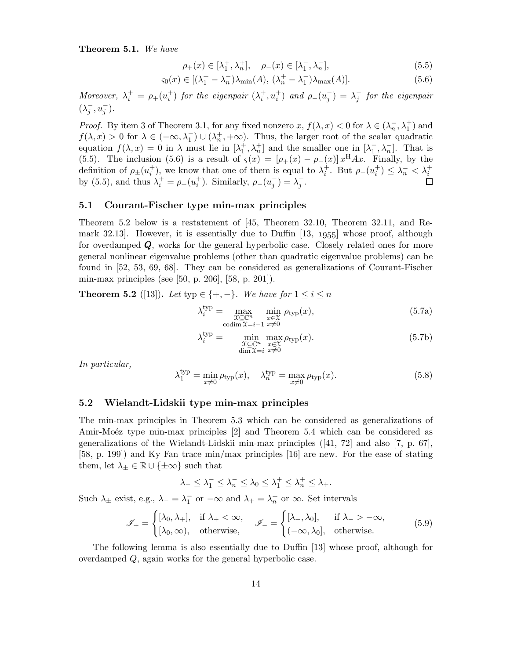Theorem 5.1. We have

$$
\rho_{+}(x) \in [\lambda_{1}^{+}, \lambda_{n}^{+}], \quad \rho_{-}(x) \in [\lambda_{1}^{-}, \lambda_{n}^{-}], \tag{5.5}
$$

$$
\varsigma_0(x) \in [(\lambda_1^+ - \lambda_n^-)\lambda_{\min}(A), \ (\lambda_n^+ - \lambda_1^-)\lambda_{\max}(A)]. \tag{5.6}
$$

Moreover,  $\lambda_i^+ = \rho_+(u_i^+)$  for the eigenpair  $(\lambda_i^+, u_i^+)$  and  $\rho_-(u_j^-) = \lambda_j^-$  for the eigenpair  $(\lambda_j^-, u_j^-)$ .

*Proof.* By item 3 of Theorem 3.1, for any fixed nonzero x,  $f(\lambda, x) < 0$  for  $\lambda \in (\lambda_n^-, \lambda_1^+)$  and  $f(\lambda, x) > 0$  for  $\lambda \in (-\infty, \lambda_1^{-}) \cup (\lambda_n^{+}, +\infty)$ . Thus, the larger root of the scalar quadratic equation  $f(\lambda, x) = 0$  in  $\lambda$  must lie in  $[\lambda_1^+, \lambda_n^+]$  and the smaller one in  $[\lambda_1^-, \lambda_n^-]$ . That is (5.5). The inclusion (5.6) is a result of  $\varsigma(x) = [\rho_+(x) - \rho_-(x)] x^{\text{H}} A x$ . Finally, by the definition of  $\rho_{\pm}(u_i^+),$  we know that one of them is equal to  $\lambda_i^+$ . But  $\rho_{-}(u_i^+) \leq \lambda_n^ < \lambda_i^+$ by (5.5), and thus  $\lambda_i^+ = \rho_+(u_i^+)$ . Similarly,  $\rho_-(u_j^-) = \lambda_j^-$ . П

#### 5.1 Courant-Fischer type min-max principles

Theorem 5.2 below is a restatement of [45, Theorem 32.10, Theorem 32.11, and Remark 32.13. However, it is essentially due to Duffin  $[13, 1955]$  whose proof, although for overdamped Q, works for the general hyperbolic case. Closely related ones for more general nonlinear eigenvalue problems (other than quadratic eigenvalue problems) can be found in [52, 53, 69, 68]. They can be considered as generalizations of Courant-Fischer min-max principles (see [50, p. 206], [58, p. 201]).

**Theorem 5.2** ([13]). Let typ  $\in \{+, -\}$ . We have for  $1 \leq i \leq n$ 

$$
\lambda_i^{\text{typ}} = \max_{\substack{\mathcal{X} \subseteq \mathbb{C}^n \\ \text{codim}\,\mathcal{X} = i-1}} \min_{\substack{x \in \mathcal{X} \\ x \neq 0}} \rho_{\text{typ}}(x),\tag{5.7a}
$$

$$
\lambda_i^{\text{typ}} = \min_{\substack{\mathfrak{X} \subseteq \mathbb{C}^n \\ \dim \mathfrak{X} = i}} \max_{\substack{x \in \mathfrak{X} \\ x \neq 0}} \rho_{\text{typ}}(x). \tag{5.7b}
$$

In particular,

$$
\lambda_1^{\text{typ}} = \min_{x \neq 0} \rho_{\text{typ}}(x), \quad \lambda_n^{\text{typ}} = \max_{x \neq 0} \rho_{\text{typ}}(x). \tag{5.8}
$$

### 5.2 Wielandt-Lidskii type min-max principles

The min-max principles in Theorem 5.3 which can be considered as generalizations of Amir-Moéz type min-max principles [2] and Theorem 5.4 which can be considered as generalizations of the Wielandt-Lidskii min-max principles ([41, 72] and also [7, p. 67], [58, p. 199]) and Ky Fan trace min/max principles [16] are new. For the ease of stating them, let  $\lambda_{\pm} \in \mathbb{R} \cup \{\pm \infty\}$  such that

$$
\lambda_- \leq \lambda_1^- \leq \lambda_n^- \leq \lambda_0 \leq \lambda_1^+ \leq \lambda_n^+ \leq \lambda_+.
$$

Such  $\lambda_{\pm}$  exist, e.g.,  $\lambda_{-} = \lambda_{1}^{-}$  or  $-\infty$  and  $\lambda_{+} = \lambda_{n}^{+}$  or  $\infty$ . Set intervals

$$
\mathcal{J}_{+} = \begin{cases} [\lambda_{0}, \lambda_{+}], & \text{if } \lambda_{+} < \infty, \\ [\lambda_{0}, \infty), & \text{otherwise,} \end{cases} \quad \mathcal{J}_{-} = \begin{cases} [\lambda_{-}, \lambda_{0}], & \text{if } \lambda_{-} > -\infty, \\ (-\infty, \lambda_{0}], & \text{otherwise.} \end{cases}
$$
(5.9)

The following lemma is also essentially due to Duffin [13] whose proof, although for overdamped Q, again works for the general hyperbolic case.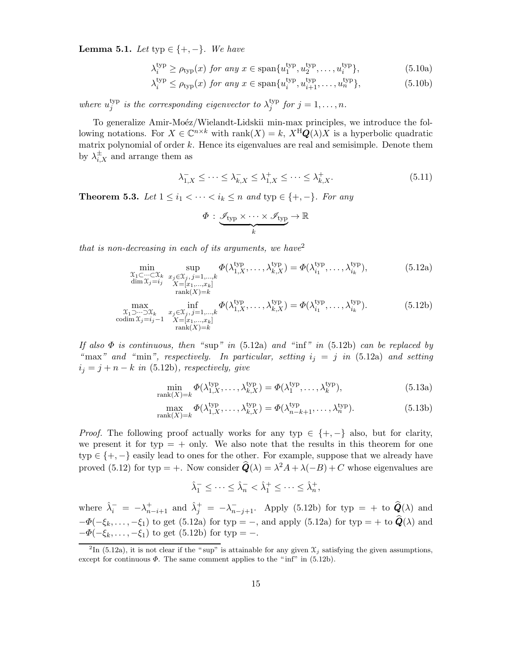Lemma 5.1. Let typ  $\in \{+, -\}$ . We have

$$
\lambda_i^{\text{typ}} \ge \rho_{\text{typ}}(x) \text{ for any } x \in \text{span}\{u_1^{\text{typ}}, u_2^{\text{typ}}, \dots, u_i^{\text{typ}}\},\tag{5.10a}
$$

$$
\lambda_i^{\text{typ}} \le \rho_{\text{typ}}(x) \text{ for any } x \in \text{span}\{u_i^{\text{typ}}, u_{i+1}^{\text{typ}}, \dots, u_n^{\text{typ}}\},\tag{5.10b}
$$

where  $u_i^{typ}$  $j^{\text{typ}}_j$  is the corresponding eigenvector to  $\lambda^{\text{typ}}_j$  $j^{hyp}$  for  $j = 1, \ldots, n$ .

To generalize Amir-Moéz/Wielandt-Lidskii min-max principles, we introduce the following notations. For  $X \in \mathbb{C}^{n \times k}$  with  $\text{rank}(X) = k$ ,  $X^{\text{H}}\mathbf{Q}(\lambda)X$  is a hyperbolic quadratic matrix polynomial of order  $k$ . Hence its eigenvalues are real and semisimple. Denote them by  $\lambda_{i,X}^{\pm}$  and arrange them as

$$
\lambda_{1,X}^- \le \cdots \le \lambda_{k,X}^- \le \lambda_{1,X}^+ \le \cdots \le \lambda_{k,X}^+.
$$
\n
$$
(5.11)
$$

**Theorem 5.3.** Let  $1 \leq i_1 < \cdots < i_k \leq n$  and typ  $\in \{+, -\}$ . For any

$$
\Phi : \underbrace{\mathscr{I}_{\rm typ} \times \cdots \times \mathscr{I}_{\rm typ}}_k \to \mathbb{R}
$$

that is non-decreasing in each of its arguments, we have  $e^2$ 

$$
\min_{\substack{\mathcal{X}_1 \subset \cdots \subset \mathcal{X}_k \\ \dim \mathcal{X}_j = i_j \\ \operatorname{rank}(X) = k}} \sup_{\substack{x_j \in \mathcal{X}_j, j = 1, \dots, k \\ X = [x_1, \dots, x_k] \\ \operatorname{rank}(X) = k}} \Phi(\lambda_{1,X}^{\text{typ}}) = \Phi(\lambda_{i_1}^{\text{typ}}, \dots, \lambda_{i_k}^{\text{typ}}),
$$
\n(5.12a)

$$
\max_{\substack{\mathcal{X}_1 \supset \cdots \supset \mathcal{X}_k \\ \text{codim}\,\mathcal{X}_j = i_j - 1}} \inf_{\substack{x_j \in \mathcal{X}_j, j = 1, \dots, k \\ X = [x_1, \dots, x_k] \\ \text{rank}(X) = k}} \Phi(\lambda_{1,X}^{\text{typ}}, \dots, \lambda_{k,X}^{\text{typ}}) = \Phi(\lambda_{i_1}^{\text{typ}}, \dots, \lambda_{i_k}^{\text{typ}}). \tag{5.12b}
$$

If also  $\Phi$  is continuous, then "sup" in (5.12a) and "inf" in (5.12b) can be replaced by "max" and "min", respectively. In particular, setting  $i_j = j$  in (5.12a) and setting  $i_j = j + n - k$  in (5.12b), respectively, give

$$
\min_{\text{rank}(X)=k} \Phi(\lambda_{1,X}^{\text{typ}}, \dots, \lambda_{k,X}^{\text{typ}}) = \Phi(\lambda_1^{\text{typ}}, \dots, \lambda_k^{\text{typ}}),\tag{5.13a}
$$

$$
\max_{\text{rank}(X)=k} \Phi(\lambda_{1,X}^{\text{typ}}, \dots, \lambda_{k,X}^{\text{typ}}) = \Phi(\lambda_{n-k+1}^{\text{typ}}, \dots, \lambda_n^{\text{typ}}). \tag{5.13b}
$$

*Proof.* The following proof actually works for any typ  $\in \{+, -\}$  also, but for clarity, we present it for typ  $= +$  only. We also note that the results in this theorem for one typ  $\in \{+, -\}$  easily lead to ones for the other. For example, suppose that we already have proved (5.12) for typ = +. Now consider  $\hat{Q}(\lambda) = \lambda^2 A + \lambda(-B) + C$  whose eigenvalues are

 $\hat{\lambda}_1^- \leq \cdots \leq \hat{\lambda}_n^- < \hat{\lambda}_1^+ \leq \cdots \leq \hat{\lambda}_n^+,$ 

where  $\hat{\lambda}_i^- = -\lambda_{n-i+1}^+$  and  $\hat{\lambda}_j^+ = -\lambda_{n-j+1}^-$ . Apply (5.12b) for typ = + to  $\hat{Q}(\lambda)$  and  $-\Phi(-\xi_k,\ldots,-\xi_1)$  to get (5.12a) for typ = −, and apply (5.12a) for typ = + to  $\hat{\mathbf{Q}}(\lambda)$  and  $-\Phi(-\xi_k, \ldots, -\xi_1)$  to get (5.12b) for typ = -.

<sup>&</sup>lt;sup>2</sup>In (5.12a), it is not clear if the "sup" is attainable for any given  $\mathfrak{X}_j$  satisfying the given assumptions, except for continuous  $\Phi$ . The same comment applies to the "inf" in (5.12b).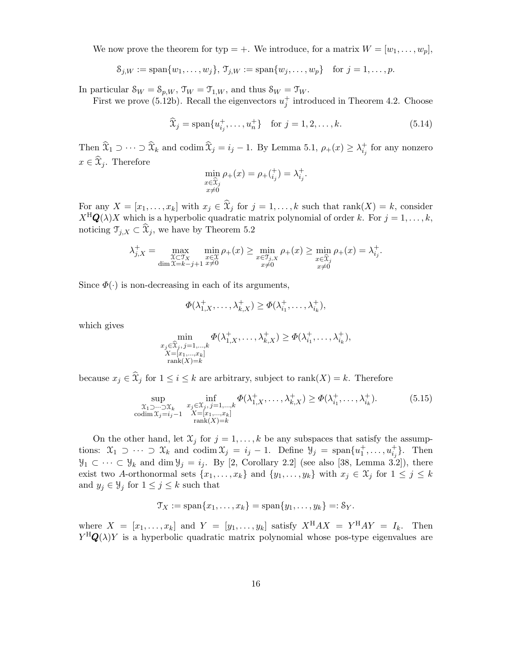We now prove the theorem for typ = +. We introduce, for a matrix  $W = [w_1, \ldots, w_p]$ ,

$$
S_{j,W} := \text{span}\{w_1, \ldots, w_j\}, \, \mathcal{T}_{j,W} := \text{span}\{w_j, \ldots, w_p\} \text{ for } j = 1, \ldots, p.
$$

In particular  $\mathcal{S}_W = \mathcal{S}_{p,W}$ ,  $\mathcal{T}_W = \mathcal{T}_{1,W}$ , and thus  $\mathcal{S}_W = \mathcal{T}_W$ .

First we prove (5.12b). Recall the eigenvectors  $u_j^+$  introduced in Theorem 4.2. Choose

$$
\widehat{x}_j = \text{span}\{u_{i_j}^+, \dots, u_n^+\} \quad \text{for } j = 1, 2, \dots, k. \tag{5.14}
$$

Then  $\widehat{X}_1 \supset \cdots \supset \widehat{X}_k$  and codim  $\widehat{X}_j = i_j - 1$ . By Lemma 5.1,  $\rho_+(x) \geq \lambda_{i_j}^+$  for any nonzero  $x \in \mathfrak{X}_j$ . Therefore

$$
\min_{\substack{x \in \hat{\mathfrak{X}}_j \\ x \neq 0}} \rho_+(x) = \rho_+(\substack{+ \\ i_j}) = \lambda_{i_j}^+.
$$

For any  $X = [x_1, \ldots, x_k]$  with  $x_j \in \mathcal{X}_j$  for  $j = 1, \ldots, k$  such that  $\text{rank}(X) = k$ , consider  $X^{\text{H}}\mathbf{Q}(\lambda)X$  which is a hyperbolic quadratic matrix polynomial of order k. For  $j = 1, \ldots, k$ , noticing  $\mathcal{T}_{j,X} \subset \mathcal{X}_j$ , we have by Theorem 5.2

$$
\lambda_{j,X}^+ = \max_{\substack{\mathfrak{X} \subset \mathfrak{Y}_X \\ \dim \mathfrak{X} = k - j + 1}} \min_{\substack{x \in \mathfrak{X} \\ x \neq 0}} \rho_+(x) \ge \min_{\substack{x \in \mathfrak{Y}_{j,X} \\ x \neq 0}} \rho_+(x) \ge \min_{\substack{x \in \mathfrak{X}_j \\ x \neq 0}} \rho_+(x) = \lambda_{i,j}^+.
$$

Since  $\Phi(\cdot)$  is non-decreasing in each of its arguments,

$$
\Phi(\lambda_{1,X}^+,\ldots,\lambda_{k,X}^+)\geq \Phi(\lambda_{i_1}^+,\ldots,\lambda_{i_k}^+),
$$

which gives

$$
\min_{\substack{x_j \in \widehat{\mathcal{X}}_j, j=1,\dots,k \\ X=[x_1,\dots,x_k] \\ \operatorname{rank}(X)=k}} \Phi(\lambda_{1,X}^+, \dots, \lambda_{k,X}^+) \ge \Phi(\lambda_{i_1}^+, \dots, \lambda_{i_k}^+),
$$

because  $x_j \in \hat{X}_j$  for  $1 \leq i \leq k$  are arbitrary, subject to  $\text{rank}(X) = k$ . Therefore

$$
\sup_{\substack{\chi_1 \supset \cdots \supset \chi_k \\ \text{codim } \chi_j = i_j - 1}} \inf_{\substack{x_j \in \chi_j, j = 1, \dots, k \\ X = [x_1, \dots, x_k] \\ \text{rank}(X) = k}} \Phi(\lambda_{1,X}^+, \dots, \lambda_{k,X}^+) \ge \Phi(\lambda_{i_1}^+, \dots, \lambda_{i_k}^+). \tag{5.15}
$$

On the other hand, let  $\mathfrak{X}_j$  for  $j = 1, \ldots, k$  be any subspaces that satisfy the assumptions:  $\mathfrak{X}_1 \supset \cdots \supset \mathfrak{X}_k$  and  $\text{codim } \mathfrak{X}_j = i_j - 1$ . Define  $\mathfrak{Y}_j = \text{span}\{u_1^+, \ldots, u_{i_j}^+\}$ . Then  $\mathcal{Y}_1 \subset \cdots \subset \mathcal{Y}_k$  and dim  $\mathcal{Y}_j = i_j$ . By [2, Corollary 2.2] (see also [38, Lemma 3.2]), there exist two A-orthonormal sets  $\{x_1, \ldots, x_k\}$  and  $\{y_1, \ldots, y_k\}$  with  $x_j \in \mathfrak{X}_j$  for  $1 \leq j \leq k$ and  $y_j \in \mathcal{Y}_j$  for  $1 \leq j \leq k$  such that

$$
\mathfrak{T}_X := \mathrm{span}\{x_1,\ldots,x_k\} = \mathrm{span}\{y_1,\ldots,y_k\} =: \mathcal{S}_Y.
$$

where  $X = [x_1, \ldots, x_k]$  and  $Y = [y_1, \ldots, y_k]$  satisfy  $X^{\text{H}}AX = Y^{\text{H}}AY = I_k$ . Then  $Y^{\text{H}}\mathbf{Q}(\lambda)Y$  is a hyperbolic quadratic matrix polynomial whose pos-type eigenvalues are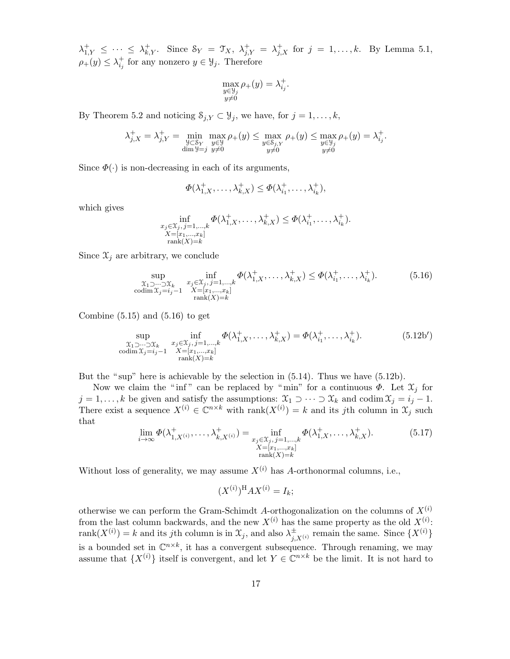$\lambda_{1,Y}^+ \leq \cdots \leq \lambda_{k,Y}^+$ . Since  $\mathcal{S}_Y = \mathcal{T}_X$ ,  $\lambda_{j,Y}^+ = \lambda_{j,X}^+$  for  $j = 1,\ldots,k$ . By Lemma 5.1,  $\rho_{+}(y) \leq \lambda_{i_j}^{+}$  for any nonzero  $y \in \mathcal{Y}_j$ . Therefore

$$
\max_{\substack{y \in \mathcal{Y}_j \\ y \neq 0}} \rho_+(y) = \lambda_{i_j}^+.
$$

By Theorem 5.2 and noticing  $S_{j,Y} \subset \mathcal{Y}_j$ , we have, for  $j = 1, \ldots, k$ ,

$$
\lambda_{j,X}^+ = \lambda_{j,Y}^+ = \min_{\substack{y \subset \mathcal{S}_Y \\ \dim \mathcal{Y} = j}} \max_{\substack{y \in \mathcal{Y} \\ y \neq 0}} \rho_+(y) \le \max_{\substack{y \in \mathcal{S}_{j,Y} \\ y \neq 0}} \rho_+(y) \le \max_{\substack{y \in \mathcal{Y}_j \\ y \neq 0}} \rho_+(y) = \lambda_{i_j}^+.
$$

Since  $\Phi(\cdot)$  is non-decreasing in each of its arguments,

$$
\Phi(\lambda_{1,X}^+,\ldots,\lambda_{k,X}^+) \leq \Phi(\lambda_{i_1}^+,\ldots,\lambda_{i_k}^+),
$$

which gives

$$
\inf_{\substack{x_j \in \mathcal{X}_j, j=1,\dots,k \\ X=[x_1,\dots,x_k] \\ \operatorname{rank}(X)=k}} \Phi(\lambda_{1,X}^+, \dots, \lambda_{k,X}^+) \leq \Phi(\lambda_{i_1}^+, \dots, \lambda_{i_k}^+).
$$

Since  $\mathfrak{X}_j$  are arbitrary, we conclude

$$
\sup_{\substack{\chi_1 \supset \cdots \supset \chi_k \\ \text{codim } \chi_j = i_j - 1}} \inf_{\substack{x_j \in \chi_j, j = 1, \dots, k \\ X = [x_1, \dots, x_k] \\ \text{rank}(X) = k}} \Phi(\lambda_{1,X}^+, \dots, \lambda_{k,X}^+) \le \Phi(\lambda_{i_1}^+, \dots, \lambda_{i_k}^+). \tag{5.16}
$$

Combine  $(5.15)$  and  $(5.16)$  to get

$$
\sup_{\substack{\chi_1 \supset \cdots \supset \chi_k \\ \text{codim } \chi_j = i_j - 1}} \inf_{\substack{x_j \in \chi_j, j = 1, \dots, k \\ X = [x_1, \dots, x_k] \\ \text{rank}(X) = k}} \Phi(\lambda_{1,X}^+, \dots, \lambda_{k,X}^+) = \Phi(\lambda_{i_1}^+, \dots, \lambda_{i_k}^+). \tag{5.12b'}
$$

But the " sup" here is achievable by the selection in (5.14). Thus we have (5.12b).

Now we claim the "inf" can be replaced by "min" for a continuous  $\Phi$ . Let  $\mathfrak{X}_j$  for  $j = 1, \ldots, k$  be given and satisfy the assumptions:  $\mathfrak{X}_1 \supset \cdots \supset \mathfrak{X}_k$  and codim  $\mathfrak{X}_j = i_j - 1$ . There exist a sequence  $X^{(i)} \in \mathbb{C}^{n \times k}$  with  $\text{rank}(X^{(i)}) = k$  and its jth column in  $\mathcal{X}_j$  such that

$$
\lim_{i \to \infty} \Phi(\lambda_{1,X^{(i)}}^+, \dots, \lambda_{k,X^{(i)}}^+) = \inf_{\substack{x_j \in \mathcal{X}_j, j=1,\dots,k \\ X=[x_1,\dots,x_k] \\ \text{rank}(X)=k}} \Phi(\lambda_{1,X}^+, \dots, \lambda_{k,X}^+). \tag{5.17}
$$

Without loss of generality, we may assume  $X^{(i)}$  has A-orthonormal columns, i.e.,

$$
(X^{(i)})^{\mathrm{H}}AX^{(i)} = I_k;
$$

otherwise we can perform the Gram-Schimdt A-orthogonalization on the columns of  $X^{(i)}$ from the last column backwards, and the new  $X^{(i)}$  has the same property as the old  $X^{(i)}$ : rank $(X^{(i)}) = k$  and its jth column is in  $\mathfrak{X}_j$ , and also  $\lambda_i^{\pm}$  $_{j,X^{(i)}}^{\pm}$  remain the same. Since  $\{X^{(i)}\}$ is a bounded set in  $\mathbb{C}^{n \times k}$ , it has a convergent subsequence. Through renaming, we may assume that  $\{X^{(i)}\}$  itself is convergent, and let  $Y \in \mathbb{C}^{n \times k}$  be the limit. It is not hard to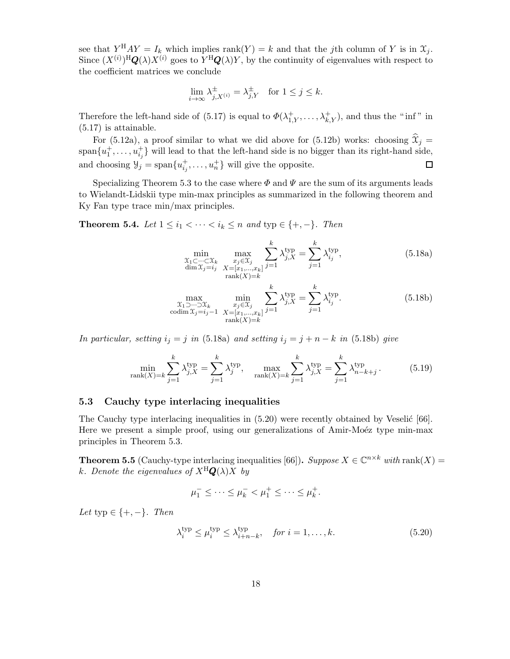see that  $Y^{H}AY = I_{k}$  which implies  $rank(Y) = k$  and that the jth column of Y is in  $\mathcal{X}_{j}$ . Since  $(X^{(i)})^{\text{H}}\mathbf{Q}(\lambda)X^{(i)}$  goes to  $Y^{\text{H}}\mathbf{Q}(\lambda)Y$ , by the continuity of eigenvalues with respect to the coefficient matrices we conclude

$$
\lim_{i \to \infty} \lambda_{j,X^{(i)}}^{\pm} = \lambda_{j,Y}^{\pm} \quad \text{for } 1 \le j \le k.
$$

Therefore the left-hand side of (5.17) is equal to  $\Phi(\lambda_{1,Y}^+,\ldots,\lambda_{k,Y}^+),$  and thus the "inf" in (5.17) is attainable.

For (5.12a), a proof similar to what we did above for (5.12b) works: choosing  $\mathcal{X}_j =$  $\text{span}\{u_1^+, \ldots, u_{i_j}^+\}$  will lead to that the left-hand side is no bigger than its right-hand side, and choosing  $\mathcal{Y}_j = \text{span}\{u_{i_j}^+, \dots, u_n^+\}$  will give the opposite.  $\Box$ 

Specializing Theorem 5.3 to the case where  $\Phi$  and  $\Psi$  are the sum of its arguments leads to Wielandt-Lidskii type min-max principles as summarized in the following theorem and Ky Fan type trace min/max principles.

**Theorem 5.4.** Let  $1 \leq i_1 < \cdots < i_k \leq n$  and typ  $\in \{+, -\}$ . Then

$$
\min_{\substack{\mathcal{X}_1 \subset \dots \subset \mathcal{X}_k \\ \dim \mathcal{X}_j = i_j}} \max_{\substack{x_j \in \mathcal{X}_j \\ X = [x_1, \dots, x_k] \\ \text{rank}(X) = k}} \sum_{j=1}^k \lambda_{j,X}^{\text{typ}} = \sum_{j=1}^k \lambda_{i_j}^{\text{typ}},
$$
\n(5.18a)

$$
\max_{\substack{\chi_1 \supset \cdots \supset \chi_k \\ \text{codim } \chi_j = i_j - 1}} \min_{\substack{x_j \in \chi_j \\ X = [x_1, \dots, x_k]}} \sum_{j=1}^k \lambda_{j,X}^{\text{typ}} = \sum_{j=1}^k \lambda_{i_j}^{\text{typ}}.
$$
\n(5.18b)

In particular, setting  $i_j = j$  in (5.18a) and setting  $i_j = j + n - k$  in (5.18b) give

$$
\min_{\text{rank}(X)=k} \sum_{j=1}^{k} \lambda_{j,X}^{\text{typ}} = \sum_{j=1}^{k} \lambda_j^{\text{typ}}, \quad \max_{\text{rank}(X)=k} \sum_{j=1}^{k} \lambda_{j,X}^{\text{typ}} = \sum_{j=1}^{k} \lambda_{n-k+j}^{\text{typ}}.
$$
 (5.19)

#### 5.3 Cauchy type interlacing inequalities

The Cauchy type interlacing inequalities in  $(5.20)$  were recently obtained by Veselić [66]. Here we present a simple proof, using our generalizations of Amir-Moéz type min-max principles in Theorem 5.3.

**Theorem 5.5** (Cauchy-type interlacing inequalities [66]). Suppose  $X \in \mathbb{C}^{n \times k}$  with rank $(X) =$ k. Denote the eigenvalues of  $X^H \mathbf{Q}(\lambda) X$  by

$$
\mu_1^- \leq \cdots \leq \mu_k^- < \mu_1^+ \leq \cdots \leq \mu_k^+.
$$

Let typ  $\in \{+, -\}.$  Then

$$
\lambda_i^{\text{typ}} \le \mu_i^{\text{typ}} \le \lambda_{i+n-k}^{\text{typ}}, \quad \text{for } i = 1, \dots, k. \tag{5.20}
$$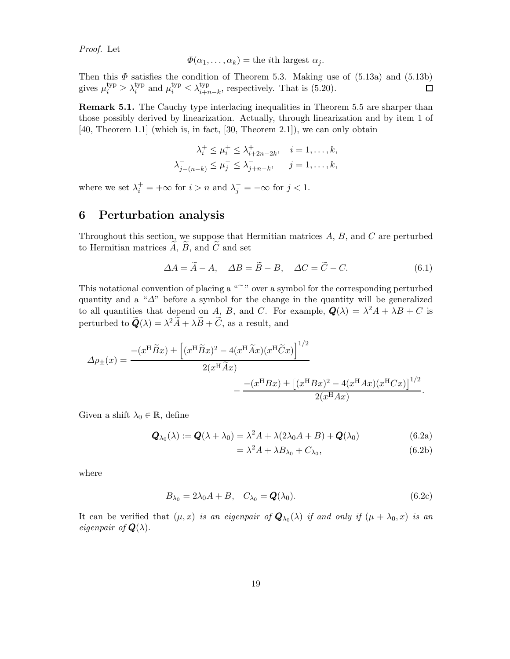Proof. Let

$$
\Phi(\alpha_1,\ldots,\alpha_k) = \text{the } i\text{th largest } \alpha_j.
$$

Then this  $\Phi$  satisfies the condition of Theorem 5.3. Making use of  $(5.13a)$  and  $(5.13b)$ gives  $\mu_i^{\text{typ}} \geq \lambda_i^{\text{typ}}$ <sup>typ</sup> and  $\mu_i^{\text{typ}} \leq \lambda_{i+r}^{\text{typ}}$  $\Box$  $\lim_{i+n-k}$ , respectively. That is  $(5.20)$ .

Remark 5.1. The Cauchy type interlacing inequalities in Theorem 5.5 are sharper than those possibly derived by linearization. Actually, through linearization and by item 1 of [40, Theorem 1.1] (which is, in fact, [30, Theorem 2.1]), we can only obtain

$$
\lambda_i^+ \le \mu_i^+ \le \lambda_{i+2n-2k}^+, \quad i = 1, \dots, k,
$$
  

$$
\lambda_{j-(n-k)}^- \le \mu_j^- \le \lambda_{j+n-k}^-, \quad j = 1, \dots, k,
$$

where we set  $\lambda_i^+ = +\infty$  for  $i > n$  and  $\lambda_j^- = -\infty$  for  $j < 1$ .

# 6 Perturbation analysis

Throughout this section, we suppose that Hermitian matrices  $A, B$ , and  $C$  are perturbed to Hermitian matrices  $A, B$ , and  $C$  and set

$$
\Delta A = \tilde{A} - A, \quad \Delta B = \tilde{B} - B, \quad \Delta C = \tilde{C} - C. \tag{6.1}
$$

This notational convention of placing a "<sup>o</sup>" over a symbol for the corresponding perturbed quantity and a " $\Delta$ " before a symbol for the change in the quantity will be generalized to all quantities that depend on A, B, and C. For example,  $\mathbf{Q}(\lambda) = \lambda^2 A + \lambda B + C$  is perturbed to  $\tilde{\boldsymbol{Q}}(\lambda) = \lambda^2 \tilde{A} + \lambda \tilde{B} + \tilde{C}$ , as a result, and

$$
\Delta \rho_{\pm}(x) = \frac{- (x^{\mathrm{H}} \widetilde{B} x) \pm \left[ (x^{\mathrm{H}} \widetilde{B} x)^2 - 4(x^{\mathrm{H}} \widetilde{A} x)(x^{\mathrm{H}} \widetilde{C} x) \right]^{1/2}}{2(x^{\mathrm{H}} \widetilde{A} x)} - \frac{-(x^{\mathrm{H}} B x) \pm \left[ (x^{\mathrm{H}} B x)^2 - 4(x^{\mathrm{H}} A x)(x^{\mathrm{H}} C x) \right]^{1/2}}{2(x^{\mathrm{H}} A x)}.
$$

Given a shift  $\lambda_0 \in \mathbb{R}$ , define

$$
\mathbf{Q}_{\lambda_0}(\lambda) := \mathbf{Q}(\lambda + \lambda_0) = \lambda^2 A + \lambda (2\lambda_0 A + B) + \mathbf{Q}(\lambda_0)
$$
(6.2a)

$$
= \lambda^2 A + \lambda B_{\lambda_0} + C_{\lambda_0}, \qquad (6.2b)
$$

where

$$
B_{\lambda_0} = 2\lambda_0 A + B, \quad C_{\lambda_0} = \mathbf{Q}(\lambda_0). \tag{6.2c}
$$

It can be verified that  $(\mu, x)$  is an eigenpair of  $\mathbf{Q}_{\lambda_0}(\lambda)$  if and only if  $(\mu + \lambda_0, x)$  is an eigenpair of  $\mathbf{Q}(\lambda)$ .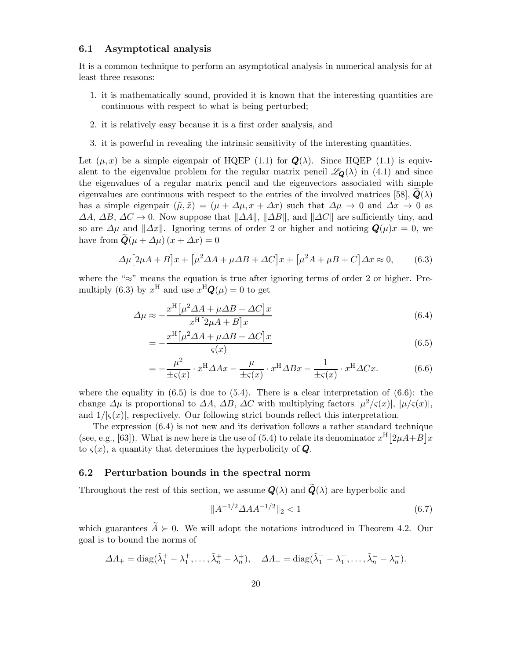#### 6.1 Asymptotical analysis

It is a common technique to perform an asymptotical analysis in numerical analysis for at least three reasons:

- 1. it is mathematically sound, provided it is known that the interesting quantities are continuous with respect to what is being perturbed;
- 2. it is relatively easy because it is a first order analysis, and
- 3. it is powerful in revealing the intrinsic sensitivity of the interesting quantities.

Let  $(\mu, x)$  be a simple eigenpair of HQEP (1.1) for  $\mathbf{Q}(\lambda)$ . Since HQEP (1.1) is equivalent to the eigenvalue problem for the regular matrix pencil  $\mathscr{L}_{\mathbf{Q}}(\lambda)$  in (4.1) and since the eigenvalues of a regular matrix pencil and the eigenvectors associated with simple eigenvalues are continuous with respect to the entries of the involved matrices [58],  $\dot{Q}(\lambda)$ has a simple eigenpair  $(\tilde{\mu}, \tilde{x}) = (\mu + \Delta \mu, x + \Delta x)$  such that  $\Delta \mu \rightarrow 0$  and  $\Delta x \rightarrow 0$  as  $\Delta A$ ,  $\Delta B$ ,  $\Delta C \rightarrow 0$ . Now suppose that  $\|\Delta A\|$ ,  $\|\Delta B\|$ , and  $\|\Delta C\|$  are sufficiently tiny, and so are  $\Delta\mu$  and  $\|\Delta x\|$ . Ignoring terms of order 2 or higher and noticing  $\mathbf{Q}(\mu)x = 0$ , we have from  $\mathbf{Q}(\mu + \Delta \mu)(x + \Delta x) = 0$ 

$$
\Delta \mu \left[ 2\mu A + B \right] x + \left[ \mu^2 \Delta A + \mu \Delta B + \Delta C \right] x + \left[ \mu^2 A + \mu B + C \right] \Delta x \approx 0, \tag{6.3}
$$

where the "≈" means the equation is true after ignoring terms of order 2 or higher. Premultiply (6.3) by  $x^{\text{H}}$  and use  $x^{\text{H}}\mathbf{Q}(\mu) = 0$  to get

$$
\Delta \mu \approx -\frac{x^{\mathrm{H}}[\mu^2 \Delta A + \mu \Delta B + \Delta C]x}{x^{\mathrm{H}}[2\mu A + B]x}
$$
(6.4)

$$
=-\frac{x^{\mathrm{H}}\left[\mu^{2}\Delta A+\mu\Delta B+\Delta C\right]x}{\varsigma(x)}\tag{6.5}
$$

$$
= -\frac{\mu^2}{\pm \varsigma(x)} \cdot x^{\mathrm{H}} \Delta Ax - \frac{\mu}{\pm \varsigma(x)} \cdot x^{\mathrm{H}} \Delta Bx - \frac{1}{\pm \varsigma(x)} \cdot x^{\mathrm{H}} \Delta Cx. \tag{6.6}
$$

where the equality in  $(6.5)$  is due to  $(5.4)$ . There is a clear interpretation of  $(6.6)$ : the change  $\Delta \mu$  is proportional to  $\Delta A$ ,  $\Delta B$ ,  $\Delta C$  with multiplying factors  $|\mu^2/\varsigma(x)|$ ,  $|\mu/\varsigma(x)|$ , and  $1/|s(x)|$ , respectively. Our following strict bounds reflect this interpretation.

The expression (6.4) is not new and its derivation follows a rather standard technique (see, e.g., [63]). What is new here is the use of (5.4) to relate its denominator  $x^{\text{H}}[2\mu A+B]x$ to  $\varsigma(x)$ , a quantity that determines the hyperbolicity of **Q**.

#### 6.2 Perturbation bounds in the spectral norm

Throughout the rest of this section, we assume  $Q(\lambda)$  and  $\overline{Q}(\lambda)$  are hyperbolic and

$$
||A^{-1/2}\Delta AA^{-1/2}||_2 < 1\tag{6.7}
$$

which guarantees  $\tilde{A} \succ 0$ . We will adopt the notations introduced in Theorem 4.2. Our goal is to bound the norms of

$$
\Delta\Lambda_+ = \text{diag}(\tilde{\lambda}_1^+ - \lambda_1^+, \dots, \tilde{\lambda}_n^+ - \lambda_n^+), \quad \Delta\Lambda_- = \text{diag}(\tilde{\lambda}_1^- - \lambda_1^-, \dots, \tilde{\lambda}_n^- - \lambda_n^-).
$$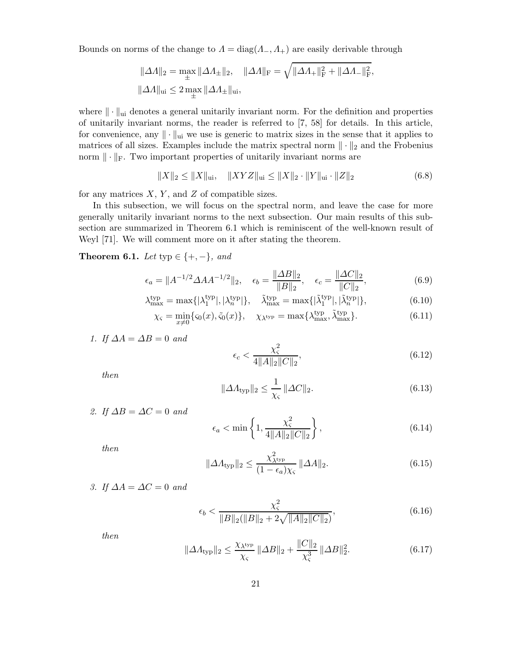Bounds on norms of the change to  $\Lambda = \text{diag}(\Lambda_-, \Lambda_+)$  are easily derivable through

$$
\begin{aligned} &\|\varDelta A\|_2 = \max_{\pm} \|\varDelta A_{\pm}\|_2, \quad \|\varDelta A\|_{\rm F} = \sqrt{\|\varDelta A_{+}\|_{\rm F}^2 + \|\varDelta A_{-}\|_{\rm F}^2}, \\ &\|\varDelta A\|_{\rm ui} \leq 2 \max_{\pm} \|\varDelta A_{\pm}\|_{\rm ui}, \end{aligned}
$$

where  $\|\cdot\|_{\text{ui}}$  denotes a general unitarily invariant norm. For the definition and properties of unitarily invariant norms, the reader is referred to [7, 58] for details. In this article, for convenience, any  $\|\cdot\|_{\text{ui}}$  we use is generic to matrix sizes in the sense that it applies to matrices of all sizes. Examples include the matrix spectral norm  $\|\cdot\|_2$  and the Frobenius norm  $\|\cdot\|_F$ . Two important properties of unitarily invariant norms are

 $\|X\|_2 \leq \|X\|_{\text{ui}}, \quad \|XYZ\|_{\text{ui}} \leq \|X\|_2 \cdot \|Y\|_{\text{ui}} \cdot \|Z\|_2$  (6.8)

for any matrices  $X, Y$ , and  $Z$  of compatible sizes.

In this subsection, we will focus on the spectral norm, and leave the case for more generally unitarily invariant norms to the next subsection. Our main results of this subsection are summarized in Theorem 6.1 which is reminiscent of the well-known result of Weyl [71]. We will comment more on it after stating the theorem.

Theorem 6.1. Let typ  $\in \{+, -\}$ , and

$$
\epsilon_a = \|A^{-1/2}\Delta A A^{-1/2}\|_2, \quad \epsilon_b = \frac{\|\Delta B\|_2}{\|B\|_2}, \quad \epsilon_c = \frac{\|\Delta C\|_2}{\|C\|_2},\tag{6.9}
$$

$$
\lambda_{\max}^{\text{typ}} = \max\{|\lambda_1^{\text{typ}}|, |\lambda_n^{\text{typ}}|\}, \quad \tilde{\lambda}_{\max}^{\text{typ}} = \max\{|\tilde{\lambda}_1^{\text{typ}}|, |\tilde{\lambda}_n^{\text{typ}}|\},\tag{6.10}
$$

$$
\chi_{\varsigma} = \min_{x \neq 0} \{ \varsigma_0(x), \tilde{\varsigma}_0(x) \}, \quad \chi_{\lambda^{\text{typ}}} = \max \{ \lambda^{\text{typ}}_{\text{max}}, \tilde{\lambda}^{\text{typ}}_{\text{max}} \}. \tag{6.11}
$$

1. If 
$$
\Delta A = \Delta B = 0
$$
 and

$$
\epsilon_c < \frac{\chi_{\varsigma}^2}{4||A||_2||C||_2},\tag{6.12}
$$

then

$$
\|\Delta \Lambda_{\text{typ}}\|_2 \le \frac{1}{\chi_{\varsigma}} \|\Delta C\|_2. \tag{6.13}
$$

2. If  $\Delta B = \Delta C = 0$  and

$$
\epsilon_a < \min\left\{1, \frac{\chi_{\varsigma}^2}{4\|A\|_2 \|C\|_2}\right\},\tag{6.14}
$$

then

$$
\|\Delta A_{\text{typ}}\|_2 \le \frac{\chi_{\lambda^{\text{typ}}}}{(1 - \epsilon_a)\chi_{\varsigma}} \|\Delta A\|_2. \tag{6.15}
$$

3. If  $\Delta A = \Delta C = 0$  and

$$
\epsilon_b < \frac{\chi_{\varsigma}^2}{\|B\|_2 (\|B\|_2 + 2\sqrt{\|A\|_2 \|C\|_2})},\tag{6.16}
$$

then

$$
\|\Delta A_{\text{typ}}\|_2 \le \frac{\chi_{\lambda^{\text{typ}}}}{\chi_{\varsigma}} \|\Delta B\|_2 + \frac{\|C\|_2}{\chi_{\varsigma}^3} \|\Delta B\|_2^2. \tag{6.17}
$$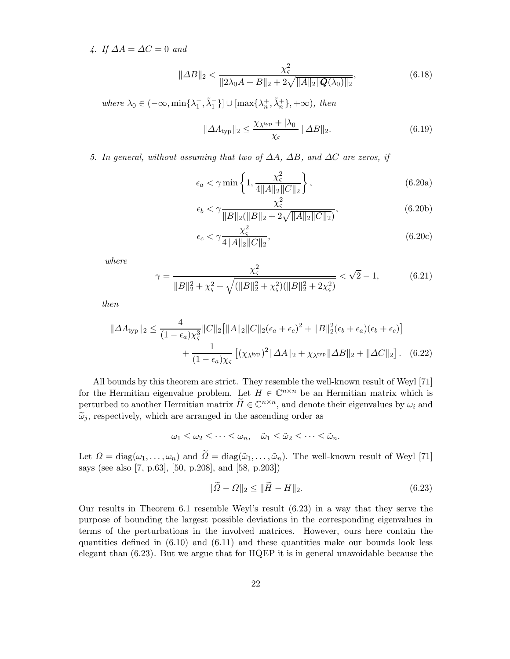4. If  $\Delta A = \Delta C = 0$  and

$$
\|\Delta B\|_2 < \frac{\chi_{\varsigma}^2}{\|2\lambda_0 A + B\|_2 + 2\sqrt{\|A\|_2 \|\mathbf{Q}(\lambda_0)\|_2}},\tag{6.18}
$$

where  $\lambda_0 \in (-\infty, \min\{\lambda_1^-, \tilde{\lambda}_1^-\}] \cup [\max\{\lambda_n^+, \tilde{\lambda}_n^+\}, +\infty)$ , then

$$
\|\Delta A_{\text{typ}}\|_2 \le \frac{\chi_{\lambda^{\text{typ}}} + |\lambda_0|}{\chi_{\varsigma}} \|\Delta B\|_2. \tag{6.19}
$$

5. In general, without assuming that two of  $\Delta A$ ,  $\Delta B$ , and  $\Delta C$  are zeros, if

$$
\epsilon_a < \gamma \min\left\{1, \frac{\chi_{\varsigma}^2}{4\|A\|_2 \|C\|_2}\right\},\tag{6.20a}
$$

$$
\epsilon_b < \gamma \frac{\chi_{\varsigma}^2}{\|B\|_2 (\|B\|_2 + 2\sqrt{\|A\|_2 \|C\|_2})},\tag{6.20b}
$$

$$
\epsilon_c < \gamma \frac{\chi_{\varsigma}^2}{4||A||_2||C||_2},\tag{6.20c}
$$

where

$$
\gamma = \frac{\chi_{\varsigma}^{2}}{\|B\|_{2}^{2} + \chi_{\varsigma}^{2} + \sqrt{(\|B\|_{2}^{2} + \chi_{\varsigma}^{2})(\|B\|_{2}^{2} + 2\chi_{\varsigma}^{2})}} < \sqrt{2} - 1, \tag{6.21}
$$

then

$$
\|\Delta A_{\text{typ}}\|_2 \le \frac{4}{(1 - \epsilon_a)\chi_{\varsigma}^3} \|C\|_2 \big[ \|A\|_2 \|C\|_2 (\epsilon_a + \epsilon_c)^2 + \|B\|_2^2 (\epsilon_b + \epsilon_a)(\epsilon_b + \epsilon_c) \big] + \frac{1}{(1 - \epsilon_a)\chi_{\varsigma}} \big[ (\chi_{\lambda^{\text{typ}}})^2 \|\Delta A\|_2 + \chi_{\lambda^{\text{typ}}} \|\Delta B\|_2 + \|\Delta C\|_2 \big]. \tag{6.22}
$$

All bounds by this theorem are strict. They resemble the well-known result of Weyl [71] for the Hermitian eigenvalue problem. Let  $H \in \mathbb{C}^{n \times n}$  be an Hermitian matrix which is perturbed to another Hermitian matrix  $H \in \mathbb{C}^{n \times n}$ , and denote their eigenvalues by  $\omega_i$  and  $\tilde{\omega}_j$ , respectively, which are arranged in the ascending order as

$$
\omega_1 \leq \omega_2 \leq \cdots \leq \omega_n, \quad \tilde{\omega}_1 \leq \tilde{\omega}_2 \leq \cdots \leq \tilde{\omega}_n.
$$

Let  $\Omega = \text{diag}(\omega_1, \ldots, \omega_n)$  and  $\tilde{\Omega} = \text{diag}(\tilde{\omega}_1, \ldots, \tilde{\omega}_n)$ . The well-known result of Weyl [71] says (see also [7, p.63], [50, p.208], and [58, p.203])

$$
\|\widetilde{\Omega} - \Omega\|_2 \le \|\widetilde{H} - H\|_2. \tag{6.23}
$$

Our results in Theorem 6.1 resemble Weyl's result (6.23) in a way that they serve the purpose of bounding the largest possible deviations in the corresponding eigenvalues in terms of the perturbations in the involved matrices. However, ours here contain the quantities defined in (6.10) and (6.11) and these quantities make our bounds look less elegant than (6.23). But we argue that for HQEP it is in general unavoidable because the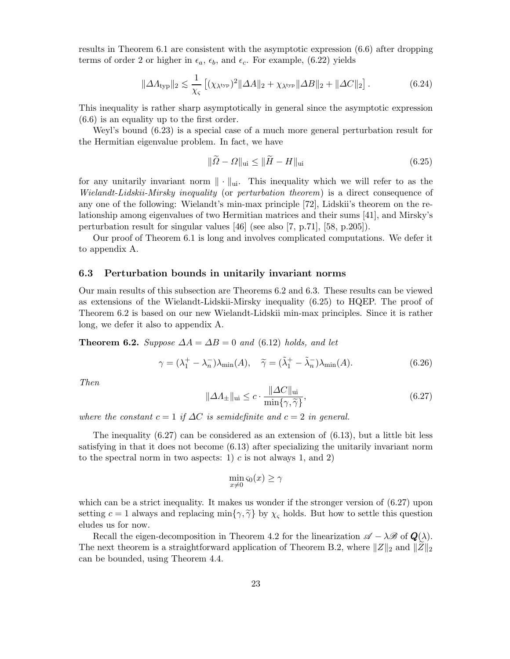results in Theorem 6.1 are consistent with the asymptotic expression (6.6) after dropping terms of order 2 or higher in  $\epsilon_a$ ,  $\epsilon_b$ , and  $\epsilon_c$ . For example, (6.22) yields

$$
\|\Delta A_{\text{typ}}\|_2 \lesssim \frac{1}{\chi_{\varsigma}} \left[ (\chi_{\lambda^{\text{typ}}})^2 \|\Delta A\|_2 + \chi_{\lambda^{\text{typ}}} \|\Delta B\|_2 + \|\Delta C\|_2 \right]. \tag{6.24}
$$

This inequality is rather sharp asymptotically in general since the asymptotic expression (6.6) is an equality up to the first order.

Weyl's bound (6.23) is a special case of a much more general perturbation result for the Hermitian eigenvalue problem. In fact, we have

$$
\|\widetilde{\Omega} - \Omega\|_{\text{ui}} \le \|\widetilde{H} - H\|_{\text{ui}} \tag{6.25}
$$

for any unitarily invariant norm  $\|\cdot\|_{\text{ui}}$ . This inequality which we will refer to as the Wielandt-Lidskii-Mirsky inequality (or perturbation theorem) is a direct consequence of any one of the following: Wielandt's min-max principle [72], Lidskii's theorem on the relationship among eigenvalues of two Hermitian matrices and their sums [41], and Mirsky's perturbation result for singular values [46] (see also [7, p.71], [58, p.205]).

Our proof of Theorem 6.1 is long and involves complicated computations. We defer it to appendix A.

#### 6.3 Perturbation bounds in unitarily invariant norms

Our main results of this subsection are Theorems 6.2 and 6.3. These results can be viewed as extensions of the Wielandt-Lidskii-Mirsky inequality (6.25) to HQEP. The proof of Theorem 6.2 is based on our new Wielandt-Lidskii min-max principles. Since it is rather long, we defer it also to appendix A.

**Theorem 6.2.** Suppose  $\Delta A = \Delta B = 0$  and (6.12) holds, and let

$$
\gamma = (\lambda_1^+ - \lambda_n^-)\lambda_{\min}(A), \quad \tilde{\gamma} = (\tilde{\lambda}_1^+ - \tilde{\lambda}_n^-)\lambda_{\min}(A). \tag{6.26}
$$

Then

$$
\|\Delta A_{\pm}\|_{\text{ui}} \leq c \cdot \frac{\|\Delta C\|_{\text{ui}}}{\min\{\gamma,\widetilde{\gamma}\}},\tag{6.27}
$$

where the constant  $c = 1$  if  $\Delta C$  is semidefinite and  $c = 2$  in general.

The inequality  $(6.27)$  can be considered as an extension of  $(6.13)$ , but a little bit less satisfying in that it does not become (6.13) after specializing the unitarily invariant norm to the spectral norm in two aspects: 1)  $c$  is not always 1, and 2)

$$
\min_{x \neq 0} \varsigma_0(x) \ge \gamma
$$

which can be a strict inequality. It makes us wonder if the stronger version of  $(6.27)$  upon setting  $c = 1$  always and replacing min $\{\gamma, \tilde{\gamma}\}$  by  $\chi_{\varsigma}$  holds. But how to settle this question eludes us for now.

Recall the eigen-decomposition in Theorem 4.2 for the linearization  $\mathscr{A} - \lambda \mathscr{B}$  of  $\mathbf{Q}(\lambda)$ . The next theorem is a straightforward application of Theorem B.2, where  $||Z||_2$  and  $||Z||_2$ can be bounded, using Theorem 4.4.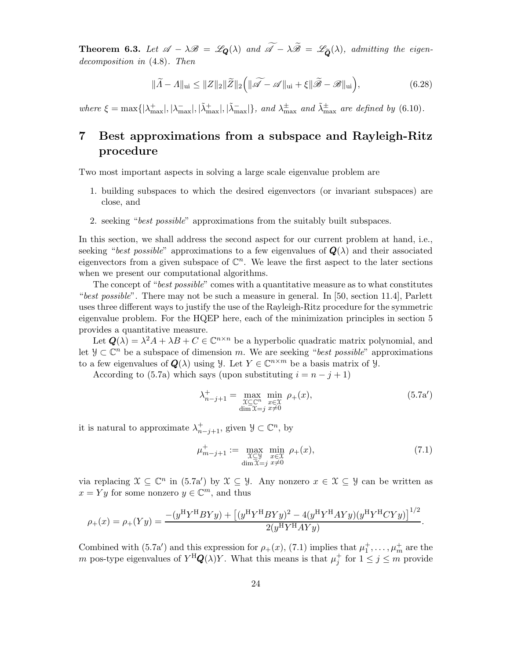**Theorem 6.3.** Let  $\mathscr{A} - \lambda \mathscr{B} = \mathscr{L}_{\mathbf{Q}}(\lambda)$  and  $\widetilde{\mathscr{A}} - \lambda \widetilde{\mathscr{B}} = \mathscr{L}_{\widetilde{\mathbf{Q}}}(\lambda)$ , admitting the eigendecomposition in (4.8). Then

$$
\|\widetilde{A} - A\|_{\text{ui}} \le \|Z\|_2 \|\widetilde{Z}\|_2 \left(\|\widetilde{\mathscr{A}} - \mathscr{A}\|_{\text{ui}} + \xi \|\widetilde{\mathscr{B}} - \mathscr{B}\|_{\text{ui}}\right),\tag{6.28}
$$

where  $\xi = \max\{|\lambda_{\max}^+|, |\lambda_{\max}^-|, |\lambda_{\max}^-|, |\lambda_{\max}^-| \}$ , and  $\lambda_{\max}^{\pm}$  and  $\lambda_{\max}^{\pm}$  are defined by (6.10).

# 7 Best approximations from a subspace and Rayleigh-Ritz procedure

Two most important aspects in solving a large scale eigenvalue problem are

- 1. building subspaces to which the desired eigenvectors (or invariant subspaces) are close, and
- 2. seeking "best possible" approximations from the suitably built subspaces.

In this section, we shall address the second aspect for our current problem at hand, i.e., seeking "best possible" approximations to a few eigenvalues of  $\mathbf{Q}(\lambda)$  and their associated eigenvectors from a given subspace of  $\mathbb{C}^n$ . We leave the first aspect to the later sections when we present our computational algorithms.

The concept of "*best possible*" comes with a quantitative measure as to what constitutes "best possible". There may not be such a measure in general. In [50, section 11.4], Parlett uses three different ways to justify the use of the Rayleigh-Ritz procedure for the symmetric eigenvalue problem. For the HQEP here, each of the minimization principles in section 5 provides a quantitative measure.

Let  $Q(\lambda) = \lambda^2 A + \lambda B + C \in \mathbb{C}^{n \times n}$  be a hyperbolic quadratic matrix polynomial, and let  $\mathcal{Y} \subset \mathbb{C}^n$  be a subspace of dimension m. We are seeking "best possible" approximations to a few eigenvalues of  $Q(\lambda)$  using  $\mathcal{Y}$ . Let  $Y \in \mathbb{C}^{n \times m}$  be a basis matrix of  $\mathcal{Y}$ .

According to (5.7a) which says (upon substituting  $i = n - j + 1$ )

$$
\lambda_{n-j+1}^+ = \max_{\substack{\mathfrak{X} \subseteq \mathbb{C}^n \\ \dim \mathfrak{X} = j}} \min_{\substack{x \in \mathfrak{X} \\ x \neq 0}} \rho_+(x),\tag{5.7a'}
$$

it is natural to approximate  $\lambda^+_{n-j+1}$ , given  $\mathcal{Y} \subset \mathbb{C}^n$ , by

$$
\mu_{m-j+1}^+ := \max_{\substack{\mathfrak{X} \subseteq \mathfrak{Y} \\ \dim \mathfrak{X} = j}} \min_{\substack{x \in \mathfrak{X} \\ x \neq 0}} \rho_+(x),\tag{7.1}
$$

via replacing  $\mathcal{X} \subseteq \mathbb{C}^n$  in  $(5.7a')$  by  $\mathcal{X} \subseteq \mathcal{Y}$ . Any nonzero  $x \in \mathcal{X} \subseteq \mathcal{Y}$  can be written as  $x = Yy$  for some nonzero  $y \in \mathbb{C}^m$ , and thus

$$
\rho_{+}(x) = \rho_{+}(Yy) = \frac{- (y^{\rm H} Y^{\rm H} B Y y) + \left[ (y^{\rm H} Y^{\rm H} B Y y)^{2} - 4 (y^{\rm H} Y^{\rm H} A Y y) (y^{\rm H} Y^{\rm H} C Y y) \right]^{1/2}}{2 (y^{\rm H} Y^{\rm H} A Y y)}.
$$

Combined with (5.7a') and this expression for  $\rho_{+}(x)$ , (7.1) implies that  $\mu_{1}^{+}, \ldots, \mu_{m}^{+}$  are the m pos-type eigenvalues of  $Y^H \mathbf{Q}(\lambda) Y$ . What this means is that  $\mu_j^+$  for  $1 \leq j \leq m$  provide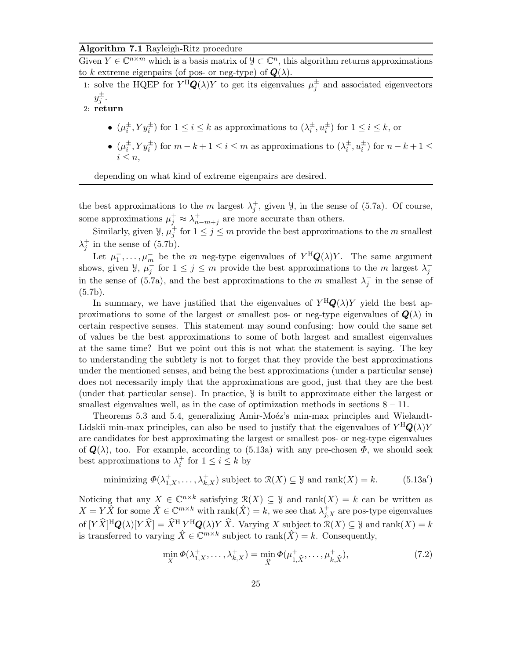#### Algorithm 7.1 Rayleigh-Ritz procedure

Given  $Y \in \mathbb{C}^{n \times m}$  which is a basis matrix of  $\mathcal{Y} \subset \mathbb{C}^n$ , this algorithm returns approximations to k extreme eigenpairs (of pos- or neg-type) of  $Q(\lambda)$ .

1: solve the HQEP for  $Y^H \mathbf{Q}(\lambda) Y$  to get its eigenvalues  $\mu_j^{\pm}$  and associated eigenvectors  $y_j^{\pm}$ .

2: return

- $(\mu_i^{\pm}, Y y_i^{\pm})$  for  $1 \leq i \leq k$  as approximations to  $(\lambda_i^{\pm}, u_i^{\pm})$  for  $1 \leq i \leq k$ , or
- $(\mu_i^{\pm}, Y y_i^{\pm})$  for  $m k + 1 \leq i \leq m$  as approximations to  $(\lambda_i^{\pm}, u_i^{\pm})$  for  $n k + 1 \leq$  $i \leq n$ .

depending on what kind of extreme eigenpairs are desired.

the best approximations to the m largest  $\lambda_j^+$ , given  $\mathcal{Y}$ , in the sense of (5.7a). Of course, some approximations  $\mu_j^+ \approx \lambda_{n-m+j}^+$  are more accurate than others.

Similarly, given  $\mathcal{Y}, \mu_j^+$  for  $1 \leq j \leq m$  provide the best approximations to the m smallest  $\lambda_j^+$  in the sense of (5.7b).

Let  $\mu_1^-,\ldots,\mu_m^-$  be the m neg-type eigenvalues of  $Y^H\mathbf{Q}(\lambda)Y$ . The same argument shows, given  $\mathcal{Y}, \mu_j^-$  for  $1 \leq j \leq m$  provide the best approximations to the m largest  $\lambda_j^$ in the sense of (5.7a), and the best approximations to the m smallest  $\lambda_j^-$  in the sense of  $(5.7b).$ 

In summary, we have justified that the eigenvalues of  $Y^H \mathbf{Q}(\lambda) Y$  yield the best approximations to some of the largest or smallest pos- or neg-type eigenvalues of  $\mathbf{Q}(\lambda)$  in certain respective senses. This statement may sound confusing: how could the same set of values be the best approximations to some of both largest and smallest eigenvalues at the same time? But we point out this is not what the statement is saying. The key to understanding the subtlety is not to forget that they provide the best approximations under the mentioned senses, and being the best approximations (under a particular sense) does not necessarily imply that the approximations are good, just that they are the best (under that particular sense). In practice, Y is built to approximate either the largest or smallest eigenvalues well, as in the case of optimization methods in sections  $8 - 11$ .

Theorems 5.3 and 5.4, generalizing Amir-Moéz's min-max principles and Wielandt-Lidskii min-max principles, can also be used to justify that the eigenvalues of  $Y^{\text{H}}\mathbf{Q}(\lambda)Y$ are candidates for best approximating the largest or smallest pos- or neg-type eigenvalues of  $\mathbf{Q}(\lambda)$ , too. For example, according to (5.13a) with any pre-chosen  $\Phi$ , we should seek best approximations to  $\lambda_i^+$  for  $1 \leq i \leq k$  by

minimizing 
$$
\Phi(\lambda_{1,X}^+, \ldots, \lambda_{k,X}^+)
$$
 subject to  $\mathcal{R}(X) \subseteq \mathcal{Y}$  and rank $(X) = k$ . (5.13a')

Noticing that any  $X \in \mathbb{C}^{n \times k}$  satisfying  $\mathcal{R}(X) \subseteq \mathcal{Y}$  and rank $(X) = k$  can be written as  $X = Y\hat{X}$  for some  $\hat{X} \in \mathbb{C}^{m \times k}$  with  $\text{rank}(\hat{X}) = k$ , we see that  $\lambda_{j,X}^+$  are pos-type eigenvalues of  $[Y\widehat{X}]^H Q(\lambda)[Y\widehat{X}] = \widehat{X}^H Y^H Q(\lambda) Y \widehat{X}$ . Varying X subject to  $\mathcal{R}(X) \subseteq \mathcal{Y}$  and  $\text{rank}(X) = k$ is transferred to varying  $\hat{X} \in \mathbb{C}^{m \times k}$  subject to rank $(\hat{X}) = k$ . Consequently,

$$
\min_{X} \Phi(\lambda_{1,X}^+, \dots, \lambda_{k,X}^+) = \min_{\widehat{X}} \Phi(\mu_{1,\widehat{X}}^+, \dots, \mu_{k,\widehat{X}}^+),\tag{7.2}
$$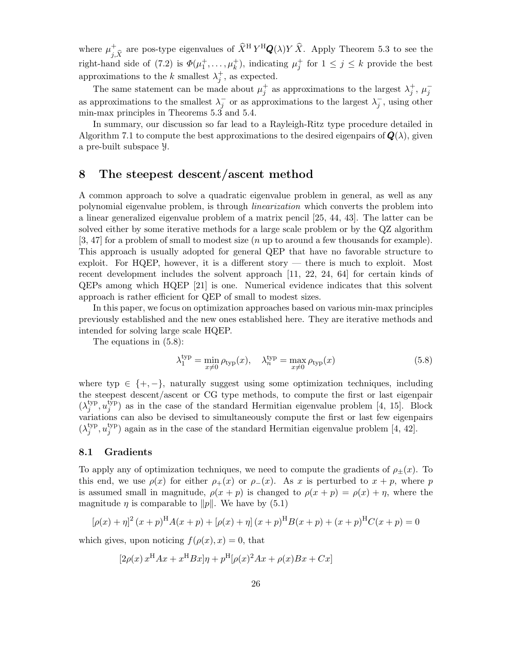where  $\mu_{j,\widehat{X}}^+$  are pos-type eigenvalues of  $\widehat{X}^H Y^H Q(\lambda) Y \widehat{X}$ . Apply Theorem 5.3 to see the right-hand side of (7.2) is  $\Phi(\mu_1^+,\ldots,\mu_k^+)$ , indicating  $\mu_j^+$  for  $1 \leq j \leq k$  provide the best approximations to the k smallest  $\lambda_j^+$ , as expected.

The same statement can be made about  $\mu_j^+$  as approximations to the largest  $\lambda_j^+$ ,  $\mu_j^$ as approximations to the smallest  $\lambda_j^-$  or as approximations to the largest  $\lambda_j^-$ , using other min-max principles in Theorems 5.3 and 5.4.

In summary, our discussion so far lead to a Rayleigh-Ritz type procedure detailed in Algorithm 7.1 to compute the best approximations to the desired eigenpairs of  $\mathbf{Q}(\lambda)$ , given a pre-built subspace Y.

## 8 The steepest descent/ascent method

A common approach to solve a quadratic eigenvalue problem in general, as well as any polynomial eigenvalue problem, is through linearization which converts the problem into a linear generalized eigenvalue problem of a matrix pencil [25, 44, 43]. The latter can be solved either by some iterative methods for a large scale problem or by the QZ algorithm [3, 47] for a problem of small to modest size (n up to around a few thousands for example). This approach is usually adopted for general QEP that have no favorable structure to exploit. For HQEP, however, it is a different story — there is much to exploit. Most recent development includes the solvent approach [11, 22, 24, 64] for certain kinds of QEPs among which HQEP [21] is one. Numerical evidence indicates that this solvent approach is rather efficient for QEP of small to modest sizes.

In this paper, we focus on optimization approaches based on various min-max principles previously established and the new ones established here. They are iterative methods and intended for solving large scale HQEP.

The equations in (5.8):

$$
\lambda_1^{\text{typ}} = \min_{x \neq 0} \rho_{\text{typ}}(x), \quad \lambda_n^{\text{typ}} = \max_{x \neq 0} \rho_{\text{typ}}(x) \tag{5.8}
$$

where typ  $\in \{+, -\}$ , naturally suggest using some optimization techniques, including the steepest descent/ascent or CG type methods, to compute the first or last eigenpair  $(\lambda_i^{\rm typ})$  $_j^{\text{typ}}, u_j^{\text{typ}}$  $j^{hyp}$ ) as in the case of the standard Hermitian eigenvalue problem [4, 15]. Block variations can also be devised to simultaneously compute the first or last few eigenpairs  $(\lambda_i^{\rm typ})$  $_j^{\text{typ}}, u_j^{\text{typ}}$  $j^{hyp}$ ) again as in the case of the standard Hermitian eigenvalue problem [4, 42].

#### 8.1 Gradients

To apply any of optimization techniques, we need to compute the gradients of  $\rho_{\pm}(x)$ . To this end, we use  $\rho(x)$  for either  $\rho_+(x)$  or  $\rho_-(x)$ . As x is perturbed to  $x + p$ , where p is assumed small in magnitude,  $\rho(x+p)$  is changed to  $\rho(x+p) = \rho(x) + \eta$ , where the magnitude  $\eta$  is comparable to ||p||. We have by (5.1)

$$
[\rho(x) + \eta]^2 (x + p)^{\mathrm{H}} A(x + p) + [\rho(x) + \eta] (x + p)^{\mathrm{H}} B(x + p) + (x + p)^{\mathrm{H}} C(x + p) = 0
$$

which gives, upon noticing  $f(\rho(x), x) = 0$ , that

$$
[2\rho(x) x^{\rm H}Ax + x^{\rm H}Bx]\eta + p^{\rm H}[\rho(x)^2Ax + \rho(x)Bx + Cx]
$$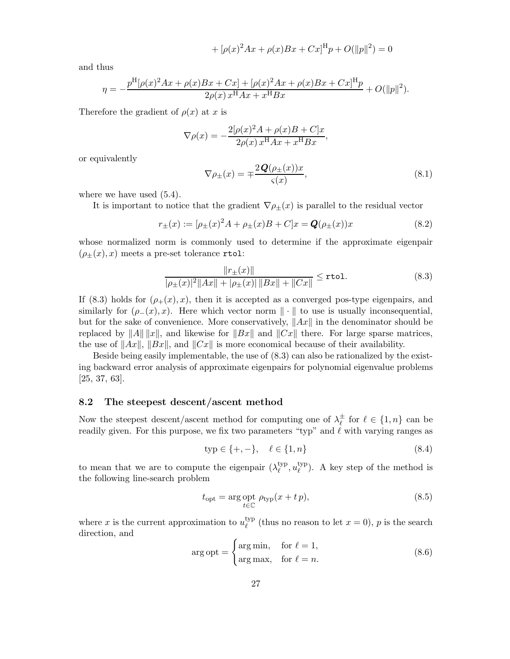+ 
$$
[\rho(x)^2 Ax + \rho(x)Bx + Cx]^{\text{H}} p + O(||p||^2) = 0
$$

and thus

$$
\eta = -\frac{p^{\mathrm{H}}[\rho(x)^{2}Ax + \rho(x)Bx + Cx] + [\rho(x)^{2}Ax + \rho(x)Bx + Cx]^{\mathrm{H}}p}{2\rho(x)x^{\mathrm{H}}Ax + x^{\mathrm{H}}Bx} + O(\Vert p \Vert^{2}).
$$

Therefore the gradient of  $\rho(x)$  at x is

$$
\nabla \rho(x) = -\frac{2[\rho(x)^2 A + \rho(x)B + C]x}{2\rho(x)x^{\text{H}}Ax + x^{\text{H}}Bx},
$$

or equivalently

$$
\nabla \rho_{\pm}(x) = \mp \frac{2\mathbf{Q}(\rho_{\pm}(x))x}{\varsigma(x)},\tag{8.1}
$$

where we have used  $(5.4)$ .

It is important to notice that the gradient  $\nabla \rho_{\pm}(x)$  is parallel to the residual vector

$$
r_{\pm}(x) := [\rho_{\pm}(x)^{2} A + \rho_{\pm}(x)B + C]x = \mathbf{Q}(\rho_{\pm}(x))x
$$
\n(8.2)

whose normalized norm is commonly used to determine if the approximate eigenpair  $(\rho_{\pm}(x), x)$  meets a pre-set tolerance rtol:

$$
\frac{\|r_{\pm}(x)\|}{|\rho_{\pm}(x)|^2||Ax|| + |\rho_{\pm}(x)| ||Bx|| + ||Cx||} \le \text{rtol.}
$$
\n(8.3)

If (8.3) holds for  $(\rho_+(x), x)$ , then it is accepted as a converged pos-type eigenpairs, and similarly for  $(\rho_-(x), x)$ . Here which vector norm  $\|\cdot\|$  to use is usually inconsequential, but for the sake of convenience. More conservatively,  $||Ax||$  in the denominator should be replaced by  $||A|| ||x||$ , and likewise for  $||Bx||$  and  $||Cx||$  there. For large sparse matrices, the use of  $||Ax||$ ,  $||Bx||$ , and  $||Cx||$  is more economical because of their availability.

Beside being easily implementable, the use of (8.3) can also be rationalized by the existing backward error analysis of approximate eigenpairs for polynomial eigenvalue problems [25, 37, 63].

#### 8.2 The steepest descent/ascent method

Now the steepest descent/ascent method for computing one of  $\lambda_{\ell}^{\pm}$  $\frac{\pm}{\ell}$  for  $\ell \in \{1, n\}$  can be readily given. For this purpose, we fix two parameters "typ" and  $\ell$  with varying ranges as

$$
typ \in \{+, -\}, \quad \ell \in \{1, n\} \tag{8.4}
$$

to mean that we are to compute the eigenpair  $(\lambda_{\ell}^{\text{typ}})$  $_{\ell}^{\text{typ}}, u_{\ell}^{\text{typ}}$  $\binom{V}{\ell}$ . A key step of the method is the following line-search problem

$$
t_{\rm opt} = \arg\inf_{t \in \mathbb{C}} \rho_{\rm typ}(x + tp),\tag{8.5}
$$

where x is the current approximation to  $u_{\ell}^{\text{typ}}$  $\ell_{\ell}^{\text{typ}}$  (thus no reason to let  $x = 0$ ), p is the search direction, and

$$
\arg \text{opt} = \begin{cases} \arg \min, & \text{for } \ell = 1, \\ \arg \max, & \text{for } \ell = n. \end{cases} \tag{8.6}
$$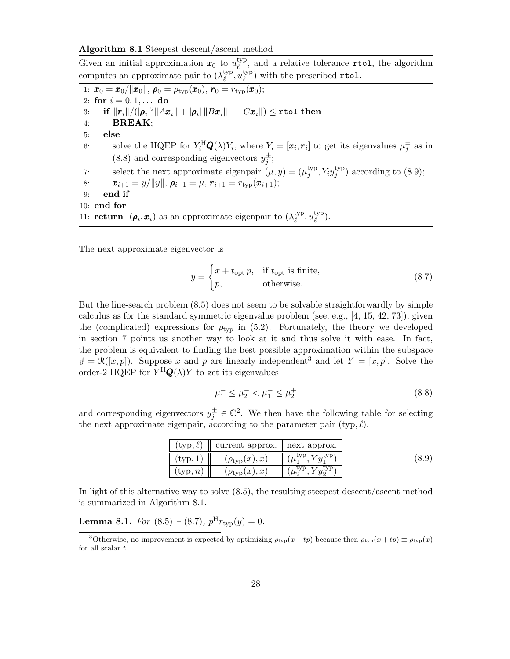#### Algorithm 8.1 Steepest descent/ascent method

Given an initial approximation  $x_0$  to  $u_{\ell}^{\text{typ}}$  $\mathcal{L}^{\text{typ}}$ , and a relative tolerance rtol, the algorithm computes an approximate pair to  $(\lambda_{\ell}^{\text{typ}})$  $_{\ell}^{\rm typ},u_{\ell}^{\rm typ}$  $\binom{V}{\ell}$  with the prescribed rtol.

1:  $\bm{x}_0 = \bm{x}_0/||\bm{x}_0||$ ,  $\bm{\rho}_0 = \rho_{\text{typ}}(\bm{x}_0)$ ,  $\bm{r}_0 = r_{\text{typ}}(\bm{x}_0)$ ; 2: for  $i = 0, 1, ...$  do 3: if  $||\boldsymbol{r}_i||/(|\boldsymbol{\rho}_i|^2||Ax_i|| + |\boldsymbol{\rho}_i|\,||Bx_i|| + ||C\boldsymbol{x}_i||) \leq$ rtol then 4: BREAK; 5: else 6: solve the HQEP for  $Y_i^{\text{H}}\mathbf{Q}(\lambda)Y_i$ , where  $Y_i = [\mathbf{x}_i, \mathbf{r}_i]$  to get its eigenvalues  $\mu_j^{\pm}$  as in (8.8) and corresponding eigenvectors  $y_j^{\pm}$ ; 7: select the next approximate eigenpair  $(\mu, y) = (\mu_i^{\text{typ}})$  $_j^{\text{typ}}, Y_i y_j^{\text{typ}}$  $j^{typ}$ ) according to (8.9); 8:  $\mathbf{x}_{i+1} = y/\|y\|, \, \boldsymbol{\rho}_{i+1} = \mu, \, \boldsymbol{r}_{i+1} = r_{\text{tvp}}(\boldsymbol{x}_{i+1});$ 9: end if 10: end for 11: **return**  $(\rho_i, x_i)$  as an approximate eigenpair to  $(\lambda_{\ell}^{\text{typ}})$  $_{\ell}^{\text{typ}}, u_{\ell}^{\text{typ}}$  $_{\ell}^{\mathrm{typ}}).$ 

The next approximate eigenvector is

$$
y = \begin{cases} x + t_{\text{opt}} p, & \text{if } t_{\text{opt}} \text{ is finite,} \\ p, & \text{otherwise.} \end{cases}
$$
 (8.7)

But the line-search problem (8.5) does not seem to be solvable straightforwardly by simple calculus as for the standard symmetric eigenvalue problem (see, e.g., [4, 15, 42, 73]), given the (complicated) expressions for  $\rho_{\text{typ}}$  in (5.2). Fortunately, the theory we developed in section 7 points us another way to look at it and thus solve it with ease. In fact, the problem is equivalent to finding the best possible approximation within the subspace  $\mathcal{Y} = \mathcal{R}([x, p])$ . Suppose x and p are linearly independent<sup>3</sup> and let  $Y = [x, p]$ . Solve the order-2 HQEP for  $Y^{\text{H}}\mathbf{Q}(\lambda)Y$  to get its eigenvalues

$$
\mu_1^- \le \mu_2^- < \mu_1^+ \le \mu_2^+ \tag{8.8}
$$

and corresponding eigenvectors  $y_j^{\pm} \in \mathbb{C}^2$ . We then have the following table for selecting the next approximate eigenpair, according to the parameter pair  $(typ, \ell)$ .

| $(\text{typ}, \ell)$ | current approx.         | next approx. |  |
|----------------------|-------------------------|--------------|--|
| $'$ typ.             | $(\rho_{\rm typ}(x),x)$ |              |  |
| $({\rm typ}, n)$     | $(\rho_{\rm typ}(x),x)$ |              |  |

In light of this alternative way to solve (8.5), the resulting steepest descent/ascent method is summarized in Algorithm 8.1.

# **Lemma 8.1.** For  $(8.5) - (8.7)$ ,  $p^{\text{H}} r_{\text{typ}}(y) = 0$ .

<sup>&</sup>lt;sup>3</sup>Otherwise, no improvement is expected by optimizing  $\rho_{typ}(x+tp)$  because then  $\rho_{typ}(x+tp) \equiv \rho_{typ}(x)$ for all scalar t.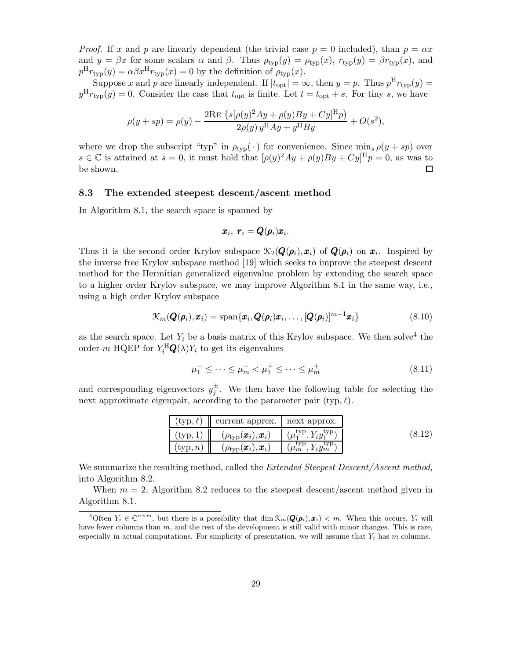*Proof.* If x and p are linearly dependent (the trivial case  $p = 0$  included), than  $p = \alpha x$ and  $y = \beta x$  for some scalars  $\alpha$  and  $\beta$ . Thus  $\rho_{\text{typ}}(y) = \rho_{\text{typ}}(x)$ ,  $r_{\text{typ}}(y) = \beta r_{\text{typ}}(x)$ , and  $p^{\text{H}} r_{\text{typ}}(y) = \alpha \beta x^{\text{H}} r_{\text{typ}}(x) = 0$  by the definition of  $\rho_{\text{typ}}(x)$ .

Suppose x and p are linearly independent. If  $|t_{opt}| = \infty$ , then  $y = p$ . Thus  $p^H r_{typ}(y) =$  $y^{\text{H}} r_{\text{typ}}(y) = 0$ . Consider the case that  $t_{\text{opt}}$  is finite. Let  $t = t_{\text{opt}} + s$ . For tiny s, we have

$$
\rho(y + sp) = \rho(y) - \frac{2 \text{Re } (s[\rho(y)^2 Ay + \rho(y)By + Cy]^{\text{H}} p)}{2\rho(y) y^{\text{H}} Ay + y^{\text{H}} By} + O(s^2),
$$

where we drop the subscript "typ" in  $\rho_{\text{typ}}(\cdot)$  for convenience. Since min<sub>s</sub>  $\rho(y + sp)$  over  $s \in \mathbb{C}$  is attained at  $s = 0$ , it must hold that  $[\rho(y)^2 Ay + \rho(y)By + Cy]^{\text{H}} p = 0$ , as was to be shown.  $\Box$ 

#### 8.3 The extended steepest descent/ascent method

In Algorithm 8.1, the search space is spanned by

$$
\boldsymbol{x}_i, \ \boldsymbol{r}_i = \boldsymbol{Q}(\boldsymbol{\rho}_i) \boldsymbol{x}_i.
$$

Thus it is the second order Krylov subspace  $\mathcal{K}_2(\mathbf{Q}(\rho_i), \mathbf{x}_i)$  of  $\mathbf{Q}(\rho_i)$  on  $\mathbf{x}_i$ . Inspired by the inverse free Krylov subspace method [19] which seeks to improve the steepest descent method for the Hermitian generalized eigenvalue problem by extending the search space to a higher order Krylov subspace, we may improve Algorithm 8.1 in the same way, i.e., using a high order Krylov subspace

$$
\mathcal{K}_m(\boldsymbol{Q}(\boldsymbol{\rho}_i),\boldsymbol{x}_i) = \text{span}\{\boldsymbol{x}_i,\boldsymbol{Q}(\boldsymbol{\rho}_i)\boldsymbol{x}_i,\ldots,[\boldsymbol{Q}(\boldsymbol{\rho}_i)]^{m-1}\boldsymbol{x}_i\} \tag{8.10}
$$

as the search space. Let  $Y_i$  be a basis matrix of this Krylov subspace. We then solve<sup>4</sup> the order- $m$  HQEP for  $Y_i^{\text{H}}\mathbf{Q}(\lambda)Y_i$  to get its eigenvalues

$$
\mu_1^- \le \dots \le \mu_m^- < \mu_1^+ \le \dots \le \mu_m^+ \tag{8.11}
$$

and corresponding eigenvectors  $y_j^{\pm}$ . We then have the following table for selecting the next approximate eigenpair, according to the parameter pair (typ,  $\ell$ ).

|                  | $(\text{typ}, \ell)$   current approx.   next approx. |                                              |  |
|------------------|-------------------------------------------------------|----------------------------------------------|--|
| $\text{typ}, 1)$ | $(\rho_{\rm typ}({\bm x}_i),{\bm x}_i)$               | $(\mu_1^{\rm typ}, Y_i y_1^{\rm typ})$       |  |
| $({\rm typ}, n)$ | $(\rho_{\rm typ}(\pmb{x}_i),\pmb{x}_i)$               | $(\mu_m^{\text{typ}}, Y_i y_m^{\text{typ}})$ |  |

We summarize the resulting method, called the *Extended Steepest Descent/Ascent method*, into Algorithm 8.2.

When  $m = 2$ , Algorithm 8.2 reduces to the steepest descent/ascent method given in Algorithm 8.1.

<sup>&</sup>lt;sup>4</sup>Often  $Y_i \in \mathbb{C}^{n \times m}$ , but there is a possibility that  $\dim \mathcal{K}_m(\mathbf{Q}(\boldsymbol{\rho}_i), \boldsymbol{x}_i) < m$ . When this occurs,  $Y_i$  will have fewer columns than  $m$ , and the rest of the development is still valid with minor changes. This is rare, especially in actual computations. For simplicity of presentation, we will assume that  $Y_i$  has m columns.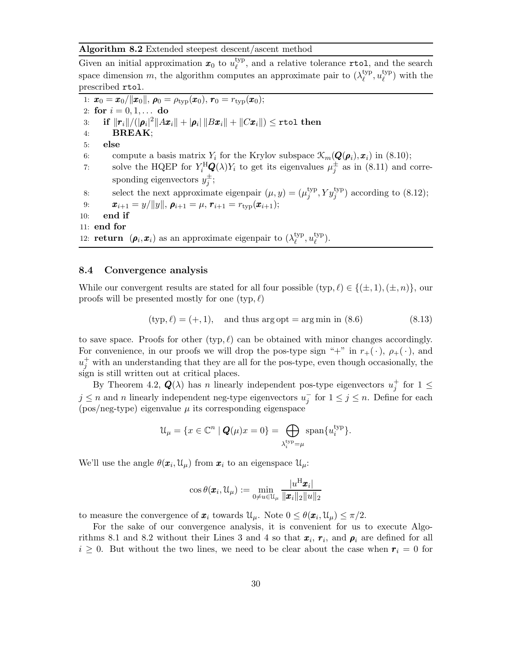#### Algorithm 8.2 Extended steepest descent/ascent method

Given an initial approximation  $x_0$  to  $u_{\ell}^{\text{typ}}$  $\ell_{\ell}^{\text{typ}}$ , and a relative tolerance **rtol**, and the search space dimension m, the algorithm computes an approximate pair to  $(\lambda_{\ell}^{\text{typ}})$  $_{\ell}^{\text{typ}}, u_{\ell}^{\text{typ}}$  $l_{\ell}^{\text{typ}}$  with the prescribed rtol.

1:  $\bm{x}_0 = \bm{x}_0/||\bm{x}_0||, \bm{\rho}_0 = \rho_{\text{typ}}(\bm{x}_0), \bm{r}_0 = r_{\text{typ}}(\bm{x}_0);$ 2: for  $i = 0, 1, ...$  do 3: if  $||\boldsymbol{r}_i||/(|\boldsymbol{\rho}_i|^2||A\boldsymbol{x}_i|| + |\boldsymbol{\rho}_i|\,||B\boldsymbol{x}_i|| + ||C\boldsymbol{x}_i||) \leq \texttt{rtol}$  then 4: BREAK; 5: else 6: compute a basis matrix  $Y_i$  for the Krylov subspace  $\mathcal{K}_m(\mathbf{Q}(\boldsymbol{\rho}_i), \boldsymbol{x}_i)$  in (8.10); 7: solve the HQEP for  $Y_i^{\text{H}}\mathbf{Q}(\lambda)Y_i$  to get its eigenvalues  $\mu_j^{\pm}$  as in (8.11) and corresponding eigenvectors  $y_j^{\pm}$ ; 8: select the next approximate eigenpair  $(\mu, y) = (\mu_i^{\text{typ}})$  $j^{\text{typ}}, Y y_j^{\text{typ}}$  according to (8.12); 9:  $\bm{x}_{i+1} = y/||y||, \, \bm{\rho}_{i+1} = \mu, \, \bm{r}_{i+1} = r_{\text{typ}}(\bm{x}_{i+1});$ <br>10: end if end if 11: end for 12: **return**  $(\rho_i, x_i)$  as an approximate eigenpair to  $(\lambda_{\ell}^{\text{typ}})$  $_{\ell}^{\rm typ},u_{\ell}^{\rm typ}$  $_{\ell}^{\rm typ}$ ).

#### 8.4 Convergence analysis

While our convergent results are stated for all four possible  $(\text{typ}, \ell) \in \{(\pm, 1), (\pm, n)\}\)$ , our proofs will be presented mostly for one  $(\text{typ}, \ell)$ 

$$
(\text{typ}, \ell) = (+, 1), \text{ and thus arg opt} = \arg \min \text{ in } (8.6)
$$
 (8.13)

to save space. Proofs for other  $(typ, \ell)$  can be obtained with minor changes accordingly. For convenience, in our proofs we will drop the pos-type sign "+" in  $r_{+}(\cdot)$ ,  $\rho_{+}(\cdot)$ , and  $u_j^+$  with an understanding that they are all for the pos-type, even though occasionally, the sign is still written out at critical places.

By Theorem 4.2,  $Q(\lambda)$  has n linearly independent pos-type eigenvectors  $u_j^+$  for  $1 \leq$  $j \leq n$  and n linearly independent neg-type eigenvectors  $u_j^-$  for  $1 \leq j \leq n$ . Define for each  $(pos/neg-type)$  eigenvalue  $\mu$  its corresponding eigenspace

$$
\mathfrak{U}_{\mu} = \{ x \in \mathbb{C}^n \mid \mathbf{Q}(\mu)x = 0 \} = \bigoplus_{\lambda_i^{\text{typ}} = \mu} \text{span} \{ u_i^{\text{typ}} \}.
$$

We'll use the angle  $\theta(\mathbf{x}_i, \mathcal{U}_\mu)$  from  $\mathbf{x}_i$  to an eigenspace  $\mathcal{U}_\mu$ :

$$
\cos\theta(\boldsymbol{x}_i,\mathfrak{U}_{\mu}) := \min_{0\neq u\in\mathfrak{U}_{\mu}}\frac{|u^{\mathrm{H}}\boldsymbol{x}_i|}{\|\boldsymbol{x}_i\|_2\|u\|_2}
$$

to measure the convergence of  $\mathbf{x}_i$  towards  $\mathcal{U}_{\mu}$ . Note  $0 \leq \theta(\mathbf{x}_i, \mathcal{U}_{\mu}) \leq \pi/2$ .

For the sake of our convergence analysis, it is convenient for us to execute Algorithms 8.1 and 8.2 without their Lines 3 and 4 so that  $\pmb{x}_i, \pmb{r}_i$ , and  $\pmb{\rho}_i$  are defined for all  $i \geq 0$ . But without the two lines, we need to be clear about the case when  $r_i = 0$  for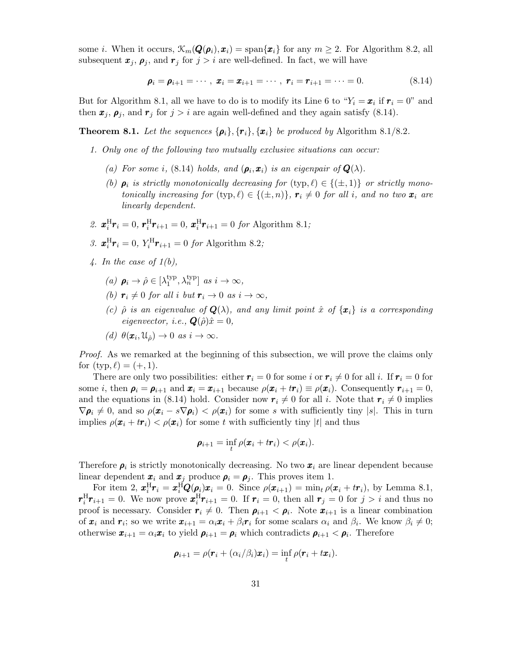some *i*. When it occurs,  $\mathcal{K}_m(\mathbf{Q}(\boldsymbol{\rho}_i), \boldsymbol{x}_i) = \text{span}\{\boldsymbol{x}_i\}$  for any  $m \geq 2$ . For Algorithm 8.2, all subsequent  $\mathbf{x}_i, \rho_i$ , and  $\mathbf{r}_i$  for  $j > i$  are well-defined. In fact, we will have

$$
\boldsymbol{\rho}_i = \boldsymbol{\rho}_{i+1} = \cdots, \; \boldsymbol{x}_i = \boldsymbol{x}_{i+1} = \cdots, \; \boldsymbol{r}_i = \boldsymbol{r}_{i+1} = \cdots = 0. \tag{8.14}
$$

But for Algorithm 8.1, all we have to do is to modify its Line 6 to " $Y_i = x_i$  if  $r_i = 0$ " and then  $x_j$ ,  $\rho_j$ , and  $r_j$  for  $j > i$  are again well-defined and they again satisfy (8.14).

**Theorem 8.1.** Let the sequences  $\{\boldsymbol{\rho}_i\}, \{\boldsymbol{r}_i\}, \{\boldsymbol{x}_i\}$  be produced by Algorithm 8.1/8.2.

- 1. Only one of the following two mutually exclusive situations can occur:
	- (a) For some i, (8.14) holds, and  $(\rho_i, x_i)$  is an eigenpair of  $Q(\lambda)$ .
	- (b)  $\rho_i$  is strictly monotonically decreasing for  $(\text{typ}, \ell) \in \{(\pm, 1)\}$  or strictly monotonically increasing for  $(\text{typ}, \ell) \in \{(\pm, n)\}\$ ,  $\mathbf{r}_i \neq 0$  for all i, and no two  $\mathbf{x}_i$  are linearly dependent.
- 2.  $\mathbf{x}_{i}^{\text{H}}\mathbf{r}_{i} = 0$ ,  $\mathbf{r}_{i}^{\text{H}}\mathbf{r}_{i+1} = 0$ ,  $\mathbf{x}_{i}^{\text{H}}\mathbf{r}_{i+1} = 0$  for Algorithm 8.1;
- 3.  $x_i^H r_i = 0$ ,  $Y_i^H r_{i+1} = 0$  for Algorithm 8.2;
- 4. In the case of  $1(b)$ ,
	- (a)  $\rho_i \rightarrow \hat{\rho} \in [\lambda_1^{\text{typ}}]$  $_{1}^{\text{typ}}, \lambda_{n}^{\text{typ}}$ ] as  $i \to \infty$ ,
	- (b)  $r_i \neq 0$  for all i but  $r_i \to 0$  as  $i \to \infty$ ,
	- (c)  $\hat{\rho}$  is an eigenvalue of  $\mathbf{Q}(\lambda)$ , and any limit point  $\hat{x}$  of  $\{\mathbf{x}_i\}$  is a corresponding eigenvector, i.e.,  $\mathbf{Q}(\hat{\rho})\hat{x} = 0$ ,
	- (d)  $\theta(\mathbf{x}_i, \mathfrak{U}_{\hat{\rho}}) \to 0$  as  $i \to \infty$ .

Proof. As we remarked at the beginning of this subsection, we will prove the claims only for  $(typ, \ell) = (+, 1)$ .

There are only two possibilities: either  $r_i = 0$  for some i or  $r_i \neq 0$  for all i. If  $r_i = 0$  for some *i*, then  $\rho_i = \rho_{i+1}$  and  $\mathbf{x}_i = \mathbf{x}_{i+1}$  because  $\rho(\mathbf{x}_i + tr_i) \equiv \rho(\mathbf{x}_i)$ . Consequently  $r_{i+1} = 0$ , and the equations in (8.14) hold. Consider now  $r_i \neq 0$  for all i. Note that  $r_i \neq 0$  implies  $\nabla \rho_i \neq 0$ , and so  $\rho(\mathbf{x}_i - s \nabla \rho_i) < \rho(\mathbf{x}_i)$  for some s with sufficiently tiny |s|. This in turn implies  $\rho(\mathbf{x}_i + t\mathbf{r}_i) < \rho(\mathbf{x}_i)$  for some t with sufficiently tiny |t| and thus

$$
\boldsymbol{\rho}_{i+1} = \inf_t \rho(\boldsymbol{x}_i + t\boldsymbol{r}_i) < \rho(\boldsymbol{x}_i).
$$

Therefore  $\rho_i$  is strictly monotonically decreasing. No two  $x_i$  are linear dependent because linear dependent  $\boldsymbol{x}_i$  and  $\boldsymbol{x}_j$  produce  $\boldsymbol{\rho}_i = \boldsymbol{\rho}_j$ . This proves item 1.

For item 2,  $\boldsymbol{x}_i^{\text{H}}\boldsymbol{r}_i = \boldsymbol{x}_i^{\text{H}}\boldsymbol{Q}(\boldsymbol{\rho}_i)\boldsymbol{x}_i = 0$ . Since  $\rho(\boldsymbol{x}_{i+1}) = \min_t \rho(\boldsymbol{x}_i + t\boldsymbol{r}_i)$ , by Lemma 8.1,  $\mathbf{r}_i^{\text{H}} \mathbf{r}_{i+1} = 0$ . We now prove  $\mathbf{r}_i^{\text{H}} \mathbf{r}_{i+1} = 0$ . If  $\mathbf{r}_i = 0$ , then all  $\mathbf{r}_j = 0$  for  $j > i$  and thus no proof is necessary. Consider  $r_i \neq 0$ . Then  $\rho_{i+1} < \rho_i$ . Note  $x_{i+1}$  is a linear combination of  $\mathbf{x}_i$  and  $\mathbf{r}_i$ ; so we write  $\mathbf{x}_{i+1} = \alpha_i \mathbf{x}_i + \beta_i \mathbf{r}_i$  for some scalars  $\alpha_i$  and  $\beta_i$ . We know  $\beta_i \neq 0$ ; otherwise  $\bm{x}_{i+1} = \alpha_i \bm{x}_i$  to yield  $\bm{\rho}_{i+1} = \bm{\rho}_i$  which contradicts  $\bm{\rho}_{i+1} < \bm{\rho}_i$ . Therefore

$$
\boldsymbol{\rho}_{i+1} = \rho(\boldsymbol{r}_i + (\alpha_i/\beta_i)\boldsymbol{x}_i) = \inf_t \rho(\boldsymbol{r}_i + t\boldsymbol{x}_i).
$$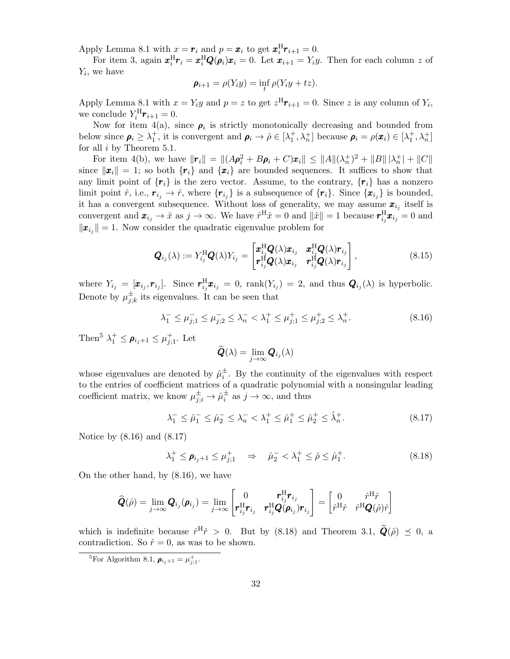Apply Lemma 8.1 with  $x = r_i$  and  $p = x_i$  to get  $\boldsymbol{x}_i^{\text{H}} \boldsymbol{r}_{i+1} = 0$ .

For item 3, again  $x_i^H r_i = x_i^H Q(\rho_i) x_i = 0$ . Let  $x_{i+1} = Y_i y$ . Then for each column z of  $Y_i$ , we have

$$
\boldsymbol{\rho}_{i+1} = \rho(Y_i y) = \inf_t \rho(Y_i y + t z).
$$

Apply Lemma 8.1 with  $x = Y_i y$  and  $p = z$  to get  $z^H r_{i+1} = 0$ . Since z is any column of  $Y_i$ , we conclude  $Y_i^{\text{H}} \mathbf{r}_{i+1} = 0$ .

Now for item 4(a), since  $\rho_i$  is strictly monotonically decreasing and bounded from below since  $\rho_i \geq \lambda_1^+$ , it is convergent and  $\rho_i \to \hat{\rho} \in [\lambda_1^+, \lambda_n^+]$  because  $\rho_i = \rho(\boldsymbol{x}_i) \in [\lambda_1^+, \lambda_n^+]$ for all  $i$  by Theorem 5.1.

For item 4(b), we have  $\|\mathbf{r}_i\| = ||(A\mathbf{\rho}_i^2 + B\mathbf{\rho}_i + C)\mathbf{x}_i|| \le ||A||(\lambda_n^+)^2 + ||B|| |\lambda_n^+| + ||C||$ since  $\|\mathbf{x}_i\| = 1$ ; so both  $\{r_i\}$  and  $\{\mathbf{x}_i\}$  are bounded sequences. It suffices to show that any limit point of  $\{r_i\}$  is the zero vector. Assume, to the contrary,  $\{r_i\}$  has a nonzero limit point  $\hat{r}$ , i.e.,  $r_{i_j} \to \hat{r}$ , where  $\{r_{i_j}\}$  is a subsequence of  $\{r_i\}$ . Since  $\{x_{i_j}\}$  is bounded, it has a convergent subsequence. Without loss of generality, we may assume  $x_{i_j}$  itself is convergent and  $\mathbf{x}_{i_j} \to \hat{x}$  as  $j \to \infty$ . We have  $\hat{r}^{\text{H}}\hat{x} = 0$  and  $\|\hat{x}\| = 1$  because  $\mathbf{r}_{i_j}^{\text{H}}\mathbf{x}_{i_j} = 0$  and  $\|\boldsymbol{x}_{i_j}\|=1$ . Now consider the quadratic eigenvalue problem for

$$
\mathbf{Q}_{i_j}(\lambda) := Y_{i_j}^{\mathrm{H}} \mathbf{Q}(\lambda) Y_{i_j} = \begin{bmatrix} \boldsymbol{x}_{i_j}^{\mathrm{H}} \mathbf{Q}(\lambda) \boldsymbol{x}_{i_j} & \boldsymbol{x}_{i_j}^{\mathrm{H}} \mathbf{Q}(\lambda) \boldsymbol{r}_{i_j} \\ \boldsymbol{r}_{i_j}^{\mathrm{H}} \mathbf{Q}(\lambda) \boldsymbol{x}_{i_j} & \boldsymbol{r}_{i_j}^{\mathrm{H}} \mathbf{Q}(\lambda) \boldsymbol{r}_{i_j} \end{bmatrix},
$$
\n(8.15)

where  $Y_{i_j} = [\mathbf{x}_{i_j}, \mathbf{r}_{i_j}]$ . Since  $\mathbf{r}_{i_j}^{\text{H}} \mathbf{x}_{i_j} = 0$ ,  $\text{rank}(Y_{i_j}) = 2$ , and thus  $\mathbf{Q}_{i_j}(\lambda)$  is hyperbolic. Denote by  $\mu_i^{\pm}$  $\sum_{j,k}^{\pm}$  its eigenvalues. It can be seen that

$$
\lambda_1^- \le \mu_{j;1}^- \le \mu_{j;2}^- \le \lambda_n^- < \lambda_1^+ \le \mu_{j;1}^+ \le \mu_{j;2}^+ \le \lambda_n^+.\tag{8.16}
$$

Then<sup>5</sup>  $\lambda_1^+ \leq \rho_{i_j+1} \leq \mu_{j;1}^+$ . Let

$$
\widehat{\bm{Q}}(\lambda) = \lim_{j \to \infty} \bm{Q}_{i_j}(\lambda)
$$

whose eigenvalues are denoted by  $\hat{\mu}_i^{\pm}$ . By the continuity of the eigenvalues with respect to the entries of coefficient matrices of a quadratic polynomial with a nonsingular leading coefficient matrix, we know  $\mu_{j;i}^{\pm} \to \hat{\mu}_i^{\pm}$  as  $j \to \infty$ , and thus

$$
\lambda_1^- \le \hat{\mu}_1^- \le \hat{\mu}_2^- \le \lambda_n^- < \lambda_1^+ \le \hat{\mu}_1^+ \le \hat{\mu}_2^+ \le \hat{\lambda}_n^+ \tag{8.17}
$$

Notice by (8.16) and (8.17)

$$
\lambda_1^+ \le \rho_{i_j+1} \le \mu_{j;1}^+ \quad \Rightarrow \quad \hat{\mu}_2^- < \lambda_1^+ \le \hat{\rho} \le \hat{\mu}_1^+ \,. \tag{8.18}
$$

On the other hand, by (8.16), we have

$$
\widehat{\bm{Q}}(\hat{\rho})=\lim_{j\rightarrow\infty}\bm{Q}_{i_j}(\bm{\rho}_{i_j})=\lim_{j\rightarrow\infty}\begin{bmatrix}0&\bm{r}_{i_j}^{\rm H}\bm{r}_{i_j}\\ \bm{r}_{i_j}^{\rm H}\bm{r}_{i_j}&\bm{r}_{i_j}^{\rm H} \bm{Q}(\bm{\rho}_{i_j})\bm{r}_{i_j}\end{bmatrix}=\begin{bmatrix}0&\hat{r}^{\rm H}\hat{r}\\ \hat{r}^{\rm H}\hat{r}&\hat{r}^{\rm H}\bm{Q}(\hat{\rho})\hat{r}\end{bmatrix}
$$

which is indefinite because  $\hat{r}^{\text{H}}\hat{r} > 0$ . But by (8.18) and Theorem 3.1,  $\hat{Q}(\hat{\rho}) \preceq 0$ , a contradiction. So  $\hat{r} = 0$ , as was to be shown.

<sup>&</sup>lt;sup>5</sup>For Algorithm 8.1,  $\rho_{i_j+1} = \mu_{j;1}^+$ .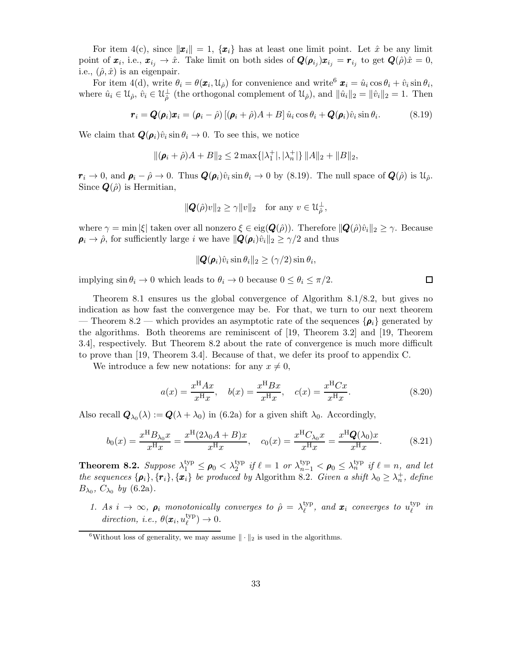For item 4(c), since  $\|\boldsymbol{x}_i\|=1$ ,  $\{\boldsymbol{x}_i\}$  has at least one limit point. Let  $\hat{x}$  be any limit point of  $\pmb{x}_i$ , i.e.,  $\pmb{x}_{i_j} \to \hat{x}$ . Take limit on both sides of  $\pmb{Q}(\pmb{\rho}_{i_j})\pmb{x}_{i_j} = \pmb{r}_{i_j}$  to get  $\pmb{Q}(\hat{\rho})\hat{x} = 0$ , i.e.,  $(\hat{\rho}, \hat{x})$  is an eigenpair.

For item 4(d), write  $\theta_i = \theta(\mathbf{x}_i, \mathcal{U}_\rho)$  for convenience and write  $\mathbf{x}_i = \hat{u}_i \cos \theta_i + \hat{v}_i \sin \theta_i$ , where  $\hat{u}_i \in \mathcal{U}_{\hat{\rho}}, \hat{v}_i \in \mathcal{U}_{\hat{\rho}}^{\perp}$  (the orthogonal complement of  $\mathcal{U}_{\hat{\rho}}$ ), and  $\|\hat{u}_i\|_2 = \|\hat{v}_i\|_2 = 1$ . Then

$$
\boldsymbol{r}_i = \boldsymbol{Q}(\boldsymbol{\rho}_i)\boldsymbol{x}_i = (\boldsymbol{\rho}_i - \hat{\rho})\left[ (\boldsymbol{\rho}_i + \hat{\rho})A + B \right] \hat{u}_i \cos \theta_i + \boldsymbol{Q}(\boldsymbol{\rho}_i)\hat{v}_i \sin \theta_i. \tag{8.19}
$$

We claim that  $\mathbf{Q}(\rho_i)\hat{v}_i\sin\theta_i\to 0$ . To see this, we notice

$$
\|(\pmb{\rho}_i+\hat{\rho})A+B\|_2\leq 2\max\{|\lambda_1^+|,|\lambda_n^+|\}\, \|A\|_2+\|B\|_2,
$$

 $r_i \to 0$ , and  $\rho_i - \hat{\rho} \to 0$ . Thus  $\mathbf{Q}(\rho_i)\hat{v}_i \sin \theta_i \to 0$  by (8.19). The null space of  $\mathbf{Q}(\hat{\rho})$  is  $\mathcal{U}_{\hat{\rho}}$ . Since  $\mathbf{Q}(\hat{\rho})$  is Hermitian,

$$
\|\mathbf{Q}(\hat{\rho})v\|_2 \ge \gamma \|v\|_2 \quad \text{for any } v \in \mathcal{U}_{\hat{\rho}}^{\perp},
$$

where  $\gamma = \min |\xi|$  taken over all nonzero  $\xi \in eig(\mathbf{Q}(\hat{\rho}))$ . Therefore  $\|\mathbf{Q}(\hat{\rho})\hat{v}_i\|_2 \geq \gamma$ . Because  $\rho_i \rightarrow \hat{\rho}$ , for sufficiently large i we have  $\|\mathbf{Q}(\rho_i)\hat{v}_i\|_2 \geq \gamma/2$  and thus

$$
\|\mathbf{Q}(\boldsymbol{\rho}_i)\hat{v}_i\sin\theta_i\|_2\geq(\gamma/2)\sin\theta_i,
$$

implying  $\sin \theta_i \to 0$  which leads to  $\theta_i \to 0$  because  $0 \le \theta_i \le \pi/2$ .

Theorem 8.1 ensures us the global convergence of Algorithm 8.1/8.2, but gives no indication as how fast the convergence may be. For that, we turn to our next theorem — Theorem 8.2 — which provides an asymptotic rate of the sequences  $\{\rho_i\}$  generated by the algorithms. Both theorems are reminiscent of [19, Theorem 3.2] and [19, Theorem 3.4], respectively. But Theorem 8.2 about the rate of convergence is much more difficult to prove than [19, Theorem 3.4]. Because of that, we defer its proof to appendix C.

We introduce a few new notations: for any  $x \neq 0$ ,

$$
a(x) = \frac{x^{H} A x}{x^{H} x}, \quad b(x) = \frac{x^{H} B x}{x^{H} x}, \quad c(x) = \frac{x^{H} C x}{x^{H} x}.
$$
 (8.20)

Also recall  $\mathbf{Q}_{\lambda_0}(\lambda) := \mathbf{Q}(\lambda + \lambda_0)$  in (6.2a) for a given shift  $\lambda_0$ . Accordingly,

$$
b_0(x) = \frac{x^{\rm H} B_{\lambda_0} x}{x^{\rm H} x} = \frac{x^{\rm H} (2\lambda_0 A + B)x}{x^{\rm H} x}, \quad c_0(x) = \frac{x^{\rm H} C_{\lambda_0} x}{x^{\rm H} x} = \frac{x^{\rm H} Q(\lambda_0) x}{x^{\rm H} x}.
$$
(8.21)

**Theorem 8.2.** Suppose  $\lambda_1^{\text{typ}} \leq \rho_0 < \lambda_2^{\text{typ}}$  if  $\ell = 1$  or  $\lambda_{n-1}^{\text{typ}} < \rho_0 \leq \lambda_n^{\text{typ}}$  if  $\ell = n$ , and let the sequences  $\{\rho_i\}$ ,  $\{r_i\}$ ,  $\{x_i\}$  be produced by Algorithm 8.2. Given a shift  $\lambda_0 \geq \lambda_n^+$ , define  $B_{\lambda_0}$ ,  $C_{\lambda_0}$  by (6.2a).

1. As  $i \to \infty$ ,  $\rho_i$  monotonically converges to  $\hat{\rho} = \lambda_{\ell}^{\text{typ}}$  $_{\ell}^{\text{typ}}, \text{ and } \bm{x}_{i} \text{ converges to } u_{\ell}^{\text{typ}}$  $\ell^{\mathrm{yp}}$  in direction, i.e.,  $\theta(\boldsymbol{x}_i, u^{\text{typ}}_{\ell})$  $_{\ell}^{\rm typ}$ )  $\rightarrow 0$ .

 $\Box$ 

<sup>&</sup>lt;sup>6</sup>Without loss of generality, we may assume  $\|\cdot\|_2$  is used in the algorithms.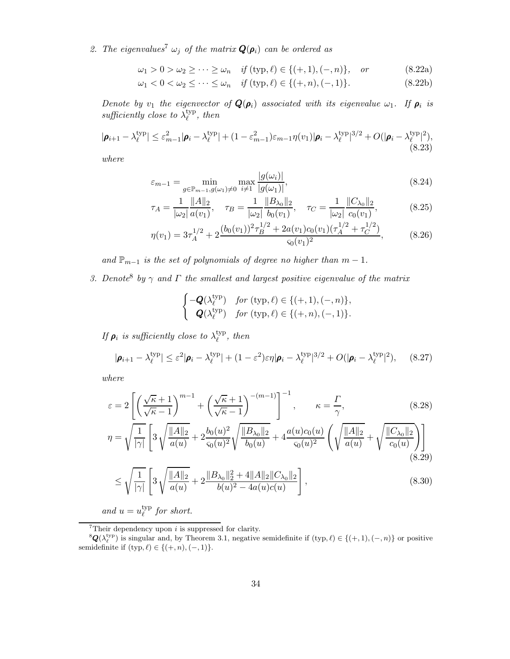2. The eigenvalues<sup>7</sup>  $\omega_j$  of the matrix  $\mathbf{Q}(\rho_i)$  can be ordered as

$$
\omega_1 > 0 > \omega_2 \ge \cdots \ge \omega_n
$$
 if  $(\text{typ}, \ell) \in \{(+, 1), (-, n)\}, \text{ or}$  (8.22a)

$$
\omega_1 < 0 < \omega_2 \le \dots \le \omega_n \quad \text{if } (\text{typ}, \ell) \in \{ (+, n), (-, 1) \}. \tag{8.22b}
$$

Denote by  $v_1$  the eigenvector of  $\bm{Q}(\bm{\rho}_i)$  associated with its eigenvalue  $\omega_1$ . If  $\bm{\rho}_i$  is sufficiently close to  $\lambda_{\ell}^{ \text{typ}}$  $_{\ell}^{\text{typ}}, \textit{then}$ 

$$
|\boldsymbol{\rho}_{i+1} - \lambda_{\ell}^{\text{typ}}| \leq \varepsilon_{m-1}^2 |\boldsymbol{\rho}_i - \lambda_{\ell}^{\text{typ}}| + (1 - \varepsilon_{m-1}^2) \varepsilon_{m-1} \eta(v_1) |\boldsymbol{\rho}_i - \lambda_{\ell}^{\text{typ}}|^{3/2} + O(|\boldsymbol{\rho}_i - \lambda_{\ell}^{\text{typ}}|^2),
$$
\n(8.23)

where

$$
\varepsilon_{m-1} = \min_{g \in \mathbb{P}_{m-1}, g(\omega_1) \neq 0} \max_{i \neq 1} \frac{|g(\omega_i)|}{|g(\omega_1)|},
$$
\n(8.24)

$$
\tau_A = \frac{1}{|\omega_2|} \frac{\|A\|_2}{a(v_1)}, \quad \tau_B = \frac{1}{|\omega_2|} \frac{\|B_{\lambda_0}\|_2}{b_0(v_1)}, \quad \tau_C = \frac{1}{|\omega_2|} \frac{\|C_{\lambda_0}\|_2}{c_0(v_1)},\tag{8.25}
$$

$$
\eta(v_1) = 3\tau_A^{1/2} + 2\frac{(b_0(v_1))^2 \tau_B^{1/2} + 2a(v_1)c_0(v_1)(\tau_A^{1/2} + \tau_C^{1/2})}{\varsigma_0(v_1)^2},
$$
\n(8.26)

and  $\mathbb{P}_{m-1}$  is the set of polynomials of degree no higher than  $m-1$ .

3. Denote<sup>8</sup> by  $\gamma$  and  $\Gamma$  the smallest and largest positive eigenvalue of the matrix

$$
\begin{cases}\n-Q(\lambda_{\ell}^{\text{typ}}) & \text{for } (\text{typ}, \ell) \in \{(+,1), (-, n)\}, \\
Q(\lambda_{\ell}^{\text{typ}}) & \text{for } (\text{typ}, \ell) \in \{(+, n), (-, 1)\}.\n\end{cases}
$$

If  $\rho_i$  is sufficiently close to  $\lambda_{\ell}^{typ}$  $_{\ell}^{\text{typ}}, \textit{then}$ 

$$
|\boldsymbol{\rho}_{i+1} - \lambda_{\ell}^{\text{typ}}| \leq \varepsilon^2 |\boldsymbol{\rho}_i - \lambda_{\ell}^{\text{typ}}| + (1 - \varepsilon^2) \varepsilon \eta |\boldsymbol{\rho}_i - \lambda_{\ell}^{\text{typ}}|^{3/2} + O(|\boldsymbol{\rho}_i - \lambda_{\ell}^{\text{typ}}|^2), \quad (8.27)
$$

where

$$
\varepsilon = 2 \left[ \left( \frac{\sqrt{\kappa} + 1}{\sqrt{\kappa} - 1} \right)^{m-1} + \left( \frac{\sqrt{\kappa} + 1}{\sqrt{\kappa} - 1} \right)^{-(m-1)} \right]^{-1}, \qquad \kappa = \frac{\Gamma}{\gamma}, \tag{8.28}
$$
\n
$$
\eta = \sqrt{\frac{1}{|\gamma|}} \left[ 3 \sqrt{\frac{\|A\|_2}{a(u)}} + 2 \frac{b_0(u)^2}{\varsigma_0(u)^2} \sqrt{\frac{\|B_{\lambda_0}\|_2}{b_0(u)}} + 4 \frac{a(u)c_0(u)}{\varsigma_0(u)^2} \left( \sqrt{\frac{\|A\|_2}{a(u)}} + \sqrt{\frac{\|C_{\lambda_0}\|_2}{c_0(u)}} \right) \right]
$$
\n
$$
\leq \sqrt{\frac{1}{|\gamma|}} \left[ 3 \sqrt{\frac{\|A\|_2}{a(u)}} + 2 \frac{\|B_{\lambda_0}\|_2^2 + 4\|A\|_2 \|C_{\lambda_0}\|_2}{b(u)^2 - 4a(u)c(u)} \right], \tag{8.30}
$$

$$
\leq \sqrt{\frac{1}{|\gamma|}} \left[ 3\sqrt{\frac{\|A\|_2}{a(u)}} + 2\frac{\|B_{\lambda_0}\|_2^2 + 4\|A\|_2 \|C_{\lambda_0}\|_2}{b(u)^2 - 4a(u)c(u)} \right],
$$
\n(8.30)

and  $u = u_{\ell}^{\text{typ}}$  $\ell$ <sup>typ</sup> for short.

 $7$ Their dependency upon *i* is suppressed for clarity.

 ${}^8\mathbf{Q}(\lambda_{\ell}^{typ})$  is singular and, by Theorem 3.1, negative semidefinite if  $(typ, \ell) \in \{(+, 1), (-, n)\}$  or positive semidefinite if  $(typ, \ell) \in \{(+, n), (-, 1)\}.$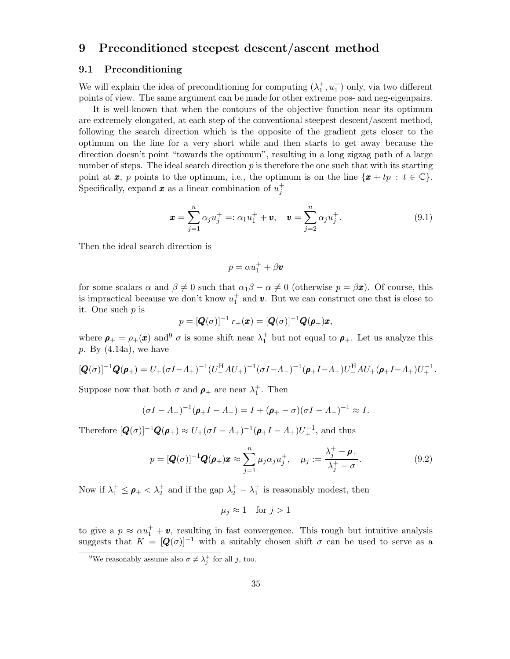# 9 Preconditioned steepest descent/ascent method

#### 9.1 Preconditioning

We will explain the idea of preconditioning for computing  $(\lambda_1^+, u_1^+)$  only, via two different points of view. The same argument can be made for other extreme pos- and neg-eigenpairs.

It is well-known that when the contours of the objective function near its optimum are extremely elongated, at each step of the conventional steepest descent/ascent method, following the search direction which is the opposite of the gradient gets closer to the optimum on the line for a very short while and then starts to get away because the direction doesn't point "towards the optimum", resulting in a long zigzag path of a large number of steps. The ideal search direction  $p$  is therefore the one such that with its starting point at  $x, p$  points to the optimum, i.e., the optimum is on the line  $\{x + tp : t \in \mathbb{C}\}.$ Specifically, expand  $\boldsymbol{x}$  as a linear combination of  $u_j^+$ 

$$
\mathbf{x} = \sum_{j=1}^{n} \alpha_j u_j^+ =: \alpha_1 u_1^+ + \mathbf{v}, \quad \mathbf{v} = \sum_{j=2}^{n} \alpha_j u_j^+.
$$
 (9.1)

Then the ideal search direction is

$$
p=\alpha u_1^++\beta\pmb{v}
$$

for some scalars  $\alpha$  and  $\beta \neq 0$  such that  $\alpha_1 \beta - \alpha \neq 0$  (otherwise  $p = \beta x$ ). Of course, this is impractical because we don't know  $u_1^+$  and  $v$ . But we can construct one that is close to it. One such p is

$$
p = [Q(\sigma)]^{-1} r_+(\pmb{x}) = [Q(\sigma)]^{-1} Q(\pmb{\rho}_+)\pmb{x},
$$

where  $\rho_+ = \rho_+(\pmb{x})$  and  $\theta$   $\sigma$  is some shift near  $\lambda_1^+$  but not equal to  $\rho_+$ . Let us analyze this  $p. By (4.14a), we have$ 

$$
[\mathbf{Q}(\sigma)]^{-1}\mathbf{Q}(\mathbf{\rho}_{+})=U_{+}(\sigma I - A_{+})^{-1}(U_{-}^{H}AU_{+})^{-1}(\sigma I - A_{-})^{-1}(\mathbf{\rho}_{+}I - A_{-})U_{-}^{H}AU_{+}(\mathbf{\rho}_{+}I - A_{+})U_{+}^{-1}.
$$

Suppose now that both  $\sigma$  and  $\rho_+$  are near  $\lambda_1^+$ . Then

$$
(\sigma I - A_{-})^{-1}(\pmb{\rho}_{+}I - A_{-}) = I + (\pmb{\rho}_{+} - \sigma)(\sigma I - A_{-})^{-1} \approx I.
$$

Therefore  $[Q(\sigma)]^{-1}Q(\rho_+) \approx U_+(\sigma I - A_+)^{-1}(\rho_+ I - A_+)U_+^{-1}$ , and thus

$$
p = [\mathbf{Q}(\sigma)]^{-1} \mathbf{Q}(\mathbf{\rho}_+) \mathbf{x} \approx \sum_{j=1}^n \mu_j \alpha_j u_j^+, \quad \mu_j := \frac{\lambda_j^+ - \mathbf{\rho}_+}{\lambda_j^+ - \sigma}.
$$
\n(9.2)

Now if  $\lambda_1^+ \leq \rho_+ < \lambda_2^+$  and if the gap  $\lambda_2^+ - \lambda_1^+$  is reasonably modest, then

$$
\mu_j \approx 1 \quad \text{for } j > 1
$$

to give a  $p \approx \alpha u_1^+ + v$ , resulting in fast convergence. This rough but intuitive analysis suggests that  $K = [Q(\sigma)]^{-1}$  with a suitably chosen shift  $\sigma$  can be used to serve as a

<sup>&</sup>lt;sup>9</sup>We reasonably assume also  $\sigma \neq \lambda_j^+$  for all j, too.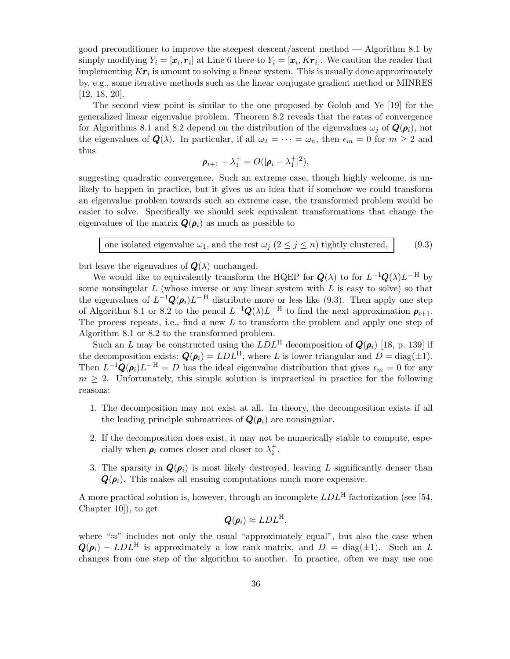good preconditioner to improve the steepest descent/ascent method — Algorithm 8.1 by simply modifying  $Y_i = [\pmb{x}_i, \pmb{r}_i]$  at Line 6 there to  $Y_i = [\pmb{x}_i, K\pmb{r}_i]$ . We caution the reader that implementing  $K\bm r_i$  is amount to solving a linear system. This is usually done approximately by, e.g., some iterative methods such as the linear conjugate gradient method or MINRES [12, 18, 20].

The second view point is similar to the one proposed by Golub and Ye [19] for the generalized linear eigenvalue problem. Theorem 8.2 reveals that the rates of convergence for Algorithms 8.1 and 8.2 depend on the distribution of the eigenvalues  $\omega_i$  of  $\mathbf{Q}(\rho_i)$ , not the eigenvalues of  $\mathbf{Q}(\lambda)$ . In particular, if all  $\omega_2 = \cdots = \omega_n$ , then  $\epsilon_m = 0$  for  $m \geq 2$  and thus

$$
\boldsymbol{\rho}_{i+1} - \lambda_1^+ = O(|\boldsymbol{\rho}_i - \lambda_1^+|^2),
$$

suggesting quadratic convergence. Such an extreme case, though highly welcome, is unlikely to happen in practice, but it gives us an idea that if somehow we could transform an eigenvalue problem towards such an extreme case, the transformed problem would be easier to solve. Specifically we should seek equivalent transformations that change the eigenvalues of the matrix  $\mathbf{Q}(\rho_i)$  as much as possible to

one isolated eigenvalue 
$$
\omega_1
$$
, and the rest  $\omega_j$   $(2 \le j \le n)$  tightly clustered, (9.3)

but leave the eigenvalues of  $\mathbf{Q}(\lambda)$  unchanged.

We would like to equivalently transform the HQEP for  $Q(\lambda)$  to for  $L^{-1}Q(\lambda)L^{-H}$  by some nonsingular  $L$  (whose inverse or any linear system with  $L$  is easy to solve) so that the eigenvalues of  $L^{-1}\mathbf{Q}(\rho_i)L^{-H}$  distribute more or less like (9.3). Then apply one step of Algorithm 8.1 or 8.2 to the pencil  $L^{-1}\mathbf{Q}(\lambda)L^{-H}$  to find the next approximation  $\rho_{i+1}$ . The process repeats, i.e., find a new  $L$  to transform the problem and apply one step of Algorithm 8.1 or 8.2 to the transformed problem.

Such an L may be constructed using the  $LDL<sup>H</sup>$  decomposition of  $\mathbf{Q}(\rho_i)$  [18, p. 139] if the decomposition exists:  $\mathbf{Q}(\boldsymbol{\rho}_i) = LDL^{\text{H}}$ , where L is lower triangular and  $D = \text{diag}(\pm 1)$ . Then  $L^{-1}\mathbf{Q}(\rho_i)L^{-H} = D$  has the ideal eigenvalue distribution that gives  $\epsilon_m = 0$  for any  $m \geq 2$ . Unfortunately, this simple solution is impractical in practice for the following reasons:

- 1. The decomposition may not exist at all. In theory, the decomposition exists if all the leading principle submatrices of  $\mathbf{Q}(\rho_i)$  are nonsingular.
- 2. If the decomposition does exist, it may not be numerically stable to compute, especially when  $\rho_i$  comes closer and closer to  $\lambda_1^+$ .
- 3. The sparsity in  $\mathbf{Q}(\rho_i)$  is most likely destroyed, leaving L significantly denser than  $\mathbf{Q}(\boldsymbol{\rho}_i)$ . This makes all ensuing computations much more expensive.

A more practical solution is, however, through an incomplete  $LDL<sup>H</sup>$  factorization (see [54, Chapter 10]), to get

$$
\boldsymbol{Q}(\boldsymbol{\rho}_i) \approx LDL^{\mathrm{H}},
$$

where " $\approx$ " includes not only the usual "approximately equal", but also the case when  $\mathbf{Q}(\boldsymbol{\rho}_i) - LDL^{\text{H}}$  is approximately a low rank matrix, and  $D = \text{diag}(\pm 1)$ . Such an L changes from one step of the algorithm to another. In practice, often we may use one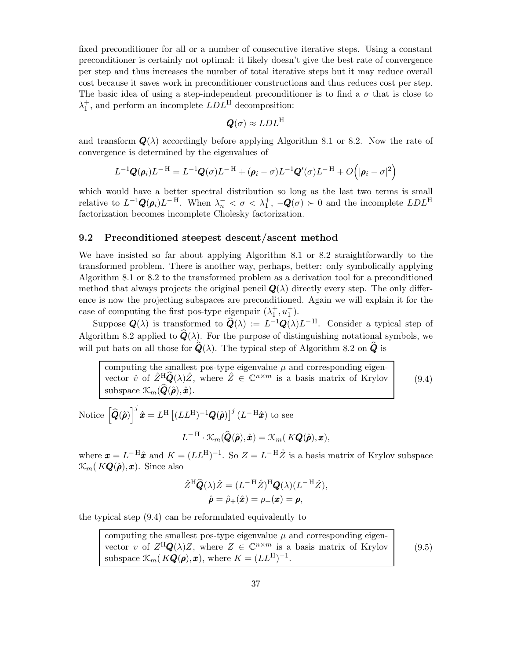fixed preconditioner for all or a number of consecutive iterative steps. Using a constant preconditioner is certainly not optimal: it likely doesn't give the best rate of convergence per step and thus increases the number of total iterative steps but it may reduce overall cost because it saves work in preconditioner constructions and thus reduces cost per step. The basic idea of using a step-independent preconditioner is to find a  $\sigma$  that is close to  $\lambda_1^+$ , and perform an incomplete  $LDL^H$  decomposition:

$$
\boldsymbol{Q}(\sigma) \approx LDL^{\rm H}
$$

and transform  $\mathbf{Q}(\lambda)$  accordingly before applying Algorithm 8.1 or 8.2. Now the rate of convergence is determined by the eigenvalues of

$$
L^{-1}\boldsymbol{Q}(\boldsymbol{\rho}_i)L^{-H}=L^{-1}\boldsymbol{Q}(\sigma)L^{-H}+(\boldsymbol{\rho}_i-\sigma)L^{-1}\boldsymbol{Q}'(\sigma)L^{-H}+O\Big(|\boldsymbol{\rho}_i-\sigma|^2\Big)
$$

which would have a better spectral distribution so long as the last two terms is small relative to  $L^{-1}\mathbf{Q}(\rho_i)L^{-H}$ . When  $\lambda_n^- < \sigma < \lambda_1^+$ ,  $-\mathbf{Q}(\sigma) > 0$  and the incomplete  $LDL^H$ factorization becomes incomplete Cholesky factorization.

## 9.2 Preconditioned steepest descent/ascent method

We have insisted so far about applying Algorithm 8.1 or 8.2 straightforwardly to the transformed problem. There is another way, perhaps, better: only symbolically applying Algorithm 8.1 or 8.2 to the transformed problem as a derivation tool for a preconditioned method that always projects the original pencil  $\mathbf{Q}(\lambda)$  directly every step. The only difference is now the projecting subspaces are preconditioned. Again we will explain it for the case of computing the first pos-type eigenpair  $(\lambda_1^+, u_1^+)$ .

Suppose  $Q(\lambda)$  is transformed to  $\widehat{Q}(\lambda) := L^{-1}Q(\lambda)L^{-H}$ . Consider a typical step of Algorithm 8.2 applied to  $\hat{Q}(\lambda)$ . For the purpose of distinguishing notational symbols, we will put hats on all those for  $\hat{Q}(\lambda)$ . The typical step of Algorithm 8.2 on  $\hat{Q}$  is

computing the smallest pos-type eigenvalue  $\mu$  and corresponding eigenvector  $\hat{v}$  of  $\hat{Z}^{\text{H}}_{\sim} \hat{Q}(\lambda) \hat{Z}$ , where  $\hat{Z} \in \mathbb{C}^{n \times m}$  is a basis matrix of Krylov subspace  $\mathcal{K}_m(\widehat{\boldsymbol{Q}}(\hat{\boldsymbol{\rho}}),\hat{\boldsymbol{x}})$ .

(9.4)

Notice 
$$
\left[\widehat{\mathbf{Q}}(\widehat{\boldsymbol{\rho}})\right]^j \widehat{\boldsymbol{x}} = L^{\mathrm{H}} \left[ (LL^{\mathrm{H}})^{-1} \mathbf{Q}(\widehat{\boldsymbol{\rho}}) \right]^j (L^{-\mathrm{H}} \widehat{\boldsymbol{x}}) \text{ to see}
$$

$$
L^{-\mathrm{H}} \cdot \mathcal{K}_m(\widehat{\mathbf{Q}}(\widehat{\boldsymbol{\rho}}), \widehat{\boldsymbol{x}}) = \mathcal{K}_m(K\mathbf{Q}(\widehat{\boldsymbol{\rho}}), \boldsymbol{x}),
$$

where  $\boldsymbol{x} = L^{-H} \hat{\boldsymbol{x}}$  and  $K = (LL^{H})^{-1}$ . So  $Z = L^{-H} \hat{Z}$  is a basis matrix of Krylov subspace  $\mathcal{K}_m(K\mathbf{Q}(\hat{\boldsymbol{\rho}}),\boldsymbol{x})$ . Since also

$$
\hat{Z}^{\mathrm{H}}\hat{\mathbf{Q}}(\lambda)\hat{Z} = (L^{-\mathrm{H}}\hat{Z})^{\mathrm{H}}\mathbf{Q}(\lambda)(L^{-\mathrm{H}}\hat{Z}),\n\hat{\rho} = \hat{\rho}_{+}(\hat{\mathbf{x}}) = \rho_{+}(\mathbf{x}) = \mathbf{\rho},
$$

the typical step (9.4) can be reformulated equivalently to

computing the smallest pos-type eigenvalue  $\mu$  and corresponding eigenvector v of  $Z^H \mathbf{Q}(\lambda) Z$ , where  $Z \in \mathbb{C}^{n \times m}$  is a basis matrix of Krylov subspace  $\mathcal{K}_m(K\mathbf{Q}(\boldsymbol{\rho}), \boldsymbol{x}),$  where  $K = (LL^{\mathrm{H}})^{-1}$ .

(9.5)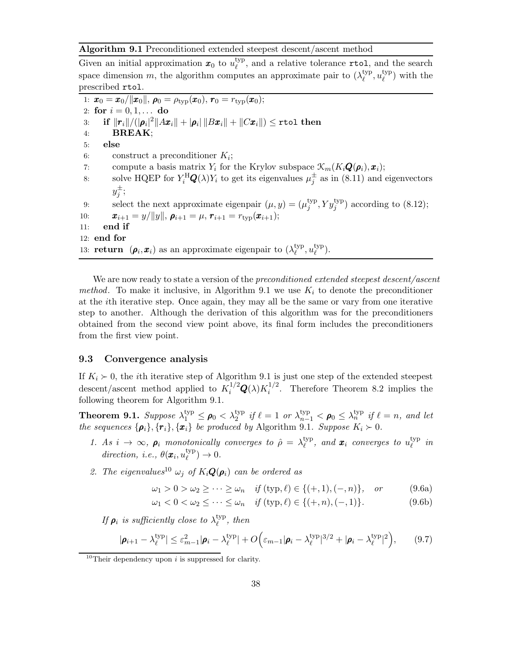#### Algorithm 9.1 Preconditioned extended steepest descent/ascent method

Given an initial approximation  $x_0$  to  $u_{\ell}^{\text{typ}}$  $\ell_{\ell}^{\text{typ}}$ , and a relative tolerance **rtol**, and the search space dimension m, the algorithm computes an approximate pair to  $(\lambda_{\ell}^{\text{typ}})$  $_{\ell}^{\text{typ}}, u_{\ell}^{\text{typ}}$  $l_{\ell}^{\text{typ}}$  with the prescribed rtol.

1:  $\bm{x}_0 = \bm{x}_0/||\bm{x}_0||, \bm{\rho}_0 = \rho_{\text{typ}}(\bm{x}_0), \bm{r}_0 = r_{\text{typ}}(\bm{x}_0);$ 2: for  $i = 0, 1, ...$  do 3: if  $||\boldsymbol{r}_i||/(|\boldsymbol{\rho}_i|^2||A\boldsymbol{x}_i|| + |\boldsymbol{\rho}_i|\,||B\boldsymbol{x}_i|| + ||C\boldsymbol{x}_i||) \leq \texttt{rtol}$  then 4: BREAK; 5: else 6: construct a preconditioner  $K_i$ ; 7: compute a basis matrix  $Y_i$  for the Krylov subspace  $\mathcal{K}_m(K_i\mathbf{Q}(\boldsymbol{\rho}_i),\boldsymbol{x}_i);$ 8: solve HQEP for  $Y_i^{\text{H}}\mathbf{Q}(\lambda)Y_i$  to get its eigenvalues  $\mu_j^{\pm}$  as in (8.11) and eigenvectors  $y_j^{\pm}$ ; 9: select the next approximate eigenpair  $(\mu, y) = (\mu_j^{\text{typ}})$  $j^{\text{typ}}, Y y_j^{\text{typ}}$  according to (8.12); 10:  $\bm{x}_{i+1} = y/||y||, \, \bm{\rho}_{i+1} = \mu, \, \bm{r}_{i+1} = r_{\text{typ}}(\bm{x}_{i+1});$ <br>11: **end if** end if 12: end for 13: **return**  $(\rho_i, x_i)$  as an approximate eigenpair to  $(\lambda_{\ell}^{\text{typ}})$  $_{\ell}^{\rm typ},u_{\ell}^{\rm typ}$  $_{\ell}^{\rm typ}$ ).

We are now ready to state a version of the *preconditioned extended steepest descent/ascent* method. To make it inclusive, in Algorithm 9.1 we use  $K_i$  to denote the preconditioner at the ith iterative step. Once again, they may all be the same or vary from one iterative step to another. Although the derivation of this algorithm was for the preconditioners obtained from the second view point above, its final form includes the preconditioners from the first view point.

### 9.3 Convergence analysis

If  $K_i \succ 0$ , the *i*th iterative step of Algorithm 9.1 is just one step of the extended steepest descent/ascent method applied to  $K_i^{1/2} \mathbf{Q}(\lambda) K_i^{1/2}$  $i^{1/2}$ . Therefore Theorem 8.2 implies the following theorem for Algorithm 9.1.

**Theorem 9.1.** Suppose  $\lambda_1^{\text{typ}} \leq \rho_0 < \lambda_2^{\text{typ}}$  if  $\ell = 1$  or  $\lambda_{n-1}^{\text{typ}} < \rho_0 \leq \lambda_n^{\text{typ}}$  if  $\ell = n$ , and let the sequences  $\{\boldsymbol{\rho}_i\}, \{\boldsymbol{r}_i\}, \{\boldsymbol{x}_i\}$  be produced by Algorithm 9.1. Suppose  $K_i \succ 0$ .

- 1. As  $i \to \infty$ ,  $\rho_i$  monotonically converges to  $\hat{\rho} = \lambda_{\ell}^{\text{typ}}$  $_{\ell}^{\text{typ}}, \text{ and } \bm{x}_{i} \text{ converges to } u_{\ell}^{\text{typ}}$  $_{\ell}^{\rm typ}$  in direction, i.e.,  $\theta(\boldsymbol{x}_i, u^{\text{typ}}_{\ell})$  $_{\ell}^{\text{typ}}$   $\rightarrow$  0.
- 2. The eigenvalues<sup>10</sup>  $\omega_i$  of  $K_i \mathbf{Q}(\boldsymbol{\rho}_i)$  can be ordered as

$$
\omega_1 > 0 > \omega_2 \ge \cdots \ge \omega_n
$$
 if (typ,  $\ell$ )  $\in \{(+,1), (-,n)\},$  or (9.6a)

 $\omega_1 < 0 < \omega_2 \leq \cdots \leq \omega_n$  if  $(\text{typ}, \ell) \in \{(+, n), (-, 1)\}.$  (9.6b)

If  $\rho_i$  is sufficiently close to  $\lambda^{\text{typ}}_{\ell}$  $_{\ell}^{\text{typ}}, \textit{then}$ 

$$
|\boldsymbol{\rho}_{i+1} - \lambda_{\ell}^{\text{typ}}| \le \varepsilon_{m-1}^2 |\boldsymbol{\rho}_i - \lambda_{\ell}^{\text{typ}}| + O\Big(\varepsilon_{m-1} |\boldsymbol{\rho}_i - \lambda_{\ell}^{\text{typ}}|^{3/2} + |\boldsymbol{\rho}_i - \lambda_{\ell}^{\text{typ}}|^2\Big),\qquad(9.7)
$$

<sup>&</sup>lt;sup>10</sup>Their dependency upon  $i$  is suppressed for clarity.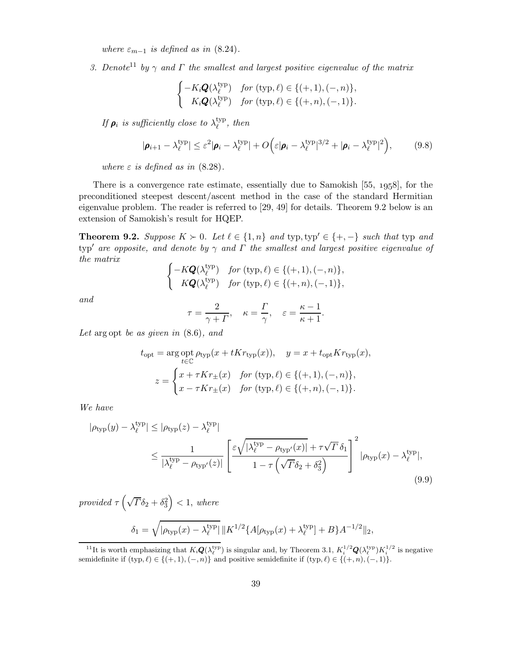where  $\varepsilon_{m-1}$  is defined as in (8.24).

3. Denote<sup>11</sup> by  $\gamma$  and  $\Gamma$  the smallest and largest positive eigenvalue of the matrix

$$
\begin{cases}\n-K_i \mathbf{Q}(\lambda_{\ell}^{\text{typ}}) & \text{for } (\text{typ}, \ell) \in \{(+,1), (-, n)\}, \\
K_i \mathbf{Q}(\lambda_{\ell}^{\text{typ}}) & \text{for } (\text{typ}, \ell) \in \{(+, n), (-, 1)\}.\n\end{cases}
$$

If  $\rho_i$  is sufficiently close to  $\lambda^{\text{typ}}_\ell$  $_{\ell}^{\text{typ}}, \textit{then}$ 

$$
|\boldsymbol{\rho}_{i+1} - \lambda_{\ell}^{\text{typ}}| \leq \varepsilon^2 |\boldsymbol{\rho}_i - \lambda_{\ell}^{\text{typ}}| + O\Big(\varepsilon |\boldsymbol{\rho}_i - \lambda_{\ell}^{\text{typ}}|^{3/2} + |\boldsymbol{\rho}_i - \lambda_{\ell}^{\text{typ}}|^2\Big),\tag{9.8}
$$

where  $\varepsilon$  is defined as in (8.28).

There is a convergence rate estimate, essentially due to Samokish  $[55, 1958]$ , for the preconditioned steepest descent/ascent method in the case of the standard Hermitian eigenvalue problem. The reader is referred to [29, 49] for details. Theorem 9.2 below is an extension of Samokish's result for HQEP.

**Theorem 9.2.** Suppose  $K \succ 0$ . Let  $\ell \in \{1, n\}$  and typ, typ'  $\in \{+, -\}$  such that typ and typ' are opposite, and denote by  $\gamma$  and  $\Gamma$  the smallest and largest positive eigenvalue of the matrix

$$
\begin{cases}-K\boldsymbol{Q}(\lambda_{\ell}^{\mathrm{typ}}) \quad \textit{for}~(\mathrm{typ},\ell) \in \{(+,1),(-,n)\},\\ K\boldsymbol{Q}(\lambda_{\ell}^{\mathrm{typ}}) \quad \textit{for}~(\mathrm{typ},\ell) \in \{(+,n),(-,1)\}, \end{cases}
$$

and

$$
\tau = \frac{2}{\gamma + \Gamma}, \quad \kappa = \frac{\Gamma}{\gamma}, \quad \varepsilon = \frac{\kappa - 1}{\kappa + 1}.
$$

Let arg opt be as given in  $(8.6)$ , and

$$
t_{\rm opt} = \arg \inf_{t \in \mathbb{C}} \rho_{\rm typ}(x + tKr_{\rm typ}(x)), \quad y = x + t_{\rm opt}Kr_{\rm typ}(x),
$$

$$
z = \begin{cases} x + \tau Kr_{\pm}(x) & \text{for (typ, }\ell) \in \{(+,1), (-,n)\}, \\ x - \tau Kr_{\pm}(x) & \text{for (typ, }\ell) \in \{(+,n), (-,1)\}. \end{cases}
$$

We have

$$
|\rho_{\text{typ}}(y) - \lambda_{\ell}^{\text{typ}}| \le |\rho_{\text{typ}}(z) - \lambda_{\ell}^{\text{typ}}|
$$
  

$$
\le \frac{1}{|\lambda_{\ell}^{\text{typ}} - \rho_{\text{typ}}(z)|} \left[ \frac{\varepsilon \sqrt{|\lambda_{\ell}^{\text{typ}} - \rho_{\text{typ}}(x)|} + \tau \sqrt{T} \delta_1}{1 - \tau \left(\sqrt{T} \delta_2 + \delta_3^2\right)} \right]^2 |\rho_{\text{typ}}(x) - \lambda_{\ell}^{\text{typ}}|,
$$
\n(9.9)

provided  $\tau \left( \sqrt{\Gamma} \delta_2 + \delta_3^2 \right)$  $\Big) < 1, where$ 

$$
\delta_1 = \sqrt{|\rho_{\text{typ}}(x) - \lambda_{\ell}^{\text{typ}}|} \|K^{1/2} \{A[\rho_{\text{typ}}(x) + \lambda_{\ell}^{\text{typ}}] + B\} A^{-1/2} \|_2,
$$

<sup>&</sup>lt;sup>11</sup>It is worth emphasizing that  $K_i \mathbf{Q}(\lambda_{\ell}^{\text{typ}})$  is singular and, by Theorem 3.1,  $K_i^{1/2} \mathbf{Q}(\lambda_{\ell}^{\text{typ}}) K_i^{1/2}$  is negative semidefinite if  $(\text{typ}, \ell) \in \{(+, 1), (-, n)\}$  and positive semidefinite if  $(\text{typ}, \ell) \in \{(+, n), (-, 1)\}.$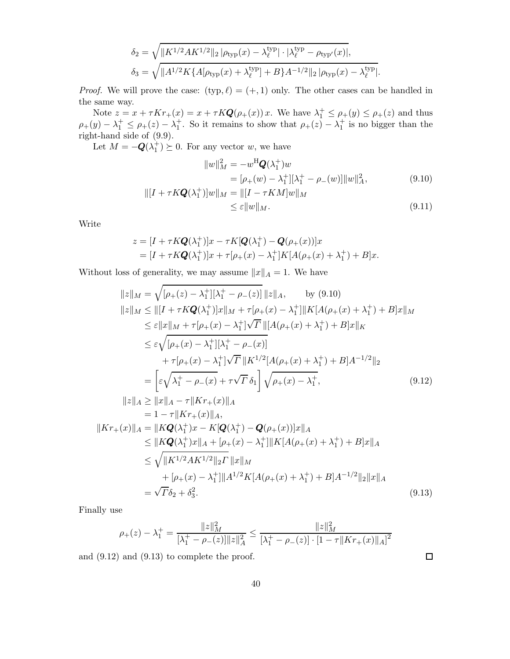$$
\delta_2 = \sqrt{\|K^{1/2}AK^{1/2}\|_2 \, |\rho_{\text{typ}}(x) - \lambda_{\ell}^{\text{typ}}| \cdot |\lambda_{\ell}^{\text{typ}} - \rho_{\text{typ}'}(x)|},
$$
\n
$$
\delta_3 = \sqrt{\|A^{1/2}K\{A[\rho_{\text{typ}}(x) + \lambda_{\ell}^{\text{typ}}] + B\}A^{-1/2}\|_2 \, |\rho_{\text{typ}}(x) - \lambda_{\ell}^{\text{typ}}|}.
$$

*Proof.* We will prove the case:  $(typ, \ell) = (+, 1)$  only. The other cases can be handled in the same way.

Note  $z = x + \tau K r_+(x) = x + \tau K Q(\rho_+(x)) x$ . We have  $\lambda_1^+ \le \rho_+(y) \le \rho_+(z)$  and thus  $\rho_+(y) - \lambda_1^+ \leq \rho_+(z) - \lambda_1^+$ . So it remains to show that  $\rho_+(z) - \lambda_1^+$  is no bigger than the right-hand side of (9.9).

Let  $M = -\mathbf{Q}(\lambda_1^+) \succeq 0$ . For any vector w, we have

$$
||w||_M^2 = -w^{\rm H} \mathbf{Q}(\lambda_1^+) w
$$
  
=  $[\rho_+(w) - \lambda_1^+] [\lambda_1^+ - \rho_-(w)] ||w||_A^2$ , (9.10)  

$$
||[I + \tau K \mathbf{Q}(\lambda_1^+)] w||_M = ||[I - \tau K M]w||_M
$$

$$
\leq \varepsilon \|w\|_{M}.\tag{9.11}
$$

 $\Box$ 

Write

$$
z = [I + \tau K \mathbf{Q}(\lambda_1^+)]x - \tau K[\mathbf{Q}(\lambda_1^+) - \mathbf{Q}(\rho_+(x))]x
$$
  
=  $[I + \tau K \mathbf{Q}(\lambda_1^+)]x + \tau[\rho_+(x) - \lambda_1^+]K[A(\rho_+(x) + \lambda_1^+) + B]x.$ 

Without loss of generality, we may assume  $||x||_A = 1$ . We have

$$
||z||_M = \sqrt{[\rho_+(z) - \lambda_1^+][\lambda_1^+ - \rho_-(z)]} ||z||_A, \quad \text{by (9.10)}
$$
  
\n
$$
||z||_M \le ||[I + \tau K \mathbf{Q}(\lambda_1^+)]x||_M + \tau[\rho_+(x) - \lambda_1^+] ||K[A(\rho_+(x) + \lambda_1^+) + B]x||_M
$$
  
\n
$$
\le \varepsilon ||x||_M + \tau[\rho_+(x) - \lambda_1^+] \sqrt{\Gamma} ||[A(\rho_+(x) + \lambda_1^+) + B]x||_K
$$
  
\n
$$
\le \varepsilon \sqrt{[\rho_+(x) - \lambda_1^+][\lambda_1^+ - \rho_-(x)]}
$$
  
\n
$$
+ \tau[\rho_+(x) - \lambda_1^+] \sqrt{\Gamma} ||K^{1/2}[A(\rho_+(x) + \lambda_1^+) + B]A^{-1/2}||_2
$$
  
\n
$$
= \left[\varepsilon \sqrt{\lambda_1^+ - \rho_-(x)} + \tau \sqrt{\Gamma} \delta_1\right] \sqrt{\rho_+(x) - \lambda_1^+}, \quad (9.12)
$$
  
\n
$$
||z||_A \ge ||x||_A - \tau ||Kr_+(x)||_A
$$

$$
= 1 - \tau \|Kr_{+}(x)\|_{A},
$$
  
\n
$$
||Kr_{+}(x)||_{A} = ||K\mathbf{Q}(\lambda_{1}^{+})x - K[\mathbf{Q}(\lambda_{1}^{+}) - \mathbf{Q}(\rho_{+}(x))]x||_{A}
$$
  
\n
$$
\leq ||K\mathbf{Q}(\lambda_{1}^{+})x||_{A} + [\rho_{+}(x) - \lambda_{1}^{+}]||K[A(\rho_{+}(x) + \lambda_{1}^{+}) + B]x||_{A}
$$
  
\n
$$
\leq \sqrt{||K^{1/2}AK^{1/2}||_{2}\Gamma}||x||_{M}
$$
  
\n
$$
+ [\rho_{+}(x) - \lambda_{1}^{+}]||A^{1/2}K[A(\rho_{+}(x) + \lambda_{1}^{+}) + B]A^{-1/2}||_{2}||x||_{A}
$$
  
\n
$$
= \sqrt{\Gamma}\delta_{2} + \delta_{3}^{2}.
$$
\n(9.13)

Finally use

$$
\rho_{+}(z) - \lambda_1^{+} = \frac{\|z\|_M^2}{[\lambda_1^{+} - \rho_{-}(z)]\|z\|_A^2} \le \frac{\|z\|_M^2}{[\lambda_1^{+} - \rho_{-}(z)] \cdot [1 - \tau \|Kr_{+}(x)\|_A]^2}
$$

and (9.12) and (9.13) to complete the proof.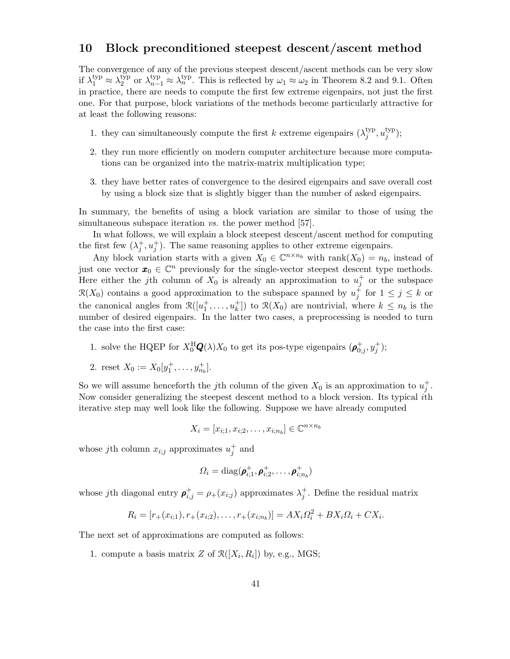## 10 Block preconditioned steepest descent/ascent method

The convergence of any of the previous steepest descent/ascent methods can be very slow if  $\lambda_1^{\text{typ}} \approx \lambda_2^{\text{typ}}$ <sup>typ</sup> or  $\lambda_{n-1}^{\text{typ}} \approx \lambda_n^{\text{typ}}$ . This is reflected by  $\omega_1 \approx \omega_2$  in Theorem 8.2 and 9.1. Often in practice, there are needs to compute the first few extreme eigenpairs, not just the first one. For that purpose, block variations of the methods become particularly attractive for at least the following reasons:

- 1. they can simultaneously compute the first k extreme eigenpairs  $(\lambda_i^{\text{typ}})$  $_j^{\text{typ}}, u_j^{\text{typ}}$  $j^{\rm typ}$ );
- 2. they run more efficiently on modern computer architecture because more computations can be organized into the matrix-matrix multiplication type;
- 3. they have better rates of convergence to the desired eigenpairs and save overall cost by using a block size that is slightly bigger than the number of asked eigenpairs.

In summary, the benefits of using a block variation are similar to those of using the simultaneous subspace iteration *vs*. the power method [57].

In what follows, we will explain a block steepest descent/ascent method for computing the first few  $(\lambda_j^+, u_j^+)$ . The same reasoning applies to other extreme eigenpairs.

Any block variation starts with a given  $X_0 \in \mathbb{C}^{n \times n_b}$  with rank $(X_0) = n_b$ , instead of just one vector  $x_0 \in \mathbb{C}^n$  previously for the single-vector steepest descent type methods. Here either the j<sup>th</sup> column of  $X_0$  is already an approximation to  $u_j^+$  or the subspace  $\mathcal{R}(X_0)$  contains a good approximation to the subspace spanned by  $u_j^{\dagger}$  for  $1 \leq j \leq k$  or the canonical angles from  $\mathcal{R}([u_1^+, \ldots, u_k^+])$  to  $\mathcal{R}(X_0)$  are nontrivial, where  $k \leq n_b$  is the number of desired eigenpairs. In the latter two cases, a preprocessing is needed to turn the case into the first case:

1. solve the HQEP for  $X_0^{\text{H}}\mathbf{Q}(\lambda)X_0$  to get its pos-type eigenpairs  $(\rho_{0;j}^+, y_j^+)$ ;

2. reset 
$$
X_0 := X_0[y_1^+, \ldots, y_{n_b}^+]
$$
.

So we will assume henceforth the *j*th column of the given  $X_0$  is an approximation to  $u_j^+$ . Now consider generalizing the steepest descent method to a block version. Its typical ith iterative step may well look like the following. Suppose we have already computed

$$
X_i = [x_{i,1}, x_{i,2}, \dots, x_{i,n_b}] \in \mathbb{C}^{n \times n_b}
$$

whose *j*th column  $x_{i;j}$  approximates  $u_j^+$  and

$$
\Omega_i = \text{diag}(\boldsymbol{\rho}_{i;1}^+, \boldsymbol{\rho}_{i;2}^+, \dots, \boldsymbol{\rho}_{i;n_b}^+)
$$

whose *j*th diagonal entry  $\rho_{i,j}^+ = \rho_+(x_{i,j})$  approximates  $\lambda_j^+$ . Define the residual matrix

$$
R_i = [r_+(x_{i,1}), r_+(x_{i,2}), \dots, r_+(x_{i,n_b})] = AX_i\Omega_i^2 + BX_i\Omega_i + CX_i.
$$

The next set of approximations are computed as follows:

1. compute a basis matrix Z of  $\mathcal{R}([X_i, R_i])$  by, e.g., MGS;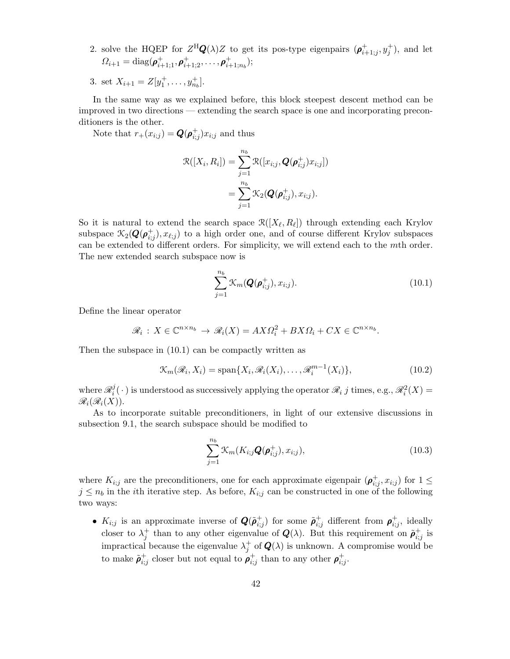2. solve the HQEP for  $Z^H \mathbf{Q}(\lambda) Z$  to get its pos-type eigenpairs  $(\boldsymbol{\rho}_{i+1;j}^+, y_j^+)$ , and let  $\Omega_{i+1} = \text{diag}(\boldsymbol{\rho}^+_{i+1;1}, \boldsymbol{\rho}^+_{i+1;2}, \dots, \boldsymbol{\rho}^+_{i+1;n_b});$ 

3. set  $X_{i+1} = Z[y_1^+, \ldots, y_{n_b}^+]$ .

In the same way as we explained before, this block steepest descent method can be improved in two directions — extending the search space is one and incorporating preconditioners is the other.

Note that  $r_+(x_{i;j}) = \mathbf{Q}(\boldsymbol{\rho}_{i;j}^+) x_{i;j}$  and thus

$$
\mathcal{R}([X_i, R_i]) = \sum_{j=1}^{n_b} \mathcal{R}([x_{i;j}, \boldsymbol{Q}(\boldsymbol{\rho}_{i;j}^+) x_{i;j}])
$$
  
= 
$$
\sum_{j=1}^{n_b} \mathcal{K}_2(\boldsymbol{Q}(\boldsymbol{\rho}_{i;j}^+), x_{i;j}).
$$

So it is natural to extend the search space  $\mathcal{R}([X_{\ell}, R_{\ell}])$  through extending each Krylov subspace  $\mathcal{K}_2(\mathbf{Q}(\boldsymbol{\rho}_{i;j}^+), x_{\ell;j})$  to a high order one, and of course different Krylov subspaces can be extended to different orders. For simplicity, we will extend each to the mth order. The new extended search subspace now is

$$
\sum_{j=1}^{n_b} \mathcal{K}_m(\boldsymbol{Q}(\boldsymbol{\rho}_{i;j}^+), x_{i;j}).
$$
\n(10.1)

Define the linear operator

$$
\mathcal{R}_i: X \in \mathbb{C}^{n \times n_b} \to \mathcal{R}_i(X) = AX\Omega_i^2 + BX\Omega_i + CX \in \mathbb{C}^{n \times n_b}.
$$

Then the subspace in (10.1) can be compactly written as

$$
\mathcal{K}_m(\mathcal{R}_i, X_i) = \text{span}\{X_i, \mathcal{R}_i(X_i), \dots, \mathcal{R}_i^{m-1}(X_i)\},\tag{10.2}
$$

where  $\mathscr{R}^j_i$  $\mathcal{L}_i^j(\cdot)$  is understood as successively applying the operator  $\mathcal{R}_i$  j times, e.g.,  $\mathcal{R}_i^2(X) =$  $\mathscr{R}_i(\mathscr{R}_i(X)).$ 

As to incorporate suitable preconditioners, in light of our extensive discussions in subsection 9.1, the search subspace should be modified to

$$
\sum_{j=1}^{n_b} \mathcal{K}_m(K_{i;j} \mathbf{Q}(\boldsymbol{\rho}_{i;j}^+), x_{i;j}),
$$
\n(10.3)

where  $K_{i,j}$  are the preconditioners, one for each approximate eigenpair  $(\rho_{i,j}^+, x_{i,j})$  for  $1 \leq$  $j \leq n_b$  in the *i*th iterative step. As before,  $K_{i;j}$  can be constructed in one of the following two ways:

•  $K_{i,j}$  is an approximate inverse of  $\mathbf{Q}(\tilde{\rho}_{i,j}^+)$  for some  $\tilde{\rho}_{i,j}^+$  different from  $\rho_{i,j}^+$ , ideally closer to  $\lambda_j^+$  than to any other eigenvalue of  $Q(\lambda)$ . But this requirement on  $\tilde{\rho}_{i,j}^+$  is impractical because the eigenvalue  $\lambda_j^+$  of  $\mathbf{Q}(\lambda)$  is unknown. A compromise would be to make  $\tilde{\rho}^+_{i;j}$  closer but not equal to  $\rho^+_{i;j}$  than to any other  $\rho^+_{i;j}$ .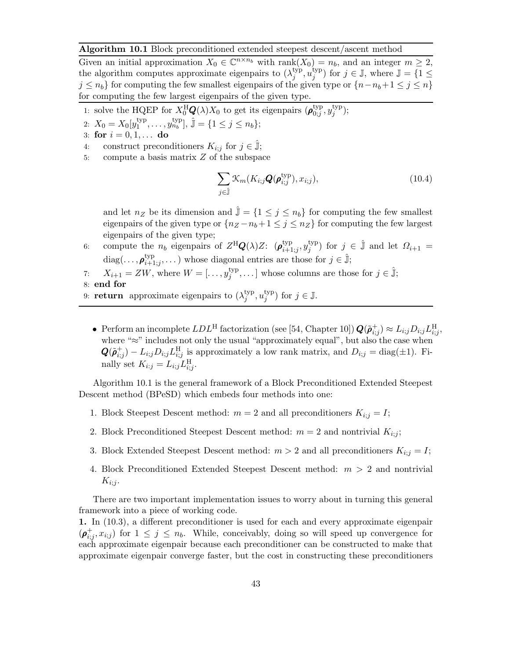#### Algorithm 10.1 Block preconditioned extended steepest descent/ascent method

Given an initial approximation  $X_0 \in \mathbb{C}^{n \times n_b}$  with rank $(X_0) = n_b$ , and an integer  $m \geq 2$ , the algorithm computes approximate eigenpairs to  $(\lambda_i^{\text{typ}})$  $j^{\rm typ}, u_j^{\rm typ}$ <sup>typ</sup>) for  $j \in \mathbb{J}$ , where  $\mathbb{J} = \{1 \leq$  $j \leq n_b$  for computing the few smallest eigenpairs of the given type or  $\{n-n_b+1 \leq j \leq n\}$ for computing the few largest eigenpairs of the given type.

- 1: solve the HQEP for  $X_0^{\text{H}}\mathbf{Q}(\lambda)X_0$  to get its eigenpairs  $(\boldsymbol{\rho}_{0,j}^{\text{typ}})$  $_{0;j}^{\rm typ},y_j^{\rm typ}$  $j^{\rm typ}$ );
- 2:  $X_0 = X_0[y_1^{\text{typ}}]$  $_{1}^{\text{typ}}, \ldots, y_{n_b}^{\text{typ}}$ ,  $\hat{\mathbb{J}} = \{1 \leq j \leq n_b\};$
- 3: for  $i = 0, 1, ...$  do
- 4: construct preconditioners  $K_{i;j}$  for  $j \in \hat{\mathbb{J}}$ ;
- 5: compute a basis matrix Z of the subspace

$$
\sum_{j\in\hat{\mathbb{J}}} \mathcal{K}_m(K_{i;j}\mathbf{Q}(\boldsymbol{\rho}_{i;j}^{\text{typ}}), x_{i;j}),\tag{10.4}
$$

and let  $n_Z$  be its dimension and  $\hat{\mathbb{J}} = \{1 \leq j \leq n_b\}$  for computing the few smallest eigenpairs of the given type or  $\{n_Z - n_b + 1 \le j \le n_Z\}$  for computing the few largest eigenpairs of the given type;

- 6: compute the  $n_b$  eigenpairs of  $Z^H \mathbf{Q}(\lambda) Z$ :  $(\boldsymbol{\rho}_{i+1}^{\text{typ}})$  $\lim_{i+1;j}$ ,  $y_j^{\text{typ}}$ <sup>typ</sup>) for  $j \in \hat{\mathbb{J}}$  and let  $\Omega_{i+1} =$ diag(...,  $\rho_{i+1}^{\text{typ}}$  $\lim_{i+1,j}, \dots$ ) whose diagonal entries are those for  $j \in \hat{\mathbb{J}}$ ;
- 7:  $X_{i+1} = ZW$ , where  $W = [\dots, y_j^{\text{typ}}]$  $\{S_j^{\text{typ}}, \dots\}$  whose columns are those for  $j \in \hat{\mathbb{J}}$ ; 8: end for
- 9: return approximate eigenpairs to  $(\lambda_i^{typ})$  $_j^{\text{typ}}, u_j^{\text{typ}}$  $j^{\text{typ}}$  for  $j \in \mathbb{J}$ .
	- Perform an incomplete  $LDL^H$  factorization (see [54, Chapter 10])  $\mathbf{Q}(\tilde{\boldsymbol{\rho}}_{i;j}^+) \approx L_{i;j} D_{i;j} L_{i;j}^H$ where "≈" includes not only the usual "approximately equal", but also the case when  $\mathbf{Q}(\tilde{\boldsymbol{\rho}}_{i;j}^+) - L_{i;j} D_{i;j} L_{i;j}^{\text{H}}$  is approximately a low rank matrix, and  $D_{i;j} = \text{diag}(\pm 1)$ . Finally set  $K_{i:j} = L_{i;j} L_{i;j}^{\text{H}}$ .

Algorithm 10.1 is the general framework of a Block Preconditioned Extended Steepest Descent method (BPeSD) which embeds four methods into one:

- 1. Block Steepest Descent method:  $m = 2$  and all preconditioners  $K_{i,j} = I$ ;
- 2. Block Preconditioned Steepest Descent method:  $m = 2$  and nontrivial  $K_{i,j}$ ;
- 3. Block Extended Steepest Descent method:  $m > 2$  and all preconditioners  $K_{i,j} = I$ ;
- 4. Block Preconditioned Extended Steepest Descent method:  $m > 2$  and nontrivial  $K_{i:j}$ .

There are two important implementation issues to worry about in turning this general framework into a piece of working code.

1. In (10.3), a different preconditioner is used for each and every approximate eigenpair  $(\boldsymbol{\rho}_{i,j}^+, x_{i,j})$  for  $1 \leq j \leq n_b$ . While, conceivably, doing so will speed up convergence for each approximate eigenpair because each preconditioner can be constructed to make that approximate eigenpair converge faster, but the cost in constructing these preconditioners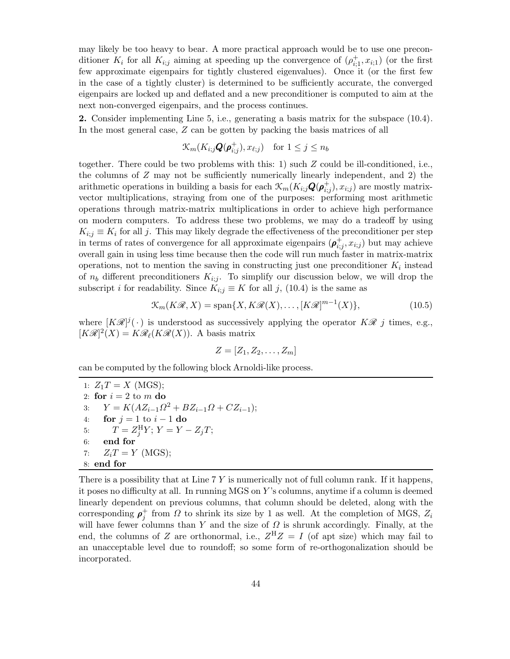may likely be too heavy to bear. A more practical approach would be to use one preconditioner  $K_i$  for all  $K_{i,j}$  aiming at speeding up the convergence of  $(\rho_{i,1}^+, x_{i,1})$  (or the first few approximate eigenpairs for tightly clustered eigenvalues). Once it (or the first few in the case of a tightly cluster) is determined to be sufficiently accurate, the converged eigenpairs are locked up and deflated and a new preconditioner is computed to aim at the next non-converged eigenpairs, and the process continues.

2. Consider implementing Line 5, i.e., generating a basis matrix for the subspace (10.4). In the most general case, Z can be gotten by packing the basis matrices of all

$$
\mathcal{K}_m(K_{i;j}\mathbf{Q}(\boldsymbol{\rho}_{i;j}^+),x_{\ell;j}) \quad \text{for } 1 \leq j \leq n_b
$$

together. There could be two problems with this: 1) such Z could be ill-conditioned, i.e., the columns of  $Z$  may not be sufficiently numerically linearly independent, and  $2$ ) the arithmetic operations in building a basis for each  $\mathcal{K}_m(K_{i;j} \mathbf{Q}(\boldsymbol{\rho}_{i;j}^+), x_{i;j})$  are mostly matrixvector multiplications, straying from one of the purposes: performing most arithmetic operations through matrix-matrix multiplications in order to achieve high performance on modern computers. To address these two problems, we may do a tradeoff by using  $K_{i,j} \equiv K_i$  for all j. This may likely degrade the effectiveness of the preconditioner per step in terms of rates of convergence for all approximate eigenpairs  $(\rho_{i,j}^+, x_{i,j})$  but may achieve overall gain in using less time because then the code will run much faster in matrix-matrix operations, not to mention the saving in constructing just one preconditioner  $K_i$  instead of  $n_b$  different preconditioners  $K_{i,j}$ . To simplify our discussion below, we will drop the subscript *i* for readability. Since  $K_{i;j} \equiv K$  for all j, (10.4) is the same as

$$
\mathcal{K}_m(K\mathcal{R}, X) = \text{span}\{X, K\mathcal{R}(X), \dots, [K\mathcal{R}]^{m-1}(X)\},\tag{10.5}
$$

where  $[K\mathscr{R}]^j(\cdot)$  is understood as successively applying the operator  $K\mathscr{R}$  j times, e.g.,  $[K\mathscr{R}]^2(X) = K\mathscr{R}_\ell(K\mathscr{R}(X)).$  A basis matrix

$$
Z=[Z_1,Z_2,\ldots,Z_m]
$$

can be computed by the following block Arnoldi-like process.

1:  $Z_1T = X$  (MGS); 2: for  $i = 2$  to m do 3:  $Y = K(AZ_{i-1}\Omega^2 + BZ_{i-1}\Omega + CZ_{i-1});$ 4: **for**  $j = 1$  to  $i - 1$  **do**<br>5:  $T = Z_i^H Y$ ;  $Y = Y - 1$ 5:  $T = Z_j^{\text{H}} Y; Y = Y - Z_j T;$ 6: end for 7:  $Z_iT = Y$  (MGS); 8: end for

There is a possibility that at Line  $7 Y$  is numerically not of full column rank. If it happens, it poses no difficulty at all. In running MGS on Y 's columns, anytime if a column is deemed linearly dependent on previous columns, that column should be deleted, along with the corresponding  $\rho_j^+$  from  $\Omega$  to shrink its size by 1 as well. At the completion of MGS,  $Z_i$ will have fewer columns than Y and the size of  $\Omega$  is shrunk accordingly. Finally, at the end, the columns of Z are orthonormal, i.e.,  $Z^H Z = I$  (of apt size) which may fail to an unacceptable level due to roundoff; so some form of re-orthogonalization should be incorporated.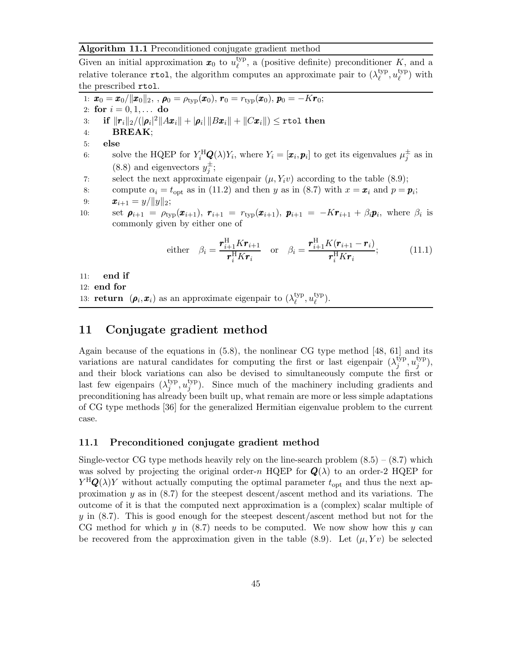#### Algorithm 11.1 Preconditioned conjugate gradient method

Given an initial approximation  $x_0$  to  $u_{\ell}^{\text{typ}}$  $\ell_{\ell}^{\text{typ}}$ , a (positive definite) preconditioner K, and a relative tolerance rtol, the algorithm computes an approximate pair to  $(\lambda_{\ell}^{\text{typ}})$  $_{\ell}^{\rm typ},u_{\ell}^{\rm typ}$  $_{\ell}^{\text{typ}}$ ) with the prescribed rtol.

1:  $\mathbf{x}_0 = \overline{\mathbf{x}_0/\|\mathbf{x}_0\|_2}$ , ,  $\rho_0 = \rho_{\text{typ}}(\mathbf{x}_0)$ ,  $\mathbf{r}_0 = r_{\text{typ}}(\mathbf{x}_0)$ ,  $\mathbf{p}_0 = -K\mathbf{r}_0$ ; 2: for  $i = 0, 1, ...$  do 3: if  $\|\boldsymbol{r}_i\|_2/(|\boldsymbol{\rho}_i|^2\|A\boldsymbol{x}_i\|+|\boldsymbol{\rho}_i|\,\|B\boldsymbol{x}_i\|+\|C\boldsymbol{x}_i\|)\leq \texttt{rtol}$  then 4: BREAK; 5: else 6: solve the HQEP for  $Y_i^H \mathbf{Q}(\lambda) Y_i$ , where  $Y_i = [\mathbf{x}_i, \mathbf{p}_i]$  to get its eigenvalues  $\mu_j^{\pm}$  as in (8.8) and eigenvectors  $y_j^{\pm}$ ; 7: select the next approximate eigenpair  $(\mu, Y_i\nu)$  according to the table (8.9); 8: compute  $\alpha_i = t_{\text{opt}}$  as in (11.2) and then y as in (8.7) with  $x = x_i$  and  $p = p_i$ ; 9:  $\bm{x}_{i+1} = y / \|y\|_2;$ 10: set  $\rho_{i+1} = \rho_{\text{typ}}(x_{i+1}), r_{i+1} = r_{\text{typ}}(x_{i+1}), p_{i+1} = -Kr_{i+1} + \beta_i p_i$ , where  $\beta_i$  is commonly given by either one of either  $\beta_i =$  $\pmb{r}_{i+1}^{\rm H} K \pmb{r}_{i+1}$  $\pmb{r}^{\text{H}}_i K \pmb{r}_i$ or  $\beta_i =$  $\bm{r}_{i+1}^\text{H}K(\bm{r}_{i+1}-\bm{r}_i)$  $\pmb{r}^{\text{H}}_{i} K \pmb{r}_{i}$  $(11.1)$ 11: end if 12: end for 13: **return**  $(\rho_i, x_i)$  as an approximate eigenpair to  $(\lambda_{\ell}^{\text{typ}})$  $_{\ell}^{\text{typ}}, u_{\ell}^{\text{typ}}$  $_{\ell}^{\rm typ}$ ).

## 11 Conjugate gradient method

Again because of the equations in (5.8), the nonlinear CG type method [48, 61] and its variations are natural candidates for computing the first or last eigenpair  $(\lambda_i^{\text{typ}})$  $_j^{\rm typ}, u_j^{\rm typ}$  $j^{\rm typ}$ ), and their block variations can also be devised to simultaneously compute the first or last few eigenpairs  $(\lambda_i^{\text{typ}})$  $_j^{\text{typ}}, u_j^{\text{typ}}$  $j^{hyp}$ ). Since much of the machinery including gradients and preconditioning has already been built up, what remain are more or less simple adaptations of CG type methods [36] for the generalized Hermitian eigenvalue problem to the current case.

### 11.1 Preconditioned conjugate gradient method

Single-vector CG type methods heavily rely on the line-search problem  $(8.5) - (8.7)$  which was solved by projecting the original order-n HQEP for  $Q(\lambda)$  to an order-2 HQEP for  $Y^{\text{H}}\mathbf{Q}(\lambda)Y$  without actually computing the optimal parameter  $t_{\text{opt}}$  and thus the next approximation y as in  $(8.7)$  for the steepest descent/ascent method and its variations. The outcome of it is that the computed next approximation is a (complex) scalar multiple of y in  $(8.7)$ . This is good enough for the steepest descent/ascent method but not for the CG method for which  $y$  in  $(8.7)$  needs to be computed. We now show how this  $y$  can be recovered from the approximation given in the table  $(8.9)$ . Let  $(\mu, Yv)$  be selected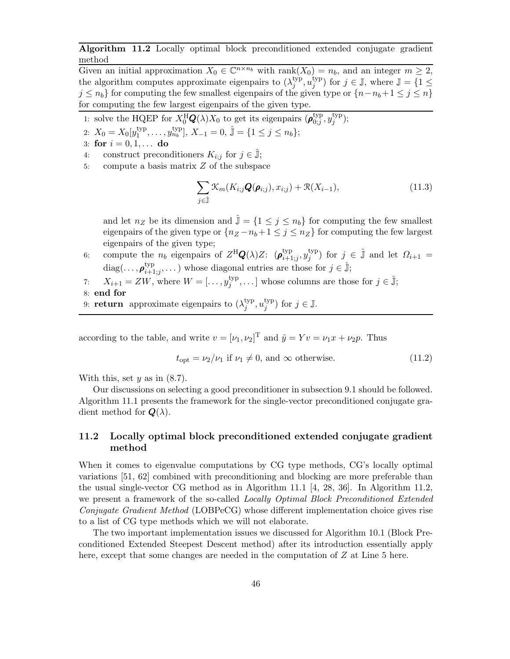Algorithm 11.2 Locally optimal block preconditioned extended conjugate gradient method

Given an initial approximation  $X_0 \in \mathbb{C}^{n \times n_b}$  with rank $(X_0) = n_b$ , and an integer  $m \geq 2$ , the algorithm computes approximate eigenpairs to  $(\lambda_i^{\text{typ}})$  $_j^{\rm typ}, u_j^{\rm typ}$ <sup>typ</sup>) for  $j \in \mathbb{J}$ , where  $\mathbb{J} = \{1 \leq$  $j \leq n_b$  for computing the few smallest eigenpairs of the given type or  $\{n-n_b+1 \leq j \leq n\}$ for computing the few largest eigenpairs of the given type.

1: solve the HQEP for  $X_0^{\text{H}}\mathbf{Q}(\lambda)X_0$  to get its eigenpairs  $(\boldsymbol{\rho}_{0,j}^{\text{typ}})$  $_{0;j}^{\rm typ},y_j^{\rm typ}$  $j^{\rm typ}$ );

2:  $X_0 = X_0[y_1^{\text{typ}}]$  $\mathbf{1}_{1}^{\text{typ}}, \ldots, \mathbf{1}_{n_b}^{\text{typ}}$ ,  $X_{-1} = 0$ ,  $\hat{\mathbb{J}} = \{1 \leq j \leq n_b\};$ 

- 3: for  $i = 0, 1, ...$  do
- 4: construct preconditioners  $K_{i;j}$  for  $j \in \mathbb{J}$ ;
- 5: compute a basis matrix Z of the subspace

$$
\sum_{j\in\hat{\mathbb{J}}} \mathcal{K}_m(K_{i;j}\mathbf{Q}(\boldsymbol{\rho}_{i;j}), x_{i;j}) + \mathcal{R}(X_{i-1}),
$$
\n(11.3)

and let  $n_Z$  be its dimension and  $\mathbb{J} = \{1 \leq j \leq n_b\}$  for computing the few smallest eigenpairs of the given type or  $\{n_Z - n_b + 1 \le j \le n_Z\}$  for computing the few largest eigenpairs of the given type;

6: compute the  $n_b$  eigenpairs of  $Z^{\rm H}\mathbf{Q}(\lambda)Z$ :  $(\boldsymbol{\rho}_{i+1}^{\rm typ})$  $\lim_{i+1;j}$ ,  $y_j^{\text{typ}}$ <sup>typ</sup>) for  $j \in \hat{\mathbb{J}}$  and let  $\Omega_{i+1} =$ diag(...,  $\rho_{i+1}^{\text{typ}}$  $\lim_{i+1,j}, \dots$ ) whose diagonal entries are those for  $j \in \hat{\mathbb{J}}$ ;

- 7:  $X_{i+1} = ZW$ , where  $W = [\dots, y_j^{\text{typ}}]$  $\{S_j^{\text{typ}}, \dots\}$  whose columns are those for  $j \in \hat{\mathbb{J}}$ ;
- 8: end for
- 9: return approximate eigenpairs to  $(\lambda_i^{typ})$  $_j^{\text{typ}}, u_j^{\text{typ}}$  $j^{\text{typ}}$  for  $j \in \mathbb{J}$ .

according to the table, and write  $v = [\nu_1, \nu_2]^T$  and  $\hat{y} = Yv = \nu_1 x + \nu_2 p$ . Thus

$$
t_{\rm opt} = \nu_2/\nu_1 \text{ if } \nu_1 \neq 0, \text{ and } \infty \text{ otherwise.}
$$
 (11.2)

With this, set  $y$  as in  $(8.7)$ .

Our discussions on selecting a good preconditioner in subsection 9.1 should be followed. Algorithm 11.1 presents the framework for the single-vector preconditioned conjugate gradient method for  $\mathbf{Q}(\lambda)$ .

## 11.2 Locally optimal block preconditioned extended conjugate gradient method

When it comes to eigenvalue computations by CG type methods, CG's locally optimal variations [51, 62] combined with preconditioning and blocking are more preferable than the usual single-vector CG method as in Algorithm 11.1 [4, 28, 36]. In Algorithm 11.2, we present a framework of the so-called Locally Optimal Block Preconditioned Extended Conjugate Gradient Method (LOBPeCG) whose different implementation choice gives rise to a list of CG type methods which we will not elaborate.

The two important implementation issues we discussed for Algorithm 10.1 (Block Preconditioned Extended Steepest Descent method) after its introduction essentially apply here, except that some changes are needed in the computation of Z at Line 5 here.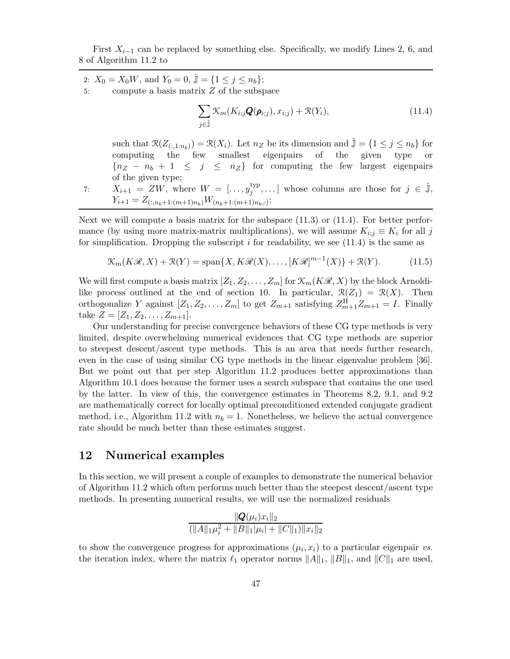First  $X_{i-1}$  can be replaced by something else. Specifically, we modify Lines 2, 6, and 8 of Algorithm 11.2 to

\n- 2: 
$$
X_0 = X_0 W
$$
, and  $Y_0 = 0$ ,  $\hat{\mathbb{J}} = \{1 \leq j \leq n_b\};$
\n- 5: compute a basis matrix  $Z$  of the subspace
\n

$$
\sum_{j \in \hat{\mathbb{J}}} \mathcal{K}_m(K_{i;j}\mathbf{Q}(\boldsymbol{\rho}_{i;j}), x_{i;j}) + \mathcal{R}(Y_i), \qquad (11.4)
$$

such that  $\mathcal{R}(Z_{(:,1:n_b)}) = \mathcal{R}(X_i)$ . Let  $n_Z$  be its dimension and  $\hat{\mathbb{J}} = \{1 \leq j \leq n_b\}$  for computing the few smallest eigenpairs of the given type  ${n_Z - n_b + 1 \leq j \leq n_Z}$  for computing the few largest eigenpairs of the given type;

7: 
$$
X_{i+1} = ZW
$$
, where  $W = [\ldots, y_j^{\text{typ}}, \ldots]$  whose columns are those for  $j \in \hat{\mathbb{J}}$ ,  $Y_{i+1} = Z_{(\ldots n_b+1:(m+1)n_b)}W_{(n_b+1:(m+1)n_b,:)}$ ;

Next we will compute a basis matrix for the subspace  $(11.3)$  or  $(11.4)$ . For better performance (by using more matrix-matrix multiplications), we will assume  $K_{i,j} \equiv K_i$  for all j for simplification. Dropping the subscript  $i$  for readability, we see (11.4) is the same as

$$
\mathcal{K}_m(K\mathcal{R}, X) + \mathcal{R}(Y) = \text{span}\{X, K\mathcal{R}(X), \dots, [K\mathcal{R}]^{m-1}(X)\} + \mathcal{R}(Y). \tag{11.5}
$$

We will first compute a basis matrix  $[Z_1, Z_2, \ldots, Z_m]$  for  $\mathcal{K}_m(K\mathcal{R}, X)$  by the block Arnoldilike process outlined at the end of section 10. In particular,  $\mathcal{R}(Z_1) = \mathcal{R}(X)$ . Then orthogonalize Y against  $[Z_1, Z_2, \ldots, Z_m]$  to get  $Z_{m+1}$  satisfying  $Z_{m+1}^H Z_{m+1} = I$ . Finally take  $Z = [Z_1, Z_2, \ldots, Z_{m+1}].$ 

Our understanding for precise convergence behaviors of these CG type methods is very limited, despite overwhelming numerical evidences that CG type methods are superior to steepest descent/ascent type methods. This is an area that needs further research, even in the case of using similar CG type methods in the linear eigenvalue problem [36]. But we point out that per step Algorithm 11.2 produces better approximations than Algorithm 10.1 does because the former uses a search subspace that contains the one used by the latter. In view of this, the convergence estimates in Theorems 8.2, 9.1, and 9.2 are mathematically correct for locally optimal preconditioned extended conjugate gradient method, i.e., Algorithm 11.2 with  $n_b = 1$ . Nonetheless, we believe the actual convergence rate should be much better than these estimates suggest.

## 12 Numerical examples

In this section, we will present a couple of examples to demonstrate the numerical behavior of Algorithm 11.2 which often performs much better than the steepest descent/ascent type methods. In presenting numerical results, we will use the normalized residuals

$$
\frac{\|\mathbf{Q}(\mu_i)x_i\|_2}{(\|A\|_1\mu_i^2 + \|B\|_1|\mu_i| + \|C\|_1)\|x_i\|_2}
$$

to show the convergence progress for approximations  $(\mu_i, x_i)$  to a particular eigenpair vs. the iteration index, where the matrix  $\ell_1$  operator norms  $||A||_1$ ,  $||B||_1$ , and  $||C||_1$  are used,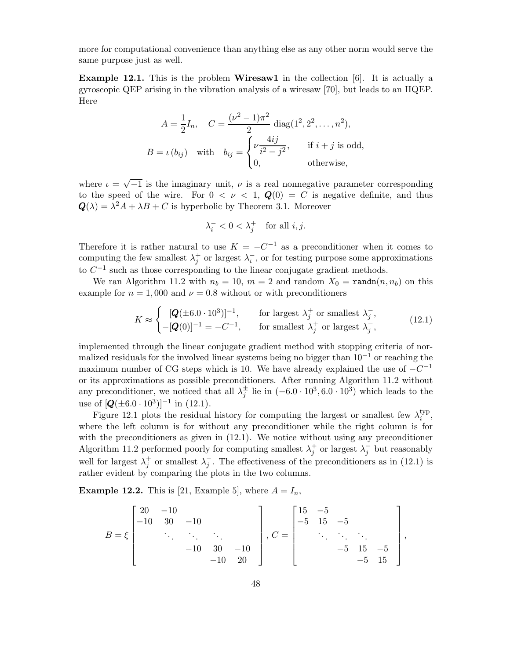more for computational convenience than anything else as any other norm would serve the same purpose just as well.

Example 12.1. This is the problem Wiresaw1 in the collection [6]. It is actually a gyroscopic QEP arising in the vibration analysis of a wiresaw [70], but leads to an HQEP. Here

$$
A = \frac{1}{2}I_n, \quad C = \frac{(\nu^2 - 1)\pi^2}{2} \operatorname{diag}(1^2, 2^2, \dots, n^2),
$$
  
\n
$$
B = \iota(b_{ij}) \quad \text{with} \quad b_{ij} = \begin{cases} \nu \frac{4ij}{i^2 - j^2}, & \text{if } i + j \text{ is odd}, \\ 0, & \text{otherwise}, \end{cases}
$$

where  $\iota = \sqrt{-1}$  is the imaginary unit,  $\nu$  is a real nonnegative parameter corresponding to the speed of the wire. For  $0 < \nu < 1$ ,  $Q(0) = C$  is negative definite, and thus  $\mathbf{Q}(\lambda) = \lambda^2 A + \lambda B + C$  is hyperbolic by Theorem 3.1. Moreover

$$
\lambda_i^- < 0 < \lambda_j^+ \quad \text{for all } i, j.
$$

Therefore it is rather natural to use  $K = -C^{-1}$  as a preconditioner when it comes to computing the few smallest  $\lambda_j^+$  or largest  $\lambda_i^-$ , or for testing purpose some approximations to  $C^{-1}$  such as those corresponding to the linear conjugate gradient methods.

We ran Algorithm 11.2 with  $n_b = 10$ ,  $m = 2$  and random  $X_0 = \text{randn}(n, n_b)$  on this example for  $n = 1,000$  and  $\nu = 0.8$  without or with preconditioners

$$
K \approx \begin{cases} [\mathbf{Q}(\pm 6.0 \cdot 10^3)]^{-1}, & \text{for largest } \lambda_j^+ \text{ or smallest } \lambda_j^-, \\ -[\mathbf{Q}(0)]^{-1} = -C^{-1}, & \text{for smallest } \lambda_j^+ \text{ or largest } \lambda_j^-, \end{cases}
$$
(12.1)

implemented through the linear conjugate gradient method with stopping criteria of normalized residuals for the involved linear systems being no bigger than  $10^{-1}$  or reaching the maximum number of CG steps which is 10. We have already explained the use of  $-C^{-1}$ or its approximations as possible preconditioners. After running Algorithm 11.2 without any preconditioner, we noticed that all  $\lambda_j^{\pm}$  lie in  $(-6.0 \cdot 10^3, 6.0 \cdot 10^3)$  which leads to the use of  $[Q(\pm 6.0 \cdot 10^3)]^{-1}$  in (12.1).

Figure 12.1 plots the residual history for computing the largest or smallest few  $\lambda_i^{\text{typ}}$  $_{i}^{\text{typ}},$ where the left column is for without any preconditioner while the right column is for with the preconditioners as given in  $(12.1)$ . We notice without using any preconditioner Algorithm 11.2 performed poorly for computing smallest  $\lambda_j^+$  or largest  $\lambda_j^-$  but reasonably well for largest  $\lambda_j^+$  or smallest  $\lambda_j^-$ . The effectiveness of the preconditioners as in (12.1) is rather evident by comparing the plots in the two columns.

**Example 12.2.** This is [21, Example 5], where  $A = I_n$ ,

$$
B = \xi \begin{bmatrix} 20 & -10 \\ -10 & 30 & -10 \\ & \ddots & \ddots & \ddots \\ & & -10 & 30 & -10 \\ & & & -10 & 20 \end{bmatrix}, C = \begin{bmatrix} 15 & -5 \\ -5 & 15 & -5 \\ & \ddots & \ddots & \ddots \\ & & -5 & 15 & -5 \\ & & & -5 & 15 \end{bmatrix},
$$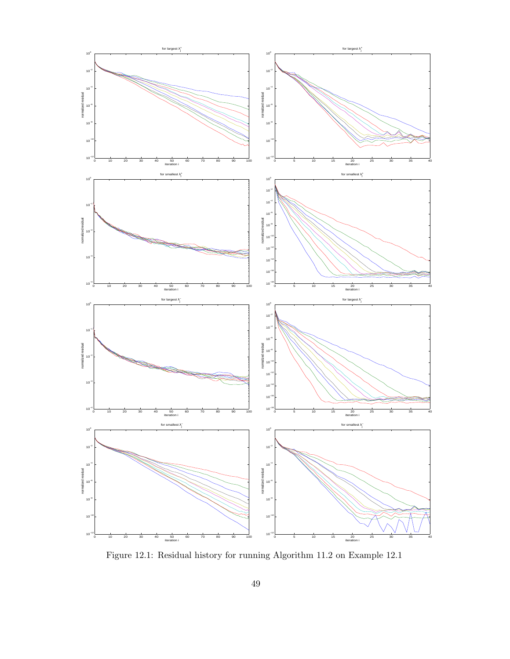

Figure 12.1: Residual history for running Algorithm 11.2 on Example 12.1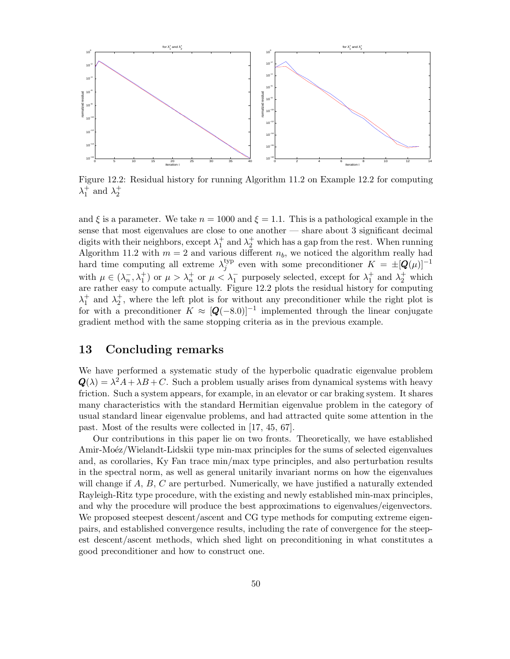

Figure 12.2: Residual history for running Algorithm 11.2 on Example 12.2 for computing  $\lambda_1^+$  and  $\lambda_2^+$ 

and  $\xi$  is a parameter. We take  $n = 1000$  and  $\xi = 1.1$ . This is a pathological example in the sense that most eigenvalues are close to one another — share about 3 significant decimal digits with their neighbors, except  $\lambda_1^+$  and  $\lambda_2^+$  which has a gap from the rest. When running Algorithm 11.2 with  $m = 2$  and various different  $n_b$ , we noticed the algorithm really had hard time computing all extreme  $\lambda_i^{\text{typ}}$  $j_j^{\text{typ}}$  even with some preconditioner  $K = \pm [Q(\mu)]^{-1}$ with  $\mu \in (\lambda_n^-, \lambda_1^+)$  or  $\mu > \lambda_n^+$  or  $\mu < \lambda_1^-$  purposely selected, except for  $\lambda_1^+$  and  $\lambda_2^+$  which are rather easy to compute actually. Figure 12.2 plots the residual history for computing  $\lambda_1^+$  and  $\lambda_2^+$ , where the left plot is for without any preconditioner while the right plot is for with a preconditioner  $K \approx [Q(-8.0)]^{-1}$  implemented through the linear conjugate gradient method with the same stopping criteria as in the previous example.

## 13 Concluding remarks

We have performed a systematic study of the hyperbolic quadratic eigenvalue problem  $\mathbf{Q}(\lambda) = \lambda^2 A + \lambda B + C$ . Such a problem usually arises from dynamical systems with heavy friction. Such a system appears, for example, in an elevator or car braking system. It shares many characteristics with the standard Hermitian eigenvalue problem in the category of usual standard linear eigenvalue problems, and had attracted quite some attention in the past. Most of the results were collected in [17, 45, 67].

Our contributions in this paper lie on two fronts. Theoretically, we have established Amir-Moéz/Wielandt-Lidskii type min-max principles for the sums of selected eigenvalues and, as corollaries, Ky Fan trace min/max type principles, and also perturbation results in the spectral norm, as well as general unitarily invariant norms on how the eigenvalues will change if  $A, B, C$  are perturbed. Numerically, we have justified a naturally extended Rayleigh-Ritz type procedure, with the existing and newly established min-max principles, and why the procedure will produce the best approximations to eigenvalues/eigenvectors. We proposed steepest descent/ascent and CG type methods for computing extreme eigenpairs, and established convergence results, including the rate of convergence for the steepest descent/ascent methods, which shed light on preconditioning in what constitutes a good preconditioner and how to construct one.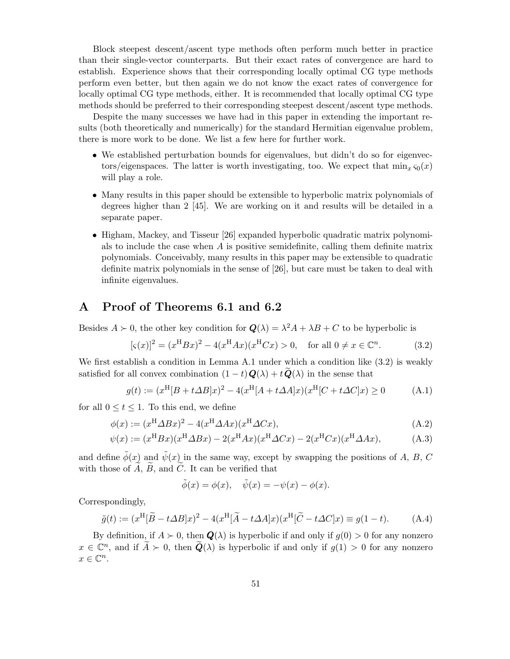Block steepest descent/ascent type methods often perform much better in practice than their single-vector counterparts. But their exact rates of convergence are hard to establish. Experience shows that their corresponding locally optimal CG type methods perform even better, but then again we do not know the exact rates of convergence for locally optimal CG type methods, either. It is recommended that locally optimal CG type methods should be preferred to their corresponding steepest descent/ascent type methods.

Despite the many successes we have had in this paper in extending the important results (both theoretically and numerically) for the standard Hermitian eigenvalue problem, there is more work to be done. We list a few here for further work.

- We established perturbation bounds for eigenvalues, but didn't do so for eigenvectors/eigenspaces. The latter is worth investigating, too. We expect that  $\min_{x} \varsigma_0(x)$ will play a role.
- Many results in this paper should be extensible to hyperbolic matrix polynomials of degrees higher than 2 [45]. We are working on it and results will be detailed in a separate paper.
- Higham, Mackey, and Tisseur [26] expanded hyperbolic quadratic matrix polynomials to include the case when  $A$  is positive semidefinite, calling them definite matrix polynomials. Conceivably, many results in this paper may be extensible to quadratic definite matrix polynomials in the sense of [26], but care must be taken to deal with infinite eigenvalues.

## A Proof of Theorems 6.1 and 6.2

Besides  $A \succ 0$ , the other key condition for  $\mathbf{Q}(\lambda) = \lambda^2 A + \lambda B + C$  to be hyperbolic is

$$
[\varsigma(x)]^2 = (x^{\rm H} Bx)^2 - 4(x^{\rm H} Ax)(x^{\rm H} Cx) > 0, \text{ for all } 0 \neq x \in \mathbb{C}^n.
$$
 (3.2)

We first establish a condition in Lemma A.1 under which a condition like  $(3.2)$  is weakly satisfied for all convex combination  $(1-t)\mathbf{Q}(\lambda) + t\widetilde{\mathbf{Q}}(\lambda)$  in the sense that

$$
g(t) := (x^{\text{H}}[B + t\Delta B]x)^{2} - 4(x^{\text{H}}[A + t\Delta A]x)(x^{\text{H}}[C + t\Delta C]x) \ge 0
$$
 (A.1)

for all  $0 \le t \le 1$ . To this end, we define

$$
\phi(x) := (x^{\mathrm{H}} \Delta Bx)^{2} - 4(x^{\mathrm{H}} \Delta Ax)(x^{\mathrm{H}} \Delta Cx), \tag{A.2}
$$

$$
\psi(x) := (x^{\mathrm{H}} Bx)(x^{\mathrm{H}} \Delta Bx) - 2(x^{\mathrm{H}} Ax)(x^{\mathrm{H}} \Delta Cx) - 2(x^{\mathrm{H}} Cx)(x^{\mathrm{H}} \Delta Ax), \tag{A.3}
$$

and define  $\tilde{\phi}(x)$  and  $\tilde{\psi}(x)$  in the same way, except by swapping the positions of A, B, C with those of  $\overline{A}$ ,  $\overline{B}$ , and  $\overline{C}$ . It can be verified that

$$
\tilde{\phi}(x) = \phi(x), \quad \tilde{\psi}(x) = -\psi(x) - \phi(x).
$$

Correspondingly,

$$
\tilde{g}(t) := (x^{\mathrm{H}}[\tilde{B} - t\Delta B]x)^{2} - 4(x^{\mathrm{H}}[\tilde{A} - t\Delta A]x)(x^{\mathrm{H}}[\tilde{C} - t\Delta C]x) \equiv g(1 - t). \tag{A.4}
$$

By definition, if  $A \succ 0$ , then  $\mathbf{Q}(\lambda)$  is hyperbolic if and only if  $g(0) > 0$  for any nonzero  $x \in \mathbb{C}^n$ , and if  $\widetilde{A} \succ 0$ , then  $\widetilde{Q}(\lambda)$  is hyperbolic if and only if  $g(1) > 0$  for any nonzero  $x \in \mathbb{C}^n$ .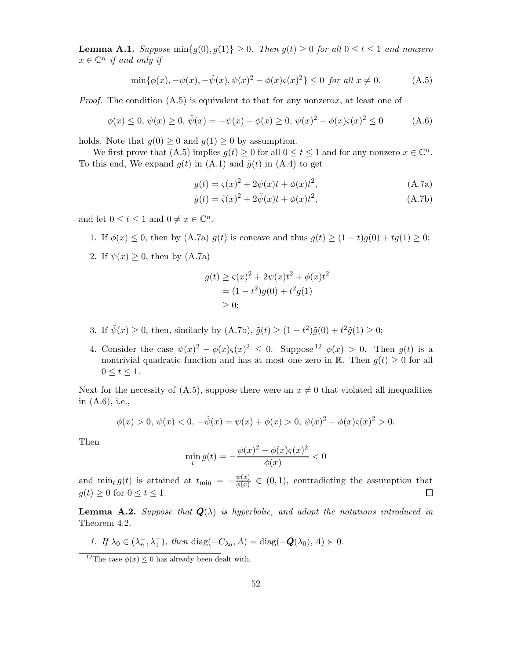**Lemma A.1.** Suppose  $\min\{g(0), g(1)\} \geq 0$ . Then  $g(t) \geq 0$  for all  $0 \leq t \leq 1$  and nonzero  $x \in \mathbb{C}^n$  if and only if

$$
\min{\{\phi(x), -\psi(x), -\tilde{\psi}(x), \psi(x)^2 - \phi(x)\varsigma(x)^2\}} \le 0 \text{ for all } x \neq 0. \tag{A.5}
$$

*Proof.* The condition  $(A.5)$  is equivalent to that for any nonzerox, at least one of

$$
\phi(x) \le 0, \ \psi(x) \ge 0, \ \tilde{\psi}(x) = -\psi(x) - \phi(x) \ge 0, \ \psi(x)^2 - \phi(x)\varsigma(x)^2 \le 0 \tag{A.6}
$$

holds. Note that  $g(0) \geq 0$  and  $g(1) \geq 0$  by assumption.

We first prove that  $(A.5)$  implies  $g(t) \ge 0$  for all  $0 \le t \le 1$  and for any nonzero  $x \in \mathbb{C}^n$ . To this end, We expand  $g(t)$  in (A.1) and  $\tilde{g}(t)$  in (A.4) to get

$$
g(t) = \zeta(x)^{2} + 2\psi(x)t + \phi(x)t^{2},
$$
 (A.7a)

$$
\tilde{g}(t) = \tilde{\varsigma}(x)^2 + 2\tilde{\psi}(x)t + \phi(x)t^2,
$$
\n(A.7b)

and let  $0 \le t \le 1$  and  $0 \ne x \in \mathbb{C}^n$ .

- 1. If  $\phi(x) \leq 0$ , then by (A.7a)  $g(t)$  is concave and thus  $g(t) \geq (1-t)g(0) + tg(1) \geq 0$ ;
- 2. If  $\psi(x) \geq 0$ , then by (A.7a)

$$
g(t) \ge \varsigma(x)^2 + 2\psi(x)t^2 + \phi(x)t^2
$$
  
= (1 - t<sup>2</sup>)g(0) + t<sup>2</sup>g(1)  
 $\ge$  0;

- 3. If  $\tilde{\psi}(x) \ge 0$ , then, similarly by  $(A.7b)$ ,  $\tilde{g}(t) \ge (1 t^2)\tilde{g}(0) + t^2\tilde{g}(1) \ge 0$ ;
- 4. Consider the case  $\psi(x)^2 \phi(x)\varsigma(x)^2 \leq 0$ . Suppose  $\psi(x) > 0$ . Then  $g(t)$  is a nontrivial quadratic function and has at most one zero in R. Then  $g(t) \geq 0$  for all  $0 \leq t \leq 1$ .

Next for the necessity of (A.5), suppose there were an  $x \neq 0$  that violated all inequalities in (A.6), i.e.,

$$
\phi(x) > 0, \ \psi(x) < 0, \ -\tilde{\psi}(x) = \psi(x) + \phi(x) > 0, \ \psi(x)^2 - \phi(x)\varsigma(x)^2 > 0.
$$

Then

$$
\min_{t} g(t) = -\frac{\psi(x)^2 - \phi(x)\varsigma(x)^2}{\phi(x)} < 0
$$

and  $\min_t g(t)$  is attained at  $t_{\min} = -\frac{\psi(x)}{\phi(x)}$  $\frac{\psi(x)}{\phi(x)} \in (0,1)$ , contradicting the assumption that  $g(t) \geq 0$  for  $0 \leq t \leq 1$ .  $\Box$ 

**Lemma A.2.** Suppose that  $Q(\lambda)$  is hyperbolic, and adopt the notations introduced in Theorem 4.2.

1. If  $\lambda_0 \in (\lambda_n^-, \lambda_1^+)$ , then  $\text{diag}(-C_{\lambda_0}, A) = \text{diag}(-\mathbf{Q}(\lambda_0), A) \succ 0$ .

<sup>&</sup>lt;sup>12</sup>The case  $\phi(x) \leq 0$  has already been dealt with.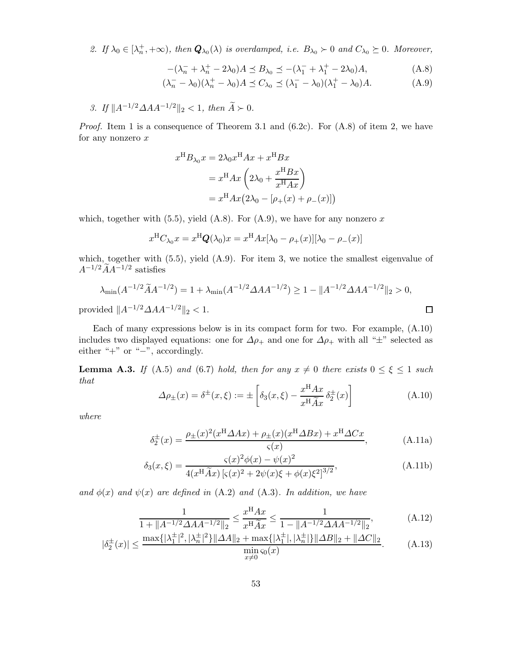2. If  $\lambda_0 \in [\lambda_n^+, +\infty)$ , then  $\mathbf{Q}_{\lambda_0}(\lambda)$  is overdamped, i.e.  $B_{\lambda_0} \succ 0$  and  $C_{\lambda_0} \succeq 0$ . Moreover,

$$
-(\lambda_n^- + \lambda_n^+ - 2\lambda_0)A \preceq B_{\lambda_0} \preceq -(\lambda_1^- + \lambda_1^+ - 2\lambda_0)A,\tag{A.8}
$$

$$
(\lambda_n^- - \lambda_0)(\lambda_n^+ - \lambda_0)A \preceq C_{\lambda_0} \preceq (\lambda_1^- - \lambda_0)(\lambda_1^+ - \lambda_0)A. \tag{A.9}
$$

3. If  $||A^{-1/2}\Delta AA^{-1/2}||_2 < 1$ , then  $\widetilde{A} \succ 0$ .

*Proof.* Item 1 is a consequence of Theorem 3.1 and  $(6.2c)$ . For  $(A.8)$  of item 2, we have for any nonzero  $x$ 

$$
x^{H}B_{\lambda_{0}}x = 2\lambda_{0}x^{H}Ax + x^{H}Bx
$$

$$
= x^{H}Ax\left(2\lambda_{0} + \frac{x^{H}Bx}{x^{H}Ax}\right)
$$

$$
= x^{H}Ax\left(2\lambda_{0} - [\rho_{+}(x) + \rho_{-}(x)]\right)
$$

which, together with  $(5.5)$ , yield  $(A.8)$ . For  $(A.9)$ , we have for any nonzero x

$$
x^{\mathrm{H}}C_{\lambda_0}x = x^{\mathrm{H}}\mathbf{Q}(\lambda_0)x = x^{\mathrm{H}}Ax[\lambda_0 - \rho_+(x)][\lambda_0 - \rho_-(x)]
$$

which, together with  $(5.5)$ , yield  $(A.9)$ . For item 3, we notice the smallest eigenvalue of  $A^{-1/2}\tilde{A}A^{-1/2}$  satisfies

$$
\lambda_{\min}(A^{-1/2}\tilde{A}A^{-1/2}) = 1 + \lambda_{\min}(A^{-1/2}\Delta AA^{-1/2}) \ge 1 - \|A^{-1/2}\Delta AA^{-1/2}\|_2 > 0,
$$
  
vided  $||A^{-1/2}\Delta AA^{-1/2}||_2 < 1$ .

provided  $||A^{-1/2}\Delta AA^{-1/2}||_2 < 1$ .

Each of many expressions below is in its compact form for two. For example, (A.10) includes two displayed equations: one for  $\Delta \rho_+$  and one for  $\Delta \rho_+$  with all " $\pm$ " selected as either "+" or "−", accordingly.

**Lemma A.3.** If (A.5) and (6.7) hold, then for any  $x \neq 0$  there exists  $0 \leq \xi \leq 1$  such that

$$
\Delta \rho_{\pm}(x) = \delta^{\pm}(x,\xi) := \pm \left[ \delta_3(x,\xi) - \frac{x^{\mathrm{H}} A x}{x^{\mathrm{H}} \widetilde{A} x} \delta_2^{\pm}(x) \right]
$$
(A.10)

where

$$
\delta_2^{\pm}(x) = \frac{\rho_{\pm}(x)^2 (x^{\mathrm{H}} \Delta A x) + \rho_{\pm}(x) (x^{\mathrm{H}} \Delta B x) + x^{\mathrm{H}} \Delta C x}{\varsigma(x)},\tag{A.11a}
$$

$$
\delta_3(x,\xi) = \frac{\varsigma(x)^2 \phi(x) - \psi(x)^2}{4(x^{\text{H}}\tilde{A}x) \left[\varsigma(x)^2 + 2\psi(x)\xi + \phi(x)\xi^2\right]^{3/2}},\tag{A.11b}
$$

and  $\phi(x)$  and  $\psi(x)$  are defined in (A.2) and (A.3). In addition, we have

$$
\frac{1}{1 + \|A^{-1/2}\Delta AA^{-1/2}\|_2} \le \frac{x^{\mathrm{H}}Ax}{x^{\mathrm{H}}\widetilde{A}x} \le \frac{1}{1 - \|A^{-1/2}\Delta AA^{-1/2}\|_2},\tag{A.12}
$$

$$
|\delta_2^{\pm}(x)| \le \frac{\max\{|\lambda_1^{\pm}|^2, |\lambda_n^{\pm}|^2\} \|\Delta A\|_2 + \max\{|\lambda_1^{\pm}|, |\lambda_n^{\pm}|\} \|\Delta B\|_2 + \|\Delta C\|_2}{\min_{x \ne 0} \varsigma_0(x)}.
$$
 (A.13)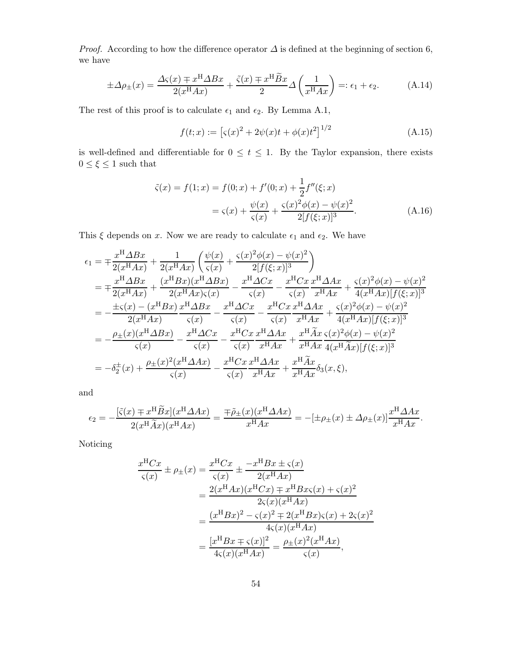*Proof.* According to how the difference operator  $\Delta$  is defined at the beginning of section 6, we have

$$
\pm \Delta \rho_{\pm}(x) = \frac{\Delta \varsigma(x) \mp x^{\mathrm{H}} \Delta B x}{2(x^{\mathrm{H}} A x)} + \frac{\tilde{\varsigma}(x) \mp x^{\mathrm{H}} \tilde{B} x}{2} \Delta \left(\frac{1}{x^{\mathrm{H}} A x}\right) =: \epsilon_1 + \epsilon_2. \tag{A.14}
$$

The rest of this proof is to calculate  $\epsilon_1$  and  $\epsilon_2.$  By Lemma A.1,

$$
f(t; x) := [s(x)^{2} + 2\psi(x)t + \phi(x)t^{2}]^{1/2}
$$
 (A.15)

is well-defined and differentiable for  $0 \le t \le 1$ . By the Taylor expansion, there exists  $0 \leq \xi \leq 1$  such that

$$
\tilde{\varsigma}(x) = f(1; x) = f(0; x) + f'(0; x) + \frac{1}{2} f''(\xi; x)
$$

$$
= \varsigma(x) + \frac{\psi(x)}{\varsigma(x)} + \frac{\varsigma(x)^2 \phi(x) - \psi(x)^2}{2[f(\xi; x)]^3}.
$$
(A.16)

This  $\xi$  depends on x. Now we are ready to calculate  $\epsilon_1$  and  $\epsilon_2$ . We have

$$
\epsilon_{1} = \mp \frac{x^{H} \Delta Bx}{2(x^{H} A x)} + \frac{1}{2(x^{H} A x)} \left( \frac{\psi(x)}{\varsigma(x)} + \frac{\varsigma(x)^{2} \phi(x) - \psi(x)^{2}}{2[f(\xi; x)]^{3}} \right)
$$
\n
$$
= \mp \frac{x^{H} \Delta Bx}{2(x^{H} A x)} + \frac{(x^{H} B x)(x^{H} \Delta Bx)}{2(x^{H} A x)\varsigma(x)} - \frac{x^{H} \Delta Cx}{\varsigma(x)} - \frac{x^{H} C x}{\varsigma(x)} \frac{x^{H} \Delta A x}{x^{H} A x} + \frac{\varsigma(x)^{2} \phi(x) - \psi(x)^{2}}{4(x^{H} A x)[f(\xi; x)]^{3}}
$$
\n
$$
= -\frac{\pm \varsigma(x) - (x^{H} B x)}{2(x^{H} A x)} \frac{x^{H} \Delta Bx}{\varsigma(x)} - \frac{x^{H} \Delta Cx}{\varsigma(x)} - \frac{x^{H} C x}{\varsigma(x)} \frac{x^{H} \Delta A x}{x^{H} A x} + \frac{\varsigma(x)^{2} \phi(x) - \psi(x)^{2}}{4(x^{H} A x)[f(\xi; x)]^{3}}
$$
\n
$$
= -\frac{\rho_{\pm}(x)(x^{H} \Delta B x)}{\varsigma(x)} - \frac{x^{H} \Delta Cx}{\varsigma(x)} - \frac{x^{H} C x}{\varsigma(x)} \frac{x^{H} \Delta A x}{x^{H} A x} + \frac{x^{H} \widetilde{A} x}{x^{H} A x} \frac{\varsigma(x)^{2} \phi(x) - \psi(x)^{2}}{4(x^{H} \widetilde{A} x)[f(\xi; x)]^{3}}
$$
\n
$$
= -\delta_{2}^{\pm}(x) + \frac{\rho_{\pm}(x)^{2} (x^{H} \Delta A x)}{\varsigma(x)} - \frac{x^{H} C x}{\varsigma(x)} \frac{x^{H} \Delta A x}{x^{H} A x} + \frac{x^{H} \widetilde{A} x}{x^{H} A x} \delta_{3}(x, \xi),
$$

and

$$
\epsilon_2 = -\frac{\left[\tilde{\varsigma}(x) \mp x^{\mathrm{H}} \tilde{B}x\right](x^{\mathrm{H}} \Delta A x)}{2(x^{\mathrm{H}} \tilde{A}x)(x^{\mathrm{H}} A x)} = \frac{\mp \tilde{\rho}_{\pm}(x)(x^{\mathrm{H}} \Delta A x)}{x^{\mathrm{H}} A x} = -[\pm \rho_{\pm}(x) \pm \Delta \rho_{\pm}(x)] \frac{x^{\mathrm{H}} \Delta A x}{x^{\mathrm{H}} A x}.
$$

Noticing

$$
\frac{x^{\mathrm{H}}Cx}{\varsigma(x)} \pm \rho_{\pm}(x) = \frac{x^{\mathrm{H}}Cx}{\varsigma(x)} \pm \frac{-x^{\mathrm{H}}Bx \pm \varsigma(x)}{2(x^{\mathrm{H}}Ax)} \n= \frac{2(x^{\mathrm{H}}Ax)(x^{\mathrm{H}}Cx) \mp x^{\mathrm{H}}Bx\varsigma(x) + \varsigma(x)^{2}}{2\varsigma(x)(x^{\mathrm{H}}Ax)} \n= \frac{(x^{\mathrm{H}}Bx)^{2} - \varsigma(x)^{2} \mp 2(x^{\mathrm{H}}Bx)\varsigma(x) + 2\varsigma(x)^{2}}{4\varsigma(x)(x^{\mathrm{H}}Ax)} \n= \frac{[x^{\mathrm{H}}Bx \mp \varsigma(x)]^{2}}{4\varsigma(x)(x^{\mathrm{H}}Ax)} = \frac{\rho_{\pm}(x)^{2}(x^{\mathrm{H}}Ax)}{\varsigma(x)},
$$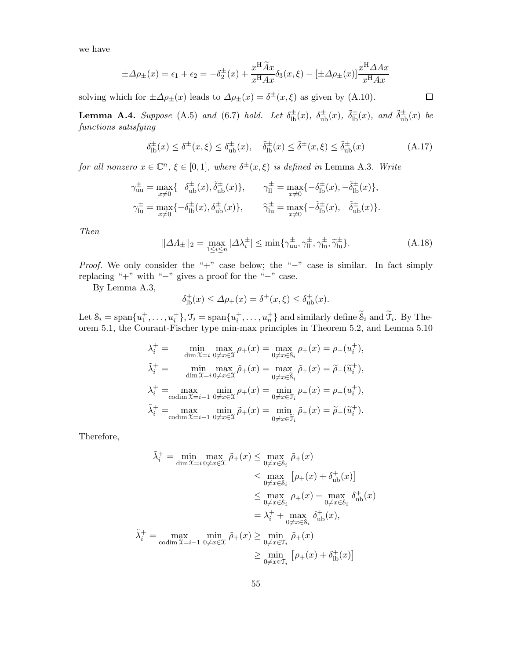we have

$$
\pm \Delta \rho_{\pm}(x) = \epsilon_1 + \epsilon_2 = -\delta_2^{\pm}(x) + \frac{x^{\mathrm{H}} \widetilde{A} x}{x^{\mathrm{H}} A x} \delta_3(x, \xi) - \left[ \pm \Delta \rho_{\pm}(x) \right] \frac{x^{\mathrm{H}} \Delta A x}{x^{\mathrm{H}} A x}
$$

solving which for  $\pm \Delta \rho_{\pm}(x)$  leads to  $\Delta \rho_{\pm}(x) = \delta^{\pm}(x,\xi)$  as given by (A.10).

**Lemma A.4.** Suppose (A.5) and (6.7) hold. Let  $\delta_{\text{lb}}^{\pm}(x)$ ,  $\delta_{\text{ub}}^{\pm}(x)$ ,  $\tilde{\delta}_{\text{lb}}^{\pm}(x)$ , and  $\tilde{\delta}_{\text{ub}}^{\pm}(x)$  be functions satisfying

$$
\delta_{\text{lb}}^{\pm}(x) \le \delta^{\pm}(x,\xi) \le \delta_{\text{ub}}^{\pm}(x), \quad \tilde{\delta}_{\text{lb}}^{\pm}(x) \le \tilde{\delta}^{\pm}(x,\xi) \le \tilde{\delta}_{\text{ub}}^{\pm}(x) \tag{A.17}
$$

for all nonzero  $x \in \mathbb{C}^n$ ,  $\xi \in [0,1]$ , where  $\delta^{\pm}(x,\xi)$  is defined in Lemma A.3. Write

$$
\gamma_{\rm uu}^{\pm} = \max_{x \neq 0} \{ \quad \delta_{\rm ub}^{\pm}(x), \tilde{\delta}_{\rm ub}^{\pm}(x) \}, \qquad \gamma_{\rm ll}^{\pm} = \max_{x \neq 0} \{ -\delta_{\rm lb}^{\pm}(x), -\tilde{\delta}_{\rm lb}^{\pm}(x) \}, \n\gamma_{\rm lu}^{\pm} = \max_{x \neq 0} \{ -\delta_{\rm lb}^{\pm}(x), \delta_{\rm ub}^{\pm}(x) \}, \qquad \widetilde{\gamma}_{\rm lu}^{\pm} = \max_{x \neq 0} \{ -\tilde{\delta}_{\rm lb}^{\pm}(x), \quad \tilde{\delta}_{\rm ub}^{\pm}(x) \}.
$$

Then

$$
\|\Delta\Lambda_{\pm}\|_2 = \max_{1 \le i \le n} |\Delta\lambda_i^{\pm}| \le \min\{\gamma_{uu}^{\pm}, \gamma_{ll}^{\pm}, \gamma_{lu}^{\pm}, \widetilde{\gamma}_{lu}^{\pm}\}.
$$
 (A.18)

Proof. We only consider the "+" case below; the "-" case is similar. In fact simply replacing "+" with "−" gives a proof for the "−" case.

By Lemma A.3,

$$
\delta_{\text{lb}}^+(x) \le \Delta \rho_+(x) = \delta^+(x,\xi) \le \delta_{\text{ub}}^+(x).
$$

Let  $S_i = \text{span}\{u_1^+, \ldots, u_i^+\}$ ,  $\mathcal{T}_i = \text{span}\{u_i^+, \ldots, u_n^+\}$  and similarly define  $\widetilde{S}_i$  and  $\widetilde{\mathcal{T}}_i$ . By Theorem 5.1, the Courant-Fischer type min-max principles in Theorem 5.2, and Lemma 5.10

$$
\begin{aligned}\n\lambda_i^+ &= \min_{\dim \mathfrak{X} = i} \max_{0 \neq x \in \mathfrak{X}} \rho_+(x) = \max_{0 \neq x \in \mathcal{S}_i} \rho_+(x) = \rho_+(u_i^+), \\
\tilde{\lambda}_i^+ &= \min_{\dim \mathfrak{X} = i} \max_{0 \neq x \in \mathfrak{X}} \tilde{\rho}_+(x) = \max_{0 \neq x \in \widetilde{\mathcal{S}}_i} \tilde{\rho}_+(x) = \tilde{\rho}_+(\widetilde{u}_i^+), \\
\lambda_i^+ &= \max_{\text{codim } \mathfrak{X} = i-1} \min_{0 \neq x \in \mathfrak{X}} \rho_+(x) = \min_{0 \neq x \in \mathfrak{I}_i} \rho_+(x) = \rho_+(u_i^+), \\
\tilde{\lambda}_i^+ &= \max_{\text{codim } \mathfrak{X} = i-1} \min_{0 \neq x \in \mathfrak{X}} \tilde{\rho}_+(x) = \min_{0 \neq x \in \widetilde{\mathfrak{I}}_i} \tilde{\rho}_+(x) = \tilde{\rho}_+(\widetilde{u}_i^+).\n\end{aligned}
$$

Therefore,

$$
\tilde{\lambda}_i^+ = \min_{\dim \mathcal{X} = i} \max_{0 \neq x \in \mathcal{X}} \tilde{\rho}_+(x) \le \max_{0 \neq x \in \mathcal{S}_i} \tilde{\rho}_+(x)
$$
\n
$$
\le \max_{0 \neq x \in \mathcal{S}_i} [\rho_+(x) + \delta_{ub}^+(x)]
$$
\n
$$
\le \max_{0 \neq x \in \mathcal{S}_i} \rho_+(x) + \max_{0 \neq x \in \mathcal{S}_i} \delta_{ub}^+(x)
$$
\n
$$
= \lambda_i^+ + \max_{0 \neq x \in \mathcal{S}_i} \delta_{ub}^+(x),
$$
\n
$$
\tilde{\lambda}_i^+ = \max_{\text{codim } \mathcal{X} = i-1} \min_{0 \neq x \in \mathcal{X}} \tilde{\rho}_+(x) \ge \min_{0 \neq x \in \mathcal{T}_i} \tilde{\rho}_+(x)
$$
\n
$$
\ge \min_{0 \neq x \in \mathcal{T}_i} [\rho_+(x) + \delta_{lb}^+(x)]
$$

 $\Box$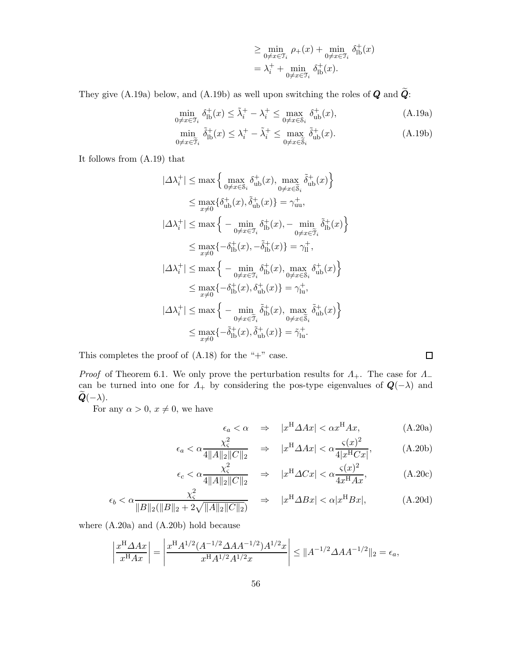$$
\geq \min_{0 \neq x \in \mathfrak{I}_i} \rho_+(x) + \min_{0 \neq x \in \mathfrak{I}_i} \delta_{\text{lb}}^+(x)
$$

$$
= \lambda_i^+ + \min_{0 \neq x \in \mathfrak{I}_i} \delta_{\text{lb}}^+(x).
$$

They give (A.19a) below, and (A.19b) as well upon switching the roles of  $Q$  and  $\tilde{Q}$ :

$$
\min_{0 \neq x \in \mathcal{T}_i} \delta_{\text{lb}}^+(x) \le \tilde{\lambda}_i^+ - \lambda_i^+ \le \max_{0 \neq x \in \mathcal{S}_i} \delta_{\text{ub}}^+(x),\tag{A.19a}
$$

$$
\min_{0 \neq x \in \widetilde{\mathfrak{I}}_i} \widetilde{\delta}_{\rm lb}^+(x) \le \lambda_i^+ - \widetilde{\lambda}_i^+ \le \max_{0 \neq x \in \widetilde{\mathcal{S}}_i} \widetilde{\delta}_{\rm ub}^+(x). \tag{A.19b}
$$

It follows from (A.19) that

$$
|\Delta \lambda_i^+| \le \max \left\{ \max_{0 \ne x \in \mathcal{S}_i} \delta_{ub}^+(x), \max_{0 \ne x \in \widetilde{\mathcal{S}}_i} \widetilde{\delta}_{ub}^+(x) \right\}
$$
  
\n
$$
\le \max_{x \ne 0} \left\{ \delta_{ub}^+(x), \widetilde{\delta}_{ub}^+(x) \right\} = \gamma_{uu}^+,
$$
  
\n
$$
|\Delta \lambda_i^+| \le \max \left\{ -\min_{0 \ne x \in \mathcal{T}_i} \delta_{lb}^+(x), -\min_{0 \ne x \in \widetilde{\mathcal{T}}_i} \widetilde{\delta}_{lb}^+(x) \right\}
$$
  
\n
$$
\le \max_{x \ne 0} \left\{ -\delta_{lb}^+(x), -\widetilde{\delta}_{lb}^+(x) \right\} = \gamma_{ll}^+,
$$
  
\n
$$
|\Delta \lambda_i^+| \le \max \left\{ -\min_{0 \ne x \in \mathcal{T}_i} \delta_{lb}^+(x), \max_{0 \ne x \in \mathcal{S}_i} \delta_{ub}^+(x) \right\}
$$
  
\n
$$
\le \max_{x \ne 0} \left\{ -\delta_{lb}^+(x), \delta_{ub}^+(x) \right\} = \gamma_{lu}^+,
$$
  
\n
$$
|\Delta \lambda_i^+| \le \max \left\{ -\min_{0 \ne x \in \widetilde{\mathcal{T}}_i} \widetilde{\delta}_{lb}^+(x), \max_{0 \ne x \in \widetilde{\mathcal{S}}_i} \widetilde{\delta}_{ub}^+(x) \right\}
$$
  
\n
$$
\le \max_{x \ne 0} \left\{ -\widetilde{\delta}_{lb}^+(x), \widetilde{\delta}_{ub}^+(x) \right\} = \widetilde{\gamma}_{lu}^+.
$$

This completes the proof of  $(A.18)$  for the "+" case.

*Proof* of Theorem 6.1. We only prove the perturbation results for  $\Lambda_+$ . The case for  $\Lambda_$ can be turned into one for  $\Lambda_+$  by considering the pos-type eigenvalues of  $Q(-\lambda)$  and  $\bm{Q}(-\lambda)$ .

For any  $\alpha > 0, x \neq 0$ , we have

$$
\epsilon_a < \alpha \quad \Rightarrow \quad |x^{\text{H}} \Delta Ax| < \alpha x^{\text{H}} Ax,\tag{A.20a}
$$

$$
\epsilon_a < \alpha \frac{\chi_{\varsigma}^2}{4||A||_2||C||_2} \quad \Rightarrow \quad |x^{\mathrm{H}}\Delta Ax| < \alpha \frac{\varsigma(x)^2}{4|x^{\mathrm{H}}Cx|},\tag{A.20b}
$$

$$
\epsilon_c < \alpha \frac{\chi_{\varsigma}^2}{4||A||_2||C||_2} \quad \Rightarrow \quad |x^{\mathrm{H}}\Delta Cx| < \alpha \frac{\varsigma(x)^2}{4x^{\mathrm{H}}Ax},\tag{A.20c}
$$

$$
\epsilon_b < \alpha \frac{\chi_{\varsigma}^2}{\|B\|_2 (\|B\|_2 + 2\sqrt{\|A\|_2 \|C\|_2})} \quad \Rightarrow \quad |x^{\mathrm{H}} \Delta B x| < \alpha |x^{\mathrm{H}} B x|,\tag{A.20d}
$$

where (A.20a) and (A.20b) hold because

$$
\left|\frac{x^{\mathrm{H}}\Delta Ax}{x^{\mathrm{H}}Ax}\right| = \left|\frac{x^{\mathrm{H}}A^{1/2}(A^{-1/2}\Delta AA^{-1/2})A^{1/2}x}{x^{\mathrm{H}}A^{1/2}A^{1/2}x}\right| \leq \|A^{-1/2}\Delta AA^{-1/2}\|_2 = \epsilon_a,
$$

 $\Box$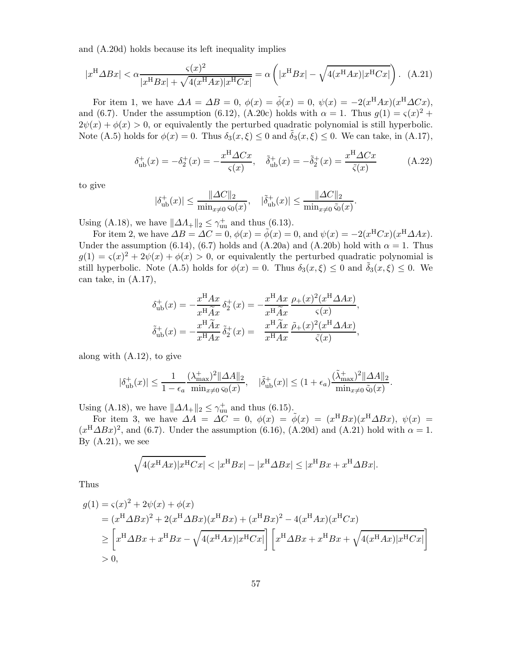and (A.20d) holds because its left inequality implies

$$
|x^{\mathrm{H}}\Delta Bx| < \alpha \frac{\varsigma(x)^2}{|x^{\mathrm{H}}Bx| + \sqrt{4(x^{\mathrm{H}}Ax)|x^{\mathrm{H}}Cx|}} = \alpha \left( |x^{\mathrm{H}}Bx| - \sqrt{4(x^{\mathrm{H}}Ax)|x^{\mathrm{H}}Cx|} \right). \tag{A.21}
$$

For item 1, we have  $\Delta A = \Delta B = 0$ ,  $\phi(x) = \tilde{\phi}(x) = 0$ ,  $\psi(x) = -2(x^{\text{H}}Ax)(x^{\text{H}}\Delta Cx)$ , and (6.7). Under the assumption (6.12), (A.20c) holds with  $\alpha = 1$ . Thus  $g(1) = \varsigma(x)^2 +$  $2\psi(x) + \phi(x) > 0$ , or equivalently the perturbed quadratic polynomial is still hyperbolic. Note (A.5) holds for  $\phi(x) = 0$ . Thus  $\delta_3(x,\xi) \leq 0$  and  $\delta_3(x,\xi) \leq 0$ . We can take, in (A.17),

$$
\delta_{\rm ub}^+(x) = -\delta_2^+(x) = -\frac{x^{\rm H}\Delta Cx}{\varsigma(x)}, \quad \tilde{\delta}_{\rm ub}^+(x) = -\tilde{\delta}_2^+(x) = \frac{x^{\rm H}\Delta Cx}{\tilde{\varsigma}(x)}\tag{A.22}
$$

.

to give

$$
|\delta_{\rm ub}^+(x)| \le \frac{\|\Delta C\|_2}{\min_{x \ne 0} \varsigma_0(x)}, \quad |\tilde{\delta}_{\rm ub}^+(x)| \le \frac{\|\Delta C\|_2}{\min_{x \ne 0} \tilde{\varsigma}_0(x)}
$$

Using (A.18), we have  $\|\Delta A_+\|_2 \leq \gamma_{uu}^+$  and thus (6.13).

For item 2, we have  $\Delta B = \Delta C = 0$ ,  $\phi(x) = \tilde{\phi}(x) = 0$ , and  $\psi(x) = -2(x^{\text{H}}Cx)(x^{\text{H}}\Delta Ax)$ . Under the assumption (6.14), (6.7) holds and (A.20a) and (A.20b) hold with  $\alpha = 1$ . Thus  $g(1) = \varsigma(x)^2 + 2\psi(x) + \phi(x) > 0$ , or equivalently the perturbed quadratic polynomial is still hyperbolic. Note (A.5) holds for  $\phi(x) = 0$ . Thus  $\delta_3(x,\xi) \leq 0$  and  $\tilde{\delta}_3(x,\xi) \leq 0$ . We can take, in (A.17),

$$
\delta_{\rm ub}^+(x) = -\frac{x^{\rm H}Ax}{x^{\rm H}\tilde{A}x} \delta_2^+(x) = -\frac{x^{\rm H}Ax}{x^{\rm H}\tilde{A}x} \frac{\rho_+(x)^2 (x^{\rm H}\Delta Ax)}{\varsigma(x)},
$$
  

$$
\delta_{\rm ub}^+(x) = -\frac{x^{\rm H}\tilde{A}x}{x^{\rm H}Ax} \delta_2^+(x) = \frac{x^{\rm H}\tilde{A}x}{x^{\rm H}Ax} \frac{\tilde{\rho}_+(x)^2 (x^{\rm H}\Delta Ax)}{\tilde{\varsigma}(x)},
$$

along with (A.12), to give

$$
|\delta_{\rm ub}^+(x)| \le \frac{1}{1 - \epsilon_a} \frac{(\lambda_{\rm max}^+)^2 ||\Delta A||_2}{\min_{x \neq 0} \varsigma_0(x)}, \quad |\tilde{\delta}_{\rm ub}^+(x)| \le (1 + \epsilon_a) \frac{(\tilde{\lambda}_{\rm max}^+)^2 ||\Delta A||_2}{\min_{x \neq 0} \tilde{\varsigma}_0(x)}.
$$

Using (A.18), we have  $||\Delta A_+||_2 \leq \gamma_{uu}^+$  and thus (6.15).

For item 3, we have  $\Delta A = \Delta C = 0$ ,  $\phi(x) = \tilde{\phi}(x) = (x^{\text{H}}Bx)(x^{\text{H}}\Delta Bx)$ ,  $\psi(x) =$  $(x^{\text{H}} \Delta Bx)^2$ , and (6.7). Under the assumption (6.16), (A.20d) and (A.21) hold with  $\alpha = 1$ . By  $(A.21)$ , we see

$$
\sqrt{4(x^{H}Ax)|x^{H}Cx|} < |x^{H}Bx| - |x^{H}\Delta Bx| \le |x^{H}Bx + x^{H}\Delta Bx|.
$$

Thus

$$
g(1) = \varsigma(x)^{2} + 2\psi(x) + \phi(x)
$$
  
=  $(x^{H}\Delta Bx)^{2} + 2(x^{H}\Delta Bx)(x^{H}Bx) + (x^{H}Bx)^{2} - 4(x^{H}Ax)(x^{H}Cx)$   

$$
\geq \left[x^{H}\Delta Bx + x^{H}Bx - \sqrt{4(x^{H}Ax)}|x^{H}Cx\right] \left[x^{H}\Delta Bx + x^{H}Bx + \sqrt{4(x^{H}Ax)}|x^{H}Cx\right]
$$
  
> 0,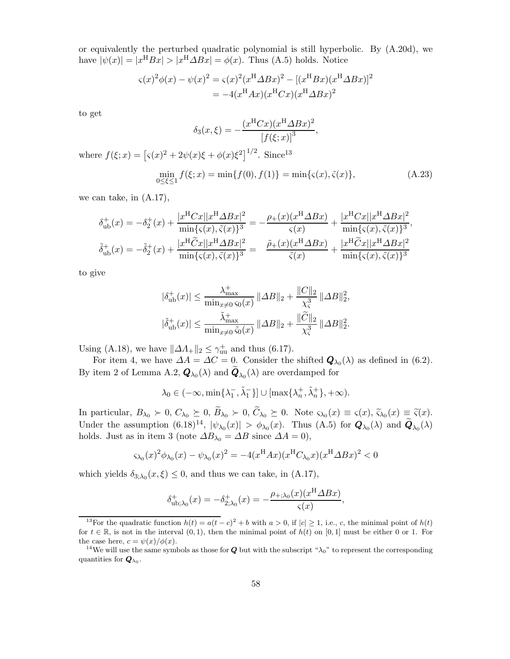or equivalently the perturbed quadratic polynomial is still hyperbolic. By (A.20d), we have  $|\psi(x)| = |x^{\text{H}}Bx| > |x^{\text{H}}\Delta Bx| = \phi(x)$ . Thus (A.5) holds. Notice

$$
\zeta(x)^2 \phi(x) - \psi(x)^2 = \zeta(x)^2 (x^{\text{H}} \Delta Bx)^2 - [(x^{\text{H}} Bx)(x^{\text{H}} \Delta Bx)]^2
$$
  
= -4(x^{\text{H}} Ax)(x^{\text{H}} Cx)(x^{\text{H}} \Delta Bx)^2

to get

$$
\delta_3(x,\xi) = -\frac{(x^{\mathrm{H}}Cx)(x^{\mathrm{H}}\Delta Bx)^2}{[f(\xi;x)]^3},
$$
  
where  $f(\xi;x) = [s(x)^2 + 2\psi(x)\xi + \phi(x)\xi^2]^{1/2}$ . Since<sup>13</sup>  

$$
\min_{0 \le \xi \le 1} f(\xi;x) = \min\{f(0), f(1)\} = \min\{s(x), \tilde{s}(x)\},
$$
 (A.23)

we can take, in (A.17),

$$
\delta_{\rm ub}^{+}(x) = -\delta_{2}^{+}(x) + \frac{|x^{\rm H}Cx||x^{\rm H}\Delta Bx|^{2}}{\min\{\varsigma(x),\tilde{\varsigma}(x)\}^{3}} = -\frac{\rho_{+}(x)(x^{\rm H}\Delta Bx)}{\varsigma(x)} + \frac{|x^{\rm H}Cx||x^{\rm H}\Delta Bx|^{2}}{\min\{\varsigma(x),\tilde{\varsigma}(x)\}^{3}},
$$
  

$$
\tilde{\delta}_{\rm ub}^{+}(x) = -\tilde{\delta}_{2}^{+}(x) + \frac{|x^{\rm H}\tilde{C}x||x^{\rm H}\Delta Bx|^{2}}{\min\{\varsigma(x),\tilde{\varsigma}(x)\}^{3}} = \frac{\tilde{\rho}_{+}(x)(x^{\rm H}\Delta Bx)}{\tilde{\varsigma}(x)} + \frac{|x^{\rm H}\tilde{C}x||x^{\rm H}\Delta Bx|^{2}}{\min\{\varsigma(x),\tilde{\varsigma}(x)\}^{3}}
$$

to give

$$
|\delta_{\rm ub}^+(x)| \le \frac{\lambda_{\rm max}^+}{\min_{x\neq 0} \varsigma_0(x)} \|\Delta B\|_2 + \frac{\|C\|_2}{\chi_{\varsigma}^3} \|\Delta B\|_2^2,
$$
  

$$
|\tilde{\delta}_{\rm ub}^+(x)| \le \frac{\tilde{\lambda}_{\rm max}^+}{\min_{x\neq 0} \tilde{\varsigma}_0(x)} \|\Delta B\|_2 + \frac{\|\tilde{C}\|_2}{\chi_{\varsigma}^3} \|\Delta B\|_2^2.
$$

Using (A.18), we have  $||\Delta A_+||_2 \leq \gamma_{uu}^+$  and thus (6.17).

For item 4, we have  $\Delta A = \Delta C = 0$ . Consider the shifted  $\mathbf{Q}_{\lambda_0}(\lambda)$  as defined in (6.2). By item 2 of Lemma A.2,  $\mathbf{Q}_{\lambda_0}(\lambda)$  and  $\mathbf{Q}_{\lambda_0}(\lambda)$  are overdamped for

$$
\lambda_0 \in (-\infty, \min\{\lambda_1^-, \tilde{\lambda}_1^-\}] \cup [\max\{\lambda_n^+, \tilde{\lambda}_n^+\}, +\infty).
$$

In particular,  $B_{\lambda_0} \succ 0$ ,  $C_{\lambda_0} \succeq 0$ ,  $B_{\lambda_0} \succ 0$ ,  $C_{\lambda_0} \succeq 0$ . Note  $\varsigma_{\lambda_0}(x) \equiv \varsigma(x)$ ,  $\widetilde{\varsigma}_{\lambda_0}(x) \equiv \widetilde{\varsigma}(x)$ . Under the assumption  $(6.18)^{14}$ ,  $|\psi_{\lambda_0}(x)| > \phi_{\lambda_0}(x)$ . Thus  $(A.5)$  for  $Q_{\lambda_0}(\lambda)$  and  $Q_{\lambda_0}(\lambda)$ holds. Just as in item 3 (note  $\Delta B_{\lambda_0} = \Delta B$  since  $\Delta A = 0$ ),

$$
\varsigma_{\lambda_0}(x)^2 \phi_{\lambda_0}(x) - \psi_{\lambda_0}(x)^2 = -4(x^{\rm H}Ax)(x^{\rm H}C_{\lambda_0}x)(x^{\rm H}\Delta Bx)^2 < 0
$$

which yields  $\delta_{3;\lambda_0}(x,\xi) \leq 0$ , and thus we can take, in (A.17),

$$
\delta_{\rm ub;\lambda_0}^+(x) = -\delta_{2;\lambda_0}^+(x) = -\frac{\rho_{+;\lambda_0}(x)(x^{\rm H}\Delta Bx)}{\varsigma(x)},
$$

<sup>&</sup>lt;sup>13</sup>For the quadratic function  $h(t) = a(t-c)^2 + b$  with  $a > 0$ , if  $|c| \ge 1$ , i.e., c, the minimal point of  $h(t)$ for  $t \in \mathbb{R}$ , is not in the interval  $(0, 1)$ , then the minimal point of  $h(t)$  on  $[0, 1]$  must be either 0 or 1. For the case here,  $c = \psi(x)/\phi(x)$ .

<sup>&</sup>lt;sup>14</sup>We will use the same symbols as those for **Q** but with the subscript " $\lambda_0$ " to represent the corresponding quantities for  $\mathbf{Q}_{\lambda_0}$ .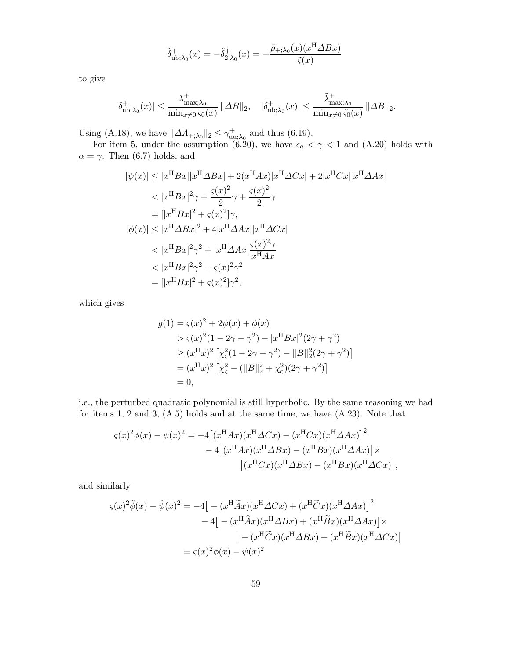$$
\tilde{\delta}^+_{\textrm{ub};\lambda_0}(x)=-\tilde{\delta}^+_{2;\lambda_0}(x)=-\frac{\tilde{\rho}_{+;\lambda_0}(x)(x^{\textrm{H}}\varDelta Bx)}{\tilde{\varsigma}(x)}
$$

to give

$$
|\delta_{{\rm ub};\lambda_0}^+(x)|\leq \frac{\lambda^+_{{\rm max};\lambda_0}}{\min_{x\neq 0} \varsigma_0(x)}\, \|\varDelta B\|_2, \quad |\tilde\delta_{{\rm ub};\lambda_0}^+(x)|\leq \frac{\tilde\lambda^+_{{\rm max};\lambda_0}}{\min_{x\neq 0} \tilde\varsigma_0(x)}\,\|\varDelta B\|_2.
$$

Using (A.18), we have  $\|\Delta A_{+;\lambda_0}\|_2 \leq \gamma_{\text{up}}^+$  $_{\text{uu};\lambda_0}^+$  and thus (6.19).

For item 5, under the assumption (6.20), we have  $\epsilon_a < \gamma < 1$  and (A.20) holds with  $\alpha = \gamma$ . Then (6.7) holds, and

$$
|\psi(x)| \le |x^{\mathrm{H}}Bx||x^{\mathrm{H}}\Delta Bx| + 2(x^{\mathrm{H}}Ax)|x^{\mathrm{H}}\Delta Cx| + 2|x^{\mathrm{H}}Cx||x^{\mathrm{H}}\Delta Ax|
$$
  
\n
$$
< |x^{\mathrm{H}}Bx|^2\gamma + \frac{\varsigma(x)^2}{2}\gamma + \frac{\varsigma(x)^2}{2}\gamma
$$
  
\n
$$
= [|x^{\mathrm{H}}Bx|^2 + \varsigma(x)^2]\gamma,
$$
  
\n
$$
|\phi(x)| \le |x^{\mathrm{H}}\Delta Bx|^2 + 4|x^{\mathrm{H}}\Delta Ax||x^{\mathrm{H}}\Delta Cx|
$$
  
\n
$$
< |x^{\mathrm{H}}Bx|^2\gamma^2 + |x^{\mathrm{H}}\Delta Ax|\frac{\varsigma(x)^2\gamma}{x^{\mathrm{H}}Ax}
$$
  
\n
$$
< |x^{\mathrm{H}}Bx|^2\gamma^2 + \varsigma(x)^2\gamma^2
$$
  
\n
$$
= [|x^{\mathrm{H}}Bx|^2 + \varsigma(x)^2]\gamma^2,
$$

which gives

$$
g(1) = \varsigma(x)^2 + 2\psi(x) + \phi(x)
$$
  
>  $\varsigma(x)^2(1 - 2\gamma - \gamma^2) - |x^{\text{H}}Bx|^2(2\gamma + \gamma^2)$   
  $\ge (x^{\text{H}}x)^2 [\chi_{\varsigma}^2(1 - 2\gamma - \gamma^2) - ||B||_2^2(2\gamma + \gamma^2)]$   
=  $(x^{\text{H}}x)^2 [\chi_{\varsigma}^2 - (||B||_2^2 + \chi_{\varsigma}^2)(2\gamma + \gamma^2)]$   
= 0,

i.e., the perturbed quadratic polynomial is still hyperbolic. By the same reasoning we had for items 1, 2 and 3, (A.5) holds and at the same time, we have (A.23). Note that

$$
\zeta(x)^2 \phi(x) - \psi(x)^2 = -4 \left[ (x^{\text{H}} Ax)(x^{\text{H}} \Delta Cx) - (x^{\text{H}} Cx)(x^{\text{H}} \Delta Ax) \right]^2
$$

$$
-4 \left[ (x^{\text{H}} Ax)(x^{\text{H}} \Delta Bx) - (x^{\text{H}} Bx)(x^{\text{H}} \Delta Ax) \right] \times \left[ (x^{\text{H}} Cx)(x^{\text{H}} \Delta Bx) - (x^{\text{H}} Bx)(x^{\text{H}} \Delta Cx) \right],
$$

and similarly

$$
\tilde{\zeta}(x)^2 \tilde{\phi}(x) - \tilde{\psi}(x)^2 = -4 \left[ - (x^{\rm H} \tilde{A}x)(x^{\rm H} \Delta Cx) + (x^{\rm H} \tilde{C}x)(x^{\rm H} \Delta Ax) \right]^2
$$

$$
-4 \left[ - (x^{\rm H} \tilde{A}x)(x^{\rm H} \Delta Bx) + (x^{\rm H} \tilde{B}x)(x^{\rm H} \Delta Ax) \right] \times
$$

$$
\left[ - (x^{\rm H} \tilde{C}x)(x^{\rm H} \Delta Bx) + (x^{\rm H} \tilde{B}x)(x^{\rm H} \Delta Cx) \right]
$$

$$
= \varsigma(x)^2 \phi(x) - \psi(x)^2.
$$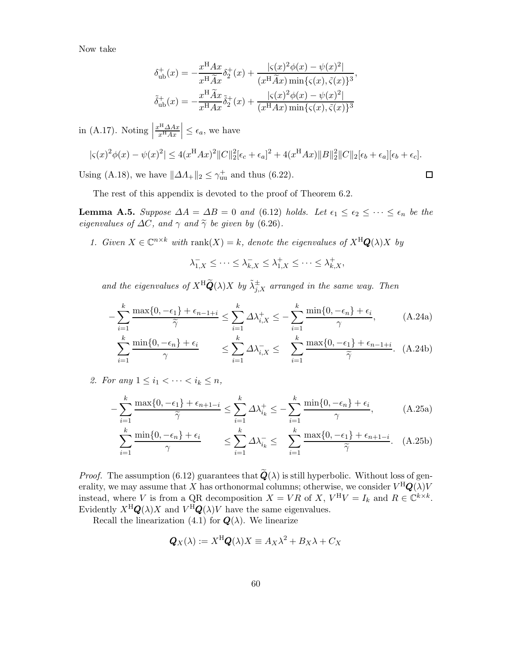Now take

$$
\delta_{\rm ub}^{+}(x) = -\frac{x^{\rm H}Ax}{x^{\rm H}\tilde{A}x}\delta_{2}^{+}(x) + \frac{|\varsigma(x)^{2}\phi(x) - \psi(x)^{2}|}{(x^{\rm H}\tilde{A}x)\min\{\varsigma(x), \tilde{\varsigma}(x)\}^{3}},
$$

$$
\tilde{\delta}_{\rm ub}^{+}(x) = -\frac{x^{\rm H}\tilde{A}x}{x^{\rm H}Ax}\tilde{\delta}_{2}^{+}(x) + \frac{|\varsigma(x)^{2}\phi(x) - \psi(x)^{2}|}{(x^{\rm H}Ax)\min\{\varsigma(x), \tilde{\varsigma}(x)\}^{3}}
$$

in (A.17). Noting  $\Big|$  $x^{\mathrm{H}}\Delta Ax$  $x^{\text{H}}Ax$  $\vert \leq \epsilon_a$ , we have

$$
|\varsigma(x)^2 \phi(x) - \psi(x)^2| \le 4(x^{\rm H}Ax)^2 ||C||_2^2 [\epsilon_c + \epsilon_a]^2 + 4(x^{\rm H}Ax)||B||_2^2 ||C||_2 [\epsilon_b + \epsilon_a][\epsilon_b + \epsilon_c].
$$

Using (A.18), we have  $\|\Delta A_+\|_2 \leq \gamma_{\text{uu}}^+$  and thus (6.22).

$$
\Box
$$

The rest of this appendix is devoted to the proof of Theorem 6.2.

**Lemma A.5.** Suppose  $\Delta A = \Delta B = 0$  and (6.12) holds. Let  $\epsilon_1 \leq \epsilon_2 \leq \cdots \leq \epsilon_n$  be the eigenvalues of  $\Delta C$ , and  $\gamma$  and  $\tilde{\gamma}$  be given by (6.26).

1. Given  $X \in \mathbb{C}^{n \times k}$  with rank $(X) = k$ , denote the eigenvalues of  $X^H \mathbf{Q}(\lambda) X$  by

$$
\lambda_{1,X}^- \leq \cdots \leq \lambda_{k,X}^- \leq \lambda_{1,X}^+ \leq \cdots \leq \lambda_{k,X}^+,
$$

and the eigenvalues of  $X^{\rm H} \widetilde{\mathbf{Q}}(\lambda) X$  by  $\widetilde{\lambda}_{j,X}^{\pm}$  arranged in the same way. Then

$$
-\sum_{i=1}^{k} \frac{\max\{0, -\epsilon_1\} + \epsilon_{n-1+i}}{\widetilde{\gamma}} \le \sum_{i=1}^{k} \Delta \lambda_{i,X}^+ \le -\sum_{i=1}^{k} \frac{\min\{0, -\epsilon_n\} + \epsilon_i}{\gamma},\tag{A.24a}
$$

$$
\sum_{i=1}^{k} \frac{\min\{0, -\epsilon_n\} + \epsilon_i}{\gamma} \le \sum_{i=1}^{k} \Delta \lambda_{i,X}^{-} \le \sum_{i=1}^{k} \frac{\max\{0, -\epsilon_1\} + \epsilon_{n-1+i}}{\widetilde{\gamma}}. (A.24b)
$$

2. For any  $1 \leq i_1 < \cdots < i_k \leq n$ ,

$$
-\sum_{i=1}^{k} \frac{\max\{0, -\epsilon_1\} + \epsilon_{n+1-i}}{\widetilde{\gamma}} \le \sum_{i=1}^{k} \Delta \lambda_{i_k}^+ \le -\sum_{i=1}^{k} \frac{\min\{0, -\epsilon_n\} + \epsilon_i}{\gamma},\tag{A.25a}
$$

$$
\sum_{i=1}^{k} \frac{\min\{0, -\epsilon_n\} + \epsilon_i}{\gamma} \qquad \leq \sum_{i=1}^{k} \Delta \lambda_{i_k} \leq \sum_{i=1}^{k} \frac{\max\{0, -\epsilon_1\} + \epsilon_{n+1-i}}{\widetilde{\gamma}}. \quad \text{(A.25b)}
$$

*Proof.* The assumption (6.12) guarantees that  $\widetilde{Q}(\lambda)$  is still hyperbolic. Without loss of generality, we may assume that  $X$  has orthonormal columns; otherwise, we consider  $V^\mathrm{H}\bm{Q}(\lambda)V$ instead, where V is from a QR decomposition  $X = VR$  of X,  $V^H V = I_k$  and  $R \in \mathbb{C}^{k \times k}$ . Evidently  $X^{\mathrm{H}}\mathbf{Q}(\lambda)X$  and  $V^{\mathrm{H}}\mathbf{Q}(\lambda)V$  have the same eigenvalues.

Recall the linearization (4.1) for  $\mathbf{Q}(\lambda)$ . We linearize

$$
\mathbf{Q}_X(\lambda) := X^{\mathrm{H}} \mathbf{Q}(\lambda) X \equiv A_X \lambda^2 + B_X \lambda + C_X
$$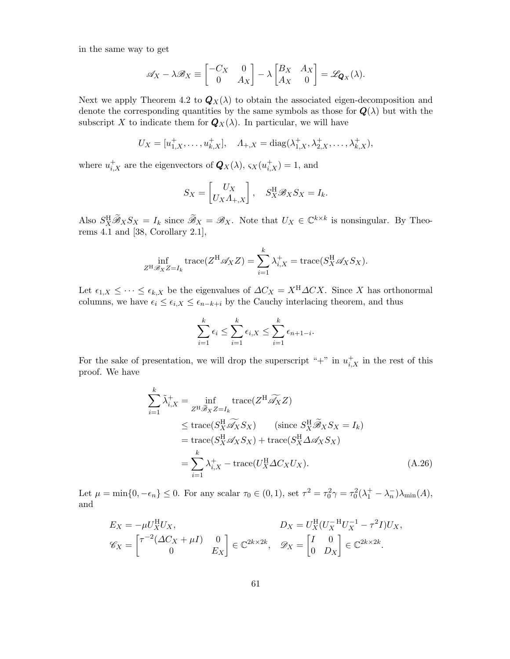in the same way to get

$$
\mathscr{A}_X - \lambda \mathscr{B}_X \equiv \begin{bmatrix} -C_X & 0 \\ 0 & A_X \end{bmatrix} - \lambda \begin{bmatrix} B_X & A_X \\ A_X & 0 \end{bmatrix} = \mathscr{L}_{\mathbf{Q}_X}(\lambda).
$$

Next we apply Theorem 4.2 to  $\mathbf{Q}_X(\lambda)$  to obtain the associated eigen-decomposition and denote the corresponding quantities by the same symbols as those for  $Q(\lambda)$  but with the subscript X to indicate them for  $\mathbf{Q}_X(\lambda)$ . In particular, we will have

$$
U_X = [u_{1,X}^+, \dots, u_{k,X}^+], \quad A_{+,X} = \text{diag}(\lambda_{1,X}^+, \lambda_{2,X}^+, \dots, \lambda_{k,X}^+),
$$

where  $u_{i,X}^+$  are the eigenvectors of  $\mathbf{Q}_X(\lambda)$ ,  $\varsigma_X(u_{i,X}^+) = 1$ , and

$$
S_X = \begin{bmatrix} U_X \\ U_X \Lambda_{+,X} \end{bmatrix}, \quad S_X^{\rm H} \mathscr{B}_X S_X = I_k.
$$

Also  $S_X^{\rm H} \widetilde{\mathscr{B}}_X S_X = I_k$  since  $\widetilde{\mathscr{B}}_X = \mathscr{B}_X$ . Note that  $U_X \in \mathbb{C}^{k \times k}$  is nonsingular. By Theorems 4.1 and [38, Corollary 2.1],

$$
\inf_{Z^H \mathscr{B}_X Z = I_k} \operatorname{trace}(Z^H \mathscr{A}_X Z) = \sum_{i=1}^k \lambda_{i,X}^+ = \operatorname{trace}(S_X^H \mathscr{A}_X S_X).
$$

Let  $\epsilon_{1,X} \leq \cdots \leq \epsilon_{k,X}$  be the eigenvalues of  $\Delta C_X = X^H \Delta C X$ . Since X has orthonormal columns, we have  $\epsilon_i \leq \epsilon_{i,X} \leq \epsilon_{n-k+i}$  by the Cauchy interlacing theorem, and thus

$$
\sum_{i=1}^{k} \epsilon_i \le \sum_{i=1}^{k} \epsilon_{i,X} \le \sum_{i=1}^{k} \epsilon_{n+1-i}.
$$

For the sake of presentation, we will drop the superscript "+" in  $u_{i,X}^+$  in the rest of this proof. We have

$$
\sum_{i=1}^{k} \tilde{\lambda}_{i,X}^{+} = \inf_{Z^{H} \tilde{\mathscr{B}}_{X} Z = I_{k}} \text{trace}(Z^{H} \tilde{\mathscr{A}}_{X} Z)
$$
\n
$$
\leq \text{trace}(S_{X}^{H} \tilde{\mathscr{A}}_{X} S_{X}) \qquad (\text{since } S_{X}^{H} \tilde{\mathscr{B}}_{X} S_{X} = I_{k})
$$
\n
$$
= \text{trace}(S_{X}^{H} \mathscr{A}_{X} S_{X}) + \text{trace}(S_{X}^{H} \Delta \mathscr{A}_{X} S_{X})
$$
\n
$$
= \sum_{i=1}^{k} \lambda_{i,X}^{+} - \text{trace}(U_{X}^{H} \Delta C_{X} U_{X}). \qquad (A.26)
$$

Let  $\mu = \min\{0, -\epsilon_n\} \le 0$ . For any scalar  $\tau_0 \in (0, 1)$ , set  $\tau^2 = \tau_0^2 \gamma = \tau_0^2 (\lambda_1^+ - \lambda_n^-) \lambda_{\min}(A)$ , and

$$
E_X = -\mu U_X^H U_X, \qquad D_X = U_X^H (U_X^{-H} U_X^{-1} - \tau^2 I) U_X,
$$
  

$$
\mathscr{C}_X = \begin{bmatrix} \tau^{-2} (\Delta C_X + \mu I) & 0 \\ 0 & E_X \end{bmatrix} \in \mathbb{C}^{2k \times 2k}, \quad \mathscr{D}_X = \begin{bmatrix} I & 0 \\ 0 & D_X \end{bmatrix} \in \mathbb{C}^{2k \times 2k}.
$$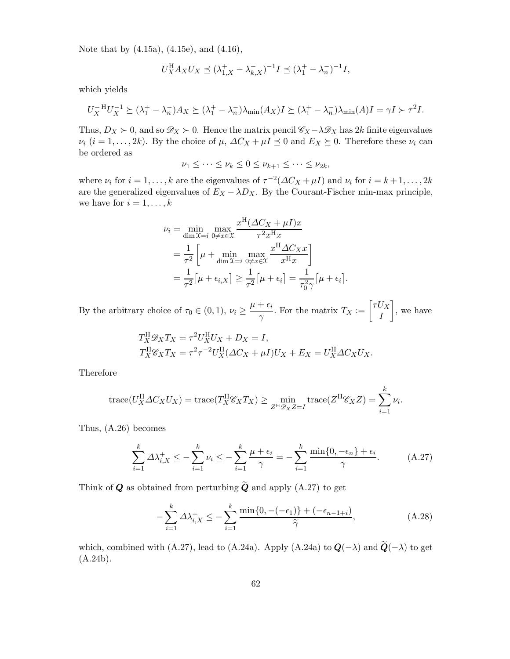Note that by (4.15a), (4.15e), and (4.16),

$$
U_X^{\rm H} A_X U_X \preceq (\lambda_{1,X}^+ - \lambda_{k,X}^-)^{-1} I \preceq (\lambda_1^+ - \lambda_n^-)^{-1} I,
$$

which yields

$$
U_X^{-H}U_X^{-1} \succeq (\lambda_1^+ - \lambda_n^-)A_X \succeq (\lambda_1^+ - \lambda_n^-)\lambda_{\min}(A_X)I \succeq (\lambda_1^+ - \lambda_n^-)\lambda_{\min}(A)I = \gamma I \succ \tau^2 I.
$$

Thus,  $D_X \succ 0$ , and so  $\mathscr{D}_X \succ 0$ . Hence the matrix pencil  $\mathscr{C}_X - \lambda \mathscr{D}_X$  has 2k finite eigenvalues  $\nu_i$   $(i = 1, \ldots, 2k)$ . By the choice of  $\mu$ ,  $\Delta C_X + \mu I \preceq 0$  and  $E_X \succeq 0$ . Therefore these  $\nu_i$  can be ordered as

$$
\nu_1 \leq \cdots \leq \nu_k \leq 0 \leq \nu_{k+1} \leq \cdots \leq \nu_{2k},
$$

where  $\nu_i$  for  $i = 1, ..., k$  are the eigenvalues of  $\tau^{-2}(\Delta C_X + \mu I)$  and  $\nu_i$  for  $i = k + 1, ..., 2k$ are the generalized eigenvalues of  $E_X - \lambda D_X$ . By the Courant-Fischer min-max principle, we have for  $i = 1, \ldots, k$ 

$$
\nu_i = \min_{\dim \mathcal{X} = i} \max_{0 \neq x \in \mathcal{X}} \frac{x^{\mathrm{H}} (\Delta C_X + \mu I) x}{\tau^2 x^{\mathrm{H}} x}
$$

$$
= \frac{1}{\tau^2} \left[ \mu + \min_{\dim \mathcal{X} = i} \max_{0 \neq x \in \mathcal{X}} \frac{x^{\mathrm{H}} \Delta C_X x}{x^{\mathrm{H}} x} \right]
$$

$$
= \frac{1}{\tau^2} [\mu + \epsilon_{i,X}] \ge \frac{1}{\tau^2} [\mu + \epsilon_i] = \frac{1}{\tau_0^2 \gamma} [\mu + \epsilon_i]
$$

.

By the arbitrary choice of  $\tau_0 \in (0,1)$ ,  $\nu_i \geq \frac{\mu + \epsilon_i}{\gamma}$  $\frac{1}{\gamma} \frac{\epsilon_i}{I}$ . For the matrix  $T_X := \begin{bmatrix} \tau U_X \\ I \end{bmatrix}$ I 1 , we have

$$
T_X^{\text{H}} \mathscr{D}_X T_X = \tau^2 U_X^{\text{H}} U_X + D_X = I,
$$
  
\n
$$
T_X^{\text{H}} \mathscr{C}_X T_X = \tau^2 \tau^{-2} U_X^{\text{H}} (\Delta C_X + \mu I) U_X + E_X = U_X^{\text{H}} \Delta C_X U_X.
$$

Therefore

trace
$$
(U_X^{\text{H}} \Delta C_X U_X) = \text{trace}(T_X^{\text{H}} \mathscr{C}_X T_X) \ge \min_{Z^{\text{H}} \mathscr{D}_X Z = I} \text{trace}(Z^{\text{H}} \mathscr{C}_X Z) = \sum_{i=1}^k \nu_i.
$$

Thus, (A.26) becomes

$$
\sum_{i=1}^{k} \Delta \lambda_{i,X}^{+} \le -\sum_{i=1}^{k} \nu_i \le -\sum_{i=1}^{k} \frac{\mu + \epsilon_i}{\gamma} = -\sum_{i=1}^{k} \frac{\min\{0, -\epsilon_n\} + \epsilon_i}{\gamma}.
$$
 (A.27)

Think of **Q** as obtained from perturbing  $\widetilde{Q}$  and apply (A.27) to get

$$
-\sum_{i=1}^{k} \Delta \lambda_{i,X}^{+} \le -\sum_{i=1}^{k} \frac{\min\{0, -(-\epsilon_1)\} + (-\epsilon_{n-1+i})}{\widetilde{\gamma}},\tag{A.28}
$$

which, combined with (A.27), lead to (A.24a). Apply (A.24a) to  $Q(-\lambda)$  and  $\widetilde{Q}(-\lambda)$  to get  $(A.24b).$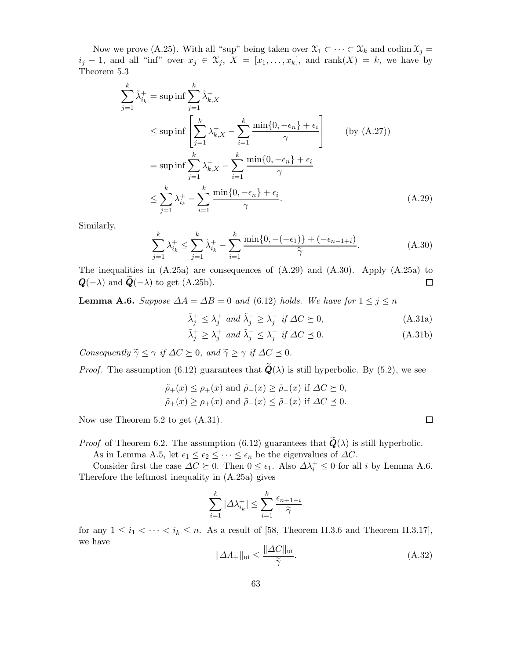Now we prove (A.25). With all "sup" being taken over  $\mathfrak{X}_1 \subset \cdots \subset \mathfrak{X}_k$  and codim  $\mathfrak{X}_j =$  $i_j - 1$ , and all "inf" over  $x_j \in \mathfrak{X}_j$ ,  $X = [x_1, \ldots, x_k]$ , and rank $(X) = k$ , we have by Theorem 5.3

$$
\sum_{j=1}^{k} \tilde{\lambda}_{i_k}^+ = \sup \inf \sum_{j=1}^{k} \tilde{\lambda}_{k,X}^+ \n\le \sup \inf \left[ \sum_{j=1}^{k} \lambda_{k,X}^+ - \sum_{i=1}^{k} \frac{\min\{0, -\epsilon_n\} + \epsilon_i}{\gamma} \right] \qquad \text{(by (A.27))}
$$
\n
$$
= \sup \inf \sum_{j=1}^{k} \lambda_{k,X}^+ - \sum_{i=1}^{k} \frac{\min\{0, -\epsilon_n\} + \epsilon_i}{\gamma}
$$
\n
$$
\le \sum_{j=1}^{k} \lambda_{i_k}^+ - \sum_{i=1}^{k} \frac{\min\{0, -\epsilon_n\} + \epsilon_i}{\gamma}. \qquad (A.29)
$$

Similarly,

$$
\sum_{j=1}^{k} \lambda_{i_k}^+ \le \sum_{j=1}^{k} \tilde{\lambda}_{i_k}^+ - \sum_{i=1}^{k} \frac{\min\{0, -(-\epsilon_1)\} + (-\epsilon_{n-1+i})}{\tilde{\gamma}}.
$$
 (A.30)

The inequalities in  $(A.25a)$  are consequences of  $(A.29)$  and  $(A.30)$ . Apply  $(A.25a)$  to  $Q(-\lambda)$  and  $Q(-\lambda)$  to get (A.25b).  $\Box$ 

**Lemma A.6.** Suppose  $\Delta A = \Delta B = 0$  and (6.12) holds. We have for  $1 \leq j \leq n$ 

$$
\tilde{\lambda}_j^+ \le \lambda_j^+ \text{ and } \tilde{\lambda}_j^- \ge \lambda_j^- \text{ if } \Delta C \succeq 0,
$$
\n(A.31a)\n
$$
\tilde{\lambda}_j^+ \ge \lambda_j^+ \quad \text{if } \Delta C \le 0,
$$
\n(A.31b)

$$
\tilde{\lambda}_j^+ \ge \lambda_j^+ \text{ and } \tilde{\lambda}_j^- \le \lambda_j^- \text{ if } \Delta C \le 0. \tag{A.31b}
$$

Consequently  $\widetilde{\gamma} \leq \gamma$  if  $\Delta C \succeq 0$ , and  $\widetilde{\gamma} \geq \gamma$  if  $\Delta C \preceq 0$ .

*Proof.* The assumption (6.12) guarantees that  $\mathbf{Q}(\lambda)$  is still hyperbolic. By (5.2), we see

$$
\tilde{\rho}_{+}(x) \leq \rho_{+}(x)
$$
 and  $\tilde{\rho}_{-}(x) \geq \tilde{\rho}_{-}(x)$  if  $\Delta C \geq 0$ ,  
\n $\tilde{\rho}_{+}(x) \geq \rho_{+}(x)$  and  $\tilde{\rho}_{-}(x) \leq \tilde{\rho}_{-}(x)$  if  $\Delta C \preceq 0$ .

Now use Theorem 5.2 to get (A.31).

*Proof* of Theorem 6.2. The assumption (6.12) guarantees that  $\tilde{\boldsymbol{Q}}(\lambda)$  is still hyperbolic.

As in Lemma A.5, let  $\epsilon_1 \leq \epsilon_2 \leq \cdots \leq \epsilon_n$  be the eigenvalues of  $\Delta C$ .

Consider first the case  $\Delta C \succeq 0$ . Then  $0 \leq \epsilon_1$ . Also  $\Delta \lambda_i^+ \leq 0$  for all i by Lemma A.6. Therefore the leftmost inequality in (A.25a) gives

$$
\sum_{i=1}^k |\Delta \lambda_{i_k}^+| \le \sum_{i=1}^k \frac{\epsilon_{n+1-i}}{\widetilde{\gamma}}
$$

for any  $1 \leq i_1 < \cdots < i_k \leq n$ . As a result of [58, Theorem II.3.6 and Theorem II.3.17], we have

$$
\|\Delta \Lambda_{+}\|_{\text{ui}} \le \frac{\|\Delta C\|_{\text{ui}}}{\tilde{\gamma}}.\tag{A.32}
$$

 $\Box$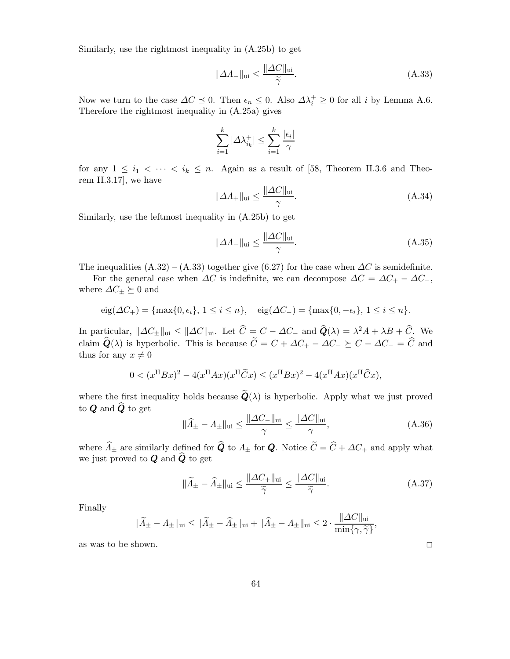Similarly, use the rightmost inequality in (A.25b) to get

$$
\|\Delta A_{-}\|_{\text{ui}} \le \frac{\|\Delta C\|_{\text{ui}}}{\tilde{\gamma}}.\tag{A.33}
$$

Now we turn to the case  $\Delta C \preceq 0$ . Then  $\epsilon_n \leq 0$ . Also  $\Delta \lambda_i^+ \geq 0$  for all i by Lemma A.6. Therefore the rightmost inequality in (A.25a) gives

$$
\sum_{i=1}^k |\varDelta \lambda_{i_k}^+| \leq \sum_{i=1}^k \frac{|\epsilon_i|}{\gamma}
$$

for any  $1 \leq i_1 < \cdots < i_k \leq n$ . Again as a result of [58, Theorem II.3.6 and Theorem II.3.17], we have

$$
\|\Delta A_{+}\|_{\text{ui}} \le \frac{\|\Delta C\|_{\text{ui}}}{\gamma}.\tag{A.34}
$$

Similarly, use the leftmost inequality in (A.25b) to get

$$
\|\Delta A_{-}\|_{\text{ui}} \le \frac{\|\Delta C\|_{\text{ui}}}{\gamma}.\tag{A.35}
$$

The inequalities  $(A.32) - (A.33)$  together give (6.27) for the case when  $\Delta C$  is semidefinite.

For the general case when  $\Delta C$  is indefinite, we can decompose  $\Delta C = \Delta C_+ - \Delta C_-,$ where  $\Delta C_{\pm} \succeq 0$  and

$$
eig(\Delta C_{+}) = \{\max\{0, \epsilon_{i}\}, 1 \leq i \leq n\}, \quad eig(\Delta C_{-}) = \{\max\{0, -\epsilon_{i}\}, 1 \leq i \leq n\}.
$$

In particular,  $\|\Delta C_{\pm}\|_{\text{ui}} \leq \|\Delta C\|_{\text{ui}}$ . Let  $\hat{C} = C - \Delta C_{-}$  and  $\hat{Q}(\lambda) = \lambda^2 A + \lambda B + \hat{C}$ . We claim  $\hat{Q}(\lambda)$  is hyperbolic. This is because  $\tilde{C} = C + \Delta C_+ - \Delta C_-\succeq C - \Delta C_- = \hat{C}$  and thus for any  $x \neq 0$ 

$$
0 < (x^{\mathrm{H}}Bx)^2 - 4(x^{\mathrm{H}}Ax)(x^{\mathrm{H}}\widetilde{C}x) \le (x^{\mathrm{H}}Bx)^2 - 4(x^{\mathrm{H}}Ax)(x^{\mathrm{H}}\widehat{C}x),
$$

where the first inequality holds because  $\tilde{Q}(\lambda)$  is hyperbolic. Apply what we just proved to  $Q$  and  $\widehat{Q}$  to get

$$
\|\widehat{A}_{\pm} - A_{\pm}\|_{\text{ui}} \le \frac{\|\Delta C_{-}\|_{\text{ui}}}{\gamma} \le \frac{\|\Delta C\|_{\text{ui}}}{\gamma},\tag{A.36}
$$

where  $\widehat{\Lambda}_{\pm}$  are similarly defined for  $\widehat{Q}$  to  $\Lambda_{\pm}$  for  $Q$ . Notice  $\widetilde{C} = \widehat{C} + \Delta C_{+}$  and apply what we just proved to  $\boldsymbol{Q}$  and  $\widehat{\boldsymbol{Q}}$  to get

$$
\|\widetilde{A}_{\pm} - \widehat{A}_{\pm}\|_{\text{ui}} \le \frac{\|\Delta C_{+}\|_{\text{ui}}}{\widetilde{\gamma}} \le \frac{\|\Delta C\|_{\text{ui}}}{\widetilde{\gamma}}.\tag{A.37}
$$

Finally

$$
\|\widetilde{\varLambda}_{\pm}-\varLambda_{\pm}\|_{\textnormal{ui}}\leq \|\widetilde{\varLambda}_{\pm}-\widehat{\varLambda}_{\pm}\|_{\textnormal{ui}}+\|\widehat{\varLambda}_{\pm}-\varLambda_{\pm}\|_{\textnormal{ui}}\leq 2\cdot \frac{\|\varDelta C\|_{\textnormal{ui}}}{\min\{\gamma,\widetilde{\gamma}\}},
$$

as was to be shown.  $\square$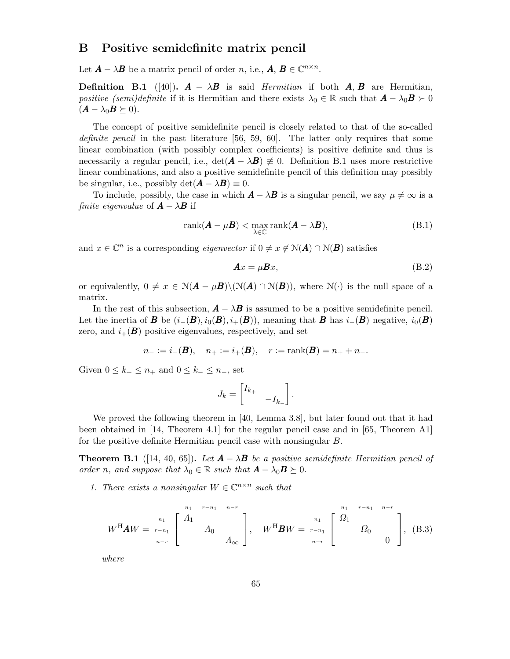## B Positive semidefinite matrix pencil

Let  $A - \lambda B$  be a matrix pencil of order n, i.e.,  $A, B \in \mathbb{C}^{n \times n}$ .

**Definition B.1** ([40]).  $\mathbf{A} - \lambda \mathbf{B}$  is said *Hermitian* if both  $\mathbf{A}, \mathbf{B}$  are Hermitian, positive (semi)definite if it is Hermitian and there exists  $\lambda_0 \in \mathbb{R}$  such that  $\mathbf{A} - \lambda_0 \mathbf{B} \succ 0$  $(\mathbf{A} - \lambda_0 \mathbf{B} \succeq 0).$ 

The concept of positive semidefinite pencil is closely related to that of the so-called definite pencil in the past literature [56, 59, 60]. The latter only requires that some linear combination (with possibly complex coefficients) is positive definite and thus is necessarily a regular pencil, i.e.,  $\det(\mathbf{A} - \lambda \mathbf{B}) \neq 0$ . Definition B.1 uses more restrictive linear combinations, and also a positive semidefinite pencil of this definition may possibly be singular, i.e., possibly  $\det(\mathbf{A} - \lambda \mathbf{B}) \equiv 0$ .

To include, possibly, the case in which  $\mathbf{A} - \lambda \mathbf{B}$  is a singular pencil, we say  $\mu \neq \infty$  is a finite eigenvalue of  $\mathbf{A} - \lambda \mathbf{B}$  if

$$
rank(\mathbf{A} - \mu \mathbf{B}) < \max_{\lambda \in \mathbb{C}} rank(\mathbf{A} - \lambda \mathbf{B}), \tag{B.1}
$$

and  $x \in \mathbb{C}^n$  is a corresponding *eigenvector* if  $0 \neq x \notin N(A) \cap N(B)$  satisfies

$$
Ax = \mu Bx,\tag{B.2}
$$

or equivalently,  $0 \neq x \in N(A - \mu B) \setminus (N(A) \cap N(B))$ , where  $N(\cdot)$  is the null space of a matrix.

In the rest of this subsection,  $\mathbf{A} - \lambda \mathbf{B}$  is assumed to be a positive semidefinite pencil. Let the inertia of **B** be  $(i_{-}(\mathbf{B}), i_{0}(\mathbf{B}), i_{+}(\mathbf{B}))$ , meaning that **B** has  $i_{-}(\mathbf{B})$  negative,  $i_{0}(\mathbf{B})$ zero, and  $i_{+}(B)$  positive eigenvalues, respectively, and set

$$
n_{-} := i_{-}(B), \quad n_{+} := i_{+}(B), \quad r := \text{rank}(B) = n_{+} + n_{-}.
$$

Given  $0 \leq k_+ \leq n_+$  and  $0 \leq k_- \leq n_-$ , set

$$
J_k = \begin{bmatrix} I_{k+} & & \\ & -I_{k-} \end{bmatrix}.
$$

We proved the following theorem in [40, Lemma 3.8], but later found out that it had been obtained in [14, Theorem 4.1] for the regular pencil case and in [65, Theorem A1] for the positive definite Hermitian pencil case with nonsingular B.

**Theorem B.1** ([14, 40, 65]). Let  $\mathbf{A} - \lambda \mathbf{B}$  be a positive semidefinite Hermitian pencil of order n, and suppose that  $\lambda_0 \in \mathbb{R}$  such that  $\mathbf{A} - \lambda_0 \mathbf{B} \succeq 0$ .

1. There exists a nonsingular  $W \in \mathbb{C}^{n \times n}$  such that

$$
W^{\mathrm{H}} A W = \begin{bmatrix} n_1 & n_1 & n-r \\ n_2 & n_2 & n_1 \end{bmatrix} \begin{bmatrix} n_1 & n_2 & n_1 \\ n_2 & n_1 & n_2 \end{bmatrix}, \quad W^{\mathrm{H}} B W = \begin{bmatrix} n_1 & n_1 & n_1 & n_1 \end{bmatrix} \begin{bmatrix} n_1 & n_2 & n_1 \\ n_2 & n_2 & n_1 \end{bmatrix}, \quad \text{(B.3)}
$$

where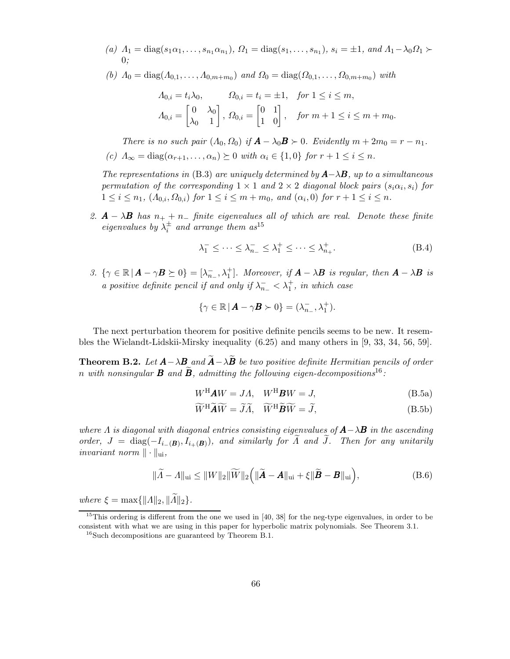- (a)  $\Lambda_1 = \text{diag}(s_1\alpha_1, \ldots, s_{n_1}\alpha_{n_1}), \Omega_1 = \text{diag}(s_1, \ldots, s_{n_1}), s_i = \pm 1, \text{ and } \Lambda_1 \lambda_0 \Omega_1 \succ$ 0;
- (b)  $\Lambda_0 = \text{diag}(\Lambda_{0,1}, \ldots, \Lambda_{0,m+m_0})$  and  $\Omega_0 = \text{diag}(\Omega_{0,1}, \ldots, \Omega_{0,m+m_0})$  with

$$
A_{0,i} = t_i \lambda_0, \qquad \Omega_{0,i} = t_i = \pm 1, \quad \text{for } 1 \le i \le m,
$$
  

$$
A_{0,i} = \begin{bmatrix} 0 & \lambda_0 \\ \lambda_0 & 1 \end{bmatrix}, \ \Omega_{0,i} = \begin{bmatrix} 0 & 1 \\ 1 & 0 \end{bmatrix}, \quad \text{for } m+1 \le i \le m+m_0.
$$

There is no such pair  $(A_0, \Omega_0)$  if  $\mathbf{A} - \lambda_0 \mathbf{B} \succ 0$ . Evidently  $m + 2m_0 = r - n_1$ . (c)  $\Lambda_{\infty} = \text{diag}(\alpha_{r+1}, \ldots, \alpha_n) \succeq 0$  with  $\alpha_i \in \{1, 0\}$  for  $r+1 \leq i \leq n$ .

The representations in (B.3) are uniquely determined by  $A-\lambda B$ , up to a simultaneous permutation of the corresponding  $1 \times 1$  and  $2 \times 2$  diagonal block pairs  $(s_i \alpha_i, s_i)$  for  $1 \leq i \leq n_1, \ (A_{0,i}, \Omega_{0,i})$  for  $1 \leq i \leq m+m_0, \ and \ (\alpha_i, 0)$  for  $r+1 \leq i \leq n$ .

2.  $\mathbf{A} - \lambda \mathbf{B}$  has  $n_+ + n_-$  finite eigenvalues all of which are real. Denote these finite eigenvalues by  $\lambda_i^{\pm}$  and arrange them as<sup>15</sup>

$$
\lambda_1^- \le \dots \le \lambda_{n-}^- \le \lambda_1^+ \le \dots \le \lambda_{n+}^+.
$$
 (B.4)

3.  $\{\gamma \in \mathbb{R} \mid A - \gamma B \succeq 0\} = [\lambda_{n_{-}}^-, \lambda_1^+]$ . Moreover, if  $A - \lambda B$  is regular, then  $A - \lambda B$  is a positive definite pencil if and only if  $\lambda_{n_-}^- < \lambda_1^+$ , in which case

$$
\{\gamma \in \mathbb{R} \, | \, \mathbf{A} - \gamma \mathbf{B} \succ 0\} = (\lambda_{n_-}^-, \lambda_1^+).
$$

The next perturbation theorem for positive definite pencils seems to be new. It resembles the Wielandt-Lidskii-Mirsky inequality (6.25) and many others in [9, 33, 34, 56, 59].

**Theorem B.2.** Let  $\mathbf{A} - \lambda \mathbf{B}$  and  $\widetilde{\mathbf{A}} - \lambda \widetilde{\mathbf{B}}$  be two positive definite Hermitian pencils of order n with nonsingular **B** and  $\tilde{B}$ , admitting the following eigen-decompositions<sup>16</sup>:

$$
W^{\mathrm{H}} A W = J A, \quad W^{\mathrm{H}} B W = J,
$$
\n(B.5a)

$$
\widetilde{W}^{\rm H}\widetilde{A}\widetilde{W} = \widetilde{J}\widetilde{A}, \quad \widetilde{W}^{\rm H}\widetilde{B}\widetilde{W} = \widetilde{J},\tag{B.5b}
$$

where  $\Lambda$  is diagonal with diagonal entries consisting eigenvalues of  $\mathbf{A}-\lambda\mathbf{B}$  in the ascending order,  $J = \text{diag}(-I_{i-(\mathbf{B})}, I_{i+(\mathbf{B})})$ , and similarly for  $\Lambda$  and  $J$ . Then for any unitarily invariant norm  $\|\cdot\|_{\text{ui}}$ ,

$$
\|\widetilde{A} - A\|_{\text{ui}} \le \|W\|_2 \|\widetilde{W}\|_2 \left( \|\widetilde{A} - A\|_{\text{ui}} + \xi \|\widetilde{B} - B\|_{\text{ui}} \right),\tag{B.6}
$$

where  $\xi = \max\{||A||_2, ||\widetilde{A}||_2\}.$ 

<sup>&</sup>lt;sup>15</sup>This ordering is different from the one we used in [40, 38] for the neg-type eigenvalues, in order to be consistent with what we are using in this paper for hyperbolic matrix polynomials. See Theorem 3.1.

 $16$ Such decompositions are guaranteed by Theorem B.1.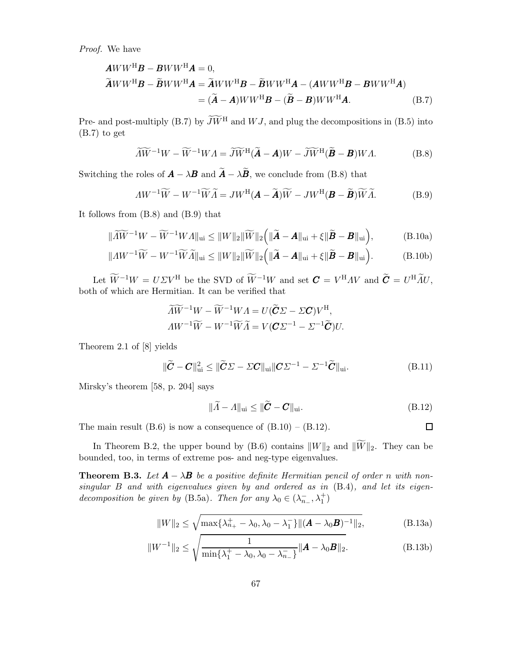Proof. We have

$$
\mathbf{A}WW^{\mathrm{H}}\mathbf{B} - \mathbf{B}WW^{\mathrm{H}}\mathbf{A} = 0,
$$
  
\n
$$
\widetilde{\mathbf{A}}WW^{\mathrm{H}}\mathbf{B} - \widetilde{\mathbf{B}}WW^{\mathrm{H}}\mathbf{A} = \widetilde{\mathbf{A}}WW^{\mathrm{H}}\mathbf{B} - \widetilde{\mathbf{B}}WW^{\mathrm{H}}\mathbf{A} - (\mathbf{A}WW^{\mathrm{H}}\mathbf{B} - \mathbf{B}WW^{\mathrm{H}}\mathbf{A})
$$
  
\n
$$
= (\widetilde{\mathbf{A}} - \mathbf{A})WW^{\mathrm{H}}\mathbf{B} - (\widetilde{\mathbf{B}} - \mathbf{B})WW^{\mathrm{H}}\mathbf{A}.
$$
 (B.7)

Pre- and post-multiply (B.7) by  $\widetilde{J}\widetilde{W}^H$  and W J, and plug the decompositions in (B.5) into (B.7) to get

$$
\widetilde{\Lambda W}^{-1}W - \widetilde{W}^{-1}WA = \widetilde{JW}^{\mathrm{H}}(\widetilde{\boldsymbol{A}} - \boldsymbol{A})W - \widetilde{JW}^{\mathrm{H}}(\widetilde{\boldsymbol{B}} - \boldsymbol{B})WA. \tag{B.8}
$$

Switching the roles of  $\vec{A} - \lambda \vec{B}$  and  $\tilde{\vec{A}} - \lambda \tilde{\vec{B}}$ , we conclude from (B.8) that

$$
AW^{-1}\widetilde{W} - W^{-1}\widetilde{W}\widetilde{A} = JW^{\mathrm{H}}(\mathbf{A} - \widetilde{\mathbf{A}})\widetilde{W} - JW^{\mathrm{H}}(\mathbf{B} - \widetilde{\mathbf{B}})\widetilde{W}\widetilde{A}.
$$
 (B.9)

It follows from (B.8) and (B.9) that

$$
\|\widetilde{A}\widetilde{W}^{-1}W - \widetilde{W}^{-1}WA\|_{\text{ui}} \leq \|W\|_{2}\|\widetilde{W}\|_{2}\left(\|\widetilde{\boldsymbol{A}} - \boldsymbol{A}\|_{\text{ui}} + \xi\|\widetilde{\boldsymbol{B}} - \boldsymbol{B}\|_{\text{ui}}\right),\tag{B.10a}
$$

$$
\|AW^{-1}\widetilde{W} - W^{-1}\widetilde{W}\widetilde{A}\|_{\text{ui}} \le \|W\|_2 \|\widetilde{W}\|_2 \Big(\|\widetilde{A} - A\|_{\text{ui}} + \xi \|\widetilde{B} - B\|_{\text{ui}}\Big). \tag{B.10b}
$$

Let  $W^{-1}W = U\Sigma V^{\text{H}}$  be the SVD of  $W^{-1}W$  and set  $\mathbf{C} = V^{\text{H}}AV$  and  $\mathbf{C} = U^{\text{H}}\tilde{A}U$ , both of which are Hermitian. It can be verified that

$$
\widetilde{A}\widetilde{W}^{-1}W - \widetilde{W}^{-1}WA = U(\widetilde{C}\Sigma - \Sigma C)V^{\mathrm{H}},
$$
  
\n
$$
AW^{-1}\widetilde{W} - W^{-1}\widetilde{W}\widetilde{A} = V(C\Sigma^{-1} - \Sigma^{-1}\widetilde{C})U.
$$

Theorem 2.1 of [8] yields

$$
\|\widetilde{\boldsymbol{C}} - \boldsymbol{C}\|_{\text{ui}}^2 \le \|\widetilde{\boldsymbol{C}}\boldsymbol{\Sigma} - \boldsymbol{\Sigma}\boldsymbol{C}\|_{\text{ui}}\|\boldsymbol{C}\boldsymbol{\Sigma}^{-1} - \boldsymbol{\Sigma}^{-1}\widetilde{\boldsymbol{C}}\|_{\text{ui}}.
$$
\n(B.11)

Mirsky's theorem [58, p. 204] says

$$
\|\widetilde{A} - A\|_{\text{ui}} \le \|\widetilde{C} - C\|_{\text{ui}}.\tag{B.12}
$$

 $\Box$ 

The main result  $(B.6)$  is now a consequence of  $(B.10) - (B.12)$ .

In Theorem B.2, the upper bound by (B.6) contains  $||W||_2$  and  $||\widetilde{W}||_2$ . They can be bounded, too, in terms of extreme pos- and neg-type eigenvalues.

**Theorem B.3.** Let  $A - \lambda B$  be a positive definite Hermitian pencil of order n with nonsingular B and with eigenvalues given by and ordered as in (B.4), and let its eigendecomposition be given by (B.5a). Then for any  $\lambda_0 \in (\lambda_{n_-}^-, \lambda_1^+)$ 

$$
||W||_2 \le \sqrt{\max\{\lambda_{n_+}^+ - \lambda_0, \lambda_0 - \lambda_1^-\}\|(A - \lambda_0 B)^{-1}||_2},
$$
 (B.13a)

$$
||W^{-1}||_2 \le \sqrt{\frac{1}{\min\{\lambda_1^+ - \lambda_0, \lambda_0 - \lambda_{n_-}^-\}} ||\mathbf{A} - \lambda_0 \mathbf{B}||_2}.
$$
 (B.13b)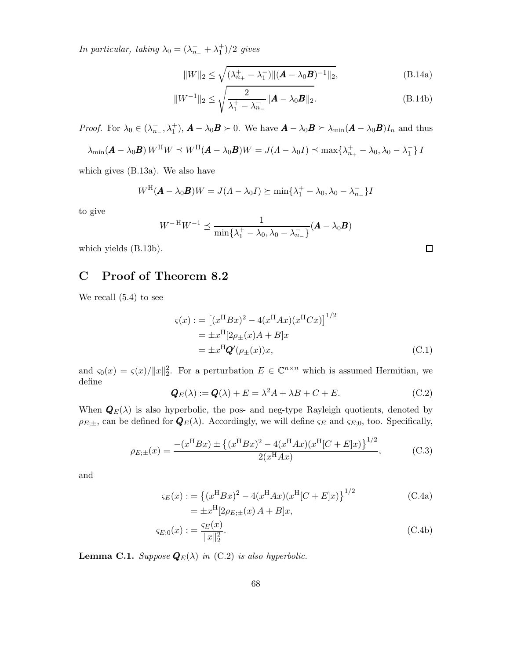In particular, taking  $\lambda_0 = (\lambda_{n_-}^- + \lambda_1^+)/2$  gives

$$
||W||_2 \le \sqrt{(\lambda_{n_+}^+ - \lambda_1^-)||(\mathbf{A} - \lambda_0 \mathbf{B})^{-1}||_2},
$$
\n(B.14a)

$$
||W^{-1}||_2 \le \sqrt{\frac{2}{\lambda_1^+ - \lambda_{n_-}^-} ||\mathbf{A} - \lambda_0 \mathbf{B}||_2}.
$$
 (B.14b)

*Proof.* For  $\lambda_0 \in (\lambda_{n_-}^-, \lambda_1^+), \mathbf{A} - \lambda_0 \mathbf{B} \succ 0$ . We have  $\mathbf{A} - \lambda_0 \mathbf{B} \succeq \lambda_{\min} (\mathbf{A} - \lambda_0 \mathbf{B}) I_n$  and thus

$$
\lambda_{\min}(\boldsymbol{A} - \lambda_0 \boldsymbol{B}) W^{\mathrm{H}} W \preceq W^{\mathrm{H}}(\boldsymbol{A} - \lambda_0 \boldsymbol{B}) W = J(\Lambda - \lambda_0 I) \preceq \max \{ \lambda_{n_+}^+ - \lambda_0, \lambda_0 - \lambda_1^- \} I
$$

which gives (B.13a). We also have

$$
W^{\mathrm{H}}(\mathbf{A} - \lambda_0 \mathbf{B})W = J(A - \lambda_0 I) \succeq \min\{\lambda_1^+ - \lambda_0, \lambda_0 - \lambda_{n-1}^- \}I
$$

to give

$$
W^{-H}W^{-1} \preceq \frac{1}{\min\{\lambda_1^+ - \lambda_0, \lambda_0 - \lambda_{n_-}^-\}} (\boldsymbol{A} - \lambda_0 \boldsymbol{B})
$$

which yields (B.13b).

# C Proof of Theorem 8.2

We recall (5.4) to see

$$
\varsigma(x) := \left[ (x^{H}Bx)^{2} - 4(x^{H}Ax)(x^{H}Cx) \right]^{1/2}
$$
  
=  $\pm x^{H}[2\rho_{\pm}(x)A + B]x$   
=  $\pm x^{H}\mathbf{Q}'(\rho_{\pm}(x))x,$  (C.1)

and  $\varsigma_0(x) = \varsigma(x)/||x||_2^2$ . For a perturbation  $E \in \mathbb{C}^{n \times n}$  which is assumed Hermitian, we define

$$
\mathbf{Q}_E(\lambda) := \mathbf{Q}(\lambda) + E = \lambda^2 A + \lambda B + C + E. \tag{C.2}
$$

When  $\mathbf{Q}_E(\lambda)$  is also hyperbolic, the pos- and neg-type Rayleigh quotients, denoted by  $\rho_{E;\pm}$ , can be defined for  $\mathbf{Q}_E(\lambda)$ . Accordingly, we will define  $\varsigma_E$  and  $\varsigma_{E,0}$ , too. Specifically,

$$
\rho_{E;\pm}(x) = \frac{- (x^{\mathrm{H}} B x) \pm \left\{ (x^{\mathrm{H}} B x)^2 - 4(x^{\mathrm{H}} A x)(x^{\mathrm{H}} [C + E] x) \right\}^{1/2}}{2(x^{\mathrm{H}} A x)},\tag{C.3}
$$

and

$$
\varsigma_E(x) := \left\{ (x^{\mathrm{H}} Bx)^2 - 4(x^{\mathrm{H}} Ax)(x^{\mathrm{H}} [C + E]x) \right\}^{1/2}
$$
\n
$$
= \pm x^{\mathrm{H}} [2\rho_{E;\pm}(x) A + B]x,
$$
\n(C.4a)

$$
\varsigma_{E,0}(x) := \frac{\varsigma_E(x)}{\|x\|_2^2}.\tag{C.4b}
$$

**Lemma C.1.** Suppose  $\mathbf{Q}_E(\lambda)$  in (C.2) is also hyperbolic.

 $\Box$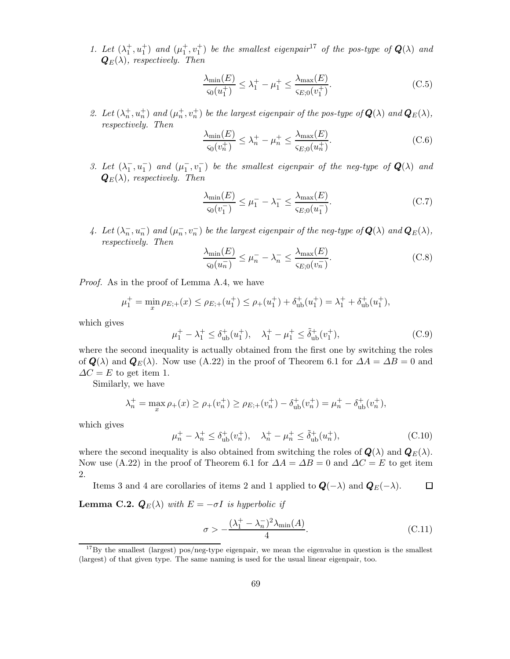1. Let  $(\lambda_1^+, u_1^+)$  and  $(\mu_1^+, v_1^+)$  be the smallest eigenpair<sup>17</sup> of the pos-type of  $\mathbf{Q}(\lambda)$  and  $\mathbf{Q}_E(\lambda)$ , respectively. Then

$$
\frac{\lambda_{\min}(E)}{\varsigma_0(u_1^+)} \le \lambda_1^+ - \mu_1^+ \le \frac{\lambda_{\max}(E)}{\varsigma_{E;0}(v_1^+)}.
$$
\n(C.5)

2. Let  $(\lambda_n^+, u_n^+)$  and  $(\mu_n^+, v_n^+)$  be the largest eigenpair of the pos-type of  $\mathbf{Q}(\lambda)$  and  $\mathbf{Q}_E(\lambda)$ , respectively. Then

$$
\frac{\lambda_{\min}(E)}{\varsigma_0(v_n^+)} \le \lambda_n^+ - \mu_n^+ \le \frac{\lambda_{\max}(E)}{\varsigma_{E;0}(u_n^+)}.\tag{C.6}
$$

3. Let  $(\lambda_1^-, u_1^-)$  and  $(\mu_1^-, v_1^-)$  be the smallest eigenpair of the neg-type of  $\mathbf{Q}(\lambda)$  and  $\mathbf{Q}_E(\lambda)$ , respectively. Then

$$
\frac{\lambda_{\min}(E)}{\varsigma_0(v_1^-)} \le \mu_1^- - \lambda_1^- \le \frac{\lambda_{\max}(E)}{\varsigma_{E,0}(u_1^-)}.\tag{C.7}
$$

4. Let  $(\lambda_n^-, u_n^-)$  and  $(\mu_n^-, v_n^-)$  be the largest eigenpair of the neg-type of  $\mathbf{Q}(\lambda)$  and  $\mathbf{Q}_E(\lambda)$ , respectively. Then

$$
\frac{\lambda_{\min}(E)}{\varsigma_0(u_n^-)} \le \mu_n^- - \lambda_n^- \le \frac{\lambda_{\max}(E)}{\varsigma_{E;0}(v_n^-)}.
$$
\n(C.8)

Proof. As in the proof of Lemma A.4, we have

$$
\mu_1^+ = \min_x \rho_{E;+}(x) \le \rho_{E;+}(u_1^+) \le \rho_+(u_1^+) + \delta_{ub}^+(u_1^+) = \lambda_1^+ + \delta_{ub}^+(u_1^+),
$$

which gives

$$
\mu_1^+ - \lambda_1^+ \le \delta_{\rm ub}^+(u_1^+), \quad \lambda_1^+ - \mu_1^+ \le \tilde{\delta}_{\rm ub}^+(v_1^+), \tag{C.9}
$$

where the second inequality is actually obtained from the first one by switching the roles of  $\mathbf{Q}(\lambda)$  and  $\mathbf{Q}_E(\lambda)$ . Now use (A.22) in the proof of Theorem 6.1 for  $\Delta A = \Delta B = 0$  and  $\Delta C = E$  to get item 1.

Similarly, we have

$$
\lambda_n^+ = \max_x \rho_+(x) \ge \rho_+(v_n^+) \ge \rho_{E,+}(v_n^+) - \delta_{\text{ub}}^+(v_n^+) = \mu_n^+ - \delta_{\text{ub}}^+(v_n^+),
$$

which gives

$$
\mu_n^+ - \lambda_n^+ \le \delta_{\rm ub}^+(v_n^+), \quad \lambda_n^+ - \mu_n^+ \le \tilde{\delta}_{\rm ub}^+(u_n^+), \tag{C.10}
$$

where the second inequality is also obtained from switching the roles of  $Q(\lambda)$  and  $Q_E(\lambda)$ . Now use (A.22) in the proof of Theorem 6.1 for  $\Delta A = \Delta B = 0$  and  $\Delta C = E$  to get item 2.

Items 3 and 4 are corollaries of items 2 and 1 applied to  $Q(-\lambda)$  and  $Q_E(-\lambda)$ .  $\Box$ 

**Lemma C.2.**  $\mathbf{Q}_E(\lambda)$  with  $E = -\sigma I$  is hyperbolic if

$$
\sigma > -\frac{(\lambda_1^+ - \lambda_n^-)^2 \lambda_{\min}(A)}{4}.\tag{C.11}
$$

<sup>&</sup>lt;sup>17</sup>By the smallest (largest) pos/neg-type eigenpair, we mean the eigenvalue in question is the smallest (largest) of that given type. The same naming is used for the usual linear eigenpair, too.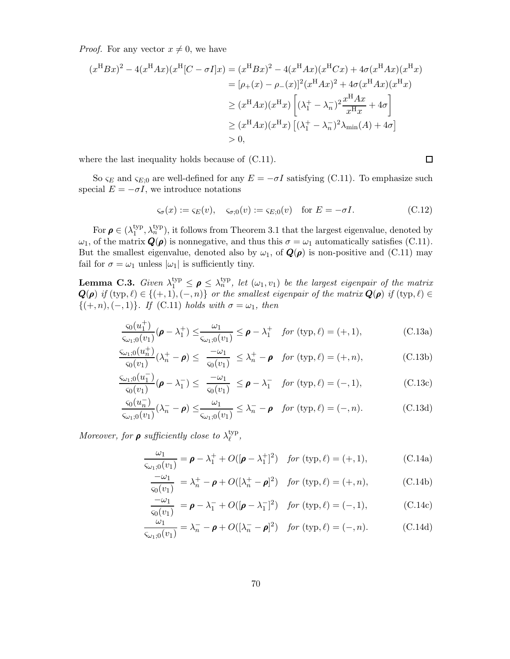*Proof.* For any vector  $x \neq 0$ , we have

$$
(x^{H}Bx)^{2} - 4(x^{H}Ax)(x^{H}[C - \sigma I]x) = (x^{H}Bx)^{2} - 4(x^{H}Ax)(x^{H}Cx) + 4\sigma(x^{H}Ax)(x^{H}x)
$$
  
\n
$$
= [\rho_{+}(x) - \rho_{-}(x)]^{2}(x^{H}Ax)^{2} + 4\sigma(x^{H}Ax)(x^{H}x)
$$
  
\n
$$
\geq (x^{H}Ax)(x^{H}x)\left[ (\lambda_{1}^{+} - \lambda_{n}^{-})^{2} \frac{x^{H}Ax}{x^{H}x} + 4\sigma \right]
$$
  
\n
$$
\geq (x^{H}Ax)(x^{H}x)\left[ (\lambda_{1}^{+} - \lambda_{n}^{-})^{2}\lambda_{\min}(A) + 4\sigma \right]
$$
  
\n
$$
> 0,
$$

where the last inequality holds because of (C.11).

So  $\varsigma_E$  and  $\varsigma_{E:0}$  are well-defined for any  $E = -\sigma I$  satisfying (C.11). To emphasize such special  $E = -\sigma I$ , we introduce notations

$$
\varsigma_{\sigma}(x) := \varsigma_E(v), \quad \varsigma_{\sigma,0}(v) := \varsigma_{E,0}(v) \quad \text{for } E = -\sigma I. \tag{C.12}
$$

For  $\rho \in (\lambda_1^{\text{typ}})$  $\mathcal{L}_1^{\text{typ}}, \lambda_n^{\text{typ}}$ ), it follows from Theorem 3.1 that the largest eigenvalue, denoted by  $\omega_1$ , of the matrix  $\mathbf{Q}(\rho)$  is nonnegative, and thus this  $\sigma = \omega_1$  automatically satisfies (C.11). But the smallest eigenvalue, denoted also by  $\omega_1$ , of  $\mathbf{Q}(\rho)$  is non-positive and (C.11) may fail for  $\sigma = \omega_1$  unless  $|\omega_1|$  is sufficiently tiny.

**Lemma C.3.** Given  $\lambda_1^{\text{typ}} \leq \rho \leq \lambda_n^{\text{typ}}$ , let  $(\omega_1, v_1)$  be the largest eigenpair of the matrix  $\bm{Q}(\bm{\rho})$  if  $(\text{typ}, \ell) \in \{(+, 1), (-, n)\}$  or the smallest eigenpair of the matrix  $\bm{Q}(\bm{\rho})$  if  $(\text{typ}, \ell) \in$  $\{(+, n), (-, 1)\}.$  If (C.11) holds with  $\sigma = \omega_1$ , then

$$
\frac{\varsigma_0(u_1^+)}{\varsigma_{\omega_1;0}(v_1)}(\boldsymbol{\rho} - \lambda_1^+) \leq \frac{\omega_1}{\varsigma_{\omega_1;0}(v_1)} \leq \boldsymbol{\rho} - \lambda_1^+ \quad \text{for } (\text{typ}, \ell) = (+, 1), \tag{C.13a}
$$

$$
\frac{\zeta_{\omega_1;0}(u_n^+)}{\zeta_0(v_1)}(\lambda_n^+ - \boldsymbol{\rho}) \le \frac{-\omega_1}{\zeta_0(v_1)} \le \lambda_n^+ - \boldsymbol{\rho} \quad \text{for } (\text{typ}, \ell) = (+, n), \tag{C.13b}
$$

$$
\frac{\varsigma_{\omega_1;0}(u_1^-)}{\varsigma_0(v_1)}(\pmb{\rho}-\lambda_1^-) \leq \frac{-\omega_1}{\varsigma_0(v_1)} \leq \pmb{\rho}-\lambda_1^- \quad \text{for } (\text{typ}, \ell) = (-,1), \tag{C.13c}
$$

$$
\frac{\varsigma_0(u_n^-)}{\varsigma_{\omega_1;0}(v_1)}(\lambda_n^- - \rho) \le \frac{\omega_1}{\varsigma_{\omega_1;0}(v_1)} \le \lambda_n^- - \rho \quad \text{for } (\text{typ}, \ell) = (-, n). \tag{C.13d}
$$

Moreover, for  $\rho$  sufficiently close to  $\lambda_{\ell}^{\text{typ}}$  $_{\ell}^{\rm \scriptscriptstyle (yp},$ 

$$
\frac{\omega_1}{\varsigma_{\omega_1;0}(v_1)} = \boldsymbol{\rho} - \lambda_1^+ + O([\boldsymbol{\rho} - \lambda_1^+]^2) \quad \text{for } (\text{typ}, \ell) = (+, 1), \tag{C.14a}
$$

$$
\frac{-\omega_1}{\varsigma_0(v_1)} = \lambda_n^+ - \boldsymbol{\rho} + O([\lambda_n^+ - \boldsymbol{\rho}]^2) \quad \text{for } (\text{typ}, \ell) = (+, n), \tag{C.14b}
$$

$$
\frac{-\omega_1}{\varsigma_0(v_1)} = \boldsymbol{\rho} - \lambda_1^- + O([\boldsymbol{\rho} - \lambda_1^-]^2) \quad \text{for } (\text{typ}, \ell) = (-, 1), \tag{C.14c}
$$

$$
\frac{\omega_1}{\varsigma_{\omega_1;0}(v_1)} = \lambda_n^- - \boldsymbol{\rho} + O([\lambda_n^- - \boldsymbol{\rho}]^2) \quad \text{for } (\text{typ}, \ell) = (-, n). \tag{C.14d}
$$

$$
\Box
$$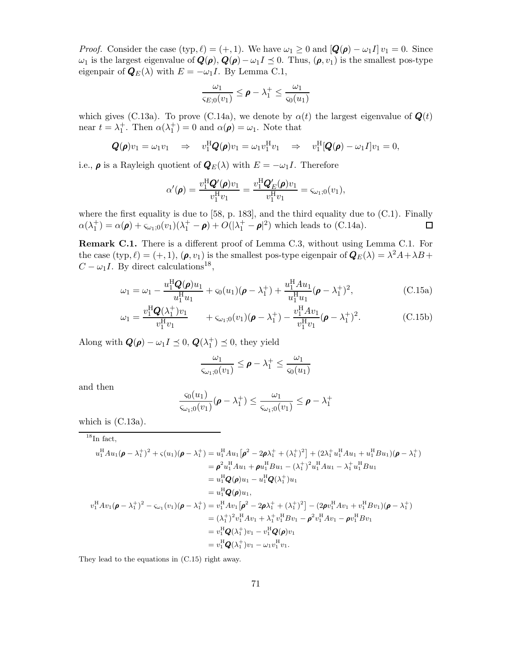*Proof.* Consider the case  $(\text{typ}, \ell) = (+, 1)$ . We have  $\omega_1 \geq 0$  and  $[Q(\rho) - \omega_1 I] v_1 = 0$ . Since  $\omega_1$  is the largest eigenvalue of  $\mathbf{Q}(\rho), \mathbf{Q}(\rho) - \omega_1 I \preceq 0$ . Thus,  $(\rho, v_1)$  is the smallest pos-type eigenpair of  $\mathbf{Q}_E(\lambda)$  with  $E = -\omega_1 I$ . By Lemma C.1,

$$
\frac{\omega_1}{\varsigma_{E;0}(v_1)} \leq \rho - \lambda_1^+ \leq \frac{\omega_1}{\varsigma_0(u_1)}
$$

which gives (C.13a). To prove (C.14a), we denote by  $\alpha(t)$  the largest eigenvalue of  $\mathbf{Q}(t)$ near  $t = \lambda_1^+$ . Then  $\alpha(\lambda_1^+) = 0$  and  $\alpha(\rho) = \omega_1$ . Note that

$$
\mathbf{Q}(\boldsymbol{\rho})v_1 = \omega_1 v_1 \Rightarrow v_1^{\mathrm{H}} \mathbf{Q}(\boldsymbol{\rho})v_1 = \omega_1 v_1^{\mathrm{H}} v_1 \Rightarrow v_1^{\mathrm{H}}[\mathbf{Q}(\boldsymbol{\rho}) - \omega_1 I]v_1 = 0,
$$

i.e.,  $\rho$  is a Rayleigh quotient of  $\mathbf{Q}_E(\lambda)$  with  $E = -\omega_1 I$ . Therefore

$$
\alpha'(\boldsymbol{\rho}) = \frac{v_1^{\rm H} \mathbf{Q}'(\boldsymbol{\rho}) v_1}{v_1^{\rm H} v_1} = \frac{v_1^{\rm H} \mathbf{Q}_E'(\boldsymbol{\rho}) v_1}{v_1^{\rm H} v_1} = \varsigma_{\omega_1,0}(v_1),
$$

where the first equality is due to  $[58, p. 183]$ , and the third equality due to  $(C.1)$ . Finally  $\alpha(\lambda_1^+) = \alpha(\boldsymbol{\rho}) + \varsigma_{\omega_1;0}(v_1)(\lambda_1^+ - \boldsymbol{\rho}) + O(|\lambda_1^+ - \boldsymbol{\rho}|^2)$  which leads to (C.14a).  $\Box$ 

Remark C.1. There is a different proof of Lemma C.3, without using Lemma C.1. For the case  $(\text{typ}, \ell) = (+, 1), (\rho, v_1)$  is the smallest pos-type eigenpair of  $\mathbf{Q}_E(\lambda) = \lambda^2 A + \lambda B +$  $C - \omega_1 I$ . By direct calculations<sup>18</sup>,

$$
\omega_1 = \omega_1 - \frac{u_1^{\rm H} \mathbf{Q}(\mathbf{\rho}) u_1}{u_1^{\rm H} u_1} + \varsigma_0(u_1)(\mathbf{\rho} - \lambda_1^+) + \frac{u_1^{\rm H} A u_1}{u_1^{\rm H} u_1}(\mathbf{\rho} - \lambda_1^+)^2, \tag{C.15a}
$$

$$
\omega_1 = \frac{v_1^{\rm H} \mathbf{Q}(\lambda_1^+) v_1}{v_1^{\rm H} v_1} + \varsigma_{\omega_1;0}(v_1) (\mathbf{\rho} - \lambda_1^+) - \frac{v_1^{\rm H} A v_1}{v_1^{\rm H} v_1} (\mathbf{\rho} - \lambda_1^+)^2. \tag{C.15b}
$$

Along with  $\mathbf{Q}(\rho) - \omega_1 I \preceq 0$ ,  $\mathbf{Q}(\lambda_1^+) \preceq 0$ , they yield

$$
\frac{\omega_1}{\varsigma_{\omega_1;0}(v_1)} \leq \rho - \lambda_1^+ \leq \frac{\omega_1}{\varsigma_0(u_1)}
$$

and then

$$
\frac{\varsigma_0(u_1)}{\varsigma_{\omega_1;0}(v_1)}(\boldsymbol{\rho} - \lambda_1^+) \le \frac{\omega_1}{\varsigma_{\omega_1;0}(v_1)} \le \boldsymbol{\rho} - \lambda_1^+
$$

which is  $(C.13a)$ .

 $18$ In fact,

$$
u_1^{\mathrm{H}} A u_1 (\rho - \lambda_1^+)^2 + \varsigma (u_1) (\rho - \lambda_1^+) = u_1^{\mathrm{H}} A u_1 \left[ \rho^2 - 2 \rho \lambda_1^+ + (\lambda_1^+)^2 \right] + (2 \lambda_1^+ u_1^{\mathrm{H}} A u_1 + u_1^{\mathrm{H}} B u_1) (\rho - \lambda_1^+)
$$
  
\n
$$
= \rho^2 u_1^{\mathrm{H}} A u_1 + \rho u_1^{\mathrm{H}} B u_1 - (\lambda_1^+)^2 u_1^{\mathrm{H}} A u_1 - \lambda_1^+ u_1^{\mathrm{H}} B u_1
$$
  
\n
$$
= u_1^{\mathrm{H}} Q(\rho) u_1,
$$
  
\n
$$
= u_1^{\mathrm{H}} Q(\rho) u_1,
$$
  
\n
$$
v_1^{\mathrm{H}} A v_1 (\rho - \lambda_1^+)^2 - \varsigma_{\omega_1} (v_1) (\rho - \lambda_1^+) = v_1^{\mathrm{H}} A v_1 \left[ \rho^2 - 2 \rho \lambda_1^+ + (\lambda_1^+)^2 \right] - (2 \rho v_1^{\mathrm{H}} A v_1 + v_1^{\mathrm{H}} B v_1) (\rho - \lambda_1^+)
$$
  
\n
$$
= (\lambda_1^+)^2 v_1^{\mathrm{H}} A v_1 + \lambda_1^+ v_1^{\mathrm{H}} B v_1 - \rho^2 v_1^{\mathrm{H}} A v_1 - \rho v_1^{\mathrm{H}} B v_1
$$
  
\n
$$
= v_1^{\mathrm{H}} Q(\lambda_1^+) v_1 - v_1^{\mathrm{H}} Q(\rho) v_1
$$
  
\n
$$
= v_1^{\mathrm{H}} Q(\lambda_1^+) v_1 - \omega_1 v_1^{\mathrm{H}} v_1.
$$

They lead to the equations in (C.15) right away.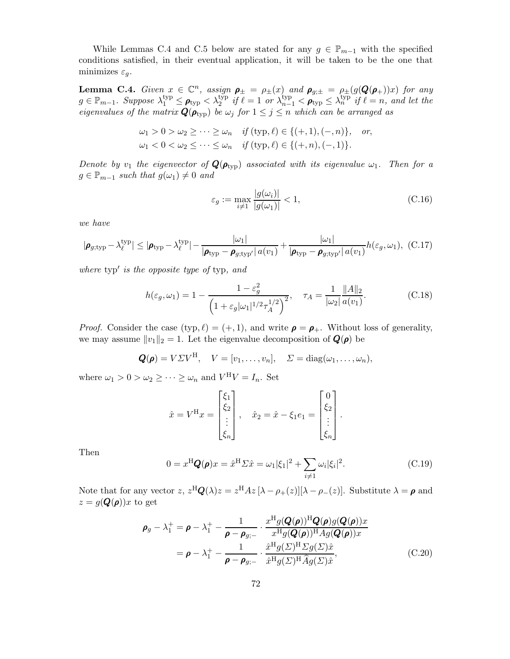While Lemmas C.4 and C.5 below are stated for any  $g \in \mathbb{P}_{m-1}$  with the specified conditions satisfied, in their eventual application, it will be taken to be the one that minimizes  $\varepsilon_g$ .

**Lemma C.4.** Given  $x \in \mathbb{C}^n$ , assign  $\rho_{\pm} = \rho_{\pm}(x)$  and  $\rho_{g; \pm} = \rho_{\pm}(g(\mathbf{Q}(\rho_{+}))x)$  for any  $g \in \mathbb{P}_{m-1}$ . Suppose  $\lambda_1^{\text{typ}} \leq \rho_{\text{typ}} < \lambda_2^{\text{typ}}$  if  $\ell = 1$  or  $\lambda_{n-1}^{\text{typ}} < \rho_{\text{typ}} \leq \lambda_n^{\text{typ}}$  if  $\ell = n$ , and let the eigenvalues of the matrix  $\mathbf{Q}(\boldsymbol{\rho}_\text{typ})$  be  $\omega_j$  for  $1 \leq j \leq n$  which can be arranged as

$$
\omega_1 > 0 > \omega_2 \geq \cdots \geq \omega_n \quad \text{if } (\text{typ}, \ell) \in \{ (+, 1), (-, n) \}, \quad \text{or,}
$$
  

$$
\omega_1 < 0 < \omega_2 \leq \cdots \leq \omega_n \quad \text{if } (\text{typ}, \ell) \in \{ (+, n), (-, 1) \}.
$$

Denote by  $v_1$  the eigenvector of  $\mathbf{Q}(\rho_{\text{typ}})$  associated with its eigenvalue  $\omega_1$ . Then for a  $g \in \mathbb{P}_{m-1}$  such that  $g(\omega_1) \neq 0$  and

$$
\varepsilon_g := \max_{i \neq 1} \frac{|g(\omega_i)|}{|g(\omega_1)|} < 1,\tag{C.16}
$$

we have

$$
|\boldsymbol{\rho}_{g;typ} - \lambda_{\ell}^{typ}| \leq |\boldsymbol{\rho}_{typ} - \lambda_{\ell}^{typ}| - \frac{|\omega_1|}{|\boldsymbol{\rho}_{typ} - \boldsymbol{\rho}_{g;typ'}| a(v_1)} + \frac{|\omega_1|}{|\boldsymbol{\rho}_{typ} - \boldsymbol{\rho}_{g;typ'}| a(v_1)} h(\varepsilon_g, \omega_1), (C.17)
$$

where typ′ is the opposite type of typ, and

$$
h(\varepsilon_g, \omega_1) = 1 - \frac{1 - \varepsilon_g^2}{\left(1 + \varepsilon_g |\omega_1|^{1/2} \tau_A^{1/2}\right)^2}, \quad \tau_A = \frac{1}{|\omega_2|} \frac{\|A\|_2}{a(v_1)}.
$$
 (C.18)

*Proof.* Consider the case (typ,  $\ell$ ) = (+, 1), and write  $\rho = \rho_+$ . Without loss of generality, we may assume  $||v_1||_2 = 1$ . Let the eigenvalue decomposition of  $\mathbf{Q}(\rho)$  be

$$
Q(\rho) = V\Sigma V^{\mathrm{H}}, V = [v_1, \ldots, v_n], \Sigma = \mathrm{diag}(\omega_1, \ldots, \omega_n),
$$

where  $\omega_1 > 0 > \omega_2 \ge \cdots \ge \omega_n$  and  $V^H V = I_n$ . Set

$$
\hat{x} = V^{\mathrm{H}} x = \begin{bmatrix} \xi_1 \\ \xi_2 \\ \vdots \\ \xi_n \end{bmatrix}, \quad \hat{x}_2 = \hat{x} - \xi_1 e_1 = \begin{bmatrix} 0 \\ \xi_2 \\ \vdots \\ \xi_n \end{bmatrix}.
$$

Then

$$
0 = x^{\mathrm{H}} \mathbf{Q}(\boldsymbol{\rho}) x = \hat{x}^{\mathrm{H}} \Sigma \hat{x} = \omega_1 |\xi_1|^2 + \sum_{i \neq 1} \omega_i |\xi_i|^2.
$$
 (C.19)

Note that for any vector  $z, z^{\text{H}}\mathbf{Q}(\lambda)z = z^{\text{H}}Az[\lambda - \rho_{+}(z)][\lambda - \rho_{-}(z)]$ . Substitute  $\lambda = \rho$  and  $z = g(\mathbf{Q}(\boldsymbol{\rho}))x$  to get

$$
\rho_g - \lambda_1^+ = \rho - \lambda_1^+ - \frac{1}{\rho - \rho_{g;-}} \cdot \frac{x^{\mathrm{H}} g(Q(\rho))^{\mathrm{H}} Q(\rho) g(Q(\rho)) x}{x^{\mathrm{H}} g(Q(\rho))^{\mathrm{H}} Ag(Q(\rho)) x}
$$
  
=  $\rho - \lambda_1^+ - \frac{1}{\rho - \rho_{g;-}} \cdot \frac{\hat{x}^{\mathrm{H}} g(\Sigma)^{\mathrm{H}} \Sigma g(\Sigma) \hat{x}}{\hat{x}^{\mathrm{H}} g(\Sigma)^{\mathrm{H}} \hat{A} g(\Sigma) \hat{x}},$  (C.20)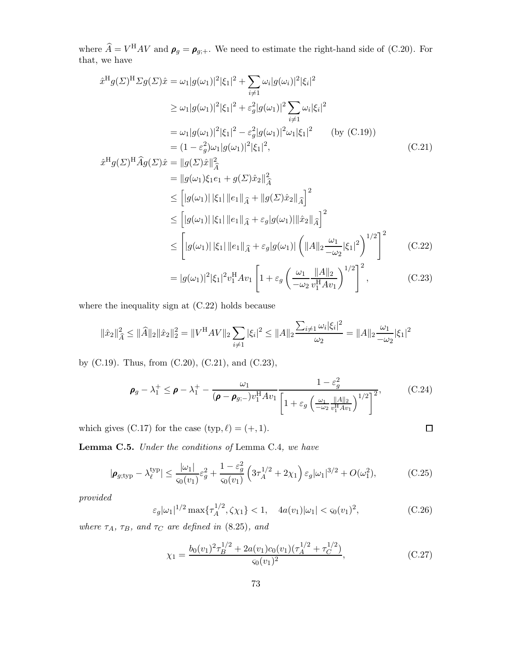where  $\hat{A} = V^{\text{H}}AV$  and  $\rho_g = \rho_{g,+}$ . We need to estimate the right-hand side of (C.20). For that, we have

$$
\hat{x}^{H}g(\Sigma)^{H}\Sigma g(\Sigma)\hat{x} = \omega_{1}|g(\omega_{1})|^{2}|\xi_{1}|^{2} + \sum_{i\neq 1}\omega_{i}|g(\omega_{i})|^{2}|\xi_{i}|^{2}
$$
\n
$$
\geq \omega_{1}|g(\omega_{1})|^{2}|\xi_{1}|^{2} + \varepsilon_{g}^{2}|g(\omega_{1})|^{2}\sum_{i\neq 1}\omega_{i}|\xi_{i}|^{2}
$$
\n
$$
= \omega_{1}|g(\omega_{1})|^{2}|\xi_{1}|^{2} - \varepsilon_{g}^{2}|g(\omega_{1})|^{2}\omega_{1}|\xi_{1}|^{2} \qquad \text{(by (C.19))}
$$
\n
$$
= (1 - \varepsilon_{g}^{2})\omega_{1}|g(\omega_{1})|^{2}|\xi_{1}|^{2}, \qquad \text{(C.21)}
$$

$$
\hat{x}^{H}g(\Sigma)^{H}\hat{A}g(\Sigma)\hat{x} = \|g(\Sigma)\hat{x}\|_{\hat{A}}^{2}
$$
\n
$$
= \|g(\omega_{1})\xi_{1}e_{1} + g(\Sigma)\hat{x}_{2}\|_{\hat{A}}^{2}
$$
\n
$$
\leq \left[|g(\omega_{1})||\xi_{1}||e_{1}\|_{\hat{A}} + \|g(\Sigma)\hat{x}_{2}\|_{\hat{A}}\right]^{2}
$$
\n
$$
\leq \left[|g(\omega_{1})||\xi_{1}||e_{1}\|_{\hat{A}} + \varepsilon_{g}|g(\omega_{1})||\hat{x}_{2}\|_{\hat{A}}\right]^{2}
$$
\n
$$
\leq \left[|g(\omega_{1})||\xi_{1}||e_{1}\|_{\hat{A}} + \varepsilon_{g}|g(\omega_{1})|\left(||A||_{2}\frac{\omega_{1}}{-\omega_{2}}|\xi_{1}|^{2}\right)^{1/2}\right]^{2}
$$
\n(C.22)\n
$$
= |g(\omega_{1})|^{2}|\xi_{1}|^{2}v_{1}^{H}Av_{1} \left[1 + \varepsilon_{g}\left(\frac{\omega_{1}}{-\omega_{2}}\frac{||A||_{2}}{v_{1}^{H}Av_{1}}\right)^{1/2}\right]^{2}, \qquad (C.23)
$$

where the inequality sign at (C.22) holds because

$$
\|\hat{x}_2\|_{\widehat{A}}^2 \le \|\hat{A}\|_2 \|\hat{x}_2\|_2^2 = \|V^{\mathrm{H}}AV\|_2 \sum_{i \ne 1} |\xi_i|^2 \le \|A\|_2 \frac{\sum_{i \ne 1} \omega_i |\xi_i|^2}{\omega_2} = \|A\|_2 \frac{\omega_1}{-\omega_2} |\xi_1|^2
$$

by (C.19). Thus, from (C.20), (C.21), and (C.23),

$$
\boldsymbol{\rho}_g - \lambda_1^+ \leq \boldsymbol{\rho} - \lambda_1^+ - \frac{\omega_1}{(\boldsymbol{\rho} - \boldsymbol{\rho}_{g,-})v_1^{\mathrm{H}} A v_1} \frac{1 - \varepsilon_g^2}{\left[1 + \varepsilon_g \left(\frac{\omega_1}{-\omega_2} \frac{\|A\|_2}{v_1^{\mathrm{H}} A v_1}\right)^{1/2}\right]^2},\tag{C.24}
$$

which gives (C.17) for the case  $(typ, \ell) = (+, 1)$ .

Lemma C.5. Under the conditions of Lemma C.4, we have

$$
|\pmb{\rho}_{g; \text{typ}} - \lambda_{\ell}^{\text{typ}}| \le \frac{|\omega_1|}{\varsigma_0(v_1)} \varepsilon_g^2 + \frac{1 - \varepsilon_g^2}{\varsigma_0(v_1)} \left( 3\tau_A^{1/2} + 2\chi_1 \right) \varepsilon_g |\omega_1|^{3/2} + O(\omega_1^2), \tag{C.25}
$$

provided

$$
\varepsilon_g |\omega_1|^{1/2} \max \{ \tau_A^{1/2}, \zeta \chi_1 \} < 1, \quad 4a(v_1) |\omega_1| < \varsigma_0(v_1)^2,\tag{C.26}
$$

 $\Box$ 

where  $\tau_A$ ,  $\tau_B$ , and  $\tau_C$  are defined in (8.25), and

$$
\chi_1 = \frac{b_0(v_1)^2 \tau_B^{1/2} + 2a(v_1)c_0(v_1)(\tau_A^{1/2} + \tau_C^{1/2})}{\varsigma_0(v_1)^2},\tag{C.27}
$$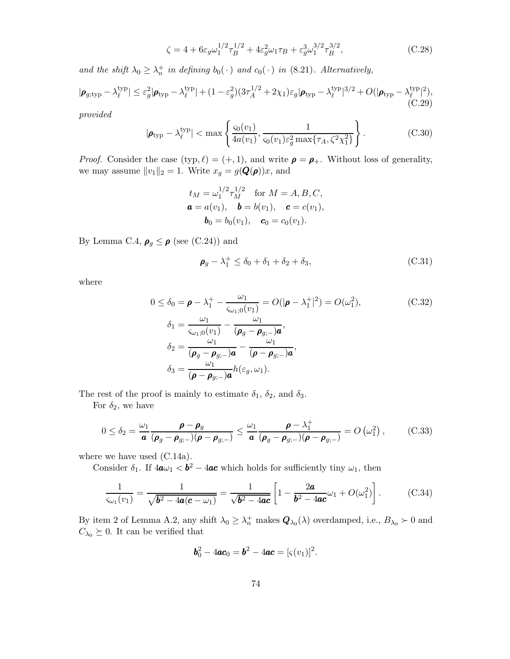$$
\zeta = 4 + 6\varepsilon_g \omega_1^{1/2} \tau_B^{1/2} + 4\varepsilon_g^2 \omega_1 \tau_B + \varepsilon_g^3 \omega_1^{3/2} \tau_B^{3/2}, \tag{C.28}
$$

and the shift  $\lambda_0 \geq \lambda_n^+$  in defining  $b_0(\cdot)$  and  $c_0(\cdot)$  in (8.21). Alternatively,

$$
|\boldsymbol{\rho}_{g;typ} - \lambda_{\ell}^{typ}| \leq \varepsilon_g^2 |\boldsymbol{\rho}_{typ} - \lambda_{\ell}^{typ}| + (1 - \varepsilon_g^2)(3\tau_A^{1/2} + 2\chi_1)\varepsilon_g |\boldsymbol{\rho}_{typ} - \lambda_{\ell}^{typ}|^{3/2} + O(|\boldsymbol{\rho}_{typ} - \lambda_{\ell}^{typ}|^2),
$$
(C.29)

provided

$$
|\pmb{\rho}_{\text{typ}} - \lambda_{\ell}^{\text{typ}}| < \max\left\{ \frac{\varsigma_0(v_1)}{4a(v_1)}, \frac{1}{\varsigma_0(v_1)\varepsilon_g^2 \max\{\tau_A, \zeta^2 \chi_1^2\}} \right\}.
$$
\n(C.30)

*Proof.* Consider the case (typ,  $\ell$ ) = (+, 1), and write  $\rho = \rho_+$ . Without loss of generality, we may assume  $||v_1||_2 = 1$ . Write  $x_g = g(\mathbf{Q}(\rho))x$ , and

$$
t_M = \omega_1^{1/2} \tau_M^{1/2}
$$
 for  $M = A, B, C,$   
\n $\mathbf{a} = a(v_1), \quad \mathbf{b} = b(v_1), \quad \mathbf{c} = c(v_1),$   
\n $\mathbf{b}_0 = b_0(v_1), \quad \mathbf{c}_0 = c_0(v_1).$ 

By Lemma C.4,  $\rho_g \leq \rho$  (see (C.24)) and

$$
\boldsymbol{\rho}_g - \lambda_1^+ \le \delta_0 + \delta_1 + \delta_2 + \delta_3,\tag{C.31}
$$

where

$$
0 \leq \delta_0 = \boldsymbol{\rho} - \lambda_1^+ - \frac{\omega_1}{\varsigma_{\omega_1;0}(v_1)} = O(|\boldsymbol{\rho} - \lambda_1^+|^2) = O(\omega_1^2),
$$
\n
$$
\delta_1 = \frac{\omega_1}{\varsigma_{\omega_1;0}(v_1)} - \frac{\omega_1}{(\boldsymbol{\rho}_g - \boldsymbol{\rho}_{g;-})\boldsymbol{a}},
$$
\n
$$
\delta_2 = \frac{\omega_1}{(\boldsymbol{\rho}_g - \boldsymbol{\rho}_{g;-})\boldsymbol{a}} - \frac{\omega_1}{(\boldsymbol{\rho} - \boldsymbol{\rho}_{g;-})\boldsymbol{a}},
$$
\n
$$
\delta_3 = \frac{\omega_1}{(\boldsymbol{\rho} - \boldsymbol{\rho}_{g;-})\boldsymbol{a}} h(\varepsilon_g, \omega_1).
$$
\n(C.32)

The rest of the proof is mainly to estimate  $\delta_1$ ,  $\delta_2$ , and  $\delta_3$ .

For  $\delta_2$ , we have

$$
0 \leq \delta_2 = \frac{\omega_1}{\mathbf{a}} \frac{\mathbf{\rho} - \mathbf{\rho}_g}{(\mathbf{\rho}_g - \mathbf{\rho}_{g;-})(\mathbf{\rho} - \mathbf{\rho}_{g;-})} \leq \frac{\omega_1}{\mathbf{a}} \frac{\mathbf{\rho} - \lambda_1^+}{(\mathbf{\rho}_g - \mathbf{\rho}_{g;-})(\mathbf{\rho} - \mathbf{\rho}_{g;-})} = O\left(\omega_1^2\right),\tag{C.33}
$$

where we have used (C.14a).

Consider  $\delta_1$ . If  $4\mathbf{a}\omega_1 < \mathbf{b}^2 - 4\mathbf{a}\mathbf{c}$  which holds for sufficiently tiny  $\omega_1$ , then

$$
\frac{1}{\varsigma_{\omega_1}(v_1)} = \frac{1}{\sqrt{b^2 - 4a(c - \omega_1)}} = \frac{1}{\sqrt{b^2 - 4ac}} \left[ 1 - \frac{2a}{b^2 - 4ac} \omega_1 + O(\omega_1^2) \right].
$$
 (C.34)

By item 2 of Lemma A.2, any shift  $\lambda_0 \geq \lambda_n^+$  makes  $\mathbf{Q}_{\lambda_0}(\lambda)$  overdamped, i.e.,  $B_{\lambda_0} \succ 0$  and  $C_{\lambda_0}\succeq 0.$  It can be verified that

$$
b_0^2 - 4ac_0 = b^2 - 4ac = [s(v_1)]^2.
$$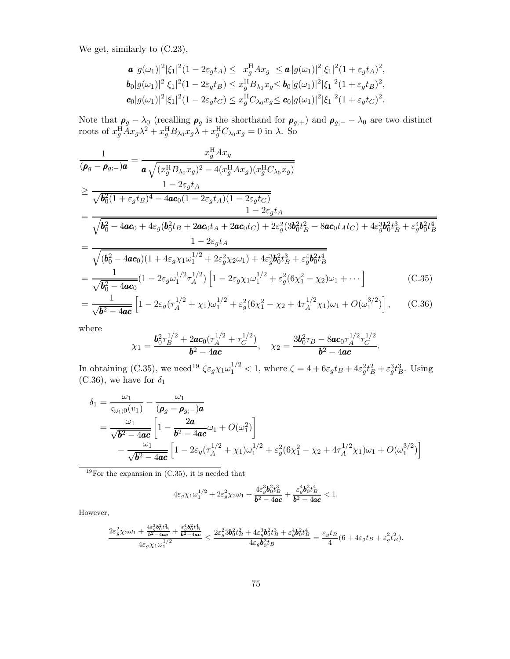We get, similarly to (C.23),

$$
\mathbf{a} |g(\omega_1)|^2 |\xi_1|^2 (1 - 2\varepsilon_g t_A) \leq x_g^{\mathrm{H}} A x_g \leq \mathbf{a} |g(\omega_1)|^2 |\xi_1|^2 (1 + \varepsilon_g t_A)^2,
$$
  
\n
$$
\mathbf{b}_0 |g(\omega_1)|^2 |\xi_1|^2 (1 - 2\varepsilon_g t_B) \leq x_g^{\mathrm{H}} B_{\lambda_0} x_g \leq \mathbf{b}_0 |g(\omega_1)|^2 |\xi_1|^2 (1 + \varepsilon_g t_B)^2,
$$
  
\n
$$
\mathbf{c}_0 |g(\omega_1)|^2 |\xi_1|^2 (1 - 2\varepsilon_g t_C) \leq x_g^{\mathrm{H}} C_{\lambda_0} x_g \leq \mathbf{c}_0 |g(\omega_1)|^2 |\xi_1|^2 (1 + \varepsilon_g t_C)^2.
$$

Note that  $\rho_g - \lambda_0$  (recalling  $\rho_g$  is the shorthand for  $\rho_{g;+}$ ) and  $\rho_{g;-} - \lambda_0$  are two distinct roots of  $x_g^{\rm H} A x_g \lambda^2 + x_g^{\rm H} B_{\lambda_0} x_g \lambda + x_g^{\rm H} C_{\lambda_0} x_g = 0$  in  $\lambda$ . So

$$
\frac{1}{(\rho_g - \rho_{g;-})a} = \frac{x_g^{\text{H}} A x_g}{a \sqrt{(x_g^{\text{H}} B_{\lambda_0} x_g)^2 - 4(x_g^{\text{H}} A x_g)(x_g^{\text{H}} C_{\lambda_0} x_g)}}
$$
\n
$$
\geq \frac{1 - 2\varepsilon_g t_A}{\sqrt{b_0^2 (1 + \varepsilon_g t_B)^4 - 4ac_0 (1 - 2\varepsilon_g t_A)(1 - 2\varepsilon_g t_C)}}
$$
\n
$$
= \frac{1 - 2\varepsilon_g t_A}{\sqrt{b_0^2 - 4ac_0 + 4\varepsilon_g (b_0^2 t_B + 2ac_0 t_A + 2ac_0 t_C) + 2\varepsilon_g^2 (3b_0^2 t_B^2 - 8ac_0 t_A t_C) + 4\varepsilon_g^3 b_0^2 t_B^3 + \varepsilon_g^4 b_0^2 t_B^4}}
$$
\n
$$
= \frac{1 - 2\varepsilon_g t_A}{\sqrt{(b_0^2 - 4ac_0)(1 + 4\varepsilon_g \chi_1 \omega_1^{1/2} + 2\varepsilon_g^2 \chi_2 \omega_1) + 4\varepsilon_g^3 b_0^2 t_B^3 + \varepsilon_g^4 b_0^2 t_B^4}}
$$
\n
$$
= \frac{1}{\sqrt{b_0^2 - 4ac_0}} (1 - 2\varepsilon_g \omega_1^{1/2} \tau_A^{1/2}) \left[1 - 2\varepsilon_g \chi_1 \omega_1^{1/2} + \varepsilon_g^2 (6\chi_1^2 - \chi_2) \omega_1 + \cdots \right] \qquad (C.35)
$$
\n
$$
= \frac{1}{\sqrt{b^2 - 4ac}} \left[1 - 2\varepsilon_g (\tau_A^{1/2} + \chi_1) \omega_1^{1/2} + \varepsilon_g^2 (6\chi_1^2 - \chi_2 + 4\tau_A^{1/2} \chi_1) \omega_1 + O(\omega_1^{3/2})\right], \qquad (C.36)
$$

where

$$
\chi_1=\frac{{\bm b}_0^2\tau_B^{1/2}+2{\bm a}{\bm c}_0(\tau_A^{1/2}+\tau_C^{1/2})}{\bm b^2-4{\bm a}{\bm c}},\quad \chi_2=\frac{3{\bm b}_0^2\tau_B-8{\bm a}{\bm c}_0\tau_A^{1/2}\tau_C^{1/2}}{\bm b^2-4{\bm a}{\bm c}}.
$$

In obtaining (C.35), we need<sup>19</sup>  $\zeta \varepsilon_g \chi_1 \omega_1^{1/2} < 1$ , where  $\zeta = 4 + 6\varepsilon_g t_B + 4\varepsilon_g^2 t_B^2 + \varepsilon_g^3 t_B^3$ . Using (C.36), we have for  $\delta_1$ 

$$
\delta_1 = \frac{\omega_1}{\zeta_{\omega_1;0}(v_1)} - \frac{\omega_1}{(\rho_g - \rho_{g;-})a} \n= \frac{\omega_1}{\sqrt{b^2 - 4ac}} \left[ 1 - \frac{2a}{b^2 - 4ac} \omega_1 + O(\omega_1^2) \right] \n- \frac{\omega_1}{\sqrt{b^2 - 4ac}} \left[ 1 - 2\varepsilon_g (\tau_A^{1/2} + \chi_1) \omega_1^{1/2} + \varepsilon_g^2 (6\chi_1^2 - \chi_2 + 4\tau_A^{1/2} \chi_1) \omega_1 + O(\omega_1^{3/2}) \right]
$$

 $19$ For the expansion in (C.35), it is needed that

$$
4\varepsilon_g \chi_1 \omega_1^{1/2} + 2\varepsilon_g^2 \chi_2 \omega_1 + \frac{4\varepsilon_g^3 \mathbf{b}_0^2 t_B^3}{\mathbf{b}^2 - 4ac} + \frac{\varepsilon_g^4 \mathbf{b}_0^2 t_B^4}{\mathbf{b}^2 - 4ac} < 1.
$$

However,

$$
\frac{2\varepsilon_g^2\chi_2\omega_1+\frac{4\varepsilon_g^3\pmb{b}_0^2t_B^3}{\pmb{b}^2-4\pmb{ac}}+\frac{\varepsilon_g^4\pmb{b}_0^2t_B^4}{\pmb{b}^2-4\pmb{ac}}}{4\varepsilon_g\chi_1\omega_1^{1/2}}\leq \frac{2\varepsilon_g^23\pmb{b}_0^2t_B^2+4\varepsilon_g^3\pmb{b}_0^2t_B^3+\varepsilon_g^4\pmb{b}_0^2t_B^4}{4\varepsilon_g\pmb{b}_0^2t_B}=\frac{\varepsilon_g t_B}{4}(6+4\varepsilon_g t_B+\varepsilon_g^2t_B^2).
$$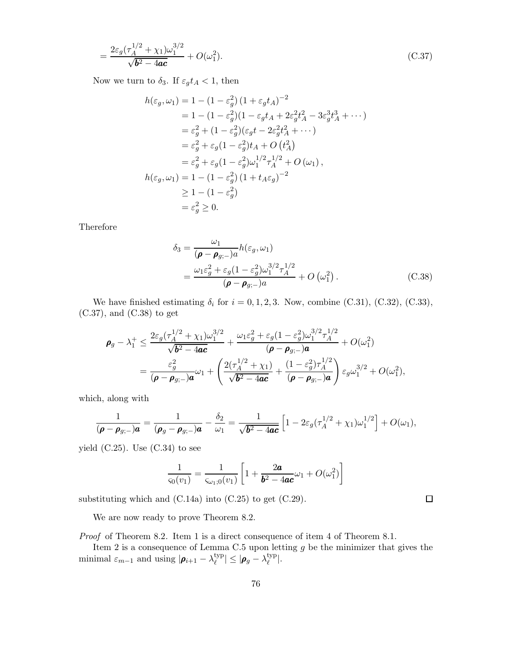$$
=\frac{2\varepsilon_g(\tau_A^{1/2} + \chi_1)\omega_1^{3/2}}{\sqrt{b^2 - 4ac}} + O(\omega_1^2). \tag{C.37}
$$

Now we turn to  $\delta_3$ . If  $\varepsilon_g t_A < 1$ , then

$$
h(\varepsilon_g, \omega_1) = 1 - (1 - \varepsilon_g^2) (1 + \varepsilon_g t_A)^{-2}
$$
  
= 1 - (1 - \varepsilon\_g^2)(1 - \varepsilon\_g t\_A + 2\varepsilon\_g^2 t\_A^2 - 3\varepsilon\_g^3 t\_A^3 + \cdots)  
= \varepsilon\_g^2 + (1 - \varepsilon\_g^2)(\varepsilon\_g t - 2\varepsilon\_g^2 t\_A^2 + \cdots)  
= \varepsilon\_g^2 + \varepsilon\_g (1 - \varepsilon\_g^2) t\_A + O(t\_A^2)  
= \varepsilon\_g^2 + \varepsilon\_g (1 - \varepsilon\_g^2) \omega\_1^{1/2} \tau\_A^{1/2} + O(\omega\_1),  
h(\varepsilon\_g, \omega\_1) = 1 - (1 - \varepsilon\_g^2) (1 + t\_A \varepsilon\_g)^{-2}  
\ge 1 - (1 - \varepsilon\_g^2)  
= \varepsilon\_g^2 \ge 0.

Therefore

$$
\delta_3 = \frac{\omega_1}{(\boldsymbol{\rho} - \boldsymbol{\rho}_{g;-})a} h(\varepsilon_g, \omega_1)
$$
  
= 
$$
\frac{\omega_1 \varepsilon_g^2 + \varepsilon_g (1 - \varepsilon_g^2) \omega_1^{3/2} \tau_A^{1/2}}{(\boldsymbol{\rho} - \boldsymbol{\rho}_{g;-})a} + O(\omega_1^2).
$$
 (C.38)

We have finished estimating  $\delta_i$  for  $i = 0, 1, 2, 3$ . Now, combine (C.31), (C.32), (C.33), (C.37), and (C.38) to get

$$
\begin{split} \rho_{g} - \lambda_{1}^{+} &\leq \frac{2\varepsilon_{g}(\tau_{A}^{1/2} + \chi_{1})\omega_{1}^{3/2}}{\sqrt{b^{2} - 4ac}} + \frac{\omega_{1}\varepsilon_{g}^{2} + \varepsilon_{g}(1 - \varepsilon_{g}^{2})\omega_{1}^{3/2}\tau_{A}^{1/2}}{(\boldsymbol{\rho} - \boldsymbol{\rho}_{g;-})a} + O(\omega_{1}^{2}) \\ &= \frac{\varepsilon_{g}^{2}}{(\boldsymbol{\rho} - \boldsymbol{\rho}_{g;-})a}\omega_{1} + \left(\frac{2(\tau_{A}^{1/2} + \chi_{1})}{\sqrt{b^{2} - 4ac}} + \frac{(1 - \varepsilon_{g}^{2})\tau_{A}^{1/2}}{(\boldsymbol{\rho} - \boldsymbol{\rho}_{g;-})a}\right)\varepsilon_{g}\omega_{1}^{3/2} + O(\omega_{1}^{2}), \end{split}
$$

which, along with

$$
\frac{1}{(\boldsymbol{\rho}-\boldsymbol{\rho}_{g;-})\boldsymbol{a}}=\frac{1}{(\boldsymbol{\rho}_g-\boldsymbol{\rho}_{g;-})\boldsymbol{a}}-\frac{\delta_2}{\omega_1}=\frac{1}{\sqrt{\boldsymbol{b}^2-4\boldsymbol{a}\boldsymbol{c}}}\left[1-2\varepsilon_g(\tau_A^{1/2}+\chi_1)\omega_1^{1/2}\right]+O(\omega_1),
$$

yield  $(C.25)$ . Use  $(C.34)$  to see

$$
\frac{1}{\varsigma_0(v_1)} = \frac{1}{\varsigma_{\omega_1;0}(v_1)} \left[ 1 + \frac{2a}{b^2 - 4ac} \omega_1 + O(\omega_1^2) \right]
$$

substituting which and  $(C.14a)$  into  $(C.25)$  to get  $(C.29)$ .

We are now ready to prove Theorem 8.2.

Proof of Theorem 8.2. Item 1 is a direct consequence of item 4 of Theorem 8.1.

Item 2 is a consequence of Lemma C.5 upon letting  $g$  be the minimizer that gives the minimal  $\varepsilon_{m-1}$  and using  $|\boldsymbol{\rho}_{i+1} - \lambda_{\ell}^{\text{typ}}|$  $|\mathcal{L}^{\text{typ}}_{\ell}| \leq |\boldsymbol{\rho}_g - \lambda^{\text{typ}}_{\ell}|$  $_{\ell}^{\rm typ}|.$ 

 $\Box$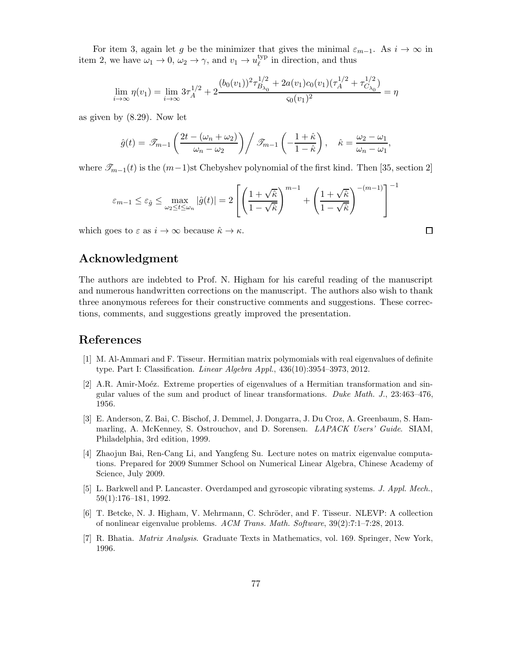For item 3, again let g be the minimizer that gives the minimal  $\varepsilon_{m-1}$ . As  $i \to \infty$  in item 2, we have  $\omega_1 \to 0$ ,  $\omega_2 \to \gamma$ , and  $v_1 \to u_{\ell}^{\text{typ}}$  $\ell^{\text{typ}}$  in direction, and thus

$$
\lim_{i \to \infty} \eta(v_1) = \lim_{i \to \infty} 3\tau_A^{1/2} + 2 \frac{(b_0(v_1))^2 \tau_{B_{\lambda_0}}^{1/2} + 2a(v_1)c_0(v_1)(\tau_A^{1/2} + \tau_{C_{\lambda_0}}^{1/2})}{s_0(v_1)^2} = \eta
$$

as given by (8.29). Now let

$$
\hat{g}(t) = \mathscr{T}_{m-1}\left(\frac{2t - (\omega_n + \omega_2)}{\omega_n - \omega_2}\right) / \mathscr{T}_{m-1}\left(-\frac{1 + \hat{\kappa}}{1 - \hat{\kappa}}\right), \quad \hat{\kappa} = \frac{\omega_2 - \omega_1}{\omega_n - \omega_1},
$$

where  $\mathcal{I}_{m-1}(t)$  is the  $(m-1)$ st Chebyshev polynomial of the first kind. Then [35, section 2]

$$
\varepsilon_{m-1} \le \varepsilon_{\hat{g}} \le \max_{\omega_2 \le t \le \omega_n} |\hat{g}(t)| = 2 \left[ \left( \frac{1 + \sqrt{\hat{\kappa}}}{1 - \sqrt{\hat{\kappa}}} \right)^{m-1} + \left( \frac{1 + \sqrt{\hat{\kappa}}}{1 - \sqrt{\hat{\kappa}}} \right)^{-(m-1)} \right]^{-1}
$$

which goes to  $\varepsilon$  as  $i \to \infty$  because  $\hat{\kappa} \to \kappa$ .

## Acknowledgment

The authors are indebted to Prof. N. Higham for his careful reading of the manuscript and numerous handwritten corrections on the manuscript. The authors also wish to thank three anonymous referees for their constructive comments and suggestions. These corrections, comments, and suggestions greatly improved the presentation.

## References

- [1] M. Al-Ammari and F. Tisseur. Hermitian matrix polymomials with real eigenvalues of definite type. Part I: Classification. Linear Algebra Appl., 436(10):3954–3973, 2012.
- [2] A.R. Amir-Moéz. Extreme properties of eigenvalues of a Hermitian transformation and singular values of the sum and product of linear transformations. Duke Math. J., 23:463–476, 1956.
- [3] E. Anderson, Z. Bai, C. Bischof, J. Demmel, J. Dongarra, J. Du Croz, A. Greenbaum, S. Hammarling, A. McKenney, S. Ostrouchov, and D. Sorensen. LAPACK Users' Guide. SIAM, Philadelphia, 3rd edition, 1999.
- [4] Zhaojun Bai, Ren-Cang Li, and Yangfeng Su. Lecture notes on matrix eigenvalue computations. Prepared for 2009 Summer School on Numerical Linear Algebra, Chinese Academy of Science, July 2009.
- [5] L. Barkwell and P. Lancaster. Overdamped and gyroscopic vibrating systems. J. Appl. Mech., 59(1):176–181, 1992.
- [6] T. Betcke, N. J. Higham, V. Mehrmann, C. Schröder, and F. Tisseur. NLEVP: A collection of nonlinear eigenvalue problems. ACM Trans. Math. Software, 39(2):7:1–7:28, 2013.
- [7] R. Bhatia. Matrix Analysis. Graduate Texts in Mathematics, vol. 169. Springer, New York, 1996.

 $\Box$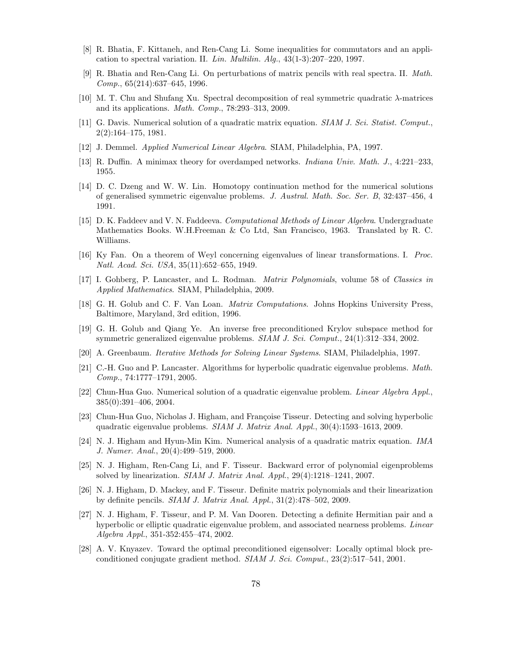- [8] R. Bhatia, F. Kittaneh, and Ren-Cang Li. Some inequalities for commutators and an application to spectral variation. II. Lin. Multilin.  $Alg.$ , 43(1-3):207-220, 1997.
- [9] R. Bhatia and Ren-Cang Li. On perturbations of matrix pencils with real spectra. II. Math. Comp., 65(214):637–645, 1996.
- [10] M. T. Chu and Shufang Xu. Spectral decomposition of real symmetric quadratic λ-matrices and its applications. Math. Comp., 78:293–313, 2009.
- [11] G. Davis. Numerical solution of a quadratic matrix equation. *SIAM J. Sci. Statist. Comput.*, 2(2):164–175, 1981.
- [12] J. Demmel. Applied Numerical Linear Algebra. SIAM, Philadelphia, PA, 1997.
- [13] R. Duffin. A minimax theory for overdamped networks. Indiana Univ. Math. J., 4:221–233, 1955.
- [14] D. C. Dzeng and W. W. Lin. Homotopy continuation method for the numerical solutions of generalised symmetric eigenvalue problems. J. Austral. Math. Soc. Ser. B, 32:437–456, 4 1991.
- [15] D. K. Faddeev and V. N. Faddeeva. Computational Methods of Linear Algebra. Undergraduate Mathematics Books. W.H.Freeman & Co Ltd, San Francisco, 1963. Translated by R. C. Williams.
- [16] Ky Fan. On a theorem of Weyl concerning eigenvalues of linear transformations. I. Proc. Natl. Acad. Sci. USA, 35(11):652–655, 1949.
- [17] I. Gohberg, P. Lancaster, and L. Rodman. Matrix Polynomials, volume 58 of Classics in Applied Mathematics. SIAM, Philadelphia, 2009.
- [18] G. H. Golub and C. F. Van Loan. Matrix Computations. Johns Hopkins University Press, Baltimore, Maryland, 3rd edition, 1996.
- [19] G. H. Golub and Qiang Ye. An inverse free preconditioned Krylov subspace method for symmetric generalized eigenvalue problems. SIAM J. Sci. Comput., 24(1):312–334, 2002.
- [20] A. Greenbaum. Iterative Methods for Solving Linear Systems. SIAM, Philadelphia, 1997.
- [21] C.-H. Guo and P. Lancaster. Algorithms for hyperbolic quadratic eigenvalue problems. Math. Comp., 74:1777–1791, 2005.
- [22] Chun-Hua Guo. Numerical solution of a quadratic eigenvalue problem. Linear Algebra Appl., 385(0):391–406, 2004.
- [23] Chun-Hua Guo, Nicholas J. Higham, and Françoise Tisseur. Detecting and solving hyperbolic quadratic eigenvalue problems. SIAM J. Matrix Anal. Appl., 30(4):1593–1613, 2009.
- [24] N. J. Higham and Hyun-Min Kim. Numerical analysis of a quadratic matrix equation. IMA J. Numer. Anal., 20(4):499–519, 2000.
- [25] N. J. Higham, Ren-Cang Li, and F. Tisseur. Backward error of polynomial eigenproblems solved by linearization. SIAM J. Matrix Anal. Appl., 29(4):1218–1241, 2007.
- [26] N. J. Higham, D. Mackey, and F. Tisseur. Definite matrix polynomials and their linearization by definite pencils.  $SIAM J. Matrix Anal. Appl., 31(2):478-502, 2009.$
- [27] N. J. Higham, F. Tisseur, and P. M. Van Dooren. Detecting a definite Hermitian pair and a hyperbolic or elliptic quadratic eigenvalue problem, and associated nearness problems. Linear Algebra Appl., 351-352:455–474, 2002.
- [28] A. V. Knyazev. Toward the optimal preconditioned eigensolver: Locally optimal block preconditioned conjugate gradient method. SIAM J. Sci. Comput., 23(2):517–541, 2001.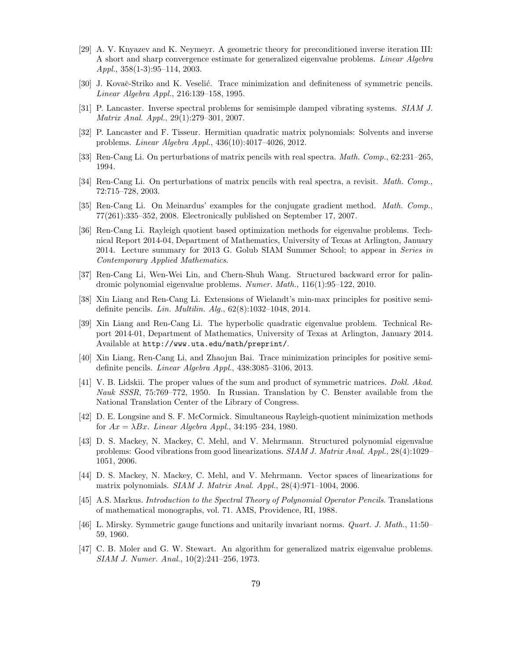- [29] A. V. Knyazev and K. Neymeyr. A geometric theory for preconditioned inverse iteration III: A short and sharp convergence estimate for generalized eigenvalue problems. Linear Algebra Appl., 358(1-3):95–114, 2003.
- [30] J. Kovač-Striko and K. Veselić. Trace minimization and definiteness of symmetric pencils. Linear Algebra Appl., 216:139–158, 1995.
- [31] P. Lancaster. Inverse spectral problems for semisimple damped vibrating systems. SIAM J. Matrix Anal. Appl., 29(1):279–301, 2007.
- [32] P. Lancaster and F. Tisseur. Hermitian quadratic matrix polynomials: Solvents and inverse problems. Linear Algebra Appl., 436(10):4017–4026, 2012.
- [33] Ren-Cang Li. On perturbations of matrix pencils with real spectra. Math. Comp., 62:231–265, 1994.
- [34] Ren-Cang Li. On perturbations of matrix pencils with real spectra, a revisit. *Math. Comp.*, 72:715–728, 2003.
- [35] Ren-Cang Li. On Meinardus' examples for the conjugate gradient method. *Math. Comp.*, 77(261):335–352, 2008. Electronically published on September 17, 2007.
- [36] Ren-Cang Li. Rayleigh quotient based optimization methods for eigenvalue problems. Technical Report 2014-04, Department of Mathematics, University of Texas at Arlington, January 2014. Lecture summary for 2013 G. Golub SIAM Summer School; to appear in Series in Contemporary Applied Mathematics.
- [37] Ren-Cang Li, Wen-Wei Lin, and Chern-Shuh Wang. Structured backward error for palindromic polynomial eigenvalue problems. Numer. Math., 116(1):95–122, 2010.
- [38] Xin Liang and Ren-Cang Li. Extensions of Wielandt's min-max principles for positive semidefinite pencils. Lin. Multilin. Alg., 62(8):1032–1048, 2014.
- [39] Xin Liang and Ren-Cang Li. The hyperbolic quadratic eigenvalue problem. Technical Report 2014-01, Department of Mathematics, University of Texas at Arlington, January 2014. Available at http://www.uta.edu/math/preprint/.
- [40] Xin Liang, Ren-Cang Li, and Zhaojun Bai. Trace minimization principles for positive semidefinite pencils. Linear Algebra Appl., 438:3085–3106, 2013.
- [41] V. B. Lidskii. The proper values of the sum and product of symmetric matrices. Dokl. Akad. Nauk SSSR, 75:769–772, 1950. In Russian. Translation by C. Benster available from the National Translation Center of the Library of Congress.
- [42] D. E. Longsine and S. F. McCormick. Simultaneous Rayleigh-quotient minimization methods for  $Ax = \lambda Bx$ . Linear Algebra Appl., 34:195-234, 1980.
- [43] D. S. Mackey, N. Mackey, C. Mehl, and V. Mehrmann. Structured polynomial eigenvalue problems: Good vibrations from good linearizations. SIAM J. Matrix Anal. Appl., 28(4):1029– 1051, 2006.
- [44] D. S. Mackey, N. Mackey, C. Mehl, and V. Mehrmann. Vector spaces of linearizations for matrix polynomials. SIAM J. Matrix Anal. Appl., 28(4):971–1004, 2006.
- [45] A.S. Markus. Introduction to the Spectral Theory of Polynomial Operator Pencils. Translations of mathematical monographs, vol. 71. AMS, Providence, RI, 1988.
- [46] L. Mirsky. Symmetric gauge functions and unitarily invariant norms. Quart. J. Math., 11:50– 59, 1960.
- [47] C. B. Moler and G. W. Stewart. An algorithm for generalized matrix eigenvalue problems. SIAM J. Numer. Anal., 10(2):241–256, 1973.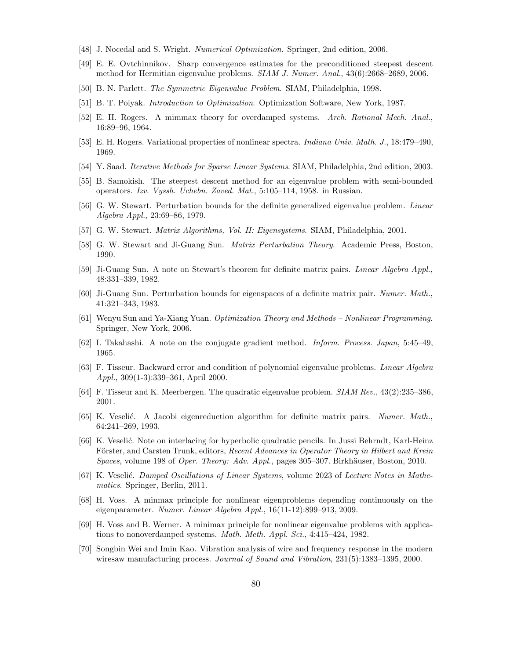- [48] J. Nocedal and S. Wright. Numerical Optimization. Springer, 2nd edition, 2006.
- [49] E. E. Ovtchinnikov. Sharp convergence estimates for the preconditioned steepest descent method for Hermitian eigenvalue problems. SIAM J. Numer. Anal., 43(6):2668–2689, 2006.
- [50] B. N. Parlett. The Symmetric Eigenvalue Problem. SIAM, Philadelphia, 1998.
- [51] B. T. Polyak. Introduction to Optimization. Optimization Software, New York, 1987.
- [52] E. H. Rogers. A mimmax theory for overdamped systems. Arch. Rational Mech. Anal., 16:89–96, 1964.
- [53] E. H. Rogers. Variational properties of nonlinear spectra. Indiana Univ. Math. J., 18:479–490, 1969.
- [54] Y. Saad. Iterative Methods for Sparse Linear Systems. SIAM, Philadelphia, 2nd edition, 2003.
- [55] B. Samokish. The steepest descent method for an eigenvalue problem with semi-bounded operators. Izv. Vyssh. Uchebn. Zaved. Mat., 5:105–114, 1958. in Russian.
- [56] G. W. Stewart. Perturbation bounds for the definite generalized eigenvalue problem. *Linear* Algebra Appl., 23:69–86, 1979.
- [57] G. W. Stewart. Matrix Algorithms, Vol. II: Eigensystems. SIAM, Philadelphia, 2001.
- [58] G. W. Stewart and Ji-Guang Sun. Matrix Perturbation Theory. Academic Press, Boston, 1990.
- [59] Ji-Guang Sun. A note on Stewart's theorem for definite matrix pairs. Linear Algebra Appl., 48:331–339, 1982.
- [60] Ji-Guang Sun. Perturbation bounds for eigenspaces of a definite matrix pair. Numer. Math., 41:321–343, 1983.
- [61] Wenyu Sun and Ya-Xiang Yuan. Optimization Theory and Methods Nonlinear Programming. Springer, New York, 2006.
- [62] I. Takahashi. A note on the conjugate gradient method. Inform. Process. Japan, 5:45–49, 1965.
- [63] F. Tisseur. Backward error and condition of polynomial eigenvalue problems. Linear Algebra Appl., 309(1-3):339–361, April 2000.
- [64] F. Tisseur and K. Meerbergen. The quadratic eigenvalue problem. SIAM Rev., 43(2):235–386, 2001.
- [65] K. Veselić. A Jacobi eigenreduction algorithm for definite matrix pairs. Numer. Math., 64:241–269, 1993.
- [66] K. Veselić. Note on interlacing for hyperbolic quadratic pencils. In Jussi Behrndt, Karl-Heinz Förster, and Carsten Trunk, editors, Recent Advances in Operator Theory in Hilbert and Krein Spaces, volume 198 of Oper. Theory: Adv. Appl., pages 305–307. Birkhäuser, Boston, 2010.
- [67] K. Veselić. Damped Oscillations of Linear Systems, volume 2023 of Lecture Notes in Mathematics. Springer, Berlin, 2011.
- [68] H. Voss. A minmax principle for nonlinear eigenproblems depending continuously on the eigenparameter. Numer. Linear Algebra Appl., 16(11-12):899–913, 2009.
- [69] H. Voss and B. Werner. A minimax principle for nonlinear eigenvalue problems with applications to nonoverdamped systems. Math. Meth. Appl. Sci., 4:415-424, 1982.
- [70] Songbin Wei and Imin Kao. Vibration analysis of wire and frequency response in the modern wiresaw manufacturing process. Journal of Sound and Vibration,  $231(5):1383-1395, 2000$ .